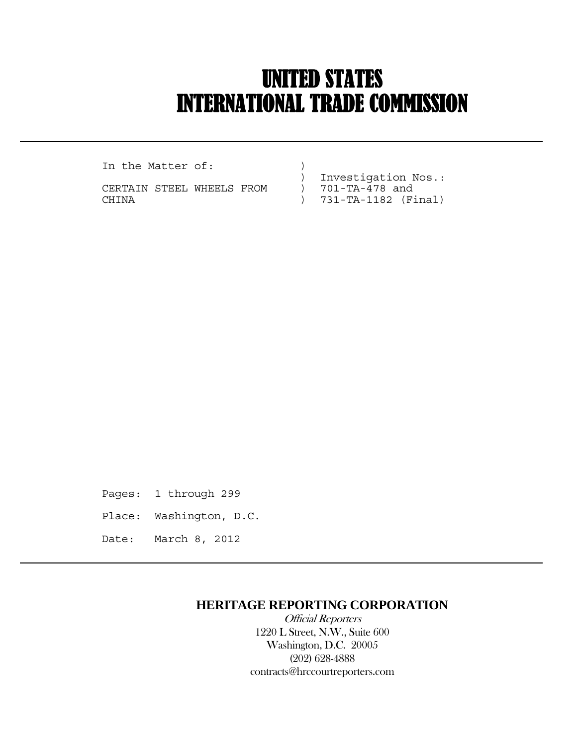## UNITED STATES INTERNATIONAL TRADE COMMISSION

In the Matter of:  $)$ 

 $\overline{a}$ 

CERTAIN STEEL WHEELS FROM CHINA ) 731-TA-1182 (Final)

) Investigation Nos.:<br>) 701-TA-478 and

- 
- 

Pages: 1 through 299 Place: Washington, D.C. Date: March 8, 2012

## **HERITAGE REPORTING CORPORATION**

 Official Reporters 1220 L Street, N.W., Suite 600 Washington, D.C. 20005 (202) 628-4888 contracts@hrccourtreporters.com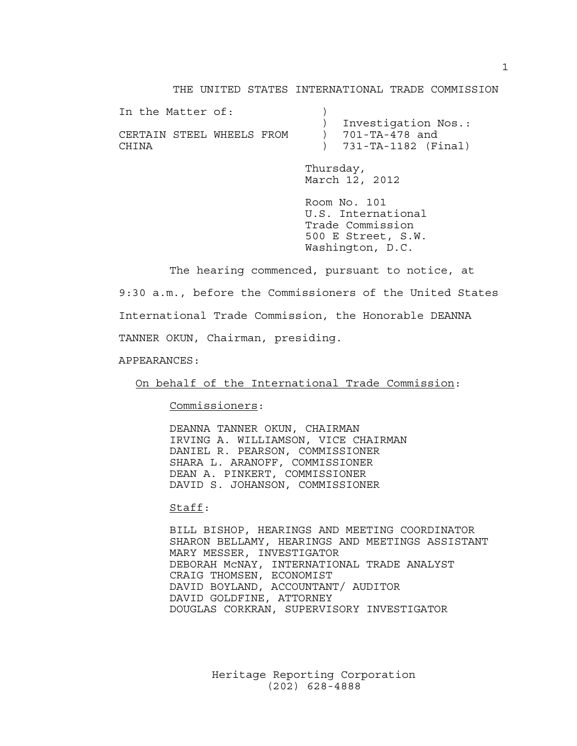## THE UNITED STATES INTERNATIONAL TRADE COMMISSION

| In the Matter of:         |                       |
|---------------------------|-----------------------|
|                           | ) Investigation Nos.: |
| CERTAIN STEEL WHEELS FROM | ) 701-TA-478 and      |
| CHINA                     | ) 731-TA-1182 (Final) |

 Thursday, March 12, 2012

 Room No. 101 U.S. International Trade Commission 500 E Street, S.W. Washington, D.C.

 The hearing commenced, pursuant to notice, at 9:30 a.m., before the Commissioners of the United States International Trade Commission, the Honorable DEANNA TANNER OKUN, Chairman, presiding.

APPEARANCES:

On behalf of the International Trade Commission:

Commissioners:

 DEANNA TANNER OKUN, CHAIRMAN IRVING A. WILLIAMSON, VICE CHAIRMAN DANIEL R. PEARSON, COMMISSIONER SHARA L. ARANOFF, COMMISSIONER DEAN A. PINKERT, COMMISSIONER DAVID S. JOHANSON, COMMISSIONER

Staff:

 BILL BISHOP, HEARINGS AND MEETING COORDINATOR SHARON BELLAMY, HEARINGS AND MEETINGS ASSISTANT MARY MESSER, INVESTIGATOR DEBORAH McNAY, INTERNATIONAL TRADE ANALYST CRAIG THOMSEN, ECONOMIST DAVID BOYLAND, ACCOUNTANT/ AUDITOR DAVID GOLDFINE, ATTORNEY DOUGLAS CORKRAN, SUPERVISORY INVESTIGATOR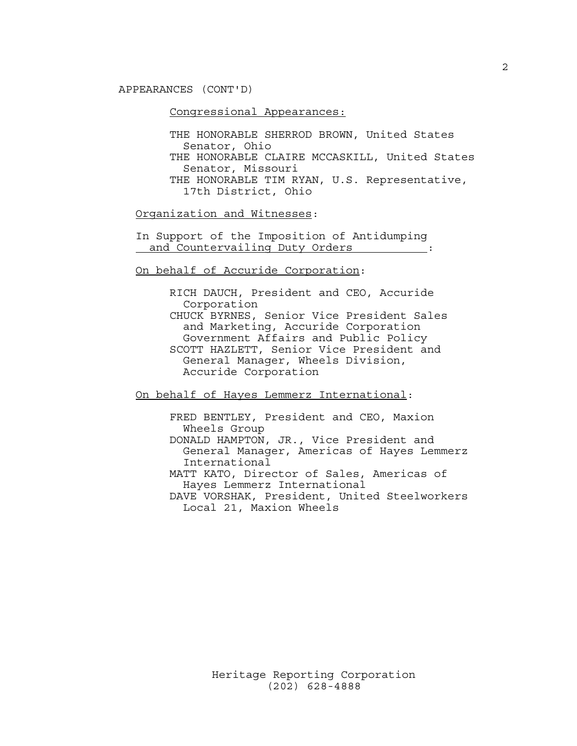APPEARANCES (CONT'D)

Congressional Appearances:

 THE HONORABLE SHERROD BROWN, United States Senator, Ohio THE HONORABLE CLAIRE MCCASKILL, United States Senator, Missouri THE HONORABLE TIM RYAN, U.S. Representative, 17th District, Ohio

Organization and Witnesses:

 In Support of the Imposition of Antidumping and Countervailing Duty Orders :

On behalf of Accuride Corporation:

 RICH DAUCH, President and CEO, Accuride Corporation CHUCK BYRNES, Senior Vice President Sales and Marketing, Accuride Corporation Government Affairs and Public Policy SCOTT HAZLETT, Senior Vice President and General Manager, Wheels Division, Accuride Corporation

On behalf of Hayes Lemmerz International:

 FRED BENTLEY, President and CEO, Maxion Wheels Group DONALD HAMPTON, JR., Vice President and General Manager, Americas of Hayes Lemmerz International MATT KATO, Director of Sales, Americas of

 Hayes Lemmerz International DAVE VORSHAK, President, United Steelworkers

Local 21, Maxion Wheels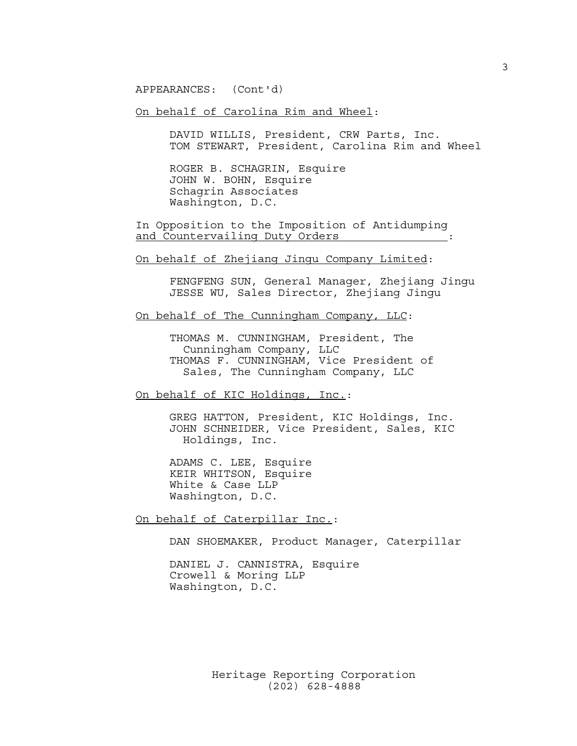APPEARANCES: (Cont'd)

On behalf of Carolina Rim and Wheel:

 DAVID WILLIS, President, CRW Parts, Inc. TOM STEWART, President, Carolina Rim and Wheel

 ROGER B. SCHAGRIN, Esquire JOHN W. BOHN, Esquire Schagrin Associates Washington, D.C.

 In Opposition to the Imposition of Antidumping and Countervailing Duty Orders :  $\cdot$  :

On behalf of Zhejiang Jingu Company Limited:

 FENGFENG SUN, General Manager, Zhejiang Jingu JESSE WU, Sales Director, Zhejiang Jingu

On behalf of The Cunningham Company, LLC:

 THOMAS M. CUNNINGHAM, President, The Cunningham Company, LLC THOMAS F. CUNNINGHAM, Vice President of Sales, The Cunningham Company, LLC

On behalf of KIC Holdings, Inc.:

 GREG HATTON, President, KIC Holdings, Inc. JOHN SCHNEIDER, Vice President, Sales, KIC Holdings, Inc.

 ADAMS C. LEE, Esquire KEIR WHITSON, Esquire White & Case LLP Washington, D.C.

On behalf of Caterpillar Inc.:

DAN SHOEMAKER, Product Manager, Caterpillar

 DANIEL J. CANNISTRA, Esquire Crowell & Moring LLP Washington, D.C.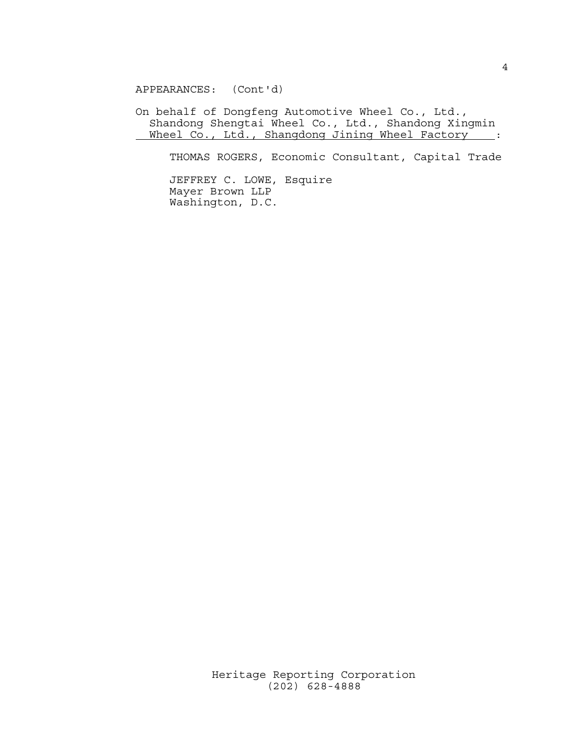APPEARANCES: (Cont'd)

 On behalf of Dongfeng Automotive Wheel Co., Ltd., Shandong Shengtai Wheel Co., Ltd., Shandong Xingmin Wheel Co., Ltd., Shangdong Jining Wheel Factory :

THOMAS ROGERS, Economic Consultant, Capital Trade

 JEFFREY C. LOWE, Esquire Mayer Brown LLP Washington, D.C.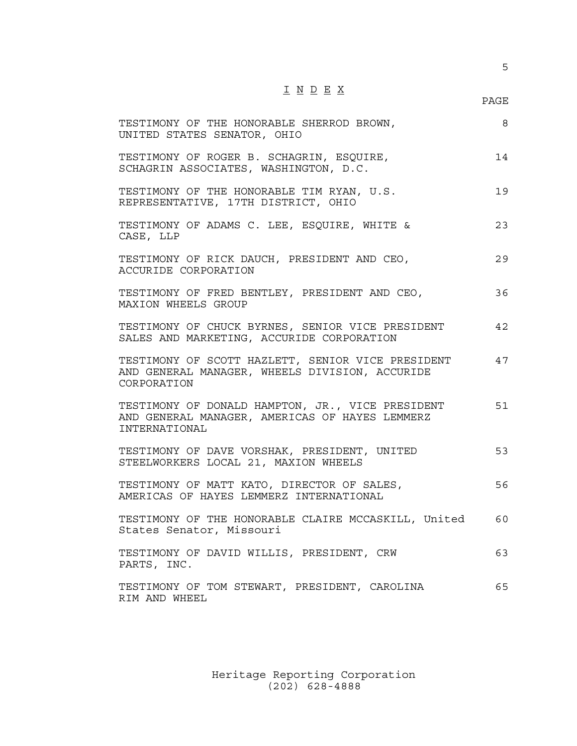5

| ۰. | ۰. | . . |  |  |
|----|----|-----|--|--|

| TESTIMONY OF THE HONORABLE SHERROD BROWN,<br>UNITED STATES SENATOR, OHIO                                            | 8  |
|---------------------------------------------------------------------------------------------------------------------|----|
| TESTIMONY OF ROGER B. SCHAGRIN, ESQUIRE,<br>SCHAGRIN ASSOCIATES, WASHINGTON, D.C.                                   | 14 |
| TESTIMONY OF THE HONORABLE TIM RYAN, U.S.<br>REPRESENTATIVE, 17TH DISTRICT, OHIO                                    | 19 |
| TESTIMONY OF ADAMS C. LEE, ESQUIRE, WHITE &<br>CASE, LLP                                                            | 23 |
| TESTIMONY OF RICK DAUCH, PRESIDENT AND CEO,<br>ACCURIDE CORPORATION                                                 | 29 |
| TESTIMONY OF FRED BENTLEY, PRESIDENT AND CEO,<br>MAXION WHEELS GROUP                                                | 36 |
| TESTIMONY OF CHUCK BYRNES, SENIOR VICE PRESIDENT<br>SALES AND MARKETING, ACCURIDE CORPORATION                       | 42 |
| TESTIMONY OF SCOTT HAZLETT, SENIOR VICE PRESIDENT<br>AND GENERAL MANAGER, WHEELS DIVISION, ACCURIDE<br>CORPORATION  | 47 |
| TESTIMONY OF DONALD HAMPTON, JR., VICE PRESIDENT<br>AND GENERAL MANAGER, AMERICAS OF HAYES LEMMERZ<br>INTERNATIONAL | 51 |
| TESTIMONY OF DAVE VORSHAK, PRESIDENT, UNITED<br>STEELWORKERS LOCAL 21, MAXION WHEELS                                | 53 |
| TESTIMONY OF MATT KATO, DIRECTOR OF SALES,<br>AMERICAS OF HAYES LEMMERZ INTERNATIONAL                               | 56 |
| TESTIMONY OF THE HONORABLE CLAIRE MCCASKILL, United<br>States Senator, Missouri                                     | 60 |
| TESTIMONY OF DAVID WILLIS, PRESIDENT, CRW<br>PARTS, INC.                                                            | 63 |
| TESTIMONY OF TOM STEWART, PRESIDENT, CAROLINA<br>RIM AND WHEEL                                                      | 65 |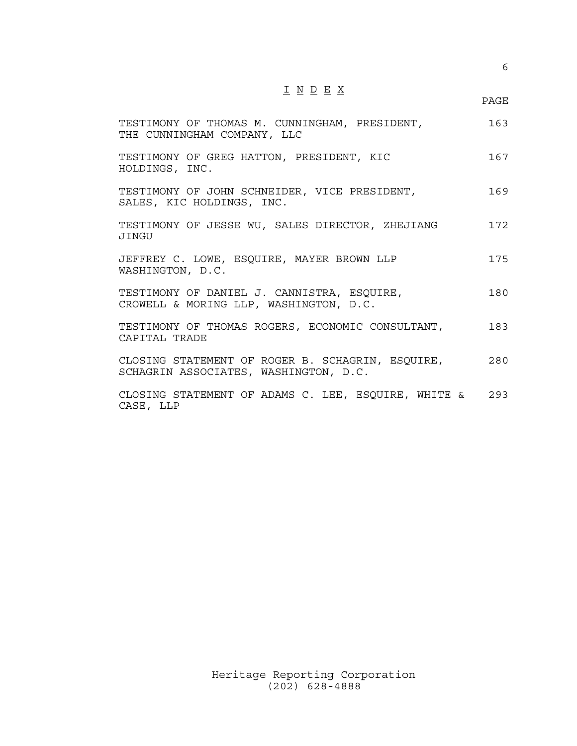I N D E X

| TESTIMONY OF THOMAS M. CUNNINGHAM, PRESIDENT,<br>THE CUNNINGHAM COMPANY, LLC              | 163 |
|-------------------------------------------------------------------------------------------|-----|
| TESTIMONY OF GREG HATTON, PRESIDENT, KIC<br>HOLDINGS, INC.                                | 167 |
| TESTIMONY OF JOHN SCHNEIDER, VICE PRESIDENT,<br>SALES, KIC HOLDINGS, INC.                 | 169 |
| TESTIMONY OF JESSE WU, SALES DIRECTOR, ZHEJIANG<br><b>JINGU</b>                           | 172 |
| JEFFREY C. LOWE, ESQUIRE, MAYER BROWN LLP<br>WASHINGTON, D.C.                             | 175 |
| TESTIMONY OF DANIEL J. CANNISTRA, ESQUIRE,<br>CROWELL & MORING LLP, WASHINGTON, D.C.      | 180 |
| TESTIMONY OF THOMAS ROGERS, ECONOMIC CONSULTANT,<br>CAPTTAL TRADE                         | 183 |
| CLOSING STATEMENT OF ROGER B. SCHAGRIN, ESQUIRE,<br>SCHAGRIN ASSOCIATES, WASHINGTON, D.C. | 280 |

CLOSING STATEMENT OF ADAMS C. LEE, ESQUIRE, WHITE & 293 CASE, LLP

en de la provincia de la provincia de la provincia de la provincia de la provincia de la provincia de la provi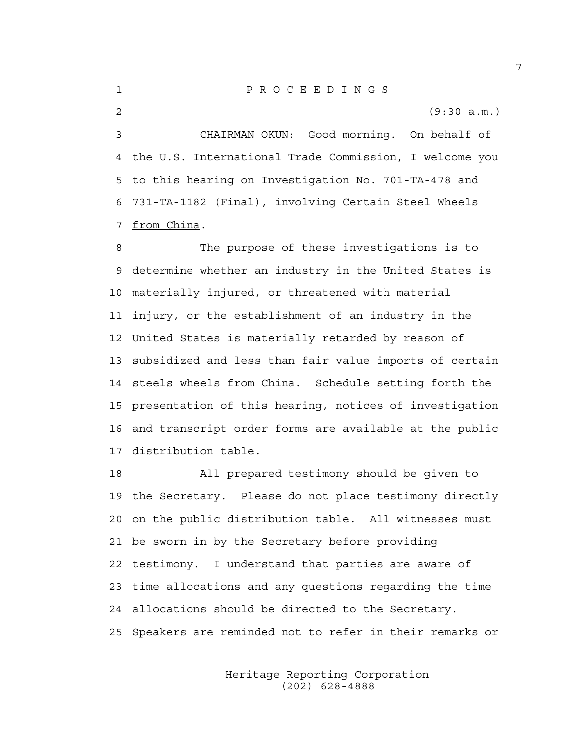1 P R O C E E D I N G S

2 (9:30 a.m.)

3 CHAIRMAN OKUN: Good morning. On behalf of 4 the U.S. International Trade Commission, I welcome you 5 to this hearing on Investigation No. 701-TA-478 and 6 731-TA-1182 (Final), involving Certain Steel Wheels 7 from China.

8 The purpose of these investigations is to 9 determine whether an industry in the United States is 10 materially injured, or threatened with material 11 injury, or the establishment of an industry in the 12 United States is materially retarded by reason of 13 subsidized and less than fair value imports of certain 14 steels wheels from China. Schedule setting forth the 15 presentation of this hearing, notices of investigation 16 and transcript order forms are available at the public 17 distribution table.

18 All prepared testimony should be given to 19 the Secretary. Please do not place testimony directly 20 on the public distribution table. All witnesses must 21 be sworn in by the Secretary before providing 22 testimony. I understand that parties are aware of 23 time allocations and any questions regarding the time 24 allocations should be directed to the Secretary. 25 Speakers are reminded not to refer in their remarks or

> Heritage Reporting Corporation (202) 628-4888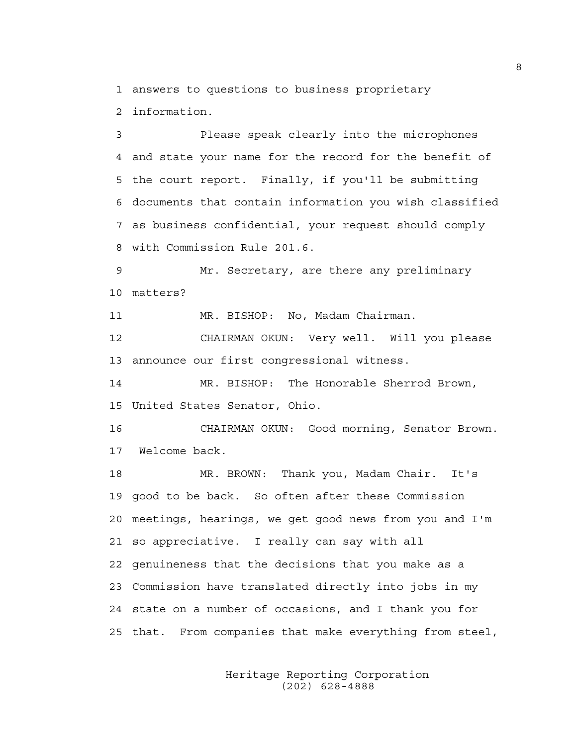1 answers to questions to business proprietary 2 information.

3 Please speak clearly into the microphones 4 and state your name for the record for the benefit of 5 the court report. Finally, if you'll be submitting 6 documents that contain information you wish classified 7 as business confidential, your request should comply 8 with Commission Rule 201.6.

9 Mr. Secretary, are there any preliminary 10 matters?

11 MR. BISHOP: No, Madam Chairman.

12 CHAIRMAN OKUN: Very well. Will you please 13 announce our first congressional witness.

14 MR. BISHOP: The Honorable Sherrod Brown, 15 United States Senator, Ohio.

16 CHAIRMAN OKUN: Good morning, Senator Brown. 17 Welcome back.

18 MR. BROWN: Thank you, Madam Chair. It's 19 good to be back. So often after these Commission 20 meetings, hearings, we get good news from you and I'm 21 so appreciative. I really can say with all 22 genuineness that the decisions that you make as a 23 Commission have translated directly into jobs in my 24 state on a number of occasions, and I thank you for 25 that. From companies that make everything from steel,

> Heritage Reporting Corporation (202) 628-4888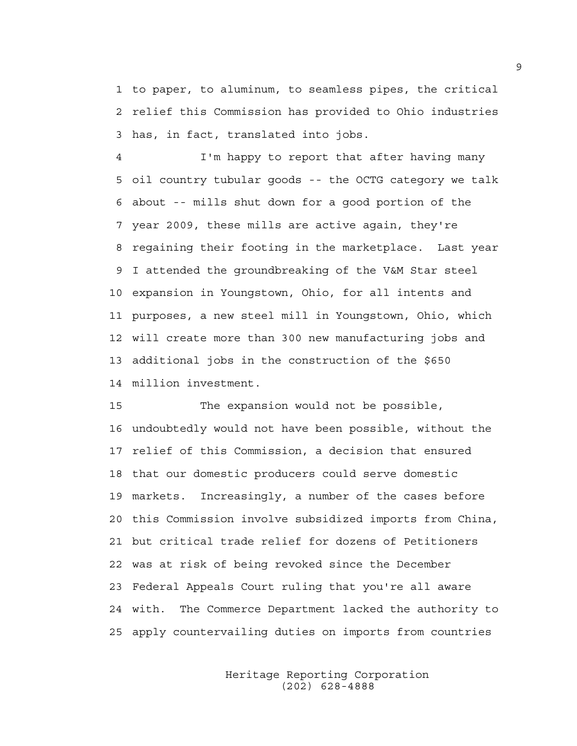1 to paper, to aluminum, to seamless pipes, the critical 2 relief this Commission has provided to Ohio industries 3 has, in fact, translated into jobs.

4 I'm happy to report that after having many 5 oil country tubular goods -- the OCTG category we talk 6 about -- mills shut down for a good portion of the 7 year 2009, these mills are active again, they're 8 regaining their footing in the marketplace. Last year 9 I attended the groundbreaking of the V&M Star steel 10 expansion in Youngstown, Ohio, for all intents and 11 purposes, a new steel mill in Youngstown, Ohio, which 12 will create more than 300 new manufacturing jobs and 13 additional jobs in the construction of the \$650 14 million investment.

15 The expansion would not be possible, 16 undoubtedly would not have been possible, without the 17 relief of this Commission, a decision that ensured 18 that our domestic producers could serve domestic 19 markets. Increasingly, a number of the cases before 20 this Commission involve subsidized imports from China, 21 but critical trade relief for dozens of Petitioners 22 was at risk of being revoked since the December 23 Federal Appeals Court ruling that you're all aware 24 with. The Commerce Department lacked the authority to 25 apply countervailing duties on imports from countries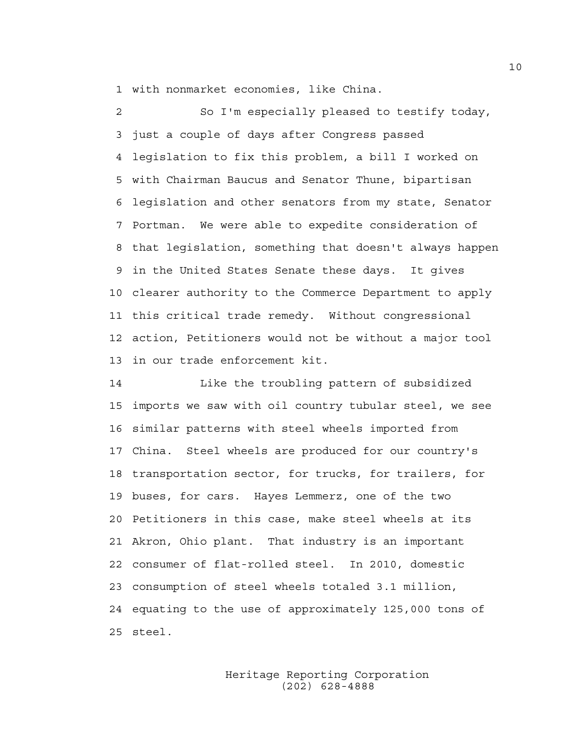1 with nonmarket economies, like China.

2 So I'm especially pleased to testify today, 3 just a couple of days after Congress passed 4 legislation to fix this problem, a bill I worked on 5 with Chairman Baucus and Senator Thune, bipartisan 6 legislation and other senators from my state, Senator 7 Portman. We were able to expedite consideration of 8 that legislation, something that doesn't always happen 9 in the United States Senate these days. It gives 10 clearer authority to the Commerce Department to apply 11 this critical trade remedy. Without congressional 12 action, Petitioners would not be without a major tool 13 in our trade enforcement kit.

14 Like the troubling pattern of subsidized 15 imports we saw with oil country tubular steel, we see 16 similar patterns with steel wheels imported from 17 China. Steel wheels are produced for our country's 18 transportation sector, for trucks, for trailers, for 19 buses, for cars. Hayes Lemmerz, one of the two 20 Petitioners in this case, make steel wheels at its 21 Akron, Ohio plant. That industry is an important 22 consumer of flat-rolled steel. In 2010, domestic 23 consumption of steel wheels totaled 3.1 million, 24 equating to the use of approximately 125,000 tons of 25 steel.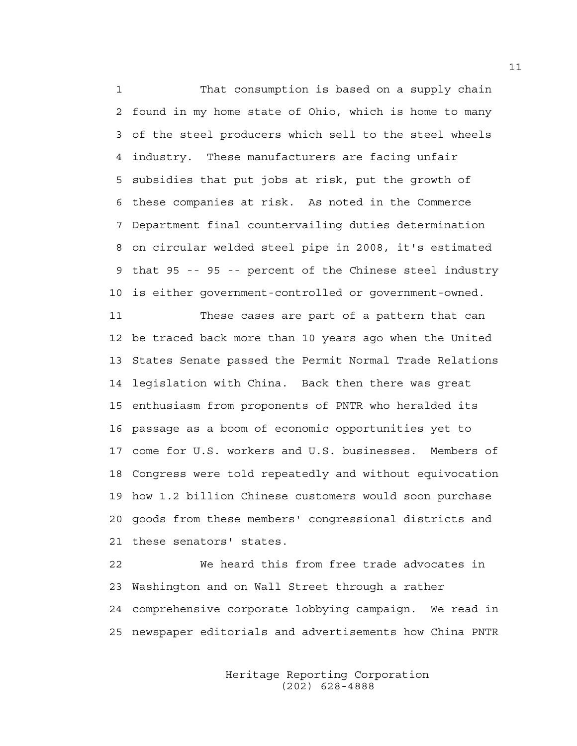1 That consumption is based on a supply chain 2 found in my home state of Ohio, which is home to many 3 of the steel producers which sell to the steel wheels 4 industry. These manufacturers are facing unfair 5 subsidies that put jobs at risk, put the growth of 6 these companies at risk. As noted in the Commerce 7 Department final countervailing duties determination 8 on circular welded steel pipe in 2008, it's estimated 9 that 95 -- 95 -- percent of the Chinese steel industry 10 is either government-controlled or government-owned.

11 These cases are part of a pattern that can 12 be traced back more than 10 years ago when the United 13 States Senate passed the Permit Normal Trade Relations 14 legislation with China. Back then there was great 15 enthusiasm from proponents of PNTR who heralded its 16 passage as a boom of economic opportunities yet to 17 come for U.S. workers and U.S. businesses. Members of 18 Congress were told repeatedly and without equivocation 19 how 1.2 billion Chinese customers would soon purchase 20 goods from these members' congressional districts and 21 these senators' states.

22 We heard this from free trade advocates in 23 Washington and on Wall Street through a rather 24 comprehensive corporate lobbying campaign. We read in 25 newspaper editorials and advertisements how China PNTR

> Heritage Reporting Corporation (202) 628-4888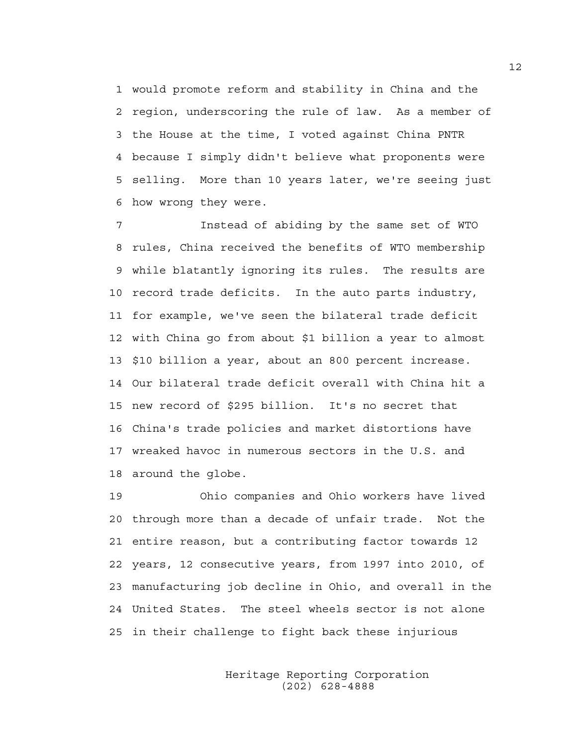1 would promote reform and stability in China and the 2 region, underscoring the rule of law. As a member of 3 the House at the time, I voted against China PNTR 4 because I simply didn't believe what proponents were 5 selling. More than 10 years later, we're seeing just 6 how wrong they were.

7 Instead of abiding by the same set of WTO 8 rules, China received the benefits of WTO membership 9 while blatantly ignoring its rules. The results are 10 record trade deficits. In the auto parts industry, 11 for example, we've seen the bilateral trade deficit 12 with China go from about \$1 billion a year to almost 13 \$10 billion a year, about an 800 percent increase. 14 Our bilateral trade deficit overall with China hit a 15 new record of \$295 billion. It's no secret that 16 China's trade policies and market distortions have 17 wreaked havoc in numerous sectors in the U.S. and 18 around the globe.

19 Ohio companies and Ohio workers have lived 20 through more than a decade of unfair trade. Not the 21 entire reason, but a contributing factor towards 12 22 years, 12 consecutive years, from 1997 into 2010, of 23 manufacturing job decline in Ohio, and overall in the 24 United States. The steel wheels sector is not alone 25 in their challenge to fight back these injurious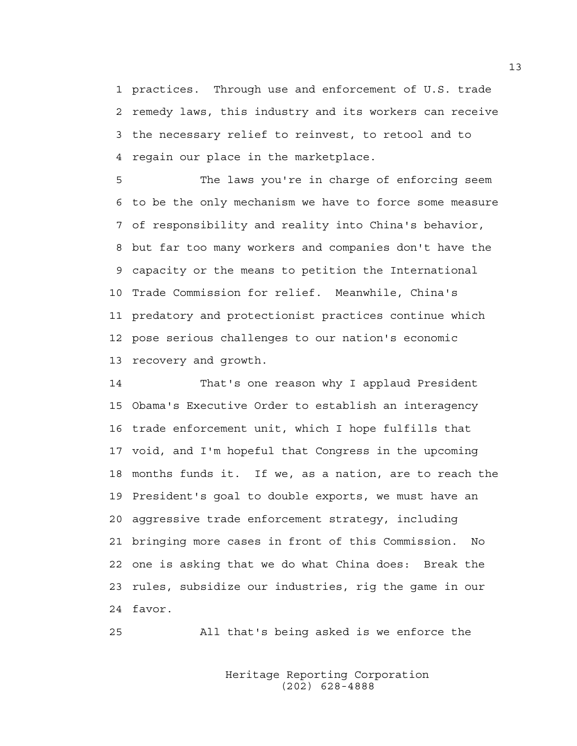1 practices. Through use and enforcement of U.S. trade 2 remedy laws, this industry and its workers can receive 3 the necessary relief to reinvest, to retool and to 4 regain our place in the marketplace.

5 The laws you're in charge of enforcing seem 6 to be the only mechanism we have to force some measure 7 of responsibility and reality into China's behavior, 8 but far too many workers and companies don't have the 9 capacity or the means to petition the International 10 Trade Commission for relief. Meanwhile, China's 11 predatory and protectionist practices continue which 12 pose serious challenges to our nation's economic 13 recovery and growth.

14 That's one reason why I applaud President 15 Obama's Executive Order to establish an interagency 16 trade enforcement unit, which I hope fulfills that 17 void, and I'm hopeful that Congress in the upcoming 18 months funds it. If we, as a nation, are to reach the 19 President's goal to double exports, we must have an 20 aggressive trade enforcement strategy, including 21 bringing more cases in front of this Commission. No 22 one is asking that we do what China does: Break the 23 rules, subsidize our industries, rig the game in our 24 favor.

25 All that's being asked is we enforce the

 Heritage Reporting Corporation (202) 628-4888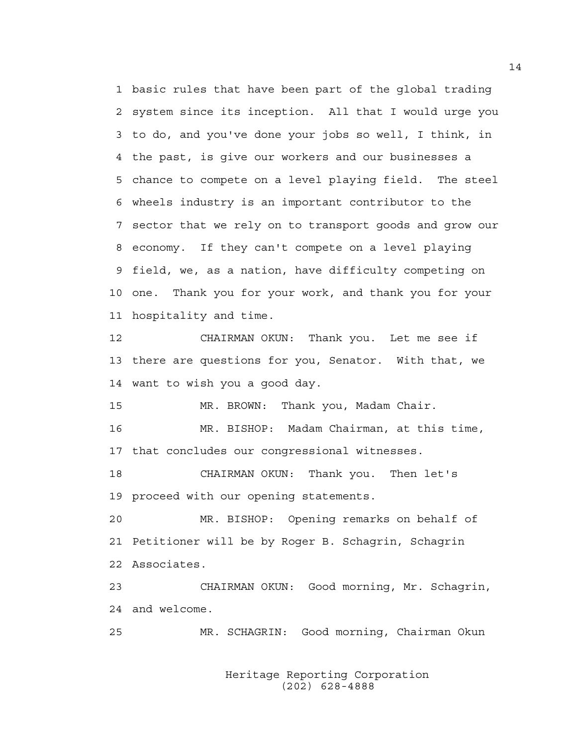1 basic rules that have been part of the global trading 2 system since its inception. All that I would urge you 3 to do, and you've done your jobs so well, I think, in 4 the past, is give our workers and our businesses a 5 chance to compete on a level playing field. The steel 6 wheels industry is an important contributor to the 7 sector that we rely on to transport goods and grow our 8 economy. If they can't compete on a level playing 9 field, we, as a nation, have difficulty competing on 10 one. Thank you for your work, and thank you for your 11 hospitality and time. 12 CHAIRMAN OKUN: Thank you. Let me see if 13 there are questions for you, Senator. With that, we 14 want to wish you a good day.

15 MR. BROWN: Thank you, Madam Chair.

16 MR. BISHOP: Madam Chairman, at this time, 17 that concludes our congressional witnesses.

18 CHAIRMAN OKUN: Thank you. Then let's 19 proceed with our opening statements.

20 MR. BISHOP: Opening remarks on behalf of 21 Petitioner will be by Roger B. Schagrin, Schagrin 22 Associates.

23 CHAIRMAN OKUN: Good morning, Mr. Schagrin, 24 and welcome.

25 MR. SCHAGRIN: Good morning, Chairman Okun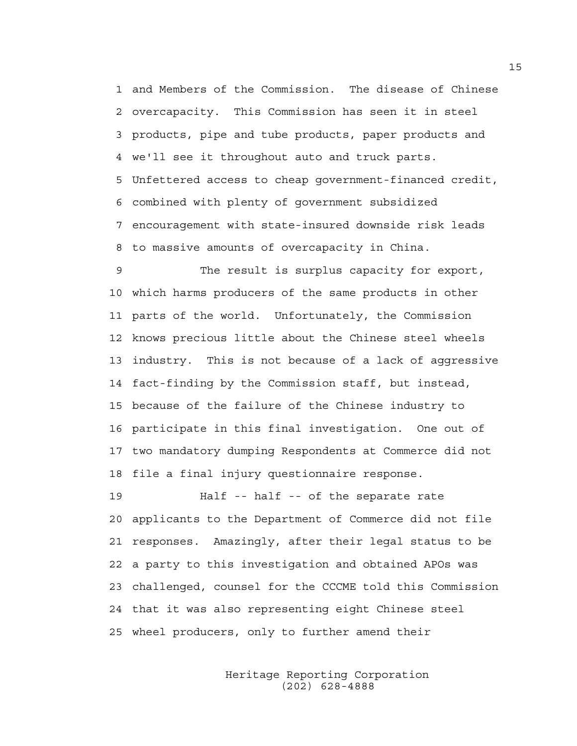1 and Members of the Commission. The disease of Chinese 2 overcapacity. This Commission has seen it in steel 3 products, pipe and tube products, paper products and 4 we'll see it throughout auto and truck parts. 5 Unfettered access to cheap government-financed credit, 6 combined with plenty of government subsidized 7 encouragement with state-insured downside risk leads 8 to massive amounts of overcapacity in China.

9 The result is surplus capacity for export, 10 which harms producers of the same products in other 11 parts of the world. Unfortunately, the Commission 12 knows precious little about the Chinese steel wheels 13 industry. This is not because of a lack of aggressive 14 fact-finding by the Commission staff, but instead, 15 because of the failure of the Chinese industry to 16 participate in this final investigation. One out of 17 two mandatory dumping Respondents at Commerce did not 18 file a final injury questionnaire response.

19 Half -- half -- of the separate rate 20 applicants to the Department of Commerce did not file 21 responses. Amazingly, after their legal status to be 22 a party to this investigation and obtained APOs was 23 challenged, counsel for the CCCME told this Commission 24 that it was also representing eight Chinese steel 25 wheel producers, only to further amend their

> Heritage Reporting Corporation (202) 628-4888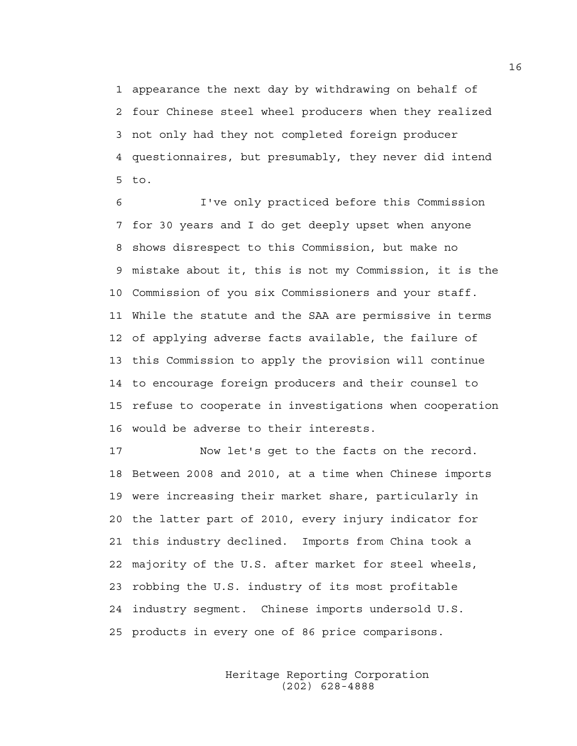1 appearance the next day by withdrawing on behalf of 2 four Chinese steel wheel producers when they realized 3 not only had they not completed foreign producer 4 questionnaires, but presumably, they never did intend 5 to.

6 I've only practiced before this Commission 7 for 30 years and I do get deeply upset when anyone 8 shows disrespect to this Commission, but make no 9 mistake about it, this is not my Commission, it is the 10 Commission of you six Commissioners and your staff. 11 While the statute and the SAA are permissive in terms 12 of applying adverse facts available, the failure of 13 this Commission to apply the provision will continue 14 to encourage foreign producers and their counsel to 15 refuse to cooperate in investigations when cooperation 16 would be adverse to their interests.

17 Now let's get to the facts on the record. 18 Between 2008 and 2010, at a time when Chinese imports 19 were increasing their market share, particularly in 20 the latter part of 2010, every injury indicator for 21 this industry declined. Imports from China took a 22 majority of the U.S. after market for steel wheels, 23 robbing the U.S. industry of its most profitable 24 industry segment. Chinese imports undersold U.S. 25 products in every one of 86 price comparisons.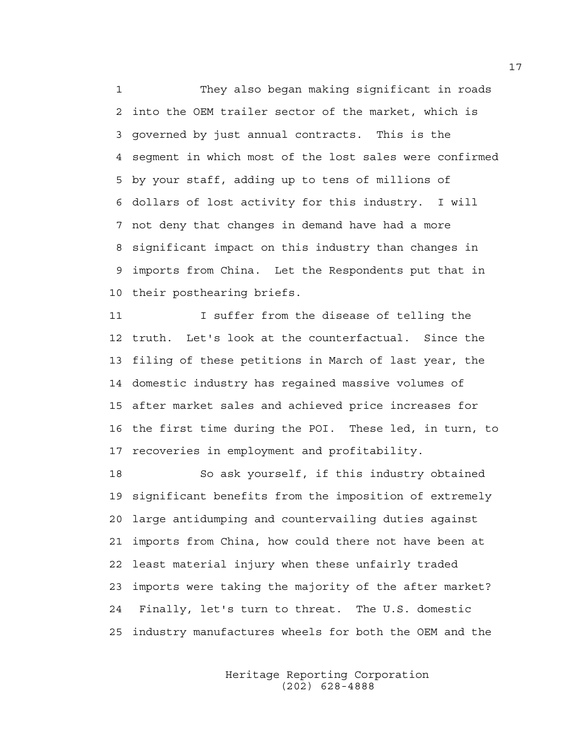1 They also began making significant in roads 2 into the OEM trailer sector of the market, which is 3 governed by just annual contracts. This is the 4 segment in which most of the lost sales were confirmed 5 by your staff, adding up to tens of millions of 6 dollars of lost activity for this industry. I will 7 not deny that changes in demand have had a more 8 significant impact on this industry than changes in 9 imports from China. Let the Respondents put that in 10 their posthearing briefs.

11 I suffer from the disease of telling the 12 truth. Let's look at the counterfactual. Since the 13 filing of these petitions in March of last year, the 14 domestic industry has regained massive volumes of 15 after market sales and achieved price increases for 16 the first time during the POI. These led, in turn, to 17 recoveries in employment and profitability.

18 So ask yourself, if this industry obtained 19 significant benefits from the imposition of extremely 20 large antidumping and countervailing duties against 21 imports from China, how could there not have been at 22 least material injury when these unfairly traded 23 imports were taking the majority of the after market? 24 Finally, let's turn to threat. The U.S. domestic 25 industry manufactures wheels for both the OEM and the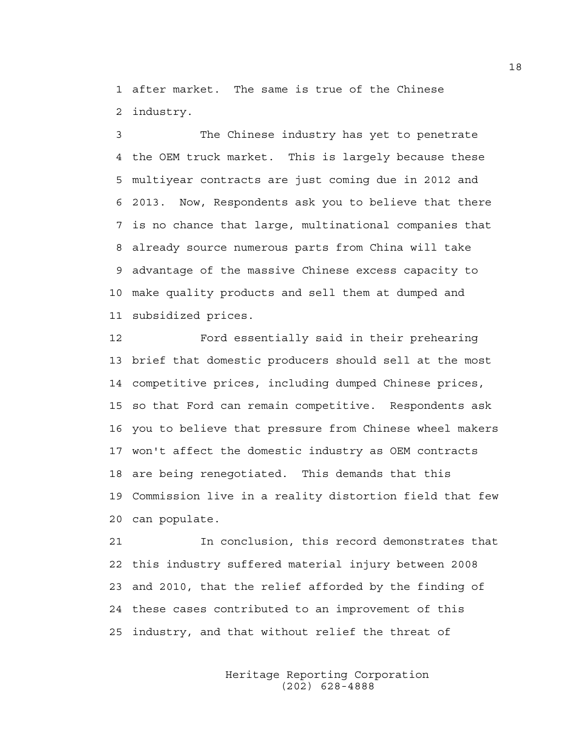1 after market. The same is true of the Chinese 2 industry.

3 The Chinese industry has yet to penetrate 4 the OEM truck market. This is largely because these 5 multiyear contracts are just coming due in 2012 and 6 2013. Now, Respondents ask you to believe that there 7 is no chance that large, multinational companies that 8 already source numerous parts from China will take 9 advantage of the massive Chinese excess capacity to 10 make quality products and sell them at dumped and 11 subsidized prices.

12 Ford essentially said in their prehearing 13 brief that domestic producers should sell at the most 14 competitive prices, including dumped Chinese prices, 15 so that Ford can remain competitive. Respondents ask 16 you to believe that pressure from Chinese wheel makers 17 won't affect the domestic industry as OEM contracts 18 are being renegotiated. This demands that this 19 Commission live in a reality distortion field that few 20 can populate.

21 In conclusion, this record demonstrates that 22 this industry suffered material injury between 2008 23 and 2010, that the relief afforded by the finding of 24 these cases contributed to an improvement of this 25 industry, and that without relief the threat of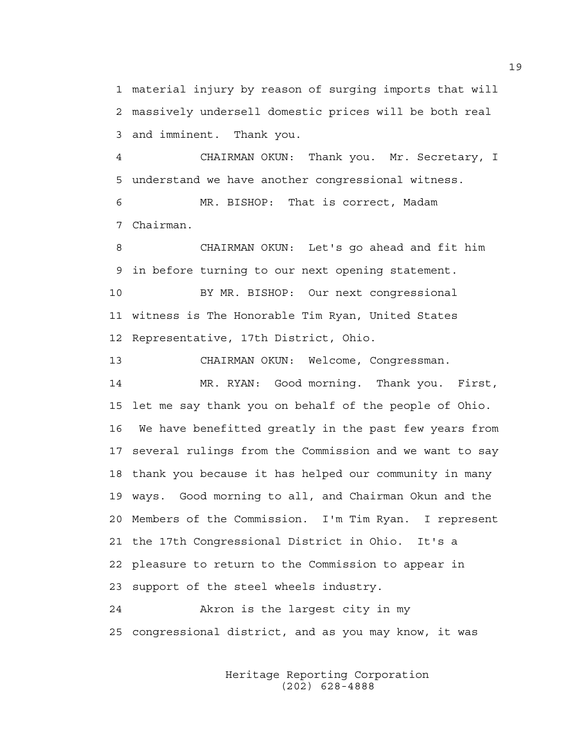1 material injury by reason of surging imports that will 2 massively undersell domestic prices will be both real 3 and imminent. Thank you.

4 CHAIRMAN OKUN: Thank you. Mr. Secretary, I 5 understand we have another congressional witness.

6 MR. BISHOP: That is correct, Madam 7 Chairman.

8 CHAIRMAN OKUN: Let's go ahead and fit him 9 in before turning to our next opening statement.

10 BY MR. BISHOP: Our next congressional 11 witness is The Honorable Tim Ryan, United States 12 Representative, 17th District, Ohio.

13 CHAIRMAN OKUN: Welcome, Congressman.

14 MR. RYAN: Good morning. Thank you. First, 15 let me say thank you on behalf of the people of Ohio. 16 We have benefitted greatly in the past few years from 17 several rulings from the Commission and we want to say 18 thank you because it has helped our community in many 19 ways. Good morning to all, and Chairman Okun and the 20 Members of the Commission. I'm Tim Ryan. I represent 21 the 17th Congressional District in Ohio. It's a 22 pleasure to return to the Commission to appear in 23 support of the steel wheels industry. 24 Akron is the largest city in my

25 congressional district, and as you may know, it was

 Heritage Reporting Corporation (202) 628-4888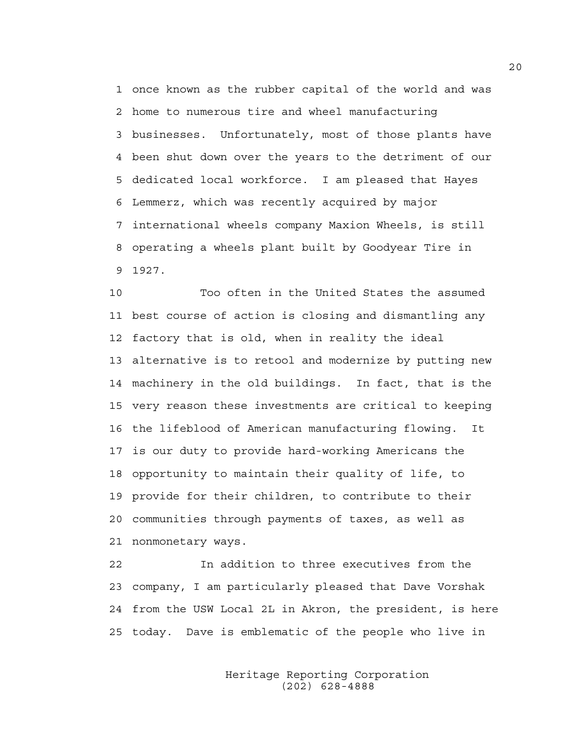1 once known as the rubber capital of the world and was 2 home to numerous tire and wheel manufacturing 3 businesses. Unfortunately, most of those plants have 4 been shut down over the years to the detriment of our 5 dedicated local workforce. I am pleased that Hayes 6 Lemmerz, which was recently acquired by major 7 international wheels company Maxion Wheels, is still 8 operating a wheels plant built by Goodyear Tire in 9 1927.

10 Too often in the United States the assumed 11 best course of action is closing and dismantling any 12 factory that is old, when in reality the ideal 13 alternative is to retool and modernize by putting new 14 machinery in the old buildings. In fact, that is the 15 very reason these investments are critical to keeping 16 the lifeblood of American manufacturing flowing. It 17 is our duty to provide hard-working Americans the 18 opportunity to maintain their quality of life, to 19 provide for their children, to contribute to their 20 communities through payments of taxes, as well as 21 nonmonetary ways.

22 In addition to three executives from the 23 company, I am particularly pleased that Dave Vorshak 24 from the USW Local 2L in Akron, the president, is here 25 today. Dave is emblematic of the people who live in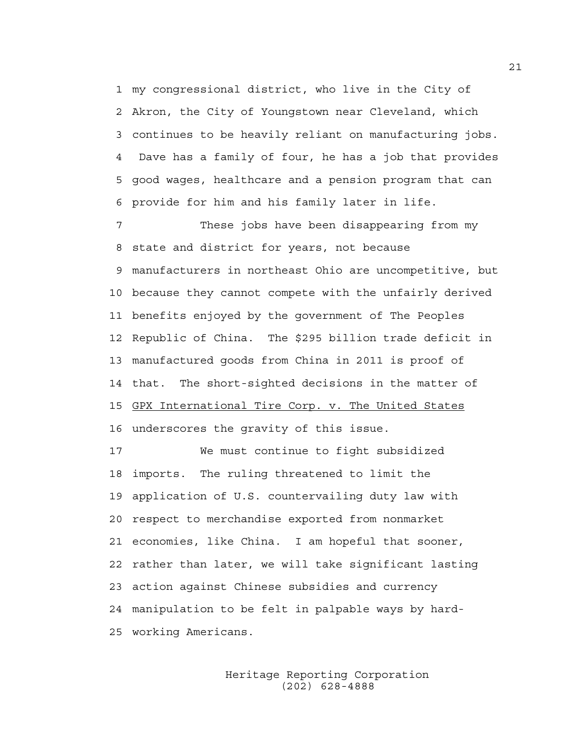1 my congressional district, who live in the City of 2 Akron, the City of Youngstown near Cleveland, which 3 continues to be heavily reliant on manufacturing jobs. 4 Dave has a family of four, he has a job that provides 5 good wages, healthcare and a pension program that can 6 provide for him and his family later in life.

7 These jobs have been disappearing from my 8 state and district for years, not because 9 manufacturers in northeast Ohio are uncompetitive, but 10 because they cannot compete with the unfairly derived 11 benefits enjoyed by the government of The Peoples 12 Republic of China. The \$295 billion trade deficit in 13 manufactured goods from China in 2011 is proof of 14 that. The short-sighted decisions in the matter of 15 GPX International Tire Corp. v. The United States 16 underscores the gravity of this issue.

17 We must continue to fight subsidized 18 imports. The ruling threatened to limit the 19 application of U.S. countervailing duty law with 20 respect to merchandise exported from nonmarket 21 economies, like China. I am hopeful that sooner, 22 rather than later, we will take significant lasting 23 action against Chinese subsidies and currency 24 manipulation to be felt in palpable ways by hard-25 working Americans.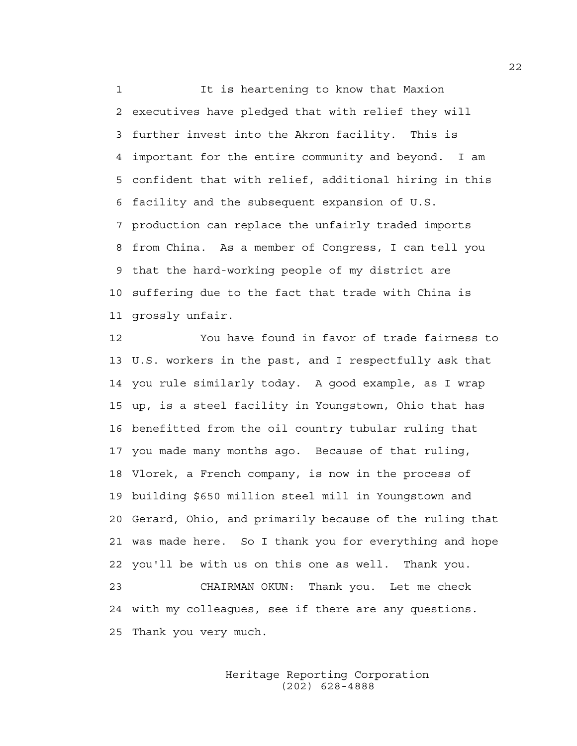1 It is heartening to know that Maxion 2 executives have pledged that with relief they will 3 further invest into the Akron facility. This is 4 important for the entire community and beyond. I am 5 confident that with relief, additional hiring in this 6 facility and the subsequent expansion of U.S. 7 production can replace the unfairly traded imports 8 from China. As a member of Congress, I can tell you 9 that the hard-working people of my district are 10 suffering due to the fact that trade with China is 11 grossly unfair.

12 You have found in favor of trade fairness to 13 U.S. workers in the past, and I respectfully ask that 14 you rule similarly today. A good example, as I wrap 15 up, is a steel facility in Youngstown, Ohio that has 16 benefitted from the oil country tubular ruling that 17 you made many months ago. Because of that ruling, 18 Vlorek, a French company, is now in the process of 19 building \$650 million steel mill in Youngstown and 20 Gerard, Ohio, and primarily because of the ruling that 21 was made here. So I thank you for everything and hope 22 you'll be with us on this one as well. Thank you. 23 CHAIRMAN OKUN: Thank you. Let me check 24 with my colleagues, see if there are any questions. 25 Thank you very much.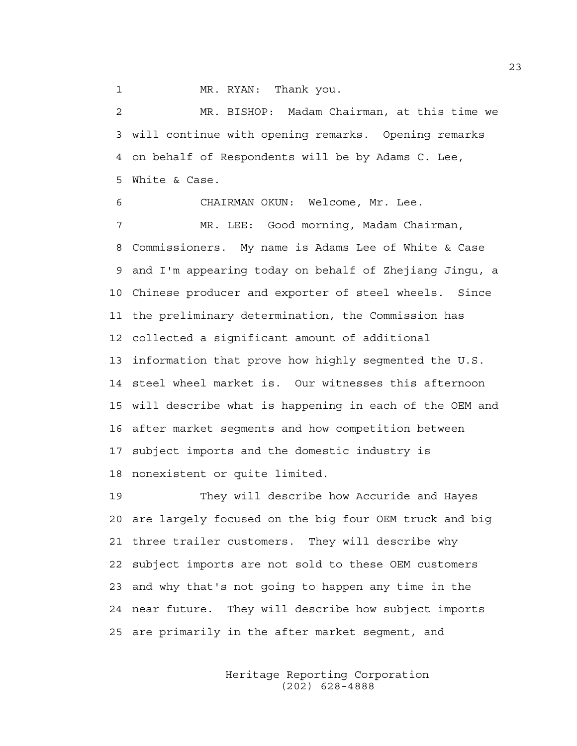1 MR. RYAN: Thank you.

2 MR. BISHOP: Madam Chairman, at this time we 3 will continue with opening remarks. Opening remarks 4 on behalf of Respondents will be by Adams C. Lee, 5 White & Case.

6 CHAIRMAN OKUN: Welcome, Mr. Lee. 7 MR. LEE: Good morning, Madam Chairman, 8 Commissioners. My name is Adams Lee of White & Case 9 and I'm appearing today on behalf of Zhejiang Jingu, a 10 Chinese producer and exporter of steel wheels. Since 11 the preliminary determination, the Commission has 12 collected a significant amount of additional 13 information that prove how highly segmented the U.S. 14 steel wheel market is. Our witnesses this afternoon 15 will describe what is happening in each of the OEM and 16 after market segments and how competition between 17 subject imports and the domestic industry is 18 nonexistent or quite limited.

19 They will describe how Accuride and Hayes 20 are largely focused on the big four OEM truck and big 21 three trailer customers. They will describe why 22 subject imports are not sold to these OEM customers 23 and why that's not going to happen any time in the 24 near future. They will describe how subject imports 25 are primarily in the after market segment, and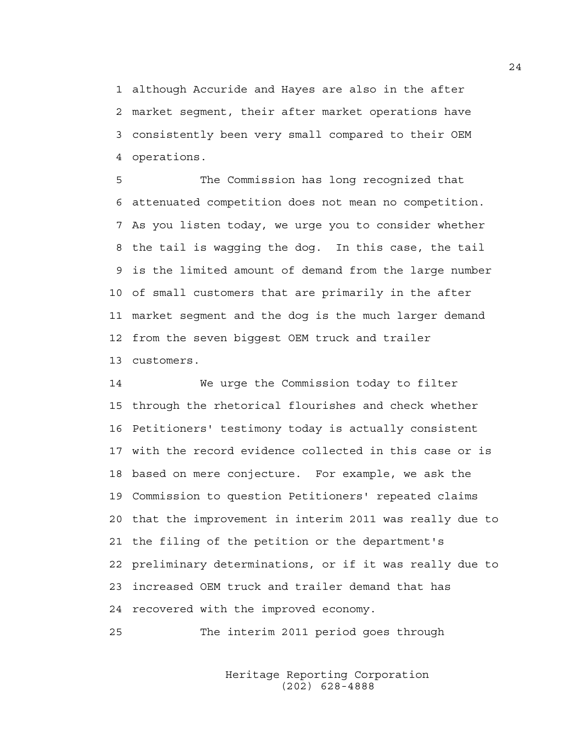1 although Accuride and Hayes are also in the after 2 market segment, their after market operations have 3 consistently been very small compared to their OEM 4 operations.

5 The Commission has long recognized that 6 attenuated competition does not mean no competition. 7 As you listen today, we urge you to consider whether 8 the tail is wagging the dog. In this case, the tail 9 is the limited amount of demand from the large number 10 of small customers that are primarily in the after 11 market segment and the dog is the much larger demand 12 from the seven biggest OEM truck and trailer 13 customers.

14 We urge the Commission today to filter 15 through the rhetorical flourishes and check whether 16 Petitioners' testimony today is actually consistent 17 with the record evidence collected in this case or is 18 based on mere conjecture. For example, we ask the 19 Commission to question Petitioners' repeated claims 20 that the improvement in interim 2011 was really due to 21 the filing of the petition or the department's 22 preliminary determinations, or if it was really due to 23 increased OEM truck and trailer demand that has 24 recovered with the improved economy.

25 The interim 2011 period goes through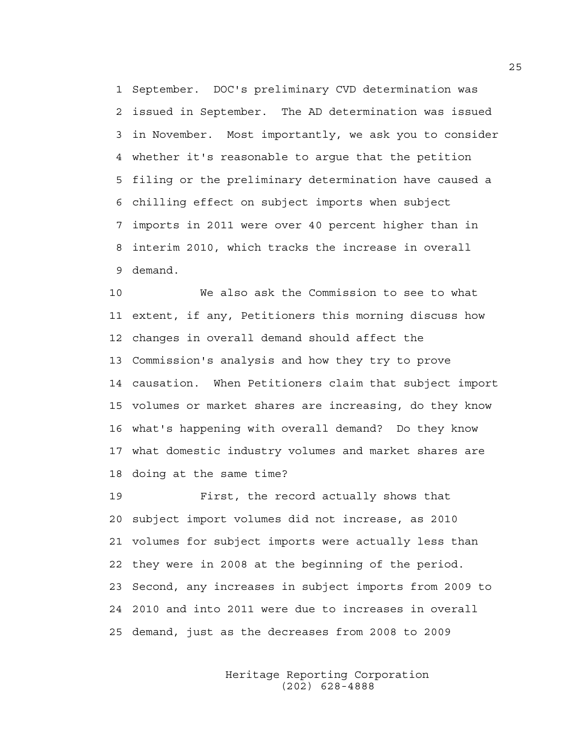1 September. DOC's preliminary CVD determination was 2 issued in September. The AD determination was issued 3 in November. Most importantly, we ask you to consider 4 whether it's reasonable to argue that the petition 5 filing or the preliminary determination have caused a 6 chilling effect on subject imports when subject 7 imports in 2011 were over 40 percent higher than in 8 interim 2010, which tracks the increase in overall 9 demand.

10 We also ask the Commission to see to what 11 extent, if any, Petitioners this morning discuss how 12 changes in overall demand should affect the 13 Commission's analysis and how they try to prove 14 causation. When Petitioners claim that subject import 15 volumes or market shares are increasing, do they know 16 what's happening with overall demand? Do they know 17 what domestic industry volumes and market shares are 18 doing at the same time?

19 First, the record actually shows that 20 subject import volumes did not increase, as 2010 21 volumes for subject imports were actually less than 22 they were in 2008 at the beginning of the period. 23 Second, any increases in subject imports from 2009 to 24 2010 and into 2011 were due to increases in overall 25 demand, just as the decreases from 2008 to 2009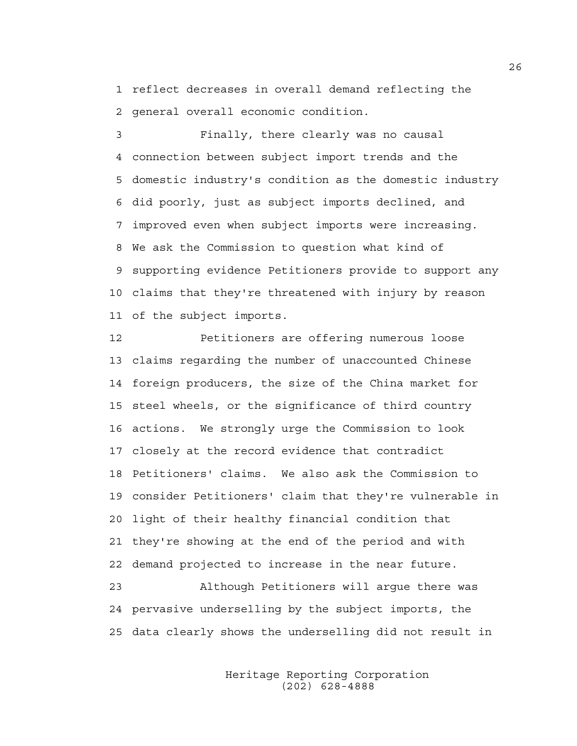1 reflect decreases in overall demand reflecting the 2 general overall economic condition.

3 Finally, there clearly was no causal 4 connection between subject import trends and the 5 domestic industry's condition as the domestic industry 6 did poorly, just as subject imports declined, and 7 improved even when subject imports were increasing. 8 We ask the Commission to question what kind of 9 supporting evidence Petitioners provide to support any 10 claims that they're threatened with injury by reason 11 of the subject imports.

12 Petitioners are offering numerous loose 13 claims regarding the number of unaccounted Chinese 14 foreign producers, the size of the China market for 15 steel wheels, or the significance of third country 16 actions. We strongly urge the Commission to look 17 closely at the record evidence that contradict 18 Petitioners' claims. We also ask the Commission to 19 consider Petitioners' claim that they're vulnerable in 20 light of their healthy financial condition that 21 they're showing at the end of the period and with 22 demand projected to increase in the near future.

23 Although Petitioners will argue there was 24 pervasive underselling by the subject imports, the 25 data clearly shows the underselling did not result in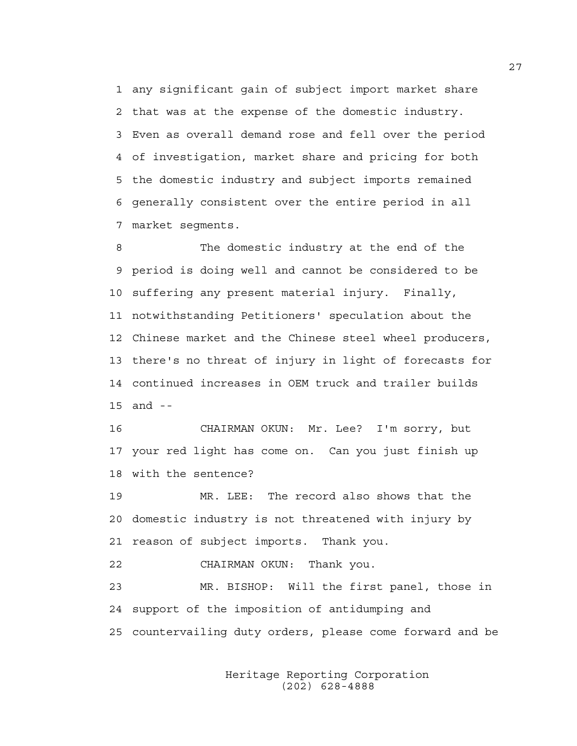1 any significant gain of subject import market share 2 that was at the expense of the domestic industry. 3 Even as overall demand rose and fell over the period 4 of investigation, market share and pricing for both 5 the domestic industry and subject imports remained 6 generally consistent over the entire period in all 7 market segments.

8 The domestic industry at the end of the 9 period is doing well and cannot be considered to be 10 suffering any present material injury. Finally, 11 notwithstanding Petitioners' speculation about the 12 Chinese market and the Chinese steel wheel producers, 13 there's no threat of injury in light of forecasts for 14 continued increases in OEM truck and trailer builds 15 and --

16 CHAIRMAN OKUN: Mr. Lee? I'm sorry, but 17 your red light has come on. Can you just finish up 18 with the sentence?

19 MR. LEE: The record also shows that the 20 domestic industry is not threatened with injury by 21 reason of subject imports. Thank you.

22 CHAIRMAN OKUN: Thank you.

23 MR. BISHOP: Will the first panel, those in 24 support of the imposition of antidumping and 25 countervailing duty orders, please come forward and be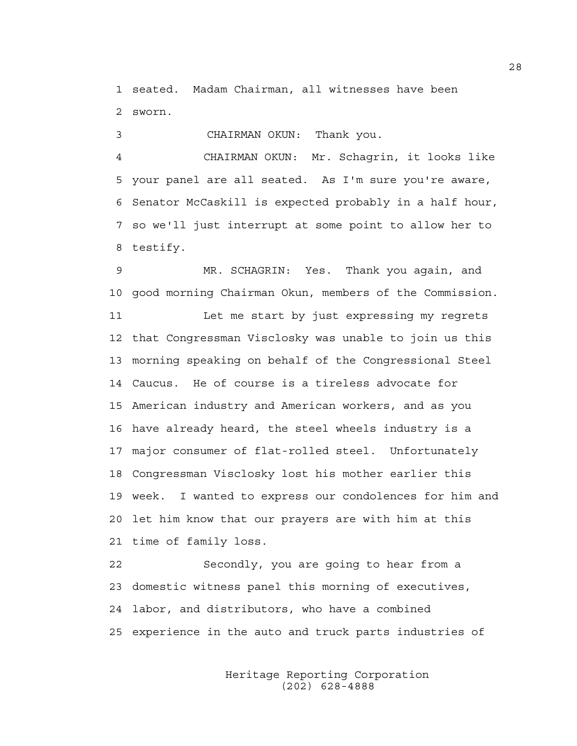1 seated. Madam Chairman, all witnesses have been 2 sworn.

3 CHAIRMAN OKUN: Thank you.

4 CHAIRMAN OKUN: Mr. Schagrin, it looks like 5 your panel are all seated. As I'm sure you're aware, 6 Senator McCaskill is expected probably in a half hour, 7 so we'll just interrupt at some point to allow her to 8 testify.

9 MR. SCHAGRIN: Yes. Thank you again, and 10 good morning Chairman Okun, members of the Commission. 11 Let me start by just expressing my regrets 12 that Congressman Visclosky was unable to join us this 13 morning speaking on behalf of the Congressional Steel 14 Caucus. He of course is a tireless advocate for 15 American industry and American workers, and as you 16 have already heard, the steel wheels industry is a 17 major consumer of flat-rolled steel. Unfortunately 18 Congressman Visclosky lost his mother earlier this 19 week. I wanted to express our condolences for him and 20 let him know that our prayers are with him at this 21 time of family loss.

22 Secondly, you are going to hear from a 23 domestic witness panel this morning of executives, 24 labor, and distributors, who have a combined 25 experience in the auto and truck parts industries of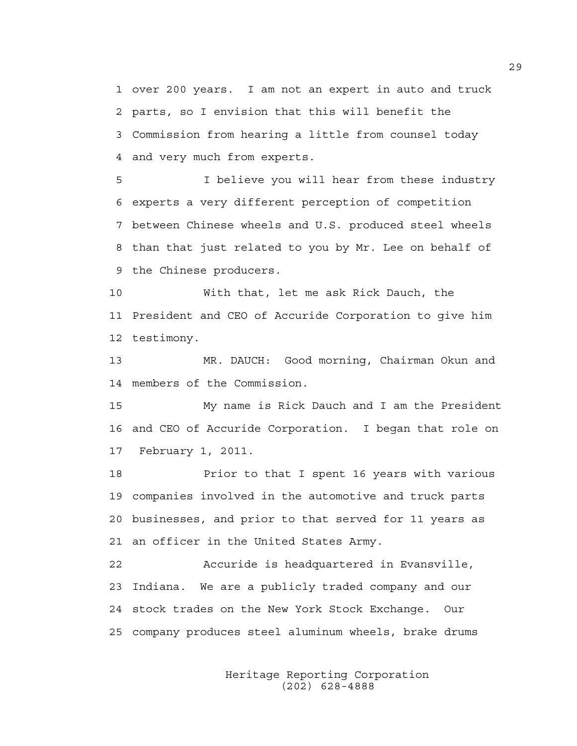1 over 200 years. I am not an expert in auto and truck 2 parts, so I envision that this will benefit the 3 Commission from hearing a little from counsel today 4 and very much from experts.

5 I believe you will hear from these industry 6 experts a very different perception of competition 7 between Chinese wheels and U.S. produced steel wheels 8 than that just related to you by Mr. Lee on behalf of 9 the Chinese producers.

10 With that, let me ask Rick Dauch, the 11 President and CEO of Accuride Corporation to give him 12 testimony.

13 MR. DAUCH: Good morning, Chairman Okun and 14 members of the Commission.

15 My name is Rick Dauch and I am the President 16 and CEO of Accuride Corporation. I began that role on 17 February 1, 2011.

18 Prior to that I spent 16 years with various 19 companies involved in the automotive and truck parts 20 businesses, and prior to that served for 11 years as 21 an officer in the United States Army.

22 Accuride is headquartered in Evansville, 23 Indiana. We are a publicly traded company and our 24 stock trades on the New York Stock Exchange. Our 25 company produces steel aluminum wheels, brake drums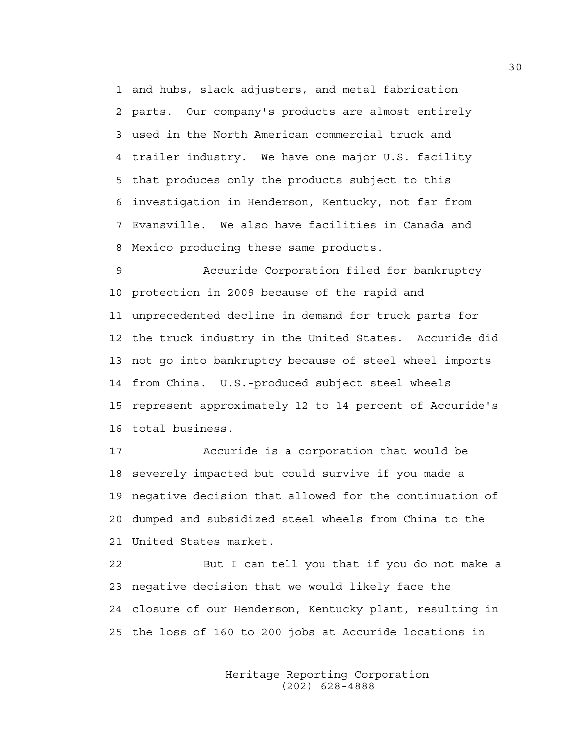1 and hubs, slack adjusters, and metal fabrication 2 parts. Our company's products are almost entirely 3 used in the North American commercial truck and 4 trailer industry. We have one major U.S. facility 5 that produces only the products subject to this 6 investigation in Henderson, Kentucky, not far from 7 Evansville. We also have facilities in Canada and 8 Mexico producing these same products.

9 Accuride Corporation filed for bankruptcy 10 protection in 2009 because of the rapid and 11 unprecedented decline in demand for truck parts for 12 the truck industry in the United States. Accuride did 13 not go into bankruptcy because of steel wheel imports 14 from China. U.S.-produced subject steel wheels 15 represent approximately 12 to 14 percent of Accuride's 16 total business.

17 Accuride is a corporation that would be 18 severely impacted but could survive if you made a 19 negative decision that allowed for the continuation of 20 dumped and subsidized steel wheels from China to the 21 United States market.

22 But I can tell you that if you do not make a 23 negative decision that we would likely face the 24 closure of our Henderson, Kentucky plant, resulting in 25 the loss of 160 to 200 jobs at Accuride locations in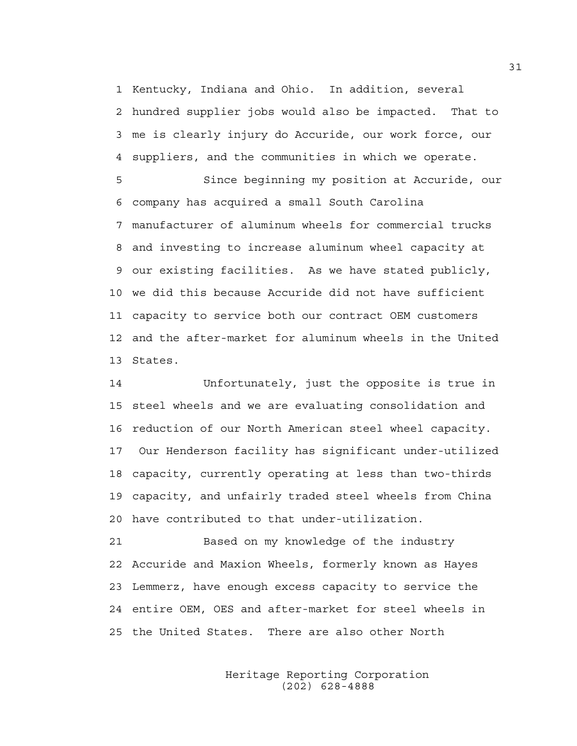1 Kentucky, Indiana and Ohio. In addition, several 2 hundred supplier jobs would also be impacted. That to 3 me is clearly injury do Accuride, our work force, our 4 suppliers, and the communities in which we operate.

5 Since beginning my position at Accuride, our 6 company has acquired a small South Carolina 7 manufacturer of aluminum wheels for commercial trucks 8 and investing to increase aluminum wheel capacity at 9 our existing facilities. As we have stated publicly, 10 we did this because Accuride did not have sufficient 11 capacity to service both our contract OEM customers 12 and the after-market for aluminum wheels in the United 13 States.

14 Unfortunately, just the opposite is true in 15 steel wheels and we are evaluating consolidation and 16 reduction of our North American steel wheel capacity. 17 Our Henderson facility has significant under-utilized 18 capacity, currently operating at less than two-thirds 19 capacity, and unfairly traded steel wheels from China 20 have contributed to that under-utilization.

21 Based on my knowledge of the industry 22 Accuride and Maxion Wheels, formerly known as Hayes 23 Lemmerz, have enough excess capacity to service the 24 entire OEM, OES and after-market for steel wheels in 25 the United States. There are also other North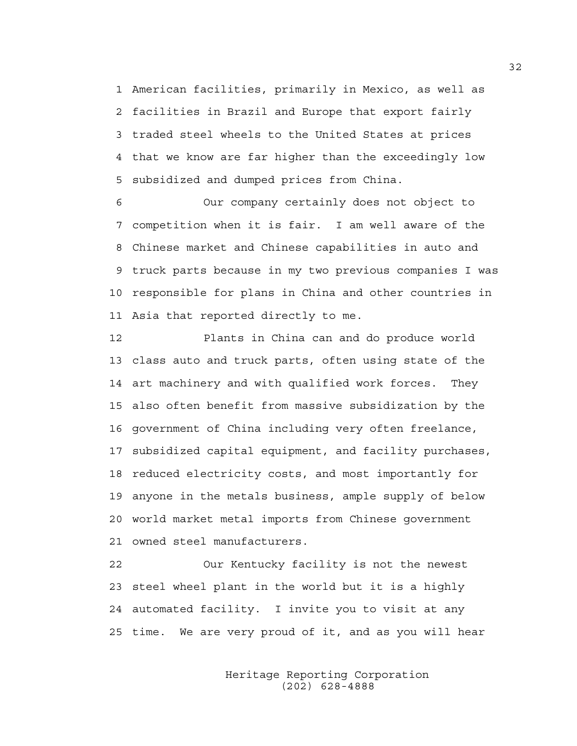1 American facilities, primarily in Mexico, as well as 2 facilities in Brazil and Europe that export fairly 3 traded steel wheels to the United States at prices 4 that we know are far higher than the exceedingly low 5 subsidized and dumped prices from China.

6 Our company certainly does not object to 7 competition when it is fair. I am well aware of the 8 Chinese market and Chinese capabilities in auto and 9 truck parts because in my two previous companies I was 10 responsible for plans in China and other countries in 11 Asia that reported directly to me.

12 Plants in China can and do produce world 13 class auto and truck parts, often using state of the 14 art machinery and with qualified work forces. They 15 also often benefit from massive subsidization by the 16 government of China including very often freelance, 17 subsidized capital equipment, and facility purchases, 18 reduced electricity costs, and most importantly for 19 anyone in the metals business, ample supply of below 20 world market metal imports from Chinese government 21 owned steel manufacturers.

22 Our Kentucky facility is not the newest 23 steel wheel plant in the world but it is a highly 24 automated facility. I invite you to visit at any 25 time. We are very proud of it, and as you will hear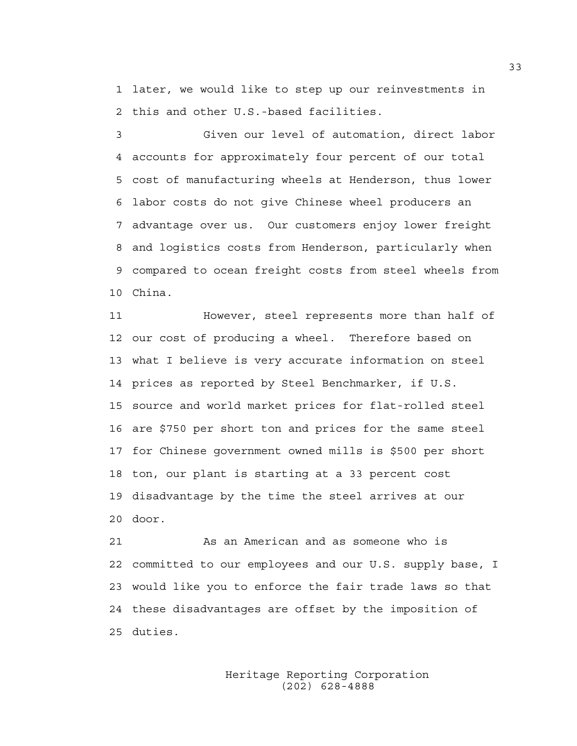1 later, we would like to step up our reinvestments in 2 this and other U.S.-based facilities.

3 Given our level of automation, direct labor 4 accounts for approximately four percent of our total 5 cost of manufacturing wheels at Henderson, thus lower 6 labor costs do not give Chinese wheel producers an 7 advantage over us. Our customers enjoy lower freight 8 and logistics costs from Henderson, particularly when 9 compared to ocean freight costs from steel wheels from 10 China.

11 However, steel represents more than half of 12 our cost of producing a wheel. Therefore based on 13 what I believe is very accurate information on steel 14 prices as reported by Steel Benchmarker, if U.S. 15 source and world market prices for flat-rolled steel 16 are \$750 per short ton and prices for the same steel 17 for Chinese government owned mills is \$500 per short 18 ton, our plant is starting at a 33 percent cost 19 disadvantage by the time the steel arrives at our 20 door.

21 As an American and as someone who is 22 committed to our employees and our U.S. supply base, I 23 would like you to enforce the fair trade laws so that 24 these disadvantages are offset by the imposition of 25 duties.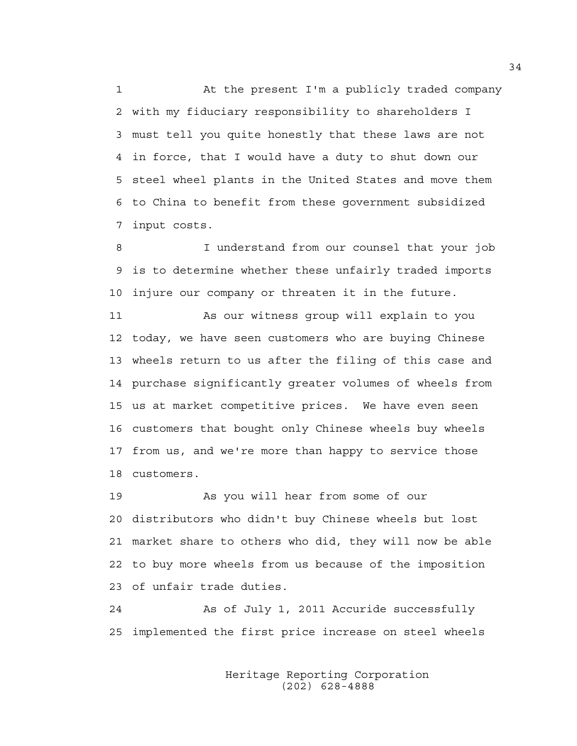1 At the present I'm a publicly traded company 2 with my fiduciary responsibility to shareholders I 3 must tell you quite honestly that these laws are not 4 in force, that I would have a duty to shut down our 5 steel wheel plants in the United States and move them 6 to China to benefit from these government subsidized 7 input costs.

8 I understand from our counsel that your job 9 is to determine whether these unfairly traded imports 10 injure our company or threaten it in the future.

11 As our witness group will explain to you 12 today, we have seen customers who are buying Chinese 13 wheels return to us after the filing of this case and 14 purchase significantly greater volumes of wheels from 15 us at market competitive prices. We have even seen 16 customers that bought only Chinese wheels buy wheels 17 from us, and we're more than happy to service those 18 customers.

19 As you will hear from some of our 20 distributors who didn't buy Chinese wheels but lost 21 market share to others who did, they will now be able 22 to buy more wheels from us because of the imposition 23 of unfair trade duties.

24 As of July 1, 2011 Accuride successfully 25 implemented the first price increase on steel wheels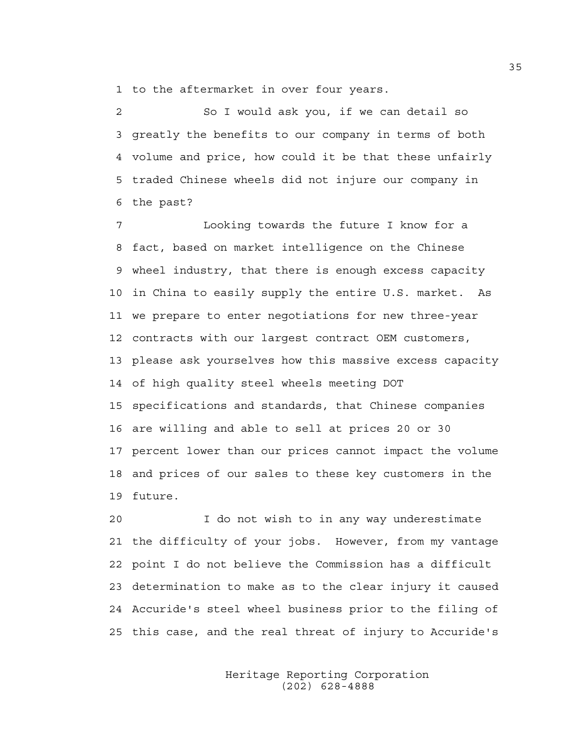1 to the aftermarket in over four years.

2 So I would ask you, if we can detail so 3 greatly the benefits to our company in terms of both 4 volume and price, how could it be that these unfairly 5 traded Chinese wheels did not injure our company in 6 the past?

7 Looking towards the future I know for a 8 fact, based on market intelligence on the Chinese 9 wheel industry, that there is enough excess capacity 10 in China to easily supply the entire U.S. market. As 11 we prepare to enter negotiations for new three-year 12 contracts with our largest contract OEM customers, 13 please ask yourselves how this massive excess capacity 14 of high quality steel wheels meeting DOT 15 specifications and standards, that Chinese companies 16 are willing and able to sell at prices 20 or 30 17 percent lower than our prices cannot impact the volume 18 and prices of our sales to these key customers in the 19 future.

20 I do not wish to in any way underestimate 21 the difficulty of your jobs. However, from my vantage 22 point I do not believe the Commission has a difficult 23 determination to make as to the clear injury it caused 24 Accuride's steel wheel business prior to the filing of 25 this case, and the real threat of injury to Accuride's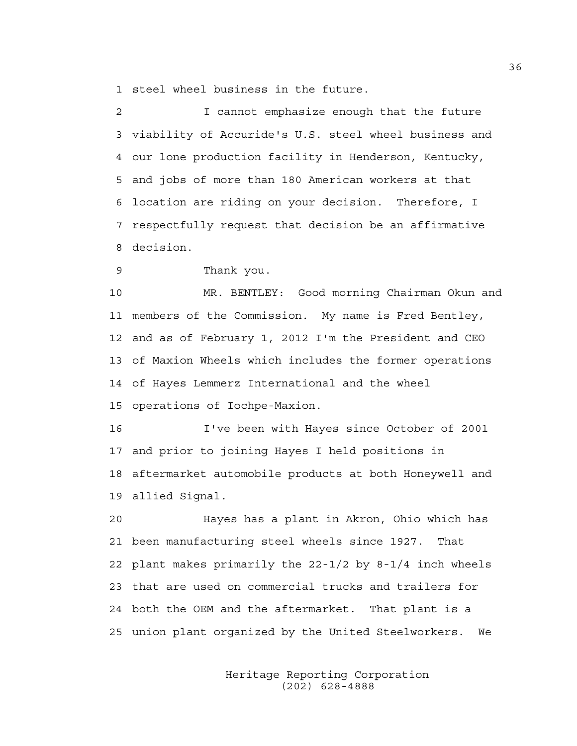1 steel wheel business in the future.

2 I cannot emphasize enough that the future 3 viability of Accuride's U.S. steel wheel business and 4 our lone production facility in Henderson, Kentucky, 5 and jobs of more than 180 American workers at that 6 location are riding on your decision. Therefore, I 7 respectfully request that decision be an affirmative 8 decision.

9 Thank you.

10 MR. BENTLEY: Good morning Chairman Okun and 11 members of the Commission. My name is Fred Bentley, 12 and as of February 1, 2012 I'm the President and CEO 13 of Maxion Wheels which includes the former operations 14 of Hayes Lemmerz International and the wheel 15 operations of Iochpe-Maxion.

16 I've been with Hayes since October of 2001 17 and prior to joining Hayes I held positions in 18 aftermarket automobile products at both Honeywell and 19 allied Signal.

20 Hayes has a plant in Akron, Ohio which has 21 been manufacturing steel wheels since 1927. That 22 plant makes primarily the 22-1/2 by 8-1/4 inch wheels 23 that are used on commercial trucks and trailers for 24 both the OEM and the aftermarket. That plant is a 25 union plant organized by the United Steelworkers. We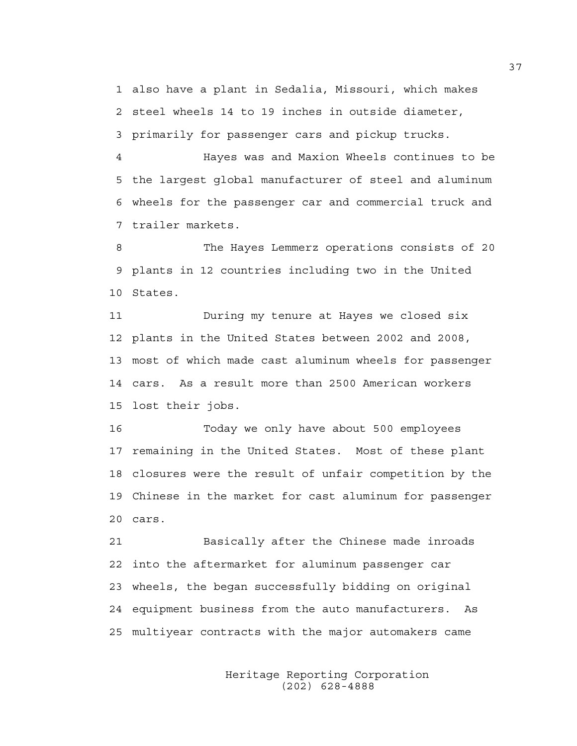1 also have a plant in Sedalia, Missouri, which makes 2 steel wheels 14 to 19 inches in outside diameter, 3 primarily for passenger cars and pickup trucks.

4 Hayes was and Maxion Wheels continues to be 5 the largest global manufacturer of steel and aluminum 6 wheels for the passenger car and commercial truck and 7 trailer markets.

8 The Hayes Lemmerz operations consists of 20 9 plants in 12 countries including two in the United 10 States.

11 During my tenure at Hayes we closed six 12 plants in the United States between 2002 and 2008, 13 most of which made cast aluminum wheels for passenger 14 cars. As a result more than 2500 American workers 15 lost their jobs.

16 Today we only have about 500 employees 17 remaining in the United States. Most of these plant 18 closures were the result of unfair competition by the 19 Chinese in the market for cast aluminum for passenger 20 cars.

21 Basically after the Chinese made inroads 22 into the aftermarket for aluminum passenger car 23 wheels, the began successfully bidding on original 24 equipment business from the auto manufacturers. As 25 multiyear contracts with the major automakers came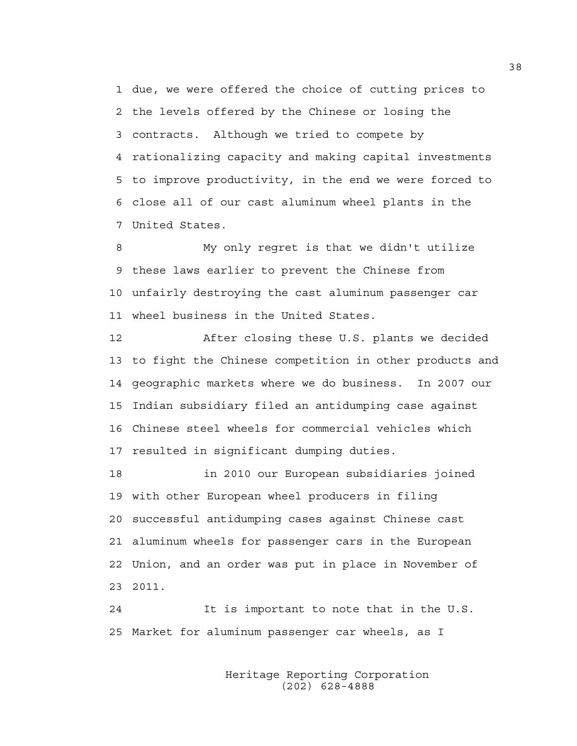1 due, we were offered the choice of cutting prices to 2 the levels offered by the Chinese or losing the 3 contracts. Although we tried to compete by 4 rationalizing capacity and making capital investments 5 to improve productivity, in the end we were forced to 6 close all of our cast aluminum wheel plants in the 7 United States.

8 My only regret is that we didn't utilize 9 these laws earlier to prevent the Chinese from 10 unfairly destroying the cast aluminum passenger car 11 wheel business in the United States.

12 After closing these U.S. plants we decided 13 to fight the Chinese competition in other products and 14 geographic markets where we do business. In 2007 our 15 Indian subsidiary filed an antidumping case against 16 Chinese steel wheels for commercial vehicles which 17 resulted in significant dumping duties.

18 in 2010 our European subsidiaries joined 19 with other European wheel producers in filing 20 successful antidumping cases against Chinese cast 21 aluminum wheels for passenger cars in the European 22 Union, and an order was put in place in November of 23 2011.

24 It is important to note that in the U.S. 25 Market for aluminum passenger car wheels, as I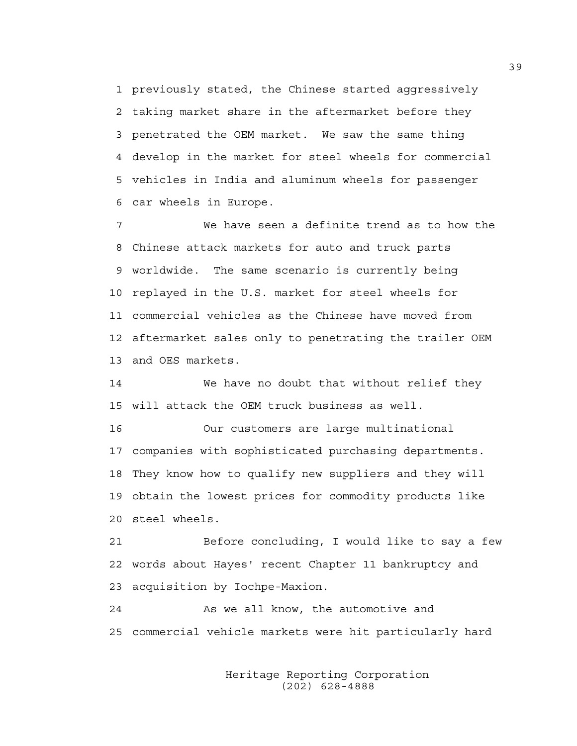1 previously stated, the Chinese started aggressively 2 taking market share in the aftermarket before they 3 penetrated the OEM market. We saw the same thing 4 develop in the market for steel wheels for commercial 5 vehicles in India and aluminum wheels for passenger 6 car wheels in Europe.

7 We have seen a definite trend as to how the 8 Chinese attack markets for auto and truck parts 9 worldwide. The same scenario is currently being 10 replayed in the U.S. market for steel wheels for 11 commercial vehicles as the Chinese have moved from 12 aftermarket sales only to penetrating the trailer OEM 13 and OES markets.

14 We have no doubt that without relief they 15 will attack the OEM truck business as well.

16 Our customers are large multinational 17 companies with sophisticated purchasing departments. 18 They know how to qualify new suppliers and they will 19 obtain the lowest prices for commodity products like 20 steel wheels.

21 Before concluding, I would like to say a few 22 words about Hayes' recent Chapter 11 bankruptcy and 23 acquisition by Iochpe-Maxion.

24 As we all know, the automotive and 25 commercial vehicle markets were hit particularly hard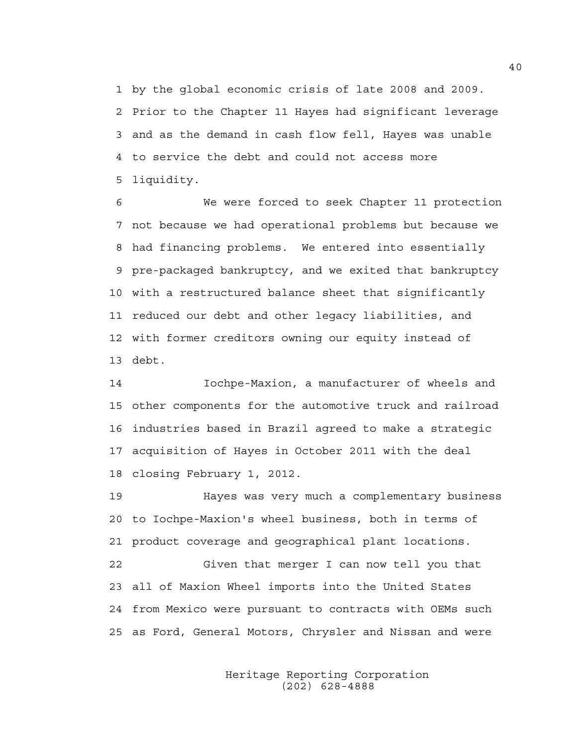1 by the global economic crisis of late 2008 and 2009. 2 Prior to the Chapter 11 Hayes had significant leverage 3 and as the demand in cash flow fell, Hayes was unable 4 to service the debt and could not access more 5 liquidity.

6 We were forced to seek Chapter 11 protection 7 not because we had operational problems but because we 8 had financing problems. We entered into essentially 9 pre-packaged bankruptcy, and we exited that bankruptcy 10 with a restructured balance sheet that significantly 11 reduced our debt and other legacy liabilities, and 12 with former creditors owning our equity instead of 13 debt.

14 Iochpe-Maxion, a manufacturer of wheels and 15 other components for the automotive truck and railroad 16 industries based in Brazil agreed to make a strategic 17 acquisition of Hayes in October 2011 with the deal 18 closing February 1, 2012.

19 Hayes was very much a complementary business 20 to Iochpe-Maxion's wheel business, both in terms of 21 product coverage and geographical plant locations. 22 Given that merger I can now tell you that 23 all of Maxion Wheel imports into the United States 24 from Mexico were pursuant to contracts with OEMs such 25 as Ford, General Motors, Chrysler and Nissan and were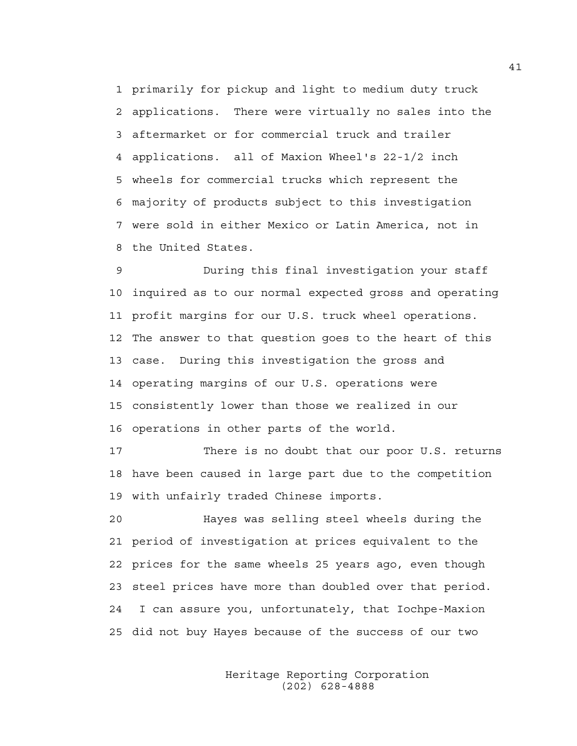1 primarily for pickup and light to medium duty truck 2 applications. There were virtually no sales into the 3 aftermarket or for commercial truck and trailer 4 applications. all of Maxion Wheel's 22-1/2 inch 5 wheels for commercial trucks which represent the 6 majority of products subject to this investigation 7 were sold in either Mexico or Latin America, not in 8 the United States.

9 During this final investigation your staff 10 inquired as to our normal expected gross and operating 11 profit margins for our U.S. truck wheel operations. 12 The answer to that question goes to the heart of this 13 case. During this investigation the gross and 14 operating margins of our U.S. operations were 15 consistently lower than those we realized in our 16 operations in other parts of the world.

17 There is no doubt that our poor U.S. returns 18 have been caused in large part due to the competition 19 with unfairly traded Chinese imports.

20 Hayes was selling steel wheels during the 21 period of investigation at prices equivalent to the 22 prices for the same wheels 25 years ago, even though 23 steel prices have more than doubled over that period. 24 I can assure you, unfortunately, that Iochpe-Maxion 25 did not buy Hayes because of the success of our two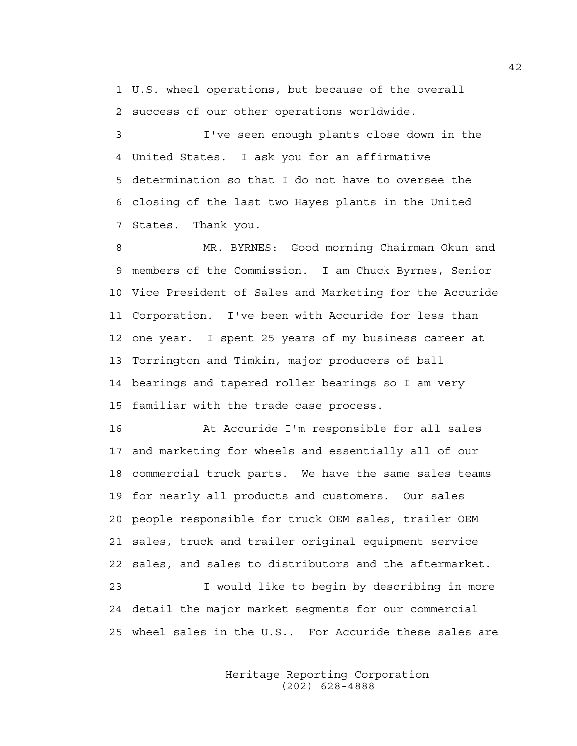1 U.S. wheel operations, but because of the overall 2 success of our other operations worldwide.

3 I've seen enough plants close down in the 4 United States. I ask you for an affirmative 5 determination so that I do not have to oversee the 6 closing of the last two Hayes plants in the United 7 States. Thank you.

8 MR. BYRNES: Good morning Chairman Okun and 9 members of the Commission. I am Chuck Byrnes, Senior 10 Vice President of Sales and Marketing for the Accuride 11 Corporation. I've been with Accuride for less than 12 one year. I spent 25 years of my business career at 13 Torrington and Timkin, major producers of ball 14 bearings and tapered roller bearings so I am very 15 familiar with the trade case process.

16 At Accuride I'm responsible for all sales 17 and marketing for wheels and essentially all of our 18 commercial truck parts. We have the same sales teams 19 for nearly all products and customers. Our sales 20 people responsible for truck OEM sales, trailer OEM 21 sales, truck and trailer original equipment service 22 sales, and sales to distributors and the aftermarket. 23 I would like to begin by describing in more 24 detail the major market segments for our commercial 25 wheel sales in the U.S.. For Accuride these sales are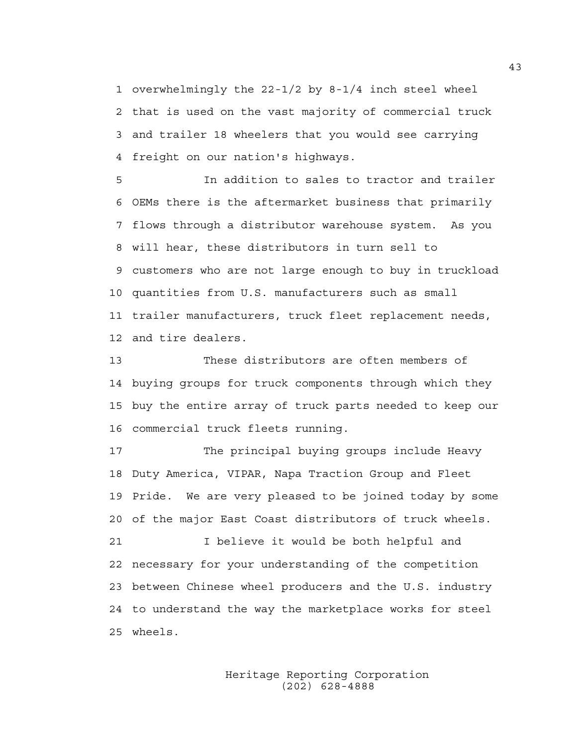1 overwhelmingly the 22-1/2 by 8-1/4 inch steel wheel 2 that is used on the vast majority of commercial truck 3 and trailer 18 wheelers that you would see carrying 4 freight on our nation's highways.

5 In addition to sales to tractor and trailer 6 OEMs there is the aftermarket business that primarily 7 flows through a distributor warehouse system. As you 8 will hear, these distributors in turn sell to 9 customers who are not large enough to buy in truckload 10 quantities from U.S. manufacturers such as small 11 trailer manufacturers, truck fleet replacement needs, 12 and tire dealers.

13 These distributors are often members of 14 buying groups for truck components through which they 15 buy the entire array of truck parts needed to keep our 16 commercial truck fleets running.

17 The principal buying groups include Heavy 18 Duty America, VIPAR, Napa Traction Group and Fleet 19 Pride. We are very pleased to be joined today by some 20 of the major East Coast distributors of truck wheels. 21 I believe it would be both helpful and

22 necessary for your understanding of the competition 23 between Chinese wheel producers and the U.S. industry 24 to understand the way the marketplace works for steel 25 wheels.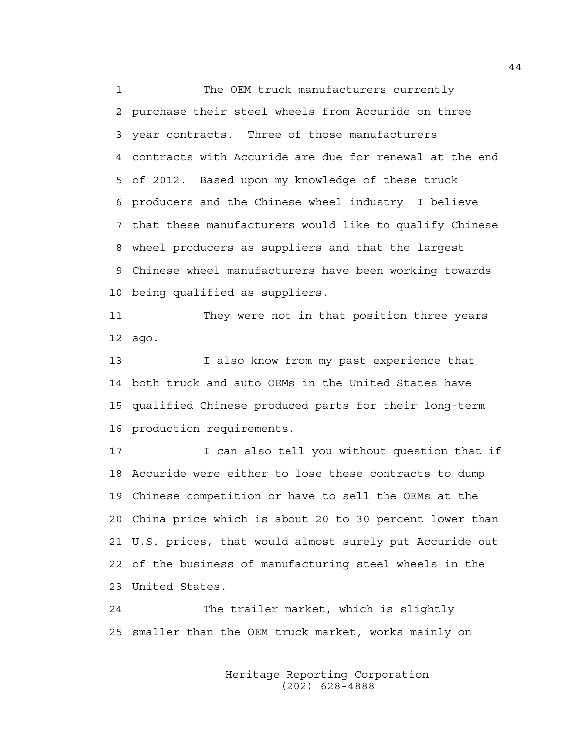1 The OEM truck manufacturers currently 2 purchase their steel wheels from Accuride on three 3 year contracts. Three of those manufacturers 4 contracts with Accuride are due for renewal at the end 5 of 2012. Based upon my knowledge of these truck 6 producers and the Chinese wheel industry I believe 7 that these manufacturers would like to qualify Chinese 8 wheel producers as suppliers and that the largest 9 Chinese wheel manufacturers have been working towards 10 being qualified as suppliers.

11 They were not in that position three years 12 ago.

13 I also know from my past experience that 14 both truck and auto OEMs in the United States have 15 qualified Chinese produced parts for their long-term 16 production requirements.

17 I can also tell you without question that if 18 Accuride were either to lose these contracts to dump 19 Chinese competition or have to sell the OEMs at the 20 China price which is about 20 to 30 percent lower than 21 U.S. prices, that would almost surely put Accuride out 22 of the business of manufacturing steel wheels in the 23 United States.

24 The trailer market, which is slightly 25 smaller than the OEM truck market, works mainly on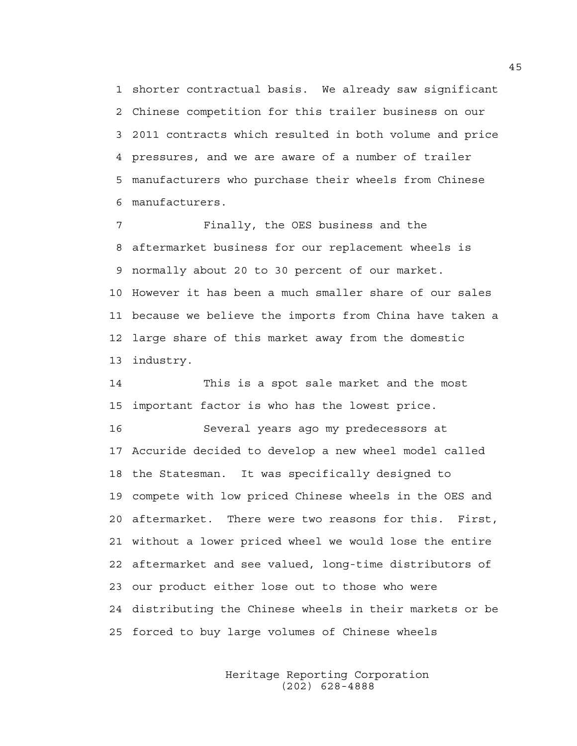1 shorter contractual basis. We already saw significant 2 Chinese competition for this trailer business on our 3 2011 contracts which resulted in both volume and price 4 pressures, and we are aware of a number of trailer 5 manufacturers who purchase their wheels from Chinese 6 manufacturers.

7 Finally, the OES business and the 8 aftermarket business for our replacement wheels is 9 normally about 20 to 30 percent of our market. 10 However it has been a much smaller share of our sales 11 because we believe the imports from China have taken a 12 large share of this market away from the domestic 13 industry.

14 This is a spot sale market and the most 15 important factor is who has the lowest price. 16 Several years ago my predecessors at 17 Accuride decided to develop a new wheel model called 18 the Statesman. It was specifically designed to 19 compete with low priced Chinese wheels in the OES and 20 aftermarket. There were two reasons for this. First, 21 without a lower priced wheel we would lose the entire 22 aftermarket and see valued, long-time distributors of 23 our product either lose out to those who were 24 distributing the Chinese wheels in their markets or be 25 forced to buy large volumes of Chinese wheels

> Heritage Reporting Corporation (202) 628-4888

45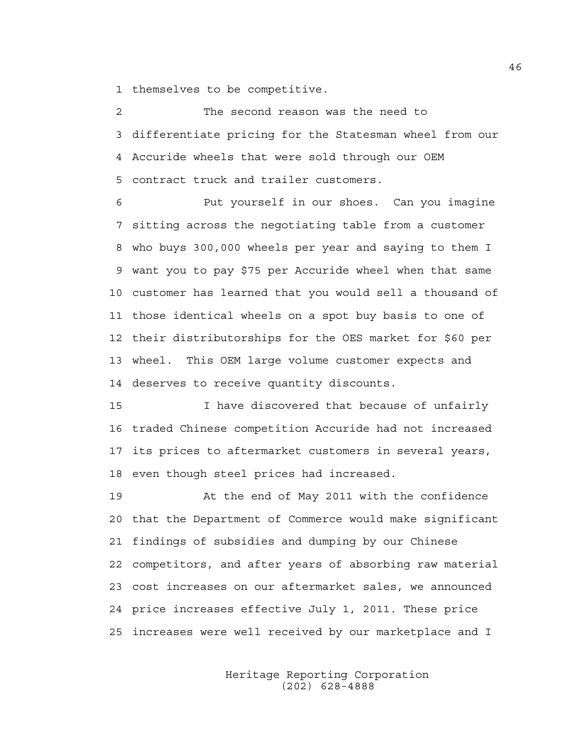1 themselves to be competitive.

2 The second reason was the need to 3 differentiate pricing for the Statesman wheel from our 4 Accuride wheels that were sold through our OEM 5 contract truck and trailer customers.

6 Put yourself in our shoes. Can you imagine 7 sitting across the negotiating table from a customer 8 who buys 300,000 wheels per year and saying to them I 9 want you to pay \$75 per Accuride wheel when that same 10 customer has learned that you would sell a thousand of 11 those identical wheels on a spot buy basis to one of 12 their distributorships for the OES market for \$60 per 13 wheel. This OEM large volume customer expects and 14 deserves to receive quantity discounts.

15 I have discovered that because of unfairly 16 traded Chinese competition Accuride had not increased 17 its prices to aftermarket customers in several years, 18 even though steel prices had increased.

19 At the end of May 2011 with the confidence 20 that the Department of Commerce would make significant 21 findings of subsidies and dumping by our Chinese 22 competitors, and after years of absorbing raw material 23 cost increases on our aftermarket sales, we announced 24 price increases effective July 1, 2011. These price 25 increases were well received by our marketplace and I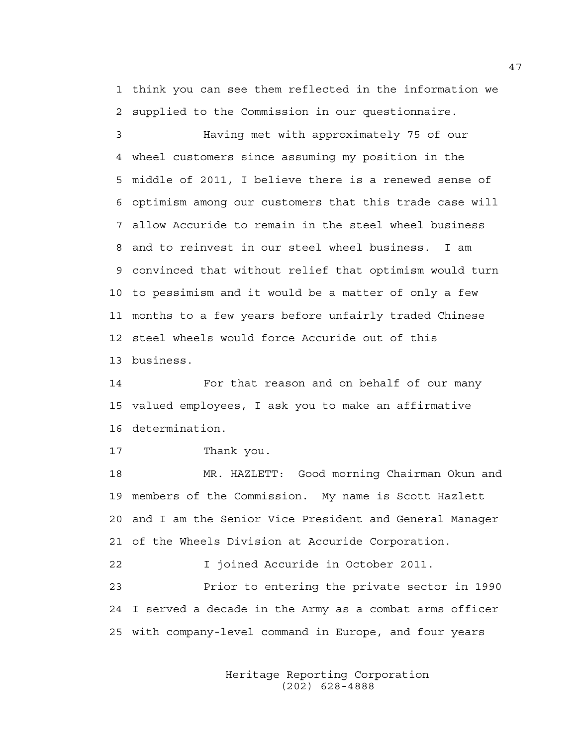1 think you can see them reflected in the information we 2 supplied to the Commission in our questionnaire.

3 Having met with approximately 75 of our 4 wheel customers since assuming my position in the 5 middle of 2011, I believe there is a renewed sense of 6 optimism among our customers that this trade case will 7 allow Accuride to remain in the steel wheel business 8 and to reinvest in our steel wheel business. I am 9 convinced that without relief that optimism would turn 10 to pessimism and it would be a matter of only a few 11 months to a few years before unfairly traded Chinese 12 steel wheels would force Accuride out of this 13 business.

14 For that reason and on behalf of our many 15 valued employees, I ask you to make an affirmative 16 determination.

17 Thank you.

18 MR. HAZLETT: Good morning Chairman Okun and 19 members of the Commission. My name is Scott Hazlett 20 and I am the Senior Vice President and General Manager 21 of the Wheels Division at Accuride Corporation.

22 I joined Accuride in October 2011.

23 Prior to entering the private sector in 1990 24 I served a decade in the Army as a combat arms officer 25 with company-level command in Europe, and four years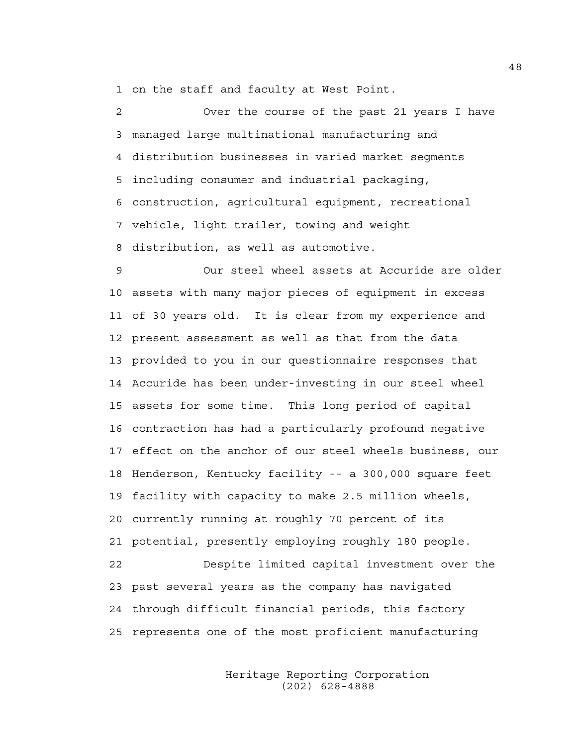1 on the staff and faculty at West Point.

2 Over the course of the past 21 years I have 3 managed large multinational manufacturing and 4 distribution businesses in varied market segments 5 including consumer and industrial packaging, 6 construction, agricultural equipment, recreational 7 vehicle, light trailer, towing and weight 8 distribution, as well as automotive.

9 Our steel wheel assets at Accuride are older 10 assets with many major pieces of equipment in excess 11 of 30 years old. It is clear from my experience and 12 present assessment as well as that from the data 13 provided to you in our questionnaire responses that 14 Accuride has been under-investing in our steel wheel 15 assets for some time. This long period of capital 16 contraction has had a particularly profound negative 17 effect on the anchor of our steel wheels business, our 18 Henderson, Kentucky facility -- a 300,000 square feet 19 facility with capacity to make 2.5 million wheels, 20 currently running at roughly 70 percent of its 21 potential, presently employing roughly 180 people. 22 Despite limited capital investment over the 23 past several years as the company has navigated 24 through difficult financial periods, this factory 25 represents one of the most proficient manufacturing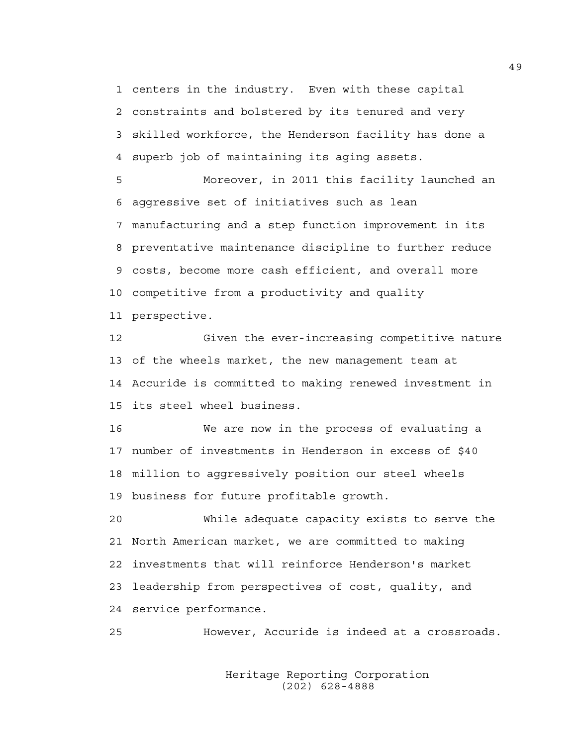1 centers in the industry. Even with these capital 2 constraints and bolstered by its tenured and very 3 skilled workforce, the Henderson facility has done a 4 superb job of maintaining its aging assets.

5 Moreover, in 2011 this facility launched an 6 aggressive set of initiatives such as lean 7 manufacturing and a step function improvement in its 8 preventative maintenance discipline to further reduce 9 costs, become more cash efficient, and overall more 10 competitive from a productivity and quality 11 perspective.

12 Given the ever-increasing competitive nature 13 of the wheels market, the new management team at 14 Accuride is committed to making renewed investment in 15 its steel wheel business.

16 We are now in the process of evaluating a 17 number of investments in Henderson in excess of \$40 18 million to aggressively position our steel wheels 19 business for future profitable growth.

20 While adequate capacity exists to serve the 21 North American market, we are committed to making 22 investments that will reinforce Henderson's market 23 leadership from perspectives of cost, quality, and 24 service performance.

25 However, Accuride is indeed at a crossroads.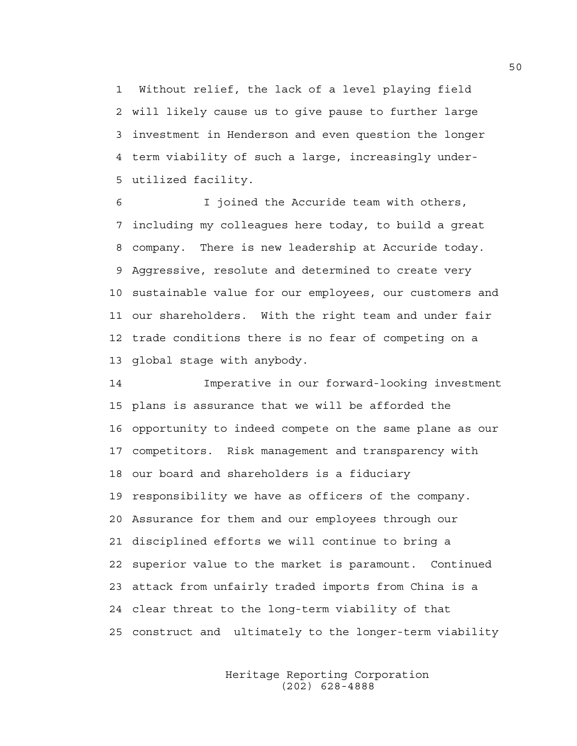1 Without relief, the lack of a level playing field 2 will likely cause us to give pause to further large 3 investment in Henderson and even question the longer 4 term viability of such a large, increasingly under-5 utilized facility.

6 I joined the Accuride team with others, 7 including my colleagues here today, to build a great 8 company. There is new leadership at Accuride today. 9 Aggressive, resolute and determined to create very 10 sustainable value for our employees, our customers and 11 our shareholders. With the right team and under fair 12 trade conditions there is no fear of competing on a 13 global stage with anybody.

14 Imperative in our forward-looking investment 15 plans is assurance that we will be afforded the 16 opportunity to indeed compete on the same plane as our 17 competitors. Risk management and transparency with 18 our board and shareholders is a fiduciary 19 responsibility we have as officers of the company. 20 Assurance for them and our employees through our 21 disciplined efforts we will continue to bring a 22 superior value to the market is paramount. Continued 23 attack from unfairly traded imports from China is a 24 clear threat to the long-term viability of that 25 construct and ultimately to the longer-term viability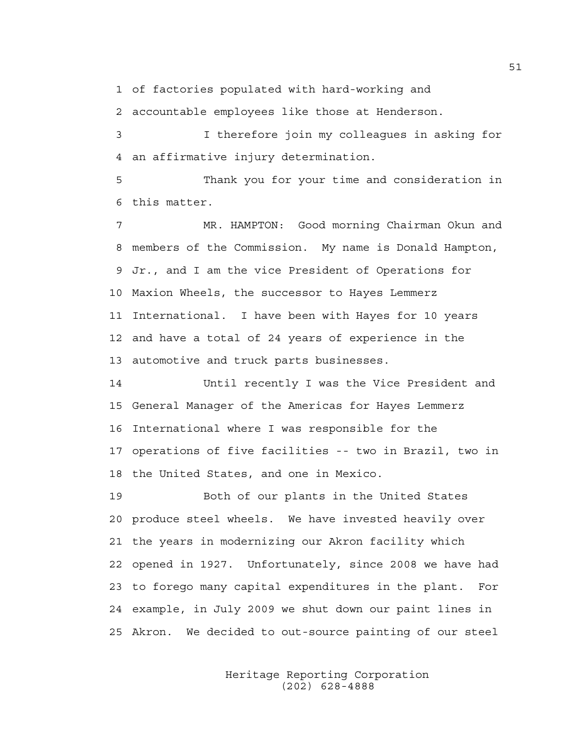1 of factories populated with hard-working and

2 accountable employees like those at Henderson.

3 I therefore join my colleagues in asking for 4 an affirmative injury determination.

5 Thank you for your time and consideration in 6 this matter.

7 MR. HAMPTON: Good morning Chairman Okun and 8 members of the Commission. My name is Donald Hampton, 9 Jr., and I am the vice President of Operations for 10 Maxion Wheels, the successor to Hayes Lemmerz 11 International. I have been with Hayes for 10 years 12 and have a total of 24 years of experience in the 13 automotive and truck parts businesses.

14 Until recently I was the Vice President and 15 General Manager of the Americas for Hayes Lemmerz 16 International where I was responsible for the 17 operations of five facilities -- two in Brazil, two in 18 the United States, and one in Mexico.

19 Both of our plants in the United States 20 produce steel wheels. We have invested heavily over 21 the years in modernizing our Akron facility which 22 opened in 1927. Unfortunately, since 2008 we have had 23 to forego many capital expenditures in the plant. For 24 example, in July 2009 we shut down our paint lines in 25 Akron. We decided to out-source painting of our steel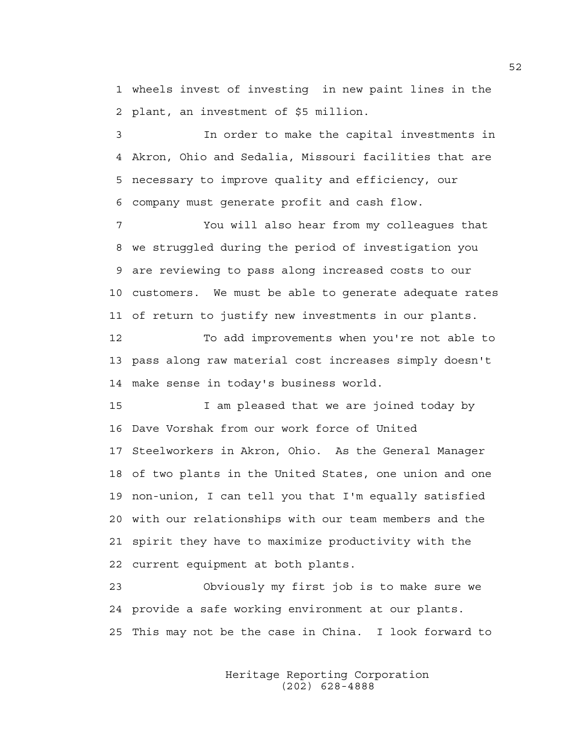1 wheels invest of investing in new paint lines in the 2 plant, an investment of \$5 million.

3 In order to make the capital investments in 4 Akron, Ohio and Sedalia, Missouri facilities that are 5 necessary to improve quality and efficiency, our 6 company must generate profit and cash flow.

7 You will also hear from my colleagues that 8 we struggled during the period of investigation you 9 are reviewing to pass along increased costs to our 10 customers. We must be able to generate adequate rates 11 of return to justify new investments in our plants.

12 To add improvements when you're not able to 13 pass along raw material cost increases simply doesn't 14 make sense in today's business world.

15 I am pleased that we are joined today by 16 Dave Vorshak from our work force of United 17 Steelworkers in Akron, Ohio. As the General Manager 18 of two plants in the United States, one union and one 19 non-union, I can tell you that I'm equally satisfied 20 with our relationships with our team members and the 21 spirit they have to maximize productivity with the 22 current equipment at both plants.

23 Obviously my first job is to make sure we 24 provide a safe working environment at our plants. 25 This may not be the case in China. I look forward to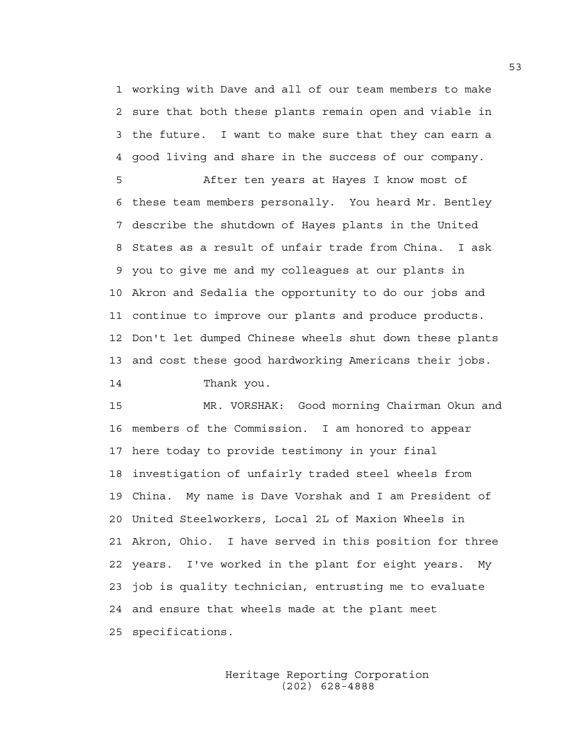1 working with Dave and all of our team members to make 2 sure that both these plants remain open and viable in 3 the future. I want to make sure that they can earn a 4 good living and share in the success of our company.

5 After ten years at Hayes I know most of 6 these team members personally. You heard Mr. Bentley 7 describe the shutdown of Hayes plants in the United 8 States as a result of unfair trade from China. I ask 9 you to give me and my colleagues at our plants in 10 Akron and Sedalia the opportunity to do our jobs and 11 continue to improve our plants and produce products. 12 Don't let dumped Chinese wheels shut down these plants 13 and cost these good hardworking Americans their jobs.

14 Thank you.

15 MR. VORSHAK: Good morning Chairman Okun and 16 members of the Commission. I am honored to appear 17 here today to provide testimony in your final 18 investigation of unfairly traded steel wheels from 19 China. My name is Dave Vorshak and I am President of 20 United Steelworkers, Local 2L of Maxion Wheels in 21 Akron, Ohio. I have served in this position for three 22 years. I've worked in the plant for eight years. My 23 job is quality technician, entrusting me to evaluate 24 and ensure that wheels made at the plant meet 25 specifications.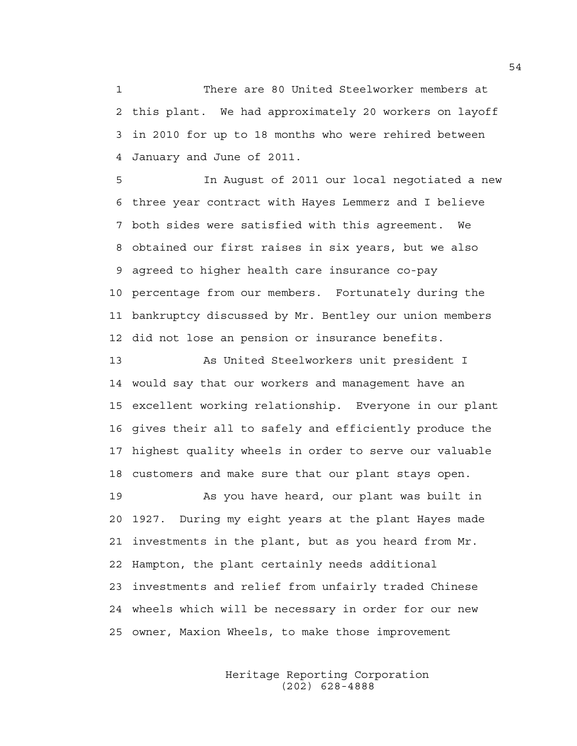1 There are 80 United Steelworker members at 2 this plant. We had approximately 20 workers on layoff 3 in 2010 for up to 18 months who were rehired between 4 January and June of 2011.

5 In August of 2011 our local negotiated a new 6 three year contract with Hayes Lemmerz and I believe 7 both sides were satisfied with this agreement. We 8 obtained our first raises in six years, but we also 9 agreed to higher health care insurance co-pay 10 percentage from our members. Fortunately during the 11 bankruptcy discussed by Mr. Bentley our union members 12 did not lose an pension or insurance benefits.

13 As United Steelworkers unit president I 14 would say that our workers and management have an 15 excellent working relationship. Everyone in our plant 16 gives their all to safely and efficiently produce the 17 highest quality wheels in order to serve our valuable 18 customers and make sure that our plant stays open.

19 As you have heard, our plant was built in 20 1927. During my eight years at the plant Hayes made 21 investments in the plant, but as you heard from Mr. 22 Hampton, the plant certainly needs additional 23 investments and relief from unfairly traded Chinese 24 wheels which will be necessary in order for our new 25 owner, Maxion Wheels, to make those improvement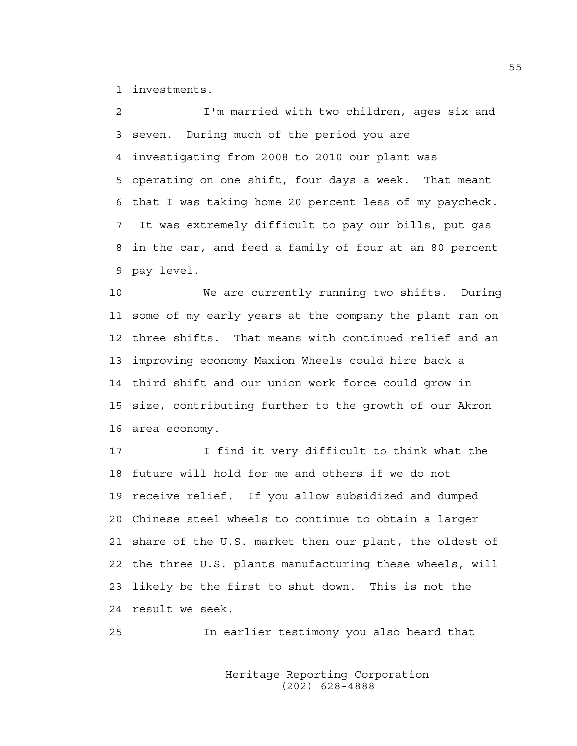1 investments.

2 I'm married with two children, ages six and 3 seven. During much of the period you are 4 investigating from 2008 to 2010 our plant was 5 operating on one shift, four days a week. That meant 6 that I was taking home 20 percent less of my paycheck. 7 It was extremely difficult to pay our bills, put gas 8 in the car, and feed a family of four at an 80 percent 9 pay level.

10 We are currently running two shifts. During 11 some of my early years at the company the plant ran on 12 three shifts. That means with continued relief and an 13 improving economy Maxion Wheels could hire back a 14 third shift and our union work force could grow in 15 size, contributing further to the growth of our Akron 16 area economy.

17 I find it very difficult to think what the 18 future will hold for me and others if we do not 19 receive relief. If you allow subsidized and dumped 20 Chinese steel wheels to continue to obtain a larger 21 share of the U.S. market then our plant, the oldest of 22 the three U.S. plants manufacturing these wheels, will 23 likely be the first to shut down. This is not the 24 result we seek.

25 In earlier testimony you also heard that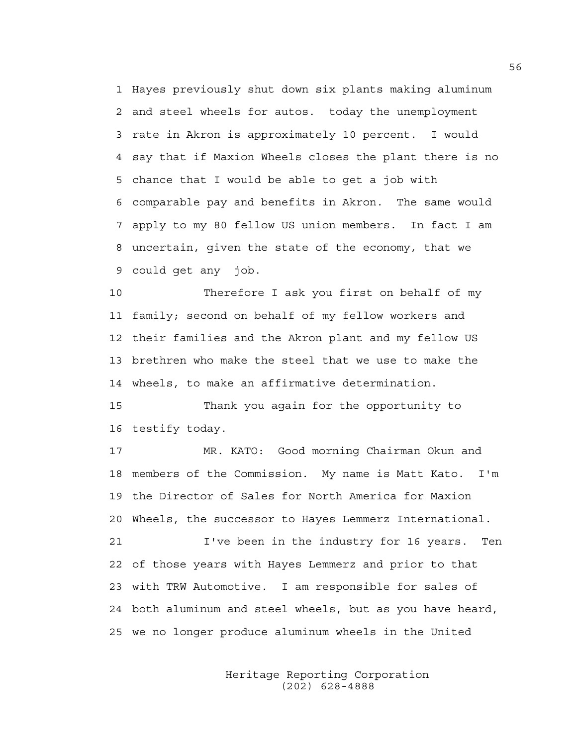1 Hayes previously shut down six plants making aluminum 2 and steel wheels for autos. today the unemployment 3 rate in Akron is approximately 10 percent. I would 4 say that if Maxion Wheels closes the plant there is no 5 chance that I would be able to get a job with 6 comparable pay and benefits in Akron. The same would 7 apply to my 80 fellow US union members. In fact I am 8 uncertain, given the state of the economy, that we 9 could get any job.

10 Therefore I ask you first on behalf of my 11 family; second on behalf of my fellow workers and 12 their families and the Akron plant and my fellow US 13 brethren who make the steel that we use to make the 14 wheels, to make an affirmative determination.

15 Thank you again for the opportunity to 16 testify today.

17 MR. KATO: Good morning Chairman Okun and 18 members of the Commission. My name is Matt Kato. I'm 19 the Director of Sales for North America for Maxion 20 Wheels, the successor to Hayes Lemmerz International. 21 I've been in the industry for 16 years. Ten

22 of those years with Hayes Lemmerz and prior to that 23 with TRW Automotive. I am responsible for sales of 24 both aluminum and steel wheels, but as you have heard, 25 we no longer produce aluminum wheels in the United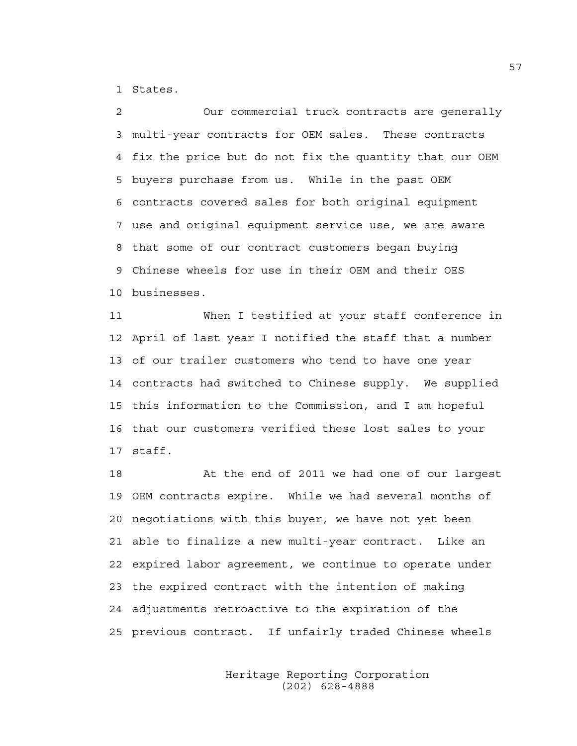1 States.

2 Our commercial truck contracts are generally 3 multi-year contracts for OEM sales. These contracts 4 fix the price but do not fix the quantity that our OEM 5 buyers purchase from us. While in the past OEM 6 contracts covered sales for both original equipment 7 use and original equipment service use, we are aware 8 that some of our contract customers began buying 9 Chinese wheels for use in their OEM and their OES 10 businesses.

11 When I testified at your staff conference in 12 April of last year I notified the staff that a number 13 of our trailer customers who tend to have one year 14 contracts had switched to Chinese supply. We supplied 15 this information to the Commission, and I am hopeful 16 that our customers verified these lost sales to your 17 staff.

18 At the end of 2011 we had one of our largest 19 OEM contracts expire. While we had several months of 20 negotiations with this buyer, we have not yet been 21 able to finalize a new multi-year contract. Like an 22 expired labor agreement, we continue to operate under 23 the expired contract with the intention of making 24 adjustments retroactive to the expiration of the 25 previous contract. If unfairly traded Chinese wheels

> Heritage Reporting Corporation (202) 628-4888

57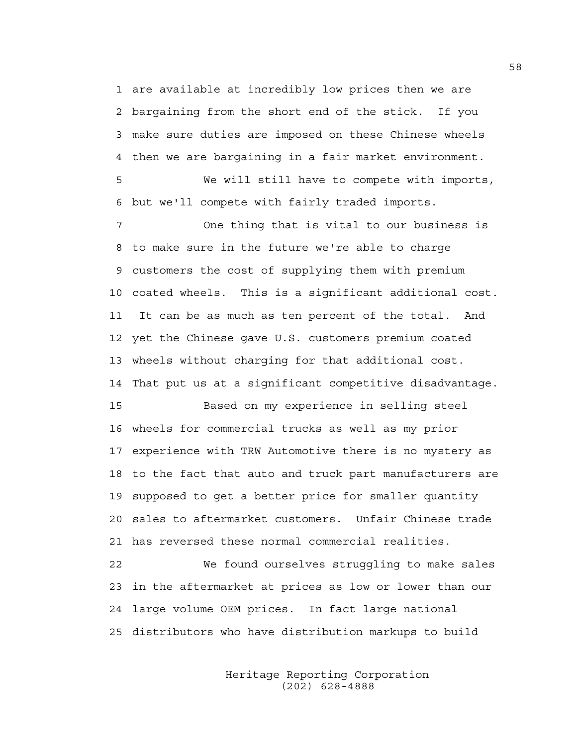1 are available at incredibly low prices then we are 2 bargaining from the short end of the stick. If you 3 make sure duties are imposed on these Chinese wheels 4 then we are bargaining in a fair market environment.

5 We will still have to compete with imports, 6 but we'll compete with fairly traded imports.

7 One thing that is vital to our business is 8 to make sure in the future we're able to charge 9 customers the cost of supplying them with premium 10 coated wheels. This is a significant additional cost. 11 It can be as much as ten percent of the total. And 12 yet the Chinese gave U.S. customers premium coated 13 wheels without charging for that additional cost. 14 That put us at a significant competitive disadvantage.

15 Based on my experience in selling steel 16 wheels for commercial trucks as well as my prior 17 experience with TRW Automotive there is no mystery as 18 to the fact that auto and truck part manufacturers are 19 supposed to get a better price for smaller quantity 20 sales to aftermarket customers. Unfair Chinese trade 21 has reversed these normal commercial realities.

22 We found ourselves struggling to make sales 23 in the aftermarket at prices as low or lower than our 24 large volume OEM prices. In fact large national 25 distributors who have distribution markups to build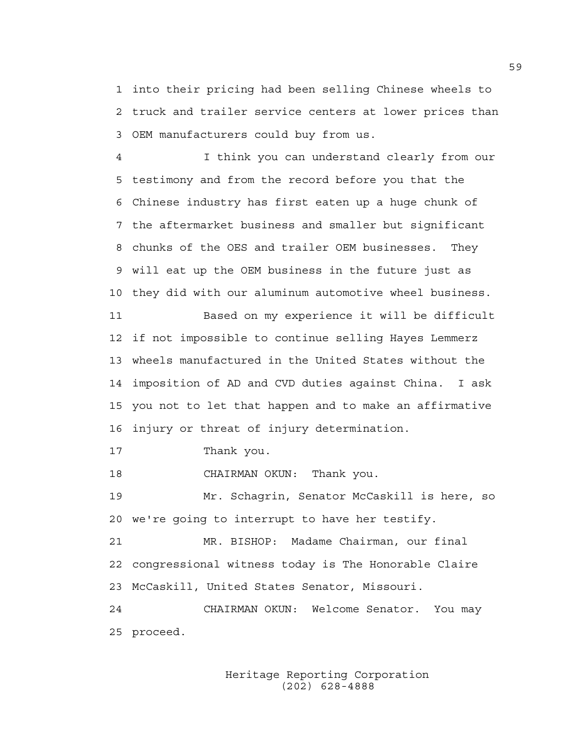1 into their pricing had been selling Chinese wheels to 2 truck and trailer service centers at lower prices than 3 OEM manufacturers could buy from us.

4 I think you can understand clearly from our 5 testimony and from the record before you that the 6 Chinese industry has first eaten up a huge chunk of 7 the aftermarket business and smaller but significant 8 chunks of the OES and trailer OEM businesses. They 9 will eat up the OEM business in the future just as 10 they did with our aluminum automotive wheel business. 11 Based on my experience it will be difficult 12 if not impossible to continue selling Hayes Lemmerz 13 wheels manufactured in the United States without the 14 imposition of AD and CVD duties against China. I ask 15 you not to let that happen and to make an affirmative 16 injury or threat of injury determination.

17 Thank you.

18 CHAIRMAN OKUN: Thank you.

19 Mr. Schagrin, Senator McCaskill is here, so 20 we're going to interrupt to have her testify.

21 MR. BISHOP: Madame Chairman, our final 22 congressional witness today is The Honorable Claire 23 McCaskill, United States Senator, Missouri.

24 CHAIRMAN OKUN: Welcome Senator. You may 25 proceed.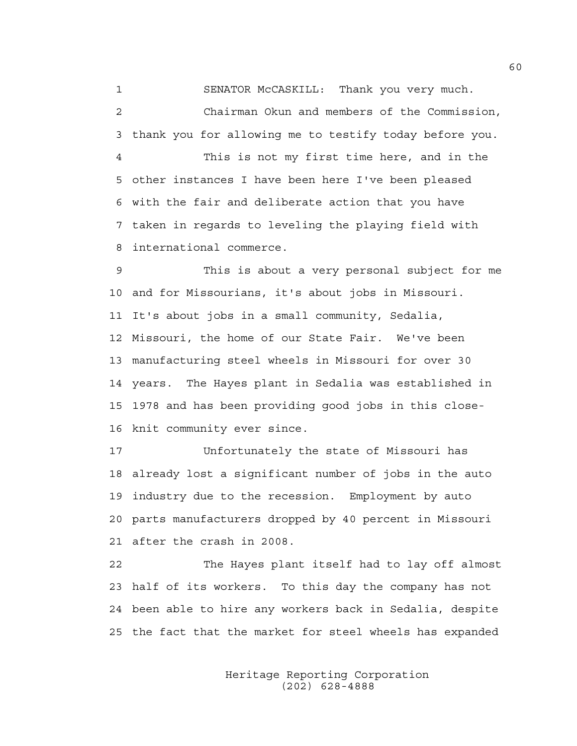1 SENATOR McCASKILL: Thank you very much.

2 Chairman Okun and members of the Commission, 3 thank you for allowing me to testify today before you.

4 This is not my first time here, and in the 5 other instances I have been here I've been pleased 6 with the fair and deliberate action that you have 7 taken in regards to leveling the playing field with 8 international commerce.

9 This is about a very personal subject for me 10 and for Missourians, it's about jobs in Missouri. 11 It's about jobs in a small community, Sedalia, 12 Missouri, the home of our State Fair. We've been 13 manufacturing steel wheels in Missouri for over 30 14 years. The Hayes plant in Sedalia was established in 15 1978 and has been providing good jobs in this close-16 knit community ever since.

17 Unfortunately the state of Missouri has 18 already lost a significant number of jobs in the auto 19 industry due to the recession. Employment by auto 20 parts manufacturers dropped by 40 percent in Missouri 21 after the crash in 2008.

22 The Hayes plant itself had to lay off almost 23 half of its workers. To this day the company has not 24 been able to hire any workers back in Sedalia, despite 25 the fact that the market for steel wheels has expanded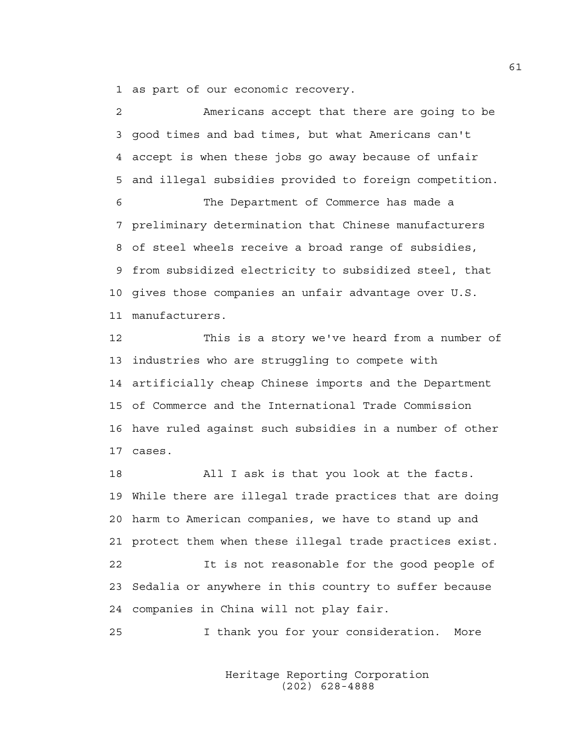1 as part of our economic recovery.

| $\overline{2}$ | Americans accept that there are going to be               |
|----------------|-----------------------------------------------------------|
| 3              | good times and bad times, but what Americans can't        |
| 4              | accept is when these jobs go away because of unfair       |
| 5              | and illegal subsidies provided to foreign competition.    |
| 6              | The Department of Commerce has made a                     |
|                | 7 preliminary determination that Chinese manufacturers    |
| 8              | of steel wheels receive a broad range of subsidies,       |
| 9              | from subsidized electricity to subsidized steel, that     |
|                | 10 gives those companies an unfair advantage over U.S.    |
|                | 11 manufacturers.                                         |
| 12             | This is a story we've heard from a number of              |
| 13             | industries who are struggling to compete with             |
|                | 14 artificially cheap Chinese imports and the Department  |
|                | 15 of Commerce and the International Trade Commission     |
|                | 16 have ruled against such subsidies in a number of other |

17 cases.

18 All I ask is that you look at the facts. 19 While there are illegal trade practices that are doing 20 harm to American companies, we have to stand up and 21 protect them when these illegal trade practices exist. 22 It is not reasonable for the good people of 23 Sedalia or anywhere in this country to suffer because 24 companies in China will not play fair.

25 I thank you for your consideration. More

 Heritage Reporting Corporation (202) 628-4888

61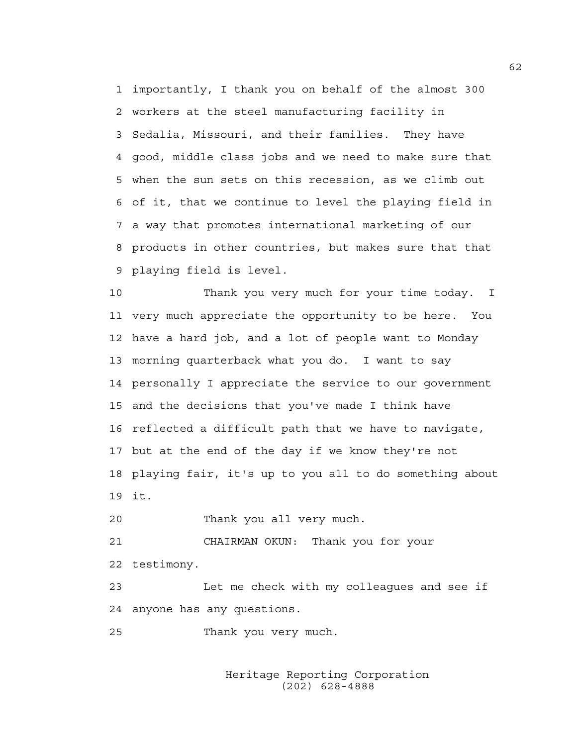1 importantly, I thank you on behalf of the almost 300 2 workers at the steel manufacturing facility in 3 Sedalia, Missouri, and their families. They have 4 good, middle class jobs and we need to make sure that 5 when the sun sets on this recession, as we climb out 6 of it, that we continue to level the playing field in 7 a way that promotes international marketing of our 8 products in other countries, but makes sure that that 9 playing field is level.

10 Thank you very much for your time today. I 11 very much appreciate the opportunity to be here. You 12 have a hard job, and a lot of people want to Monday 13 morning quarterback what you do. I want to say 14 personally I appreciate the service to our government 15 and the decisions that you've made I think have 16 reflected a difficult path that we have to navigate, 17 but at the end of the day if we know they're not 18 playing fair, it's up to you all to do something about 19 it.

20 Thank you all very much.

21 CHAIRMAN OKUN: Thank you for your 22 testimony.

23 Let me check with my colleagues and see if 24 anyone has any questions.

25 Thank you very much.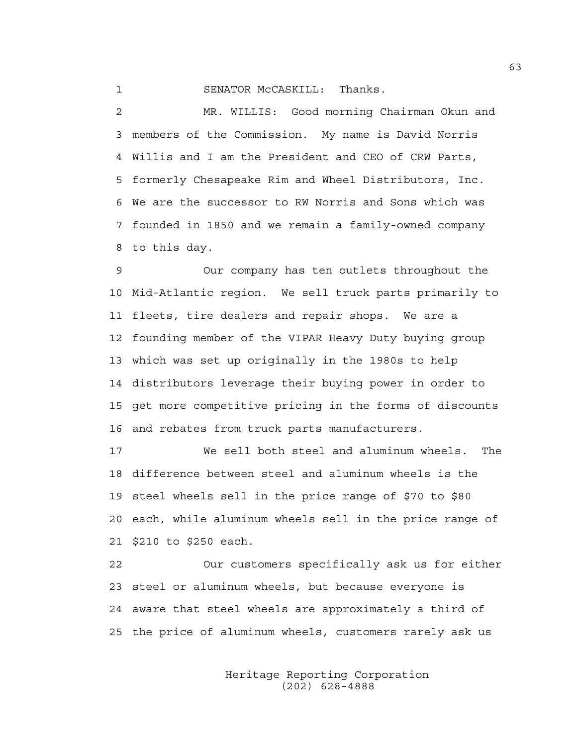## 1 SENATOR McCASKILL: Thanks.

2 MR. WILLIS: Good morning Chairman Okun and 3 members of the Commission. My name is David Norris 4 Willis and I am the President and CEO of CRW Parts, 5 formerly Chesapeake Rim and Wheel Distributors, Inc. 6 We are the successor to RW Norris and Sons which was 7 founded in 1850 and we remain a family-owned company 8 to this day.

9 Our company has ten outlets throughout the 10 Mid-Atlantic region. We sell truck parts primarily to 11 fleets, tire dealers and repair shops. We are a 12 founding member of the VIPAR Heavy Duty buying group 13 which was set up originally in the 1980s to help 14 distributors leverage their buying power in order to 15 get more competitive pricing in the forms of discounts 16 and rebates from truck parts manufacturers.

17 We sell both steel and aluminum wheels. The 18 difference between steel and aluminum wheels is the 19 steel wheels sell in the price range of \$70 to \$80 20 each, while aluminum wheels sell in the price range of 21 \$210 to \$250 each.

22 Our customers specifically ask us for either 23 steel or aluminum wheels, but because everyone is 24 aware that steel wheels are approximately a third of 25 the price of aluminum wheels, customers rarely ask us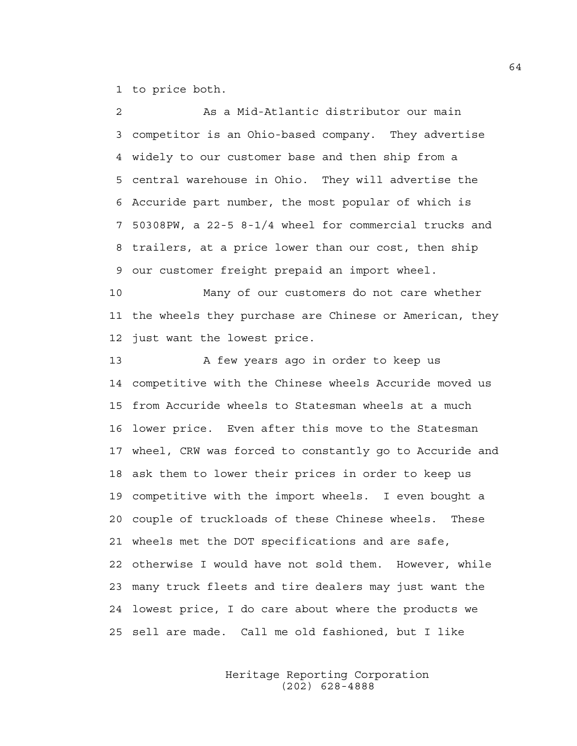1 to price both.

2 As a Mid-Atlantic distributor our main 3 competitor is an Ohio-based company. They advertise 4 widely to our customer base and then ship from a 5 central warehouse in Ohio. They will advertise the 6 Accuride part number, the most popular of which is 7 50308PW, a 22-5 8-1/4 wheel for commercial trucks and 8 trailers, at a price lower than our cost, then ship 9 our customer freight prepaid an import wheel.

10 Many of our customers do not care whether 11 the wheels they purchase are Chinese or American, they 12 just want the lowest price.

13 A few years ago in order to keep us 14 competitive with the Chinese wheels Accuride moved us 15 from Accuride wheels to Statesman wheels at a much 16 lower price. Even after this move to the Statesman 17 wheel, CRW was forced to constantly go to Accuride and 18 ask them to lower their prices in order to keep us 19 competitive with the import wheels. I even bought a 20 couple of truckloads of these Chinese wheels. These 21 wheels met the DOT specifications and are safe, 22 otherwise I would have not sold them. However, while 23 many truck fleets and tire dealers may just want the 24 lowest price, I do care about where the products we 25 sell are made. Call me old fashioned, but I like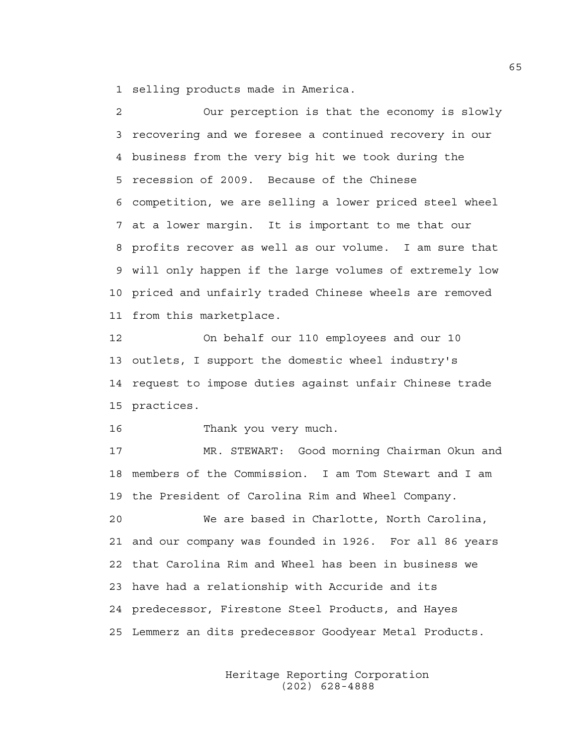1 selling products made in America.

2 Our perception is that the economy is slowly 3 recovering and we foresee a continued recovery in our 4 business from the very big hit we took during the 5 recession of 2009. Because of the Chinese 6 competition, we are selling a lower priced steel wheel 7 at a lower margin. It is important to me that our 8 profits recover as well as our volume. I am sure that 9 will only happen if the large volumes of extremely low 10 priced and unfairly traded Chinese wheels are removed 11 from this marketplace.

12 On behalf our 110 employees and our 10 13 outlets, I support the domestic wheel industry's 14 request to impose duties against unfair Chinese trade 15 practices.

16 Thank you very much.

17 MR. STEWART: Good morning Chairman Okun and 18 members of the Commission. I am Tom Stewart and I am 19 the President of Carolina Rim and Wheel Company.

20 We are based in Charlotte, North Carolina, 21 and our company was founded in 1926. For all 86 years 22 that Carolina Rim and Wheel has been in business we 23 have had a relationship with Accuride and its 24 predecessor, Firestone Steel Products, and Hayes 25 Lemmerz an dits predecessor Goodyear Metal Products.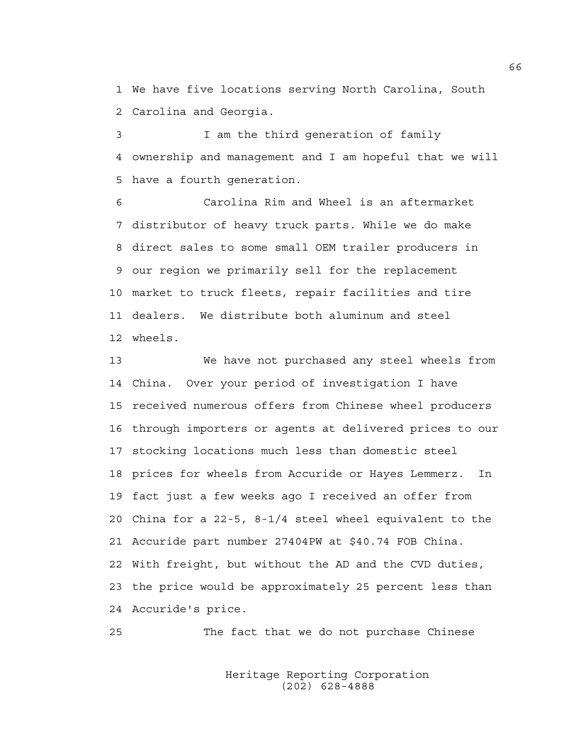1 We have five locations serving North Carolina, South 2 Carolina and Georgia.

3 I am the third generation of family 4 ownership and management and I am hopeful that we will 5 have a fourth generation.

6 Carolina Rim and Wheel is an aftermarket 7 distributor of heavy truck parts. While we do make 8 direct sales to some small OEM trailer producers in 9 our region we primarily sell for the replacement 10 market to truck fleets, repair facilities and tire 11 dealers. We distribute both aluminum and steel 12 wheels.

13 We have not purchased any steel wheels from 14 China. Over your period of investigation I have 15 received numerous offers from Chinese wheel producers 16 through importers or agents at delivered prices to our 17 stocking locations much less than domestic steel 18 prices for wheels from Accuride or Hayes Lemmerz. In 19 fact just a few weeks ago I received an offer from 20 China for a 22-5, 8-1/4 steel wheel equivalent to the 21 Accuride part number 27404PW at \$40.74 FOB China. 22 With freight, but without the AD and the CVD duties, 23 the price would be approximately 25 percent less than 24 Accuride's price.

25 The fact that we do not purchase Chinese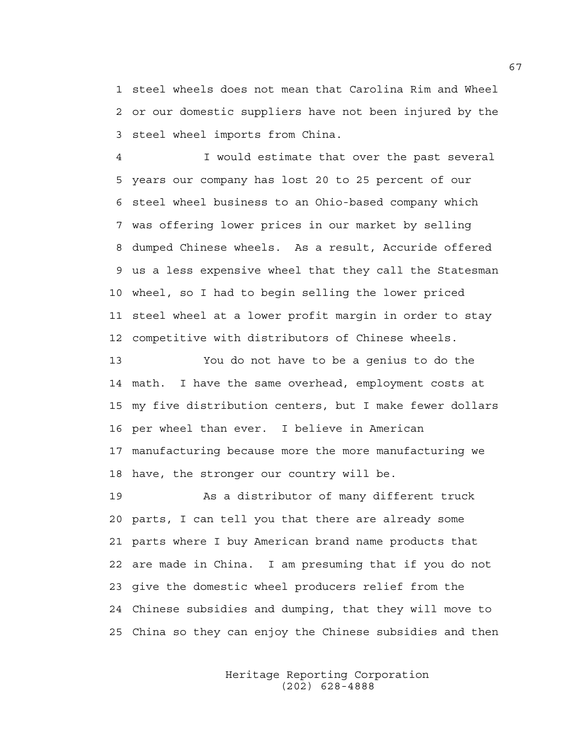1 steel wheels does not mean that Carolina Rim and Wheel 2 or our domestic suppliers have not been injured by the 3 steel wheel imports from China.

4 I would estimate that over the past several 5 years our company has lost 20 to 25 percent of our 6 steel wheel business to an Ohio-based company which 7 was offering lower prices in our market by selling 8 dumped Chinese wheels. As a result, Accuride offered 9 us a less expensive wheel that they call the Statesman 10 wheel, so I had to begin selling the lower priced 11 steel wheel at a lower profit margin in order to stay 12 competitive with distributors of Chinese wheels.

13 You do not have to be a genius to do the 14 math. I have the same overhead, employment costs at 15 my five distribution centers, but I make fewer dollars 16 per wheel than ever. I believe in American 17 manufacturing because more the more manufacturing we 18 have, the stronger our country will be.

19 As a distributor of many different truck 20 parts, I can tell you that there are already some 21 parts where I buy American brand name products that 22 are made in China. I am presuming that if you do not 23 give the domestic wheel producers relief from the 24 Chinese subsidies and dumping, that they will move to 25 China so they can enjoy the Chinese subsidies and then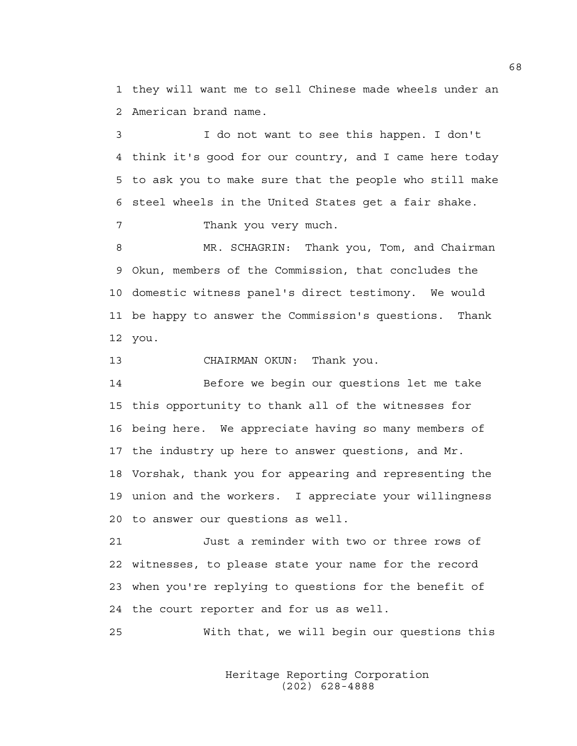1 they will want me to sell Chinese made wheels under an 2 American brand name.

3 I do not want to see this happen. I don't 4 think it's good for our country, and I came here today 5 to ask you to make sure that the people who still make 6 steel wheels in the United States get a fair shake.

7 Thank you very much.

8 MR. SCHAGRIN: Thank you, Tom, and Chairman 9 Okun, members of the Commission, that concludes the 10 domestic witness panel's direct testimony. We would 11 be happy to answer the Commission's questions. Thank 12 you.

13 CHAIRMAN OKUN: Thank you.

14 Before we begin our questions let me take 15 this opportunity to thank all of the witnesses for 16 being here. We appreciate having so many members of 17 the industry up here to answer questions, and Mr. 18 Vorshak, thank you for appearing and representing the 19 union and the workers. I appreciate your willingness 20 to answer our questions as well.

21 Just a reminder with two or three rows of 22 witnesses, to please state your name for the record 23 when you're replying to questions for the benefit of 24 the court reporter and for us as well.

25 With that, we will begin our questions this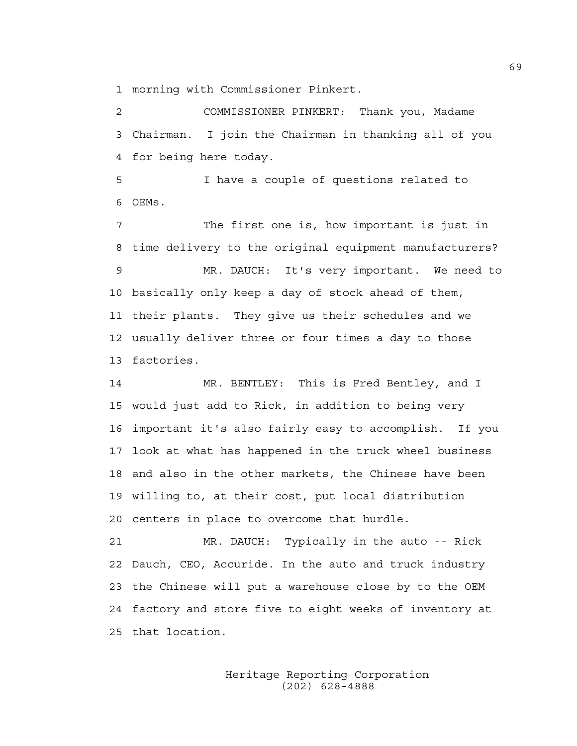1 morning with Commissioner Pinkert.

2 COMMISSIONER PINKERT: Thank you, Madame 3 Chairman. I join the Chairman in thanking all of you 4 for being here today.

5 I have a couple of questions related to 6 OEMs.

7 The first one is, how important is just in 8 time delivery to the original equipment manufacturers? 9 MR. DAUCH: It's very important. We need to 10 basically only keep a day of stock ahead of them, 11 their plants. They give us their schedules and we 12 usually deliver three or four times a day to those 13 factories.

14 MR. BENTLEY: This is Fred Bentley, and I 15 would just add to Rick, in addition to being very 16 important it's also fairly easy to accomplish. If you 17 look at what has happened in the truck wheel business 18 and also in the other markets, the Chinese have been 19 willing to, at their cost, put local distribution 20 centers in place to overcome that hurdle.

21 MR. DAUCH: Typically in the auto -- Rick 22 Dauch, CEO, Accuride. In the auto and truck industry 23 the Chinese will put a warehouse close by to the OEM 24 factory and store five to eight weeks of inventory at 25 that location.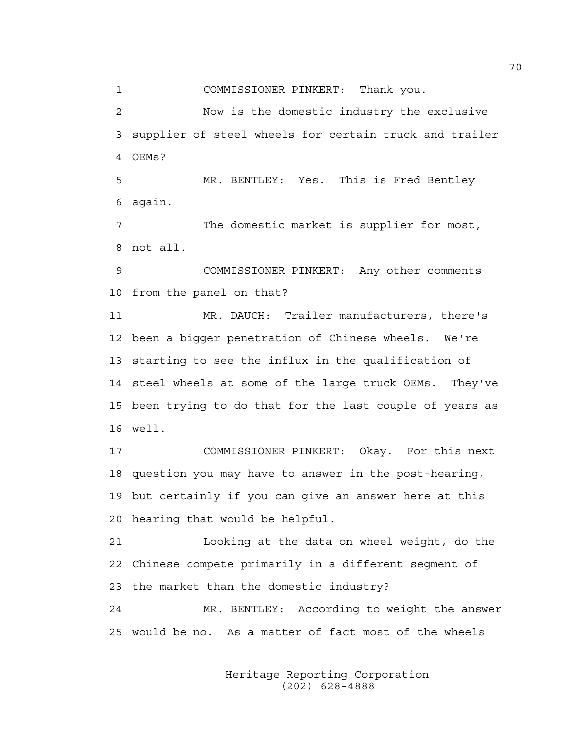1 COMMISSIONER PINKERT: Thank you.

2 Now is the domestic industry the exclusive 3 supplier of steel wheels for certain truck and trailer 4 OEMs?

5 MR. BENTLEY: Yes. This is Fred Bentley 6 again.

7 The domestic market is supplier for most, 8 not all.

9 COMMISSIONER PINKERT: Any other comments 10 from the panel on that?

11 MR. DAUCH: Trailer manufacturers, there's 12 been a bigger penetration of Chinese wheels. We're 13 starting to see the influx in the qualification of 14 steel wheels at some of the large truck OEMs. They've 15 been trying to do that for the last couple of years as 16 well.

17 COMMISSIONER PINKERT: Okay. For this next 18 question you may have to answer in the post-hearing, 19 but certainly if you can give an answer here at this 20 hearing that would be helpful.

21 Looking at the data on wheel weight, do the 22 Chinese compete primarily in a different segment of 23 the market than the domestic industry?

24 MR. BENTLEY: According to weight the answer 25 would be no. As a matter of fact most of the wheels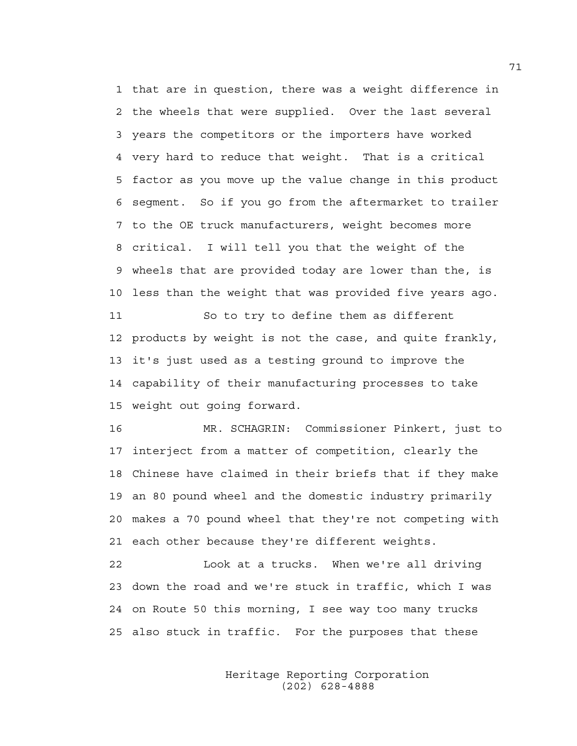1 that are in question, there was a weight difference in 2 the wheels that were supplied. Over the last several 3 years the competitors or the importers have worked 4 very hard to reduce that weight. That is a critical 5 factor as you move up the value change in this product 6 segment. So if you go from the aftermarket to trailer 7 to the OE truck manufacturers, weight becomes more 8 critical. I will tell you that the weight of the 9 wheels that are provided today are lower than the, is 10 less than the weight that was provided five years ago. 11 So to try to define them as different 12 products by weight is not the case, and quite frankly, 13 it's just used as a testing ground to improve the

14 capability of their manufacturing processes to take 15 weight out going forward.

16 MR. SCHAGRIN: Commissioner Pinkert, just to 17 interject from a matter of competition, clearly the 18 Chinese have claimed in their briefs that if they make 19 an 80 pound wheel and the domestic industry primarily 20 makes a 70 pound wheel that they're not competing with 21 each other because they're different weights.

22 Look at a trucks. When we're all driving 23 down the road and we're stuck in traffic, which I was 24 on Route 50 this morning, I see way too many trucks 25 also stuck in traffic. For the purposes that these

> Heritage Reporting Corporation (202) 628-4888

71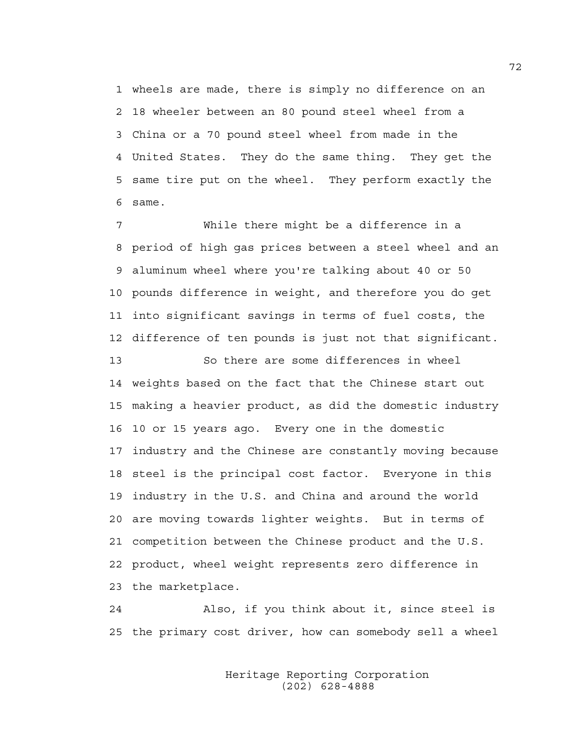1 wheels are made, there is simply no difference on an 2 18 wheeler between an 80 pound steel wheel from a 3 China or a 70 pound steel wheel from made in the 4 United States. They do the same thing. They get the 5 same tire put on the wheel. They perform exactly the 6 same.

7 While there might be a difference in a 8 period of high gas prices between a steel wheel and an 9 aluminum wheel where you're talking about 40 or 50 10 pounds difference in weight, and therefore you do get 11 into significant savings in terms of fuel costs, the 12 difference of ten pounds is just not that significant.

13 So there are some differences in wheel 14 weights based on the fact that the Chinese start out 15 making a heavier product, as did the domestic industry 16 10 or 15 years ago. Every one in the domestic 17 industry and the Chinese are constantly moving because 18 steel is the principal cost factor. Everyone in this 19 industry in the U.S. and China and around the world 20 are moving towards lighter weights. But in terms of 21 competition between the Chinese product and the U.S. 22 product, wheel weight represents zero difference in 23 the marketplace.

24 Also, if you think about it, since steel is 25 the primary cost driver, how can somebody sell a wheel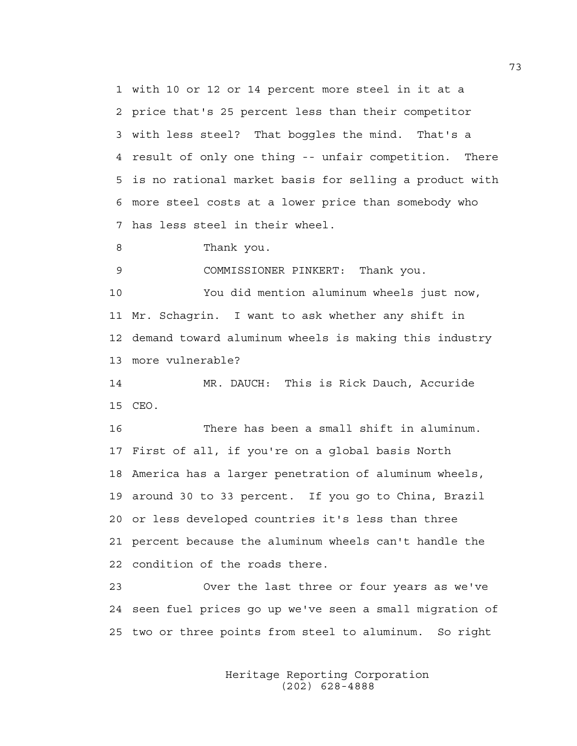1 with 10 or 12 or 14 percent more steel in it at a 2 price that's 25 percent less than their competitor 3 with less steel? That boggles the mind. That's a 4 result of only one thing -- unfair competition. There 5 is no rational market basis for selling a product with 6 more steel costs at a lower price than somebody who 7 has less steel in their wheel.

8 Thank you.

9 COMMISSIONER PINKERT: Thank you.

10 You did mention aluminum wheels just now, 11 Mr. Schagrin. I want to ask whether any shift in 12 demand toward aluminum wheels is making this industry 13 more vulnerable?

14 MR. DAUCH: This is Rick Dauch, Accuride 15 CEO.

16 There has been a small shift in aluminum. 17 First of all, if you're on a global basis North 18 America has a larger penetration of aluminum wheels, 19 around 30 to 33 percent. If you go to China, Brazil 20 or less developed countries it's less than three 21 percent because the aluminum wheels can't handle the 22 condition of the roads there.

23 Over the last three or four years as we've 24 seen fuel prices go up we've seen a small migration of 25 two or three points from steel to aluminum. So right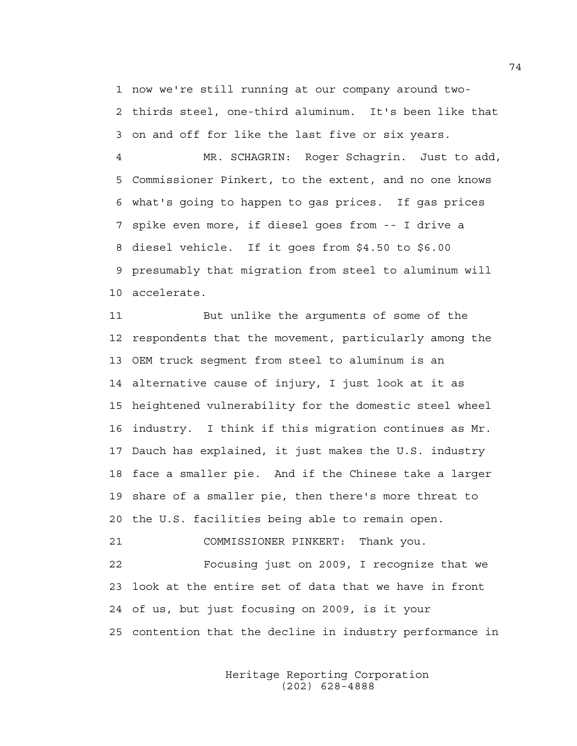1 now we're still running at our company around two-2 thirds steel, one-third aluminum. It's been like that 3 on and off for like the last five or six years.

4 MR. SCHAGRIN: Roger Schagrin. Just to add, 5 Commissioner Pinkert, to the extent, and no one knows 6 what's going to happen to gas prices. If gas prices 7 spike even more, if diesel goes from -- I drive a 8 diesel vehicle. If it goes from \$4.50 to \$6.00 9 presumably that migration from steel to aluminum will 10 accelerate.

11 But unlike the arguments of some of the 12 respondents that the movement, particularly among the 13 OEM truck segment from steel to aluminum is an 14 alternative cause of injury, I just look at it as 15 heightened vulnerability for the domestic steel wheel 16 industry. I think if this migration continues as Mr. 17 Dauch has explained, it just makes the U.S. industry 18 face a smaller pie. And if the Chinese take a larger 19 share of a smaller pie, then there's more threat to 20 the U.S. facilities being able to remain open.

21 COMMISSIONER PINKERT: Thank you.

22 Focusing just on 2009, I recognize that we 23 look at the entire set of data that we have in front 24 of us, but just focusing on 2009, is it your 25 contention that the decline in industry performance in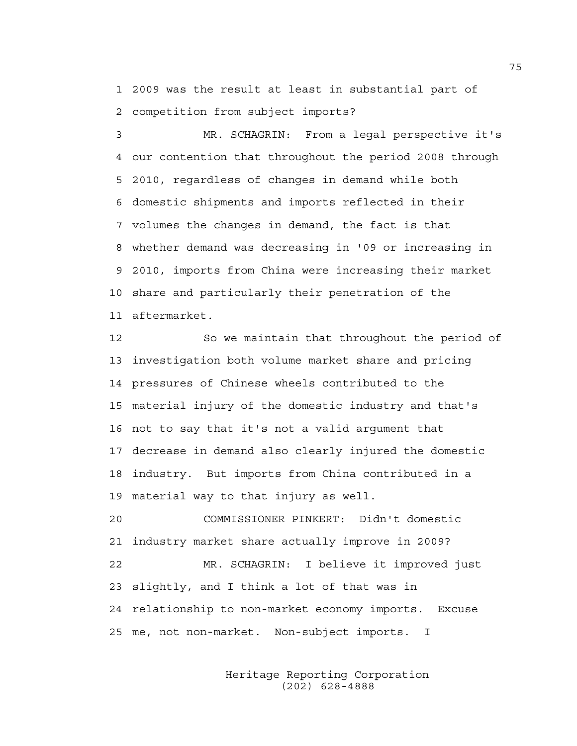1 2009 was the result at least in substantial part of 2 competition from subject imports?

3 MR. SCHAGRIN: From a legal perspective it's 4 our contention that throughout the period 2008 through 5 2010, regardless of changes in demand while both 6 domestic shipments and imports reflected in their 7 volumes the changes in demand, the fact is that 8 whether demand was decreasing in '09 or increasing in 9 2010, imports from China were increasing their market 10 share and particularly their penetration of the 11 aftermarket.

12 So we maintain that throughout the period of 13 investigation both volume market share and pricing 14 pressures of Chinese wheels contributed to the 15 material injury of the domestic industry and that's 16 not to say that it's not a valid argument that 17 decrease in demand also clearly injured the domestic 18 industry. But imports from China contributed in a 19 material way to that injury as well.

20 COMMISSIONER PINKERT: Didn't domestic 21 industry market share actually improve in 2009? 22 MR. SCHAGRIN: I believe it improved just 23 slightly, and I think a lot of that was in 24 relationship to non-market economy imports. Excuse 25 me, not non-market. Non-subject imports. I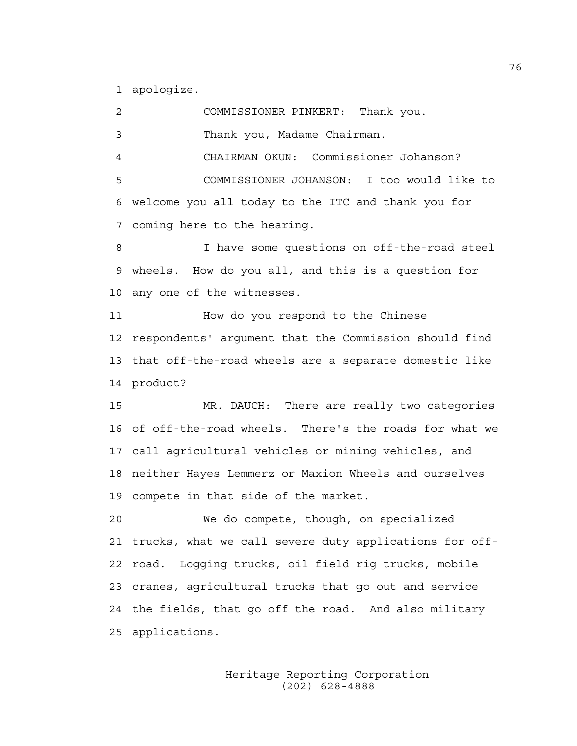1 apologize.

2 COMMISSIONER PINKERT: Thank you. 3 Thank you, Madame Chairman. 4 CHAIRMAN OKUN: Commissioner Johanson? 5 COMMISSIONER JOHANSON: I too would like to 6 welcome you all today to the ITC and thank you for 7 coming here to the hearing. 8 I have some questions on off-the-road steel 9 wheels. How do you all, and this is a question for 10 any one of the witnesses. 11 How do you respond to the Chinese 12 respondents' argument that the Commission should find 13 that off-the-road wheels are a separate domestic like 14 product? 15 MR. DAUCH: There are really two categories 16 of off-the-road wheels. There's the roads for what we 17 call agricultural vehicles or mining vehicles, and 18 neither Hayes Lemmerz or Maxion Wheels and ourselves 19 compete in that side of the market. 20 We do compete, though, on specialized 21 trucks, what we call severe duty applications for off-22 road. Logging trucks, oil field rig trucks, mobile 23 cranes, agricultural trucks that go out and service 24 the fields, that go off the road. And also military 25 applications.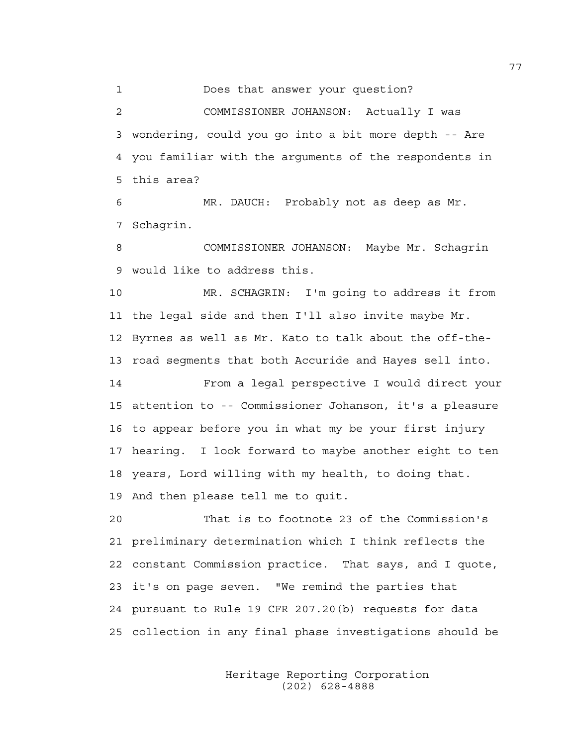1 Does that answer your question?

2 COMMISSIONER JOHANSON: Actually I was 3 wondering, could you go into a bit more depth -- Are 4 you familiar with the arguments of the respondents in 5 this area?

6 MR. DAUCH: Probably not as deep as Mr. 7 Schagrin.

8 COMMISSIONER JOHANSON: Maybe Mr. Schagrin 9 would like to address this.

10 MR. SCHAGRIN: I'm going to address it from 11 the legal side and then I'll also invite maybe Mr. 12 Byrnes as well as Mr. Kato to talk about the off-the-13 road segments that both Accuride and Hayes sell into.

14 From a legal perspective I would direct your 15 attention to -- Commissioner Johanson, it's a pleasure 16 to appear before you in what my be your first injury 17 hearing. I look forward to maybe another eight to ten 18 years, Lord willing with my health, to doing that. 19 And then please tell me to quit.

20 That is to footnote 23 of the Commission's 21 preliminary determination which I think reflects the 22 constant Commission practice. That says, and I quote, 23 it's on page seven. "We remind the parties that 24 pursuant to Rule 19 CFR 207.20(b) requests for data 25 collection in any final phase investigations should be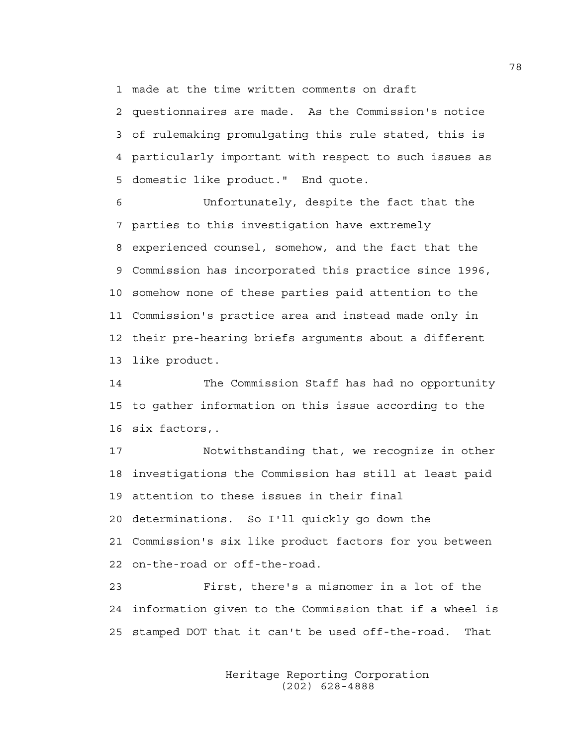1 made at the time written comments on draft

2 questionnaires are made. As the Commission's notice 3 of rulemaking promulgating this rule stated, this is 4 particularly important with respect to such issues as 5 domestic like product." End quote.

6 Unfortunately, despite the fact that the 7 parties to this investigation have extremely 8 experienced counsel, somehow, and the fact that the 9 Commission has incorporated this practice since 1996, 10 somehow none of these parties paid attention to the 11 Commission's practice area and instead made only in 12 their pre-hearing briefs arguments about a different 13 like product.

14 The Commission Staff has had no opportunity 15 to gather information on this issue according to the 16 six factors,.

17 Notwithstanding that, we recognize in other 18 investigations the Commission has still at least paid 19 attention to these issues in their final 20 determinations. So I'll quickly go down the 21 Commission's six like product factors for you between 22 on-the-road or off-the-road.

23 First, there's a misnomer in a lot of the 24 information given to the Commission that if a wheel is 25 stamped DOT that it can't be used off-the-road. That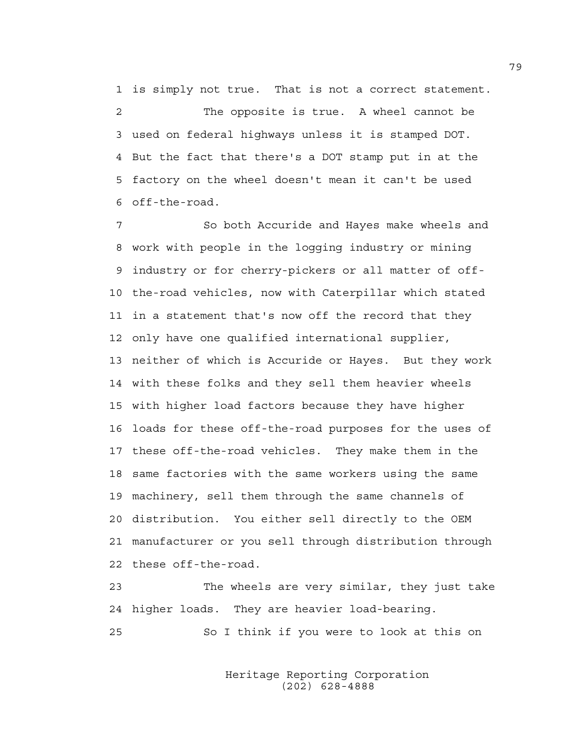1 is simply not true. That is not a correct statement.

2 The opposite is true. A wheel cannot be 3 used on federal highways unless it is stamped DOT. 4 But the fact that there's a DOT stamp put in at the 5 factory on the wheel doesn't mean it can't be used 6 off-the-road.

7 So both Accuride and Hayes make wheels and 8 work with people in the logging industry or mining 9 industry or for cherry-pickers or all matter of off-10 the-road vehicles, now with Caterpillar which stated 11 in a statement that's now off the record that they 12 only have one qualified international supplier, 13 neither of which is Accuride or Hayes. But they work 14 with these folks and they sell them heavier wheels 15 with higher load factors because they have higher 16 loads for these off-the-road purposes for the uses of 17 these off-the-road vehicles. They make them in the 18 same factories with the same workers using the same 19 machinery, sell them through the same channels of 20 distribution. You either sell directly to the OEM 21 manufacturer or you sell through distribution through 22 these off-the-road.

23 The wheels are very similar, they just take 24 higher loads. They are heavier load-bearing. 25 So I think if you were to look at this on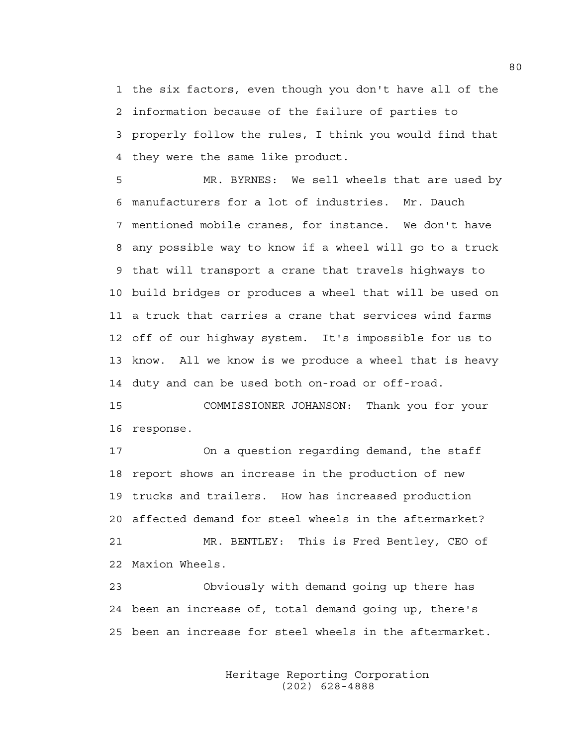1 the six factors, even though you don't have all of the 2 information because of the failure of parties to 3 properly follow the rules, I think you would find that 4 they were the same like product.

5 MR. BYRNES: We sell wheels that are used by 6 manufacturers for a lot of industries. Mr. Dauch 7 mentioned mobile cranes, for instance. We don't have 8 any possible way to know if a wheel will go to a truck 9 that will transport a crane that travels highways to 10 build bridges or produces a wheel that will be used on 11 a truck that carries a crane that services wind farms 12 off of our highway system. It's impossible for us to 13 know. All we know is we produce a wheel that is heavy 14 duty and can be used both on-road or off-road.

15 COMMISSIONER JOHANSON: Thank you for your 16 response.

17 On a question regarding demand, the staff 18 report shows an increase in the production of new 19 trucks and trailers. How has increased production 20 affected demand for steel wheels in the aftermarket? 21 MR. BENTLEY: This is Fred Bentley, CEO of 22 Maxion Wheels.

23 Obviously with demand going up there has 24 been an increase of, total demand going up, there's 25 been an increase for steel wheels in the aftermarket.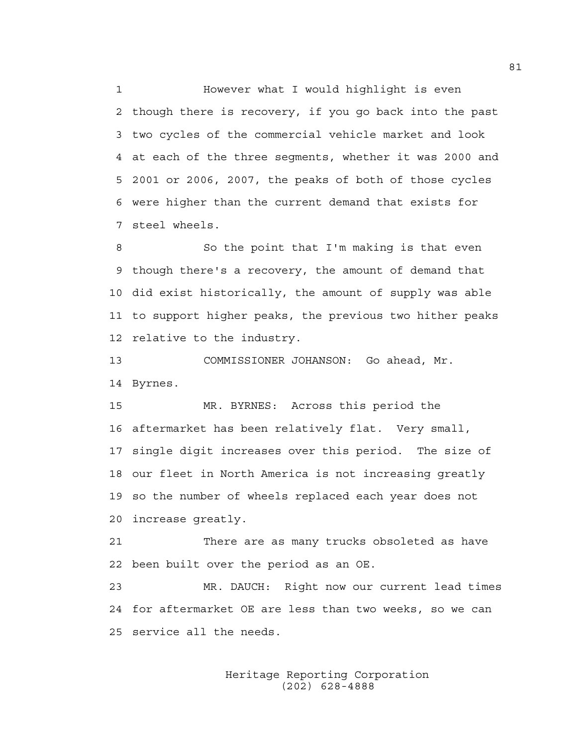1 However what I would highlight is even 2 though there is recovery, if you go back into the past 3 two cycles of the commercial vehicle market and look 4 at each of the three segments, whether it was 2000 and 5 2001 or 2006, 2007, the peaks of both of those cycles 6 were higher than the current demand that exists for 7 steel wheels.

8 So the point that I'm making is that even 9 though there's a recovery, the amount of demand that 10 did exist historically, the amount of supply was able 11 to support higher peaks, the previous two hither peaks 12 relative to the industry.

13 COMMISSIONER JOHANSON: Go ahead, Mr. 14 Byrnes.

15 MR. BYRNES: Across this period the 16 aftermarket has been relatively flat. Very small, 17 single digit increases over this period. The size of 18 our fleet in North America is not increasing greatly 19 so the number of wheels replaced each year does not 20 increase greatly.

21 There are as many trucks obsoleted as have 22 been built over the period as an OE.

23 MR. DAUCH: Right now our current lead times 24 for aftermarket OE are less than two weeks, so we can 25 service all the needs.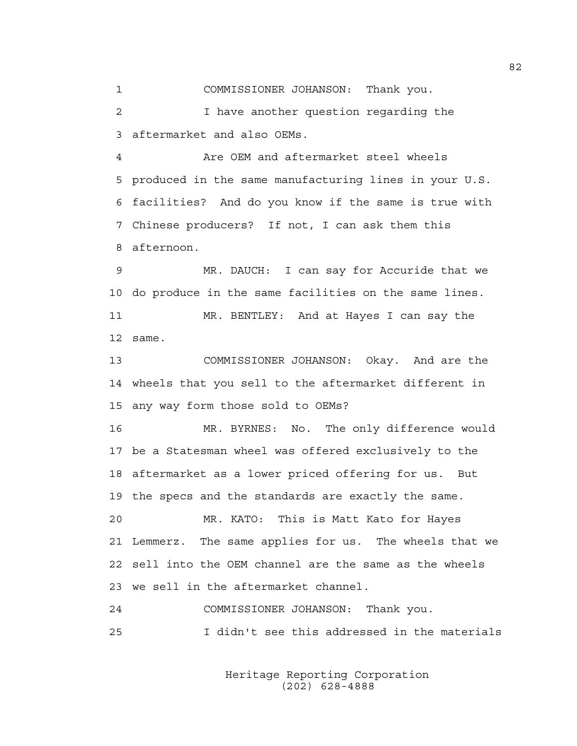1 COMMISSIONER JOHANSON: Thank you.

2 I have another question regarding the 3 aftermarket and also OEMs.

4 Are OEM and aftermarket steel wheels 5 produced in the same manufacturing lines in your U.S. 6 facilities? And do you know if the same is true with 7 Chinese producers? If not, I can ask them this 8 afternoon.

9 MR. DAUCH: I can say for Accuride that we 10 do produce in the same facilities on the same lines. 11 MR. BENTLEY: And at Hayes I can say the 12 same.

13 COMMISSIONER JOHANSON: Okay. And are the 14 wheels that you sell to the aftermarket different in 15 any way form those sold to OEMs?

16 MR. BYRNES: No. The only difference would 17 be a Statesman wheel was offered exclusively to the 18 aftermarket as a lower priced offering for us. But 19 the specs and the standards are exactly the same. 20 MR. KATO: This is Matt Kato for Hayes

21 Lemmerz. The same applies for us. The wheels that we 22 sell into the OEM channel are the same as the wheels 23 we sell in the aftermarket channel.

24 COMMISSIONER JOHANSON: Thank you. 25 I didn't see this addressed in the materials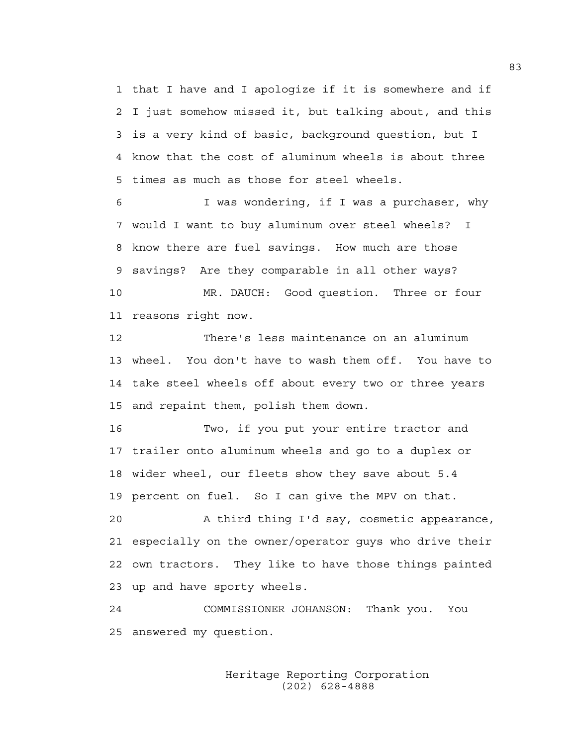1 that I have and I apologize if it is somewhere and if 2 I just somehow missed it, but talking about, and this 3 is a very kind of basic, background question, but I 4 know that the cost of aluminum wheels is about three 5 times as much as those for steel wheels.

6 I was wondering, if I was a purchaser, why 7 would I want to buy aluminum over steel wheels? I 8 know there are fuel savings. How much are those 9 savings? Are they comparable in all other ways? 10 MR. DAUCH: Good question. Three or four 11 reasons right now.

12 There's less maintenance on an aluminum 13 wheel. You don't have to wash them off. You have to 14 take steel wheels off about every two or three years 15 and repaint them, polish them down.

16 Two, if you put your entire tractor and 17 trailer onto aluminum wheels and go to a duplex or 18 wider wheel, our fleets show they save about 5.4 19 percent on fuel. So I can give the MPV on that.

20 A third thing I'd say, cosmetic appearance, 21 especially on the owner/operator guys who drive their 22 own tractors. They like to have those things painted 23 up and have sporty wheels.

24 COMMISSIONER JOHANSON: Thank you. You 25 answered my question.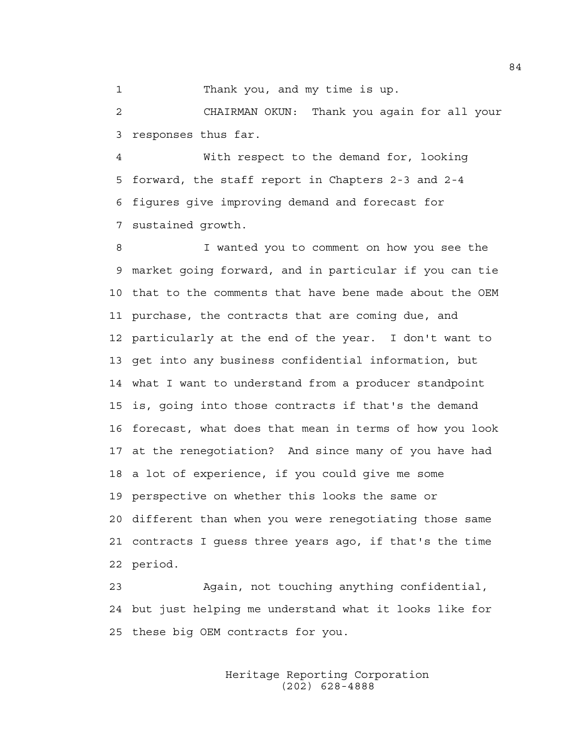1 Thank you, and my time is up.

2 CHAIRMAN OKUN: Thank you again for all your 3 responses thus far.

4 With respect to the demand for, looking 5 forward, the staff report in Chapters 2-3 and 2-4 6 figures give improving demand and forecast for 7 sustained growth.

8 I wanted you to comment on how you see the 9 market going forward, and in particular if you can tie 10 that to the comments that have bene made about the OEM 11 purchase, the contracts that are coming due, and 12 particularly at the end of the year. I don't want to 13 get into any business confidential information, but 14 what I want to understand from a producer standpoint 15 is, going into those contracts if that's the demand 16 forecast, what does that mean in terms of how you look 17 at the renegotiation? And since many of you have had 18 a lot of experience, if you could give me some 19 perspective on whether this looks the same or 20 different than when you were renegotiating those same 21 contracts I guess three years ago, if that's the time 22 period.

23 Again, not touching anything confidential, 24 but just helping me understand what it looks like for 25 these big OEM contracts for you.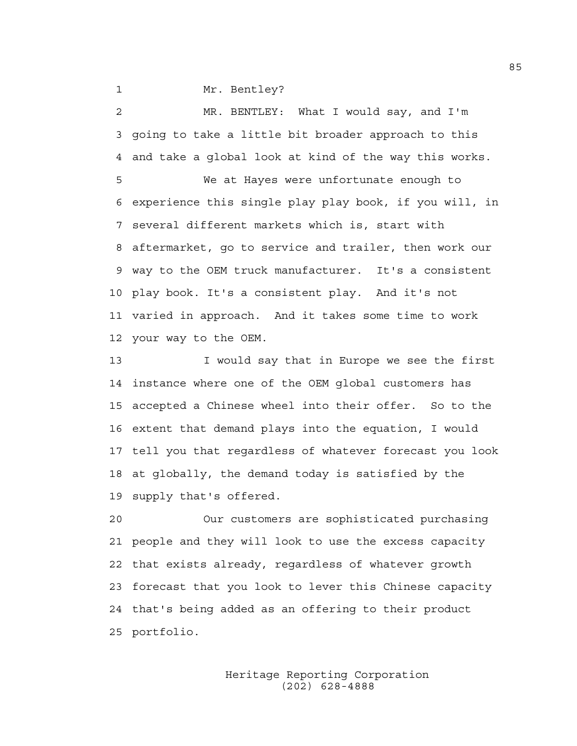1 Mr. Bentley?

2 MR. BENTLEY: What I would say, and I'm 3 going to take a little bit broader approach to this 4 and take a global look at kind of the way this works.

5 We at Hayes were unfortunate enough to 6 experience this single play play book, if you will, in 7 several different markets which is, start with 8 aftermarket, go to service and trailer, then work our 9 way to the OEM truck manufacturer. It's a consistent 10 play book. It's a consistent play. And it's not 11 varied in approach. And it takes some time to work 12 your way to the OEM.

13 I would say that in Europe we see the first 14 instance where one of the OEM global customers has 15 accepted a Chinese wheel into their offer. So to the 16 extent that demand plays into the equation, I would 17 tell you that regardless of whatever forecast you look 18 at globally, the demand today is satisfied by the 19 supply that's offered.

20 Our customers are sophisticated purchasing 21 people and they will look to use the excess capacity 22 that exists already, regardless of whatever growth 23 forecast that you look to lever this Chinese capacity 24 that's being added as an offering to their product 25 portfolio.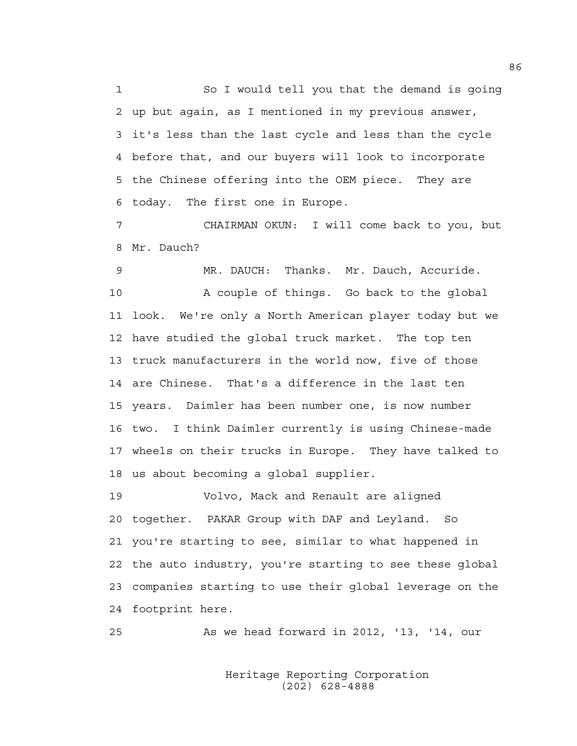1 So I would tell you that the demand is going 2 up but again, as I mentioned in my previous answer, 3 it's less than the last cycle and less than the cycle 4 before that, and our buyers will look to incorporate 5 the Chinese offering into the OEM piece. They are 6 today. The first one in Europe.

7 CHAIRMAN OKUN: I will come back to you, but 8 Mr. Dauch?

9 MR. DAUCH: Thanks. Mr. Dauch, Accuride. 10 A couple of things. Go back to the global 11 look. We're only a North American player today but we 12 have studied the global truck market. The top ten 13 truck manufacturers in the world now, five of those 14 are Chinese. That's a difference in the last ten 15 years. Daimler has been number one, is now number 16 two. I think Daimler currently is using Chinese-made 17 wheels on their trucks in Europe. They have talked to 18 us about becoming a global supplier.

19 Volvo, Mack and Renault are aligned 20 together. PAKAR Group with DAF and Leyland. So 21 you're starting to see, similar to what happened in 22 the auto industry, you're starting to see these global 23 companies starting to use their global leverage on the 24 footprint here.

25 As we head forward in 2012, '13, '14, our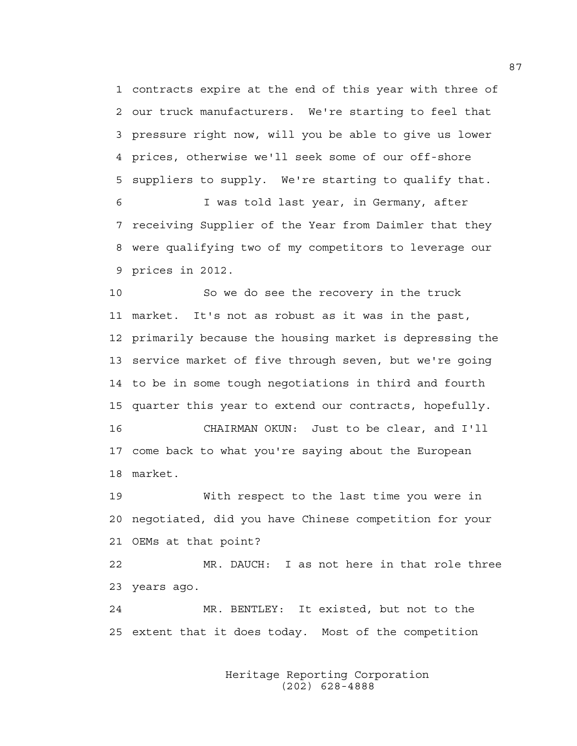1 contracts expire at the end of this year with three of 2 our truck manufacturers. We're starting to feel that 3 pressure right now, will you be able to give us lower 4 prices, otherwise we'll seek some of our off-shore 5 suppliers to supply. We're starting to qualify that. 6 I was told last year, in Germany, after 7 receiving Supplier of the Year from Daimler that they

8 were qualifying two of my competitors to leverage our 9 prices in 2012.

10 So we do see the recovery in the truck 11 market. It's not as robust as it was in the past, 12 primarily because the housing market is depressing the 13 service market of five through seven, but we're going 14 to be in some tough negotiations in third and fourth 15 quarter this year to extend our contracts, hopefully.

16 CHAIRMAN OKUN: Just to be clear, and I'll 17 come back to what you're saying about the European 18 market.

19 With respect to the last time you were in 20 negotiated, did you have Chinese competition for your 21 OEMs at that point?

22 MR. DAUCH: I as not here in that role three 23 years ago.

24 MR. BENTLEY: It existed, but not to the 25 extent that it does today. Most of the competition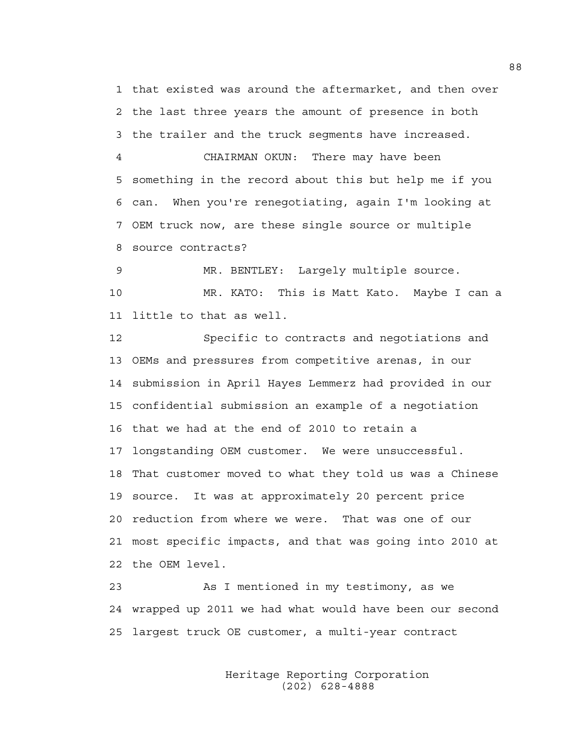1 that existed was around the aftermarket, and then over 2 the last three years the amount of presence in both 3 the trailer and the truck segments have increased.

4 CHAIRMAN OKUN: There may have been 5 something in the record about this but help me if you 6 can. When you're renegotiating, again I'm looking at 7 OEM truck now, are these single source or multiple 8 source contracts?

9 MR. BENTLEY: Largely multiple source. 10 MR. KATO: This is Matt Kato. Maybe I can a 11 little to that as well.

12 Specific to contracts and negotiations and 13 OEMs and pressures from competitive arenas, in our 14 submission in April Hayes Lemmerz had provided in our 15 confidential submission an example of a negotiation 16 that we had at the end of 2010 to retain a 17 longstanding OEM customer. We were unsuccessful. 18 That customer moved to what they told us was a Chinese 19 source. It was at approximately 20 percent price 20 reduction from where we were. That was one of our 21 most specific impacts, and that was going into 2010 at 22 the OEM level.

23 As I mentioned in my testimony, as we 24 wrapped up 2011 we had what would have been our second 25 largest truck OE customer, a multi-year contract

> Heritage Reporting Corporation (202) 628-4888

88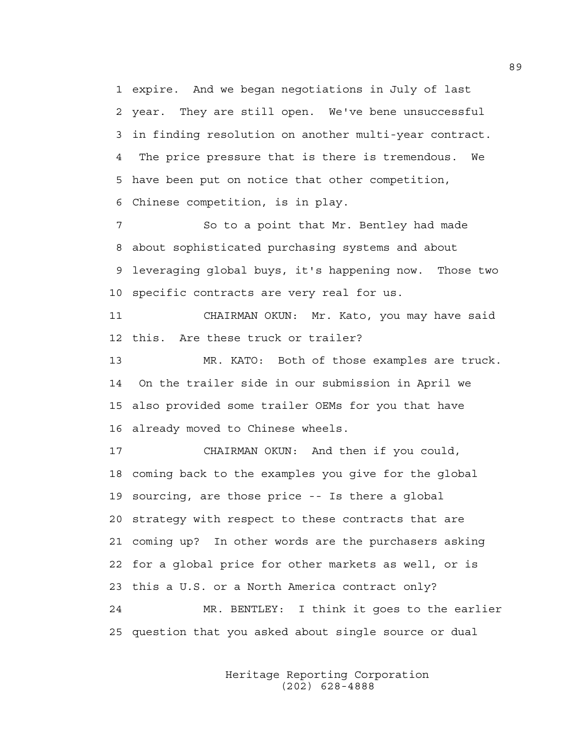1 expire. And we began negotiations in July of last 2 year. They are still open. We've bene unsuccessful 3 in finding resolution on another multi-year contract. 4 The price pressure that is there is tremendous. We 5 have been put on notice that other competition, 6 Chinese competition, is in play.

7 So to a point that Mr. Bentley had made 8 about sophisticated purchasing systems and about 9 leveraging global buys, it's happening now. Those two 10 specific contracts are very real for us.

11 CHAIRMAN OKUN: Mr. Kato, you may have said 12 this. Are these truck or trailer?

13 MR. KATO: Both of those examples are truck. 14 On the trailer side in our submission in April we 15 also provided some trailer OEMs for you that have 16 already moved to Chinese wheels.

17 CHAIRMAN OKUN: And then if you could, 18 coming back to the examples you give for the global 19 sourcing, are those price -- Is there a global 20 strategy with respect to these contracts that are 21 coming up? In other words are the purchasers asking 22 for a global price for other markets as well, or is 23 this a U.S. or a North America contract only? 24 MR. BENTLEY: I think it goes to the earlier 25 question that you asked about single source or dual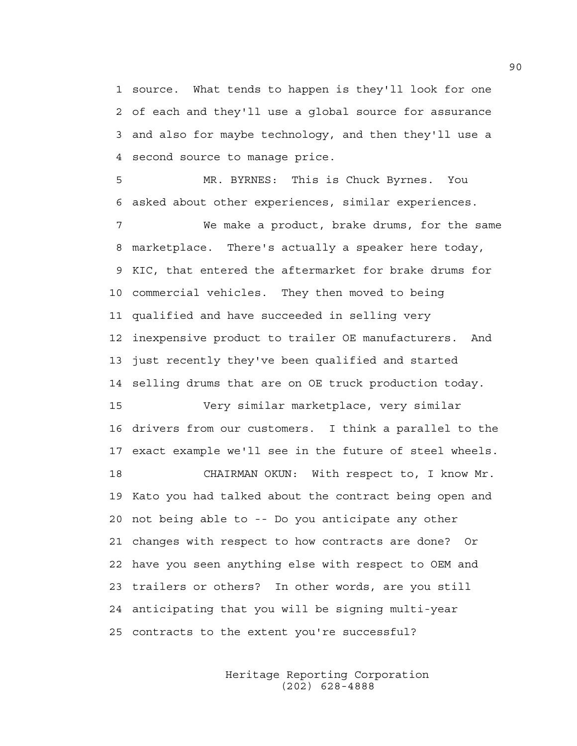1 source. What tends to happen is they'll look for one 2 of each and they'll use a global source for assurance 3 and also for maybe technology, and then they'll use a 4 second source to manage price.

5 MR. BYRNES: This is Chuck Byrnes. You 6 asked about other experiences, similar experiences.

7 We make a product, brake drums, for the same 8 marketplace. There's actually a speaker here today, 9 KIC, that entered the aftermarket for brake drums for 10 commercial vehicles. They then moved to being 11 qualified and have succeeded in selling very 12 inexpensive product to trailer OE manufacturers. And 13 just recently they've been qualified and started 14 selling drums that are on OE truck production today.

15 Very similar marketplace, very similar 16 drivers from our customers. I think a parallel to the 17 exact example we'll see in the future of steel wheels.

18 CHAIRMAN OKUN: With respect to, I know Mr. 19 Kato you had talked about the contract being open and 20 not being able to -- Do you anticipate any other 21 changes with respect to how contracts are done? Or 22 have you seen anything else with respect to OEM and 23 trailers or others? In other words, are you still 24 anticipating that you will be signing multi-year 25 contracts to the extent you're successful?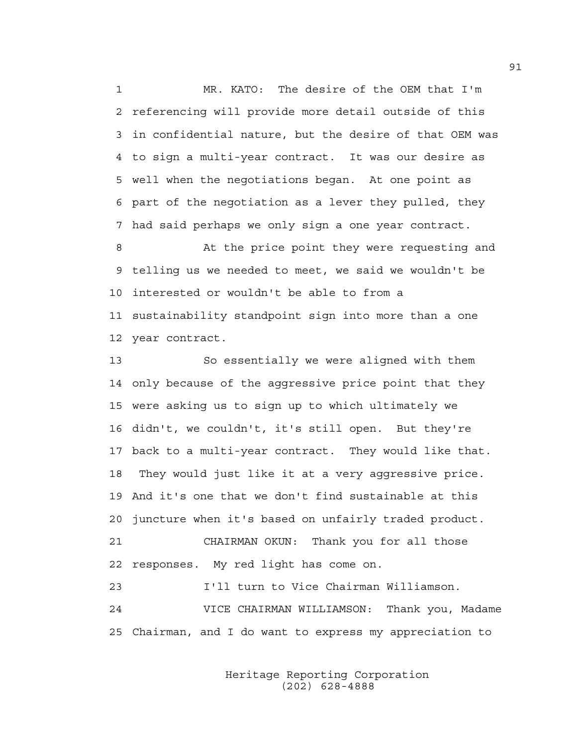1 MR. KATO: The desire of the OEM that I'm 2 referencing will provide more detail outside of this 3 in confidential nature, but the desire of that OEM was 4 to sign a multi-year contract. It was our desire as 5 well when the negotiations began. At one point as 6 part of the negotiation as a lever they pulled, they 7 had said perhaps we only sign a one year contract.

8 At the price point they were requesting and 9 telling us we needed to meet, we said we wouldn't be 10 interested or wouldn't be able to from a 11 sustainability standpoint sign into more than a one 12 year contract.

13 So essentially we were aligned with them 14 only because of the aggressive price point that they 15 were asking us to sign up to which ultimately we 16 didn't, we couldn't, it's still open. But they're 17 back to a multi-year contract. They would like that. 18 They would just like it at a very aggressive price. 19 And it's one that we don't find sustainable at this 20 juncture when it's based on unfairly traded product. 21 CHAIRMAN OKUN: Thank you for all those 22 responses. My red light has come on. 23 I'll turn to Vice Chairman Williamson.

24 VICE CHAIRMAN WILLIAMSON: Thank you, Madame 25 Chairman, and I do want to express my appreciation to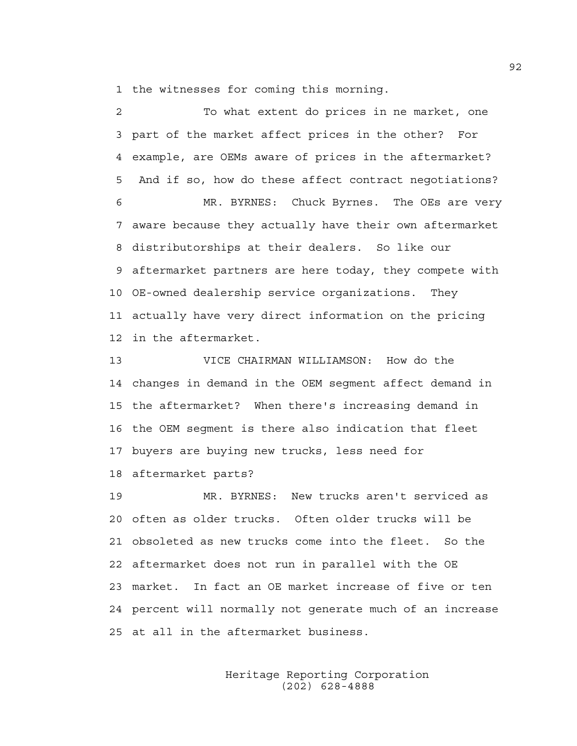1 the witnesses for coming this morning.

2 To what extent do prices in ne market, one 3 part of the market affect prices in the other? For 4 example, are OEMs aware of prices in the aftermarket? 5 And if so, how do these affect contract negotiations? 6 MR. BYRNES: Chuck Byrnes. The OEs are very 7 aware because they actually have their own aftermarket 8 distributorships at their dealers. So like our 9 aftermarket partners are here today, they compete with 10 OE-owned dealership service organizations. They 11 actually have very direct information on the pricing 12 in the aftermarket. 13 VICE CHAIRMAN WILLIAMSON: How do the

14 changes in demand in the OEM segment affect demand in 15 the aftermarket? When there's increasing demand in 16 the OEM segment is there also indication that fleet 17 buyers are buying new trucks, less need for 18 aftermarket parts?

19 MR. BYRNES: New trucks aren't serviced as 20 often as older trucks. Often older trucks will be 21 obsoleted as new trucks come into the fleet. So the 22 aftermarket does not run in parallel with the OE 23 market. In fact an OE market increase of five or ten 24 percent will normally not generate much of an increase 25 at all in the aftermarket business.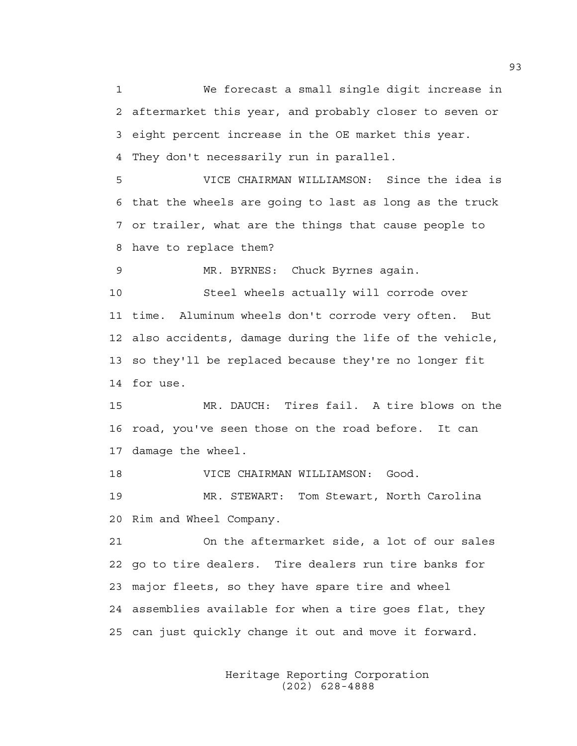1 We forecast a small single digit increase in 2 aftermarket this year, and probably closer to seven or 3 eight percent increase in the OE market this year. 4 They don't necessarily run in parallel.

5 VICE CHAIRMAN WILLIAMSON: Since the idea is 6 that the wheels are going to last as long as the truck 7 or trailer, what are the things that cause people to 8 have to replace them?

9 MR. BYRNES: Chuck Byrnes again.

10 Steel wheels actually will corrode over 11 time. Aluminum wheels don't corrode very often. But 12 also accidents, damage during the life of the vehicle, 13 so they'll be replaced because they're no longer fit 14 for use.

15 MR. DAUCH: Tires fail. A tire blows on the 16 road, you've seen those on the road before. It can 17 damage the wheel.

18 VICE CHAIRMAN WILLIAMSON: Good.

19 MR. STEWART: Tom Stewart, North Carolina 20 Rim and Wheel Company.

21 On the aftermarket side, a lot of our sales 22 go to tire dealers. Tire dealers run tire banks for 23 major fleets, so they have spare tire and wheel 24 assemblies available for when a tire goes flat, they 25 can just quickly change it out and move it forward.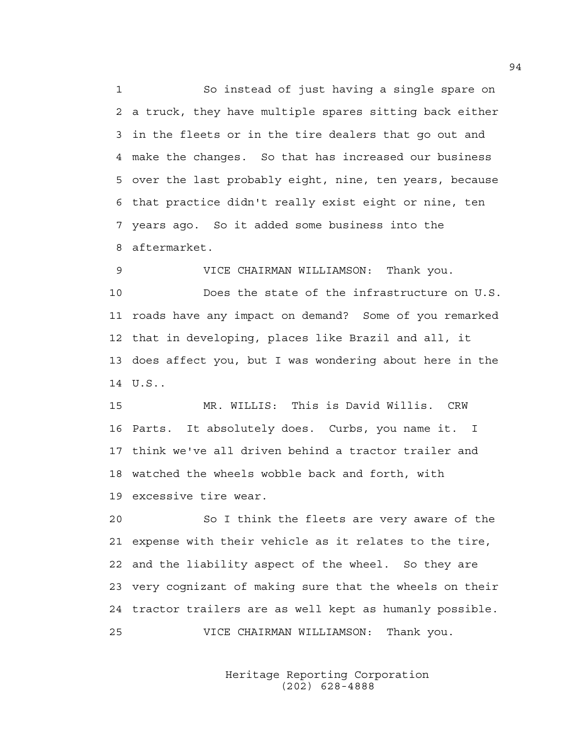1 So instead of just having a single spare on 2 a truck, they have multiple spares sitting back either 3 in the fleets or in the tire dealers that go out and 4 make the changes. So that has increased our business 5 over the last probably eight, nine, ten years, because 6 that practice didn't really exist eight or nine, ten 7 years ago. So it added some business into the 8 aftermarket.

9 VICE CHAIRMAN WILLIAMSON: Thank you. 10 Does the state of the infrastructure on U.S. 11 roads have any impact on demand? Some of you remarked 12 that in developing, places like Brazil and all, it 13 does affect you, but I was wondering about here in the 14 U.S..

15 MR. WILLIS: This is David Willis. CRW 16 Parts. It absolutely does. Curbs, you name it. I 17 think we've all driven behind a tractor trailer and 18 watched the wheels wobble back and forth, with 19 excessive tire wear.

20 So I think the fleets are very aware of the 21 expense with their vehicle as it relates to the tire, 22 and the liability aspect of the wheel. So they are 23 very cognizant of making sure that the wheels on their 24 tractor trailers are as well kept as humanly possible. 25 VICE CHAIRMAN WILLIAMSON: Thank you.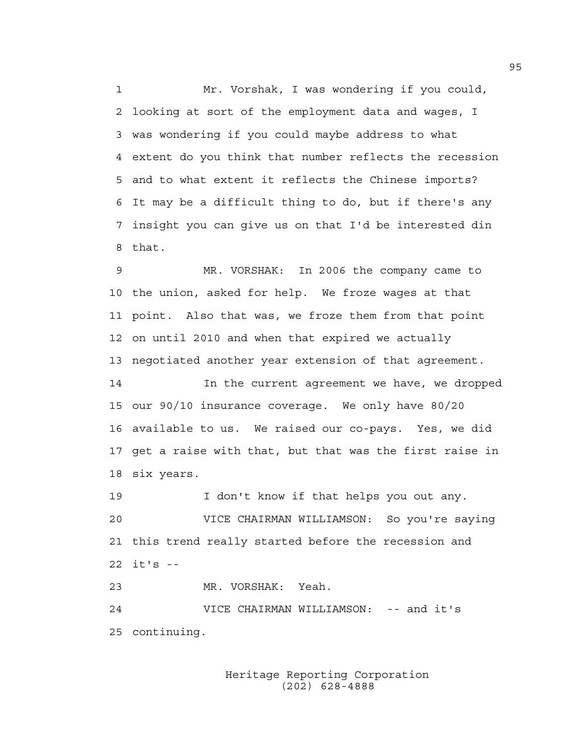1 Mr. Vorshak, I was wondering if you could, 2 looking at sort of the employment data and wages, I 3 was wondering if you could maybe address to what 4 extent do you think that number reflects the recession 5 and to what extent it reflects the Chinese imports? 6 It may be a difficult thing to do, but if there's any 7 insight you can give us on that I'd be interested din 8 that.

9 MR. VORSHAK: In 2006 the company came to 10 the union, asked for help. We froze wages at that 11 point. Also that was, we froze them from that point 12 on until 2010 and when that expired we actually 13 negotiated another year extension of that agreement.

14 In the current agreement we have, we dropped 15 our 90/10 insurance coverage. We only have 80/20 16 available to us. We raised our co-pays. Yes, we did 17 get a raise with that, but that was the first raise in 18 six years.

19 I don't know if that helps you out any. 20 VICE CHAIRMAN WILLIAMSON: So you're saying 21 this trend really started before the recession and 22 it's --

23 MR. VORSHAK: Yeah.

24 VICE CHAIRMAN WILLIAMSON: -- and it's 25 continuing.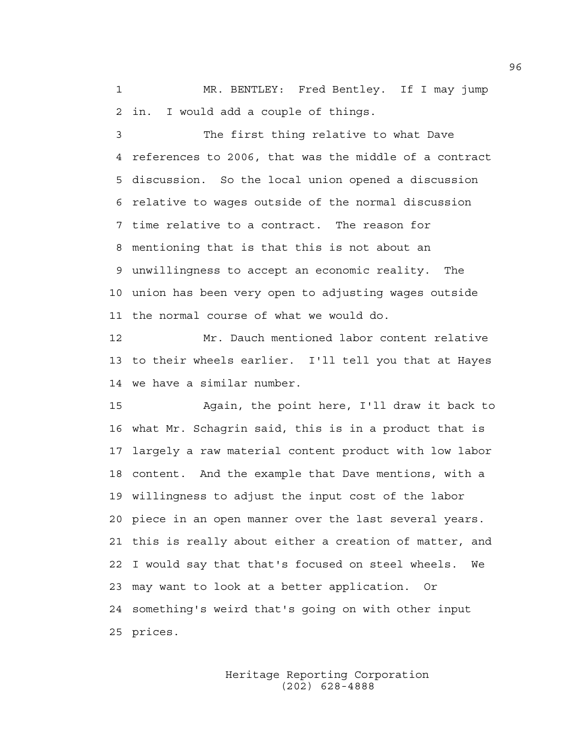1 MR. BENTLEY: Fred Bentley. If I may jump 2 in. I would add a couple of things.

3 The first thing relative to what Dave 4 references to 2006, that was the middle of a contract 5 discussion. So the local union opened a discussion 6 relative to wages outside of the normal discussion 7 time relative to a contract. The reason for 8 mentioning that is that this is not about an 9 unwillingness to accept an economic reality. The 10 union has been very open to adjusting wages outside 11 the normal course of what we would do.

12 Mr. Dauch mentioned labor content relative 13 to their wheels earlier. I'll tell you that at Hayes 14 we have a similar number.

15 Again, the point here, I'll draw it back to 16 what Mr. Schagrin said, this is in a product that is 17 largely a raw material content product with low labor 18 content. And the example that Dave mentions, with a 19 willingness to adjust the input cost of the labor 20 piece in an open manner over the last several years. 21 this is really about either a creation of matter, and 22 I would say that that's focused on steel wheels. We 23 may want to look at a better application. Or 24 something's weird that's going on with other input 25 prices.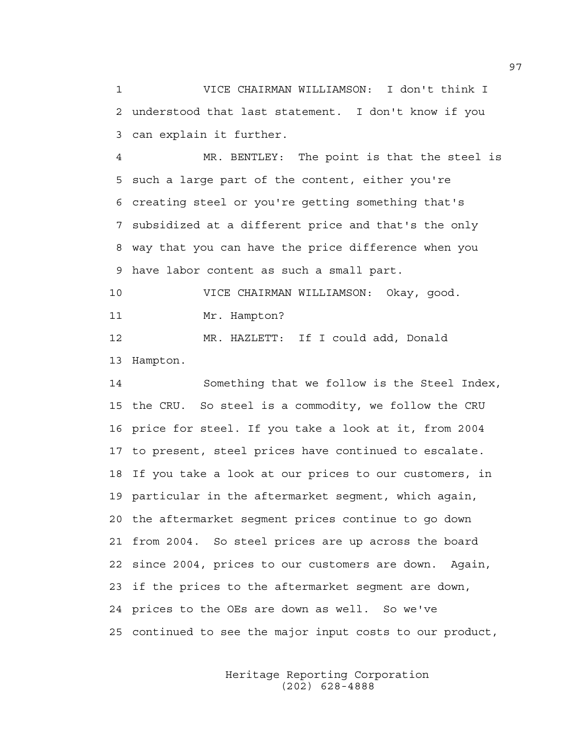1 VICE CHAIRMAN WILLIAMSON: I don't think I 2 understood that last statement. I don't know if you 3 can explain it further.

4 MR. BENTLEY: The point is that the steel is 5 such a large part of the content, either you're 6 creating steel or you're getting something that's 7 subsidized at a different price and that's the only 8 way that you can have the price difference when you 9 have labor content as such a small part.

10 VICE CHAIRMAN WILLIAMSON: Okay, good. 11 Mr. Hampton?

12 MR. HAZLETT: If I could add, Donald

13 Hampton.

14 Something that we follow is the Steel Index, 15 the CRU. So steel is a commodity, we follow the CRU 16 price for steel. If you take a look at it, from 2004 17 to present, steel prices have continued to escalate. 18 If you take a look at our prices to our customers, in 19 particular in the aftermarket segment, which again, 20 the aftermarket segment prices continue to go down 21 from 2004. So steel prices are up across the board 22 since 2004, prices to our customers are down. Again, 23 if the prices to the aftermarket segment are down, 24 prices to the OEs are down as well. So we've 25 continued to see the major input costs to our product,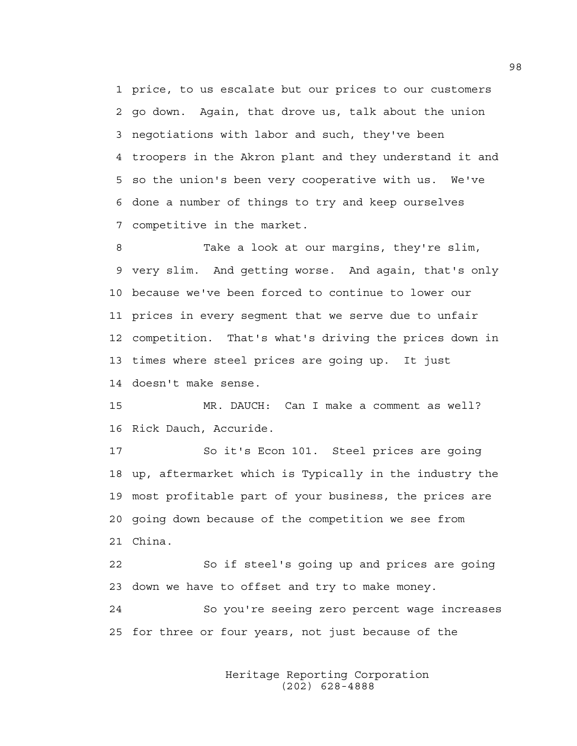1 price, to us escalate but our prices to our customers 2 go down. Again, that drove us, talk about the union 3 negotiations with labor and such, they've been 4 troopers in the Akron plant and they understand it and 5 so the union's been very cooperative with us. We've 6 done a number of things to try and keep ourselves 7 competitive in the market.

8 Take a look at our margins, they're slim, 9 very slim. And getting worse. And again, that's only 10 because we've been forced to continue to lower our 11 prices in every segment that we serve due to unfair 12 competition. That's what's driving the prices down in 13 times where steel prices are going up. It just 14 doesn't make sense.

15 MR. DAUCH: Can I make a comment as well? 16 Rick Dauch, Accuride.

17 So it's Econ 101. Steel prices are going 18 up, aftermarket which is Typically in the industry the 19 most profitable part of your business, the prices are 20 going down because of the competition we see from 21 China.

22 So if steel's going up and prices are going 23 down we have to offset and try to make money.

24 So you're seeing zero percent wage increases 25 for three or four years, not just because of the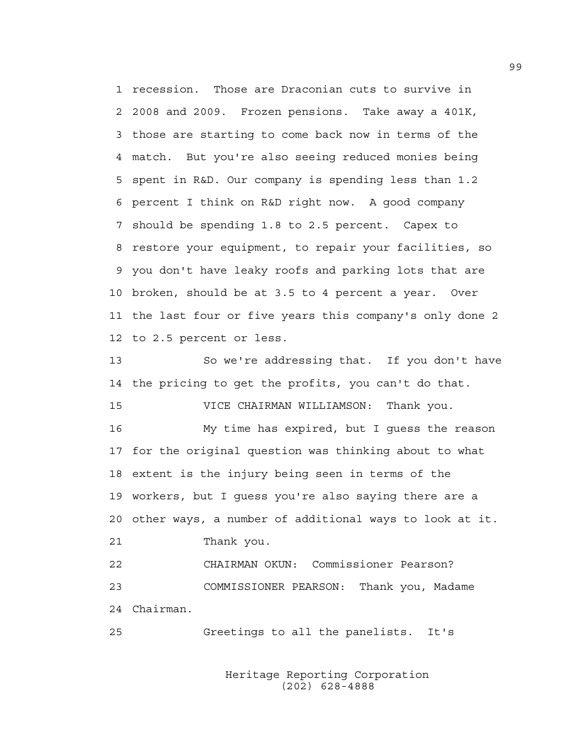1 recession. Those are Draconian cuts to survive in 2 2008 and 2009. Frozen pensions. Take away a 401K, 3 those are starting to come back now in terms of the 4 match. But you're also seeing reduced monies being 5 spent in R&D. Our company is spending less than 1.2 6 percent I think on R&D right now. A good company 7 should be spending 1.8 to 2.5 percent. Capex to 8 restore your equipment, to repair your facilities, so 9 you don't have leaky roofs and parking lots that are 10 broken, should be at 3.5 to 4 percent a year. Over 11 the last four or five years this company's only done 2 12 to 2.5 percent or less.

13 So we're addressing that. If you don't have 14 the pricing to get the profits, you can't do that.

15 VICE CHAIRMAN WILLIAMSON: Thank you. 16 My time has expired, but I guess the reason 17 for the original question was thinking about to what 18 extent is the injury being seen in terms of the 19 workers, but I guess you're also saying there are a

20 other ways, a number of additional ways to look at it. 21 Thank you.

22 CHAIRMAN OKUN: Commissioner Pearson? 23 COMMISSIONER PEARSON: Thank you, Madame 24 Chairman.

25 Greetings to all the panelists. It's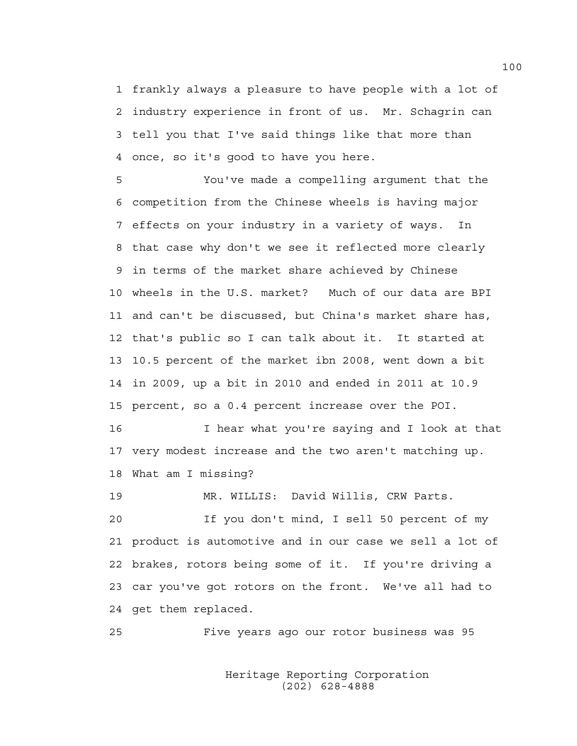1 frankly always a pleasure to have people with a lot of 2 industry experience in front of us. Mr. Schagrin can 3 tell you that I've said things like that more than 4 once, so it's good to have you here.

5 You've made a compelling argument that the 6 competition from the Chinese wheels is having major 7 effects on your industry in a variety of ways. In 8 that case why don't we see it reflected more clearly 9 in terms of the market share achieved by Chinese 10 wheels in the U.S. market? Much of our data are BPI 11 and can't be discussed, but China's market share has, 12 that's public so I can talk about it. It started at 13 10.5 percent of the market ibn 2008, went down a bit 14 in 2009, up a bit in 2010 and ended in 2011 at 10.9 15 percent, so a 0.4 percent increase over the POI.

16 I hear what you're saying and I look at that 17 very modest increase and the two aren't matching up. 18 What am I missing?

19 MR. WILLIS: David Willis, CRW Parts.

20 If you don't mind, I sell 50 percent of my 21 product is automotive and in our case we sell a lot of 22 brakes, rotors being some of it. If you're driving a 23 car you've got rotors on the front. We've all had to 24 get them replaced.

25 Five years ago our rotor business was 95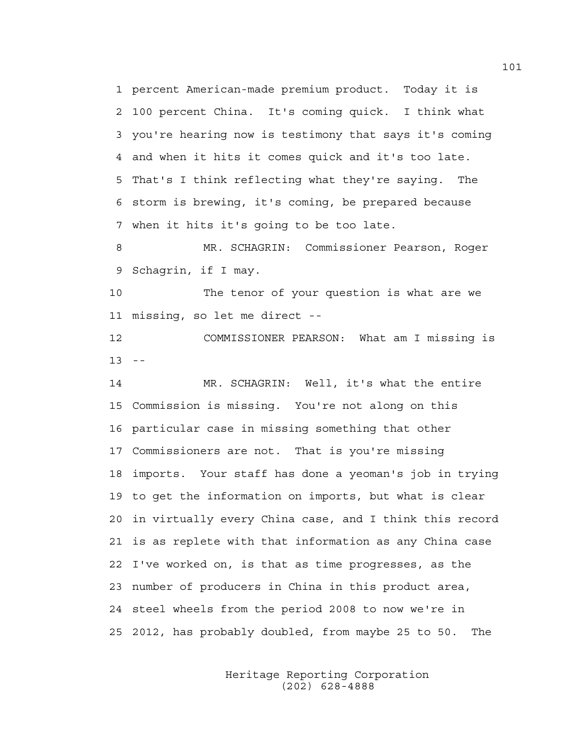1 percent American-made premium product. Today it is 2 100 percent China. It's coming quick. I think what 3 you're hearing now is testimony that says it's coming 4 and when it hits it comes quick and it's too late. 5 That's I think reflecting what they're saying. The 6 storm is brewing, it's coming, be prepared because 7 when it hits it's going to be too late.

8 MR. SCHAGRIN: Commissioner Pearson, Roger 9 Schagrin, if I may.

10 The tenor of your question is what are we 11 missing, so let me direct --

12 COMMISSIONER PEARSON: What am I missing is  $13 - -$ 

14 MR. SCHAGRIN: Well, it's what the entire 15 Commission is missing. You're not along on this 16 particular case in missing something that other 17 Commissioners are not. That is you're missing 18 imports. Your staff has done a yeoman's job in trying 19 to get the information on imports, but what is clear 20 in virtually every China case, and I think this record 21 is as replete with that information as any China case 22 I've worked on, is that as time progresses, as the 23 number of producers in China in this product area, 24 steel wheels from the period 2008 to now we're in 25 2012, has probably doubled, from maybe 25 to 50. The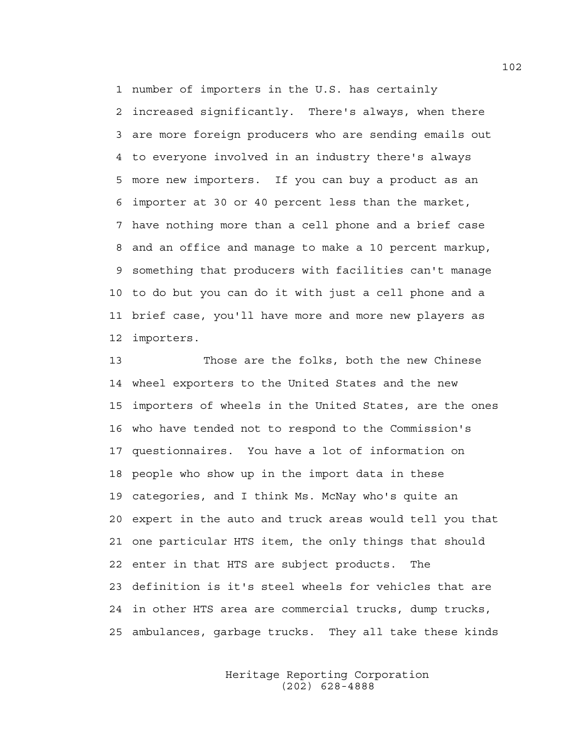1 number of importers in the U.S. has certainly

2 increased significantly. There's always, when there 3 are more foreign producers who are sending emails out 4 to everyone involved in an industry there's always 5 more new importers. If you can buy a product as an 6 importer at 30 or 40 percent less than the market, 7 have nothing more than a cell phone and a brief case 8 and an office and manage to make a 10 percent markup, 9 something that producers with facilities can't manage 10 to do but you can do it with just a cell phone and a 11 brief case, you'll have more and more new players as 12 importers.

13 Those are the folks, both the new Chinese 14 wheel exporters to the United States and the new 15 importers of wheels in the United States, are the ones 16 who have tended not to respond to the Commission's 17 questionnaires. You have a lot of information on 18 people who show up in the import data in these 19 categories, and I think Ms. McNay who's quite an 20 expert in the auto and truck areas would tell you that 21 one particular HTS item, the only things that should 22 enter in that HTS are subject products. The 23 definition is it's steel wheels for vehicles that are 24 in other HTS area are commercial trucks, dump trucks, 25 ambulances, garbage trucks. They all take these kinds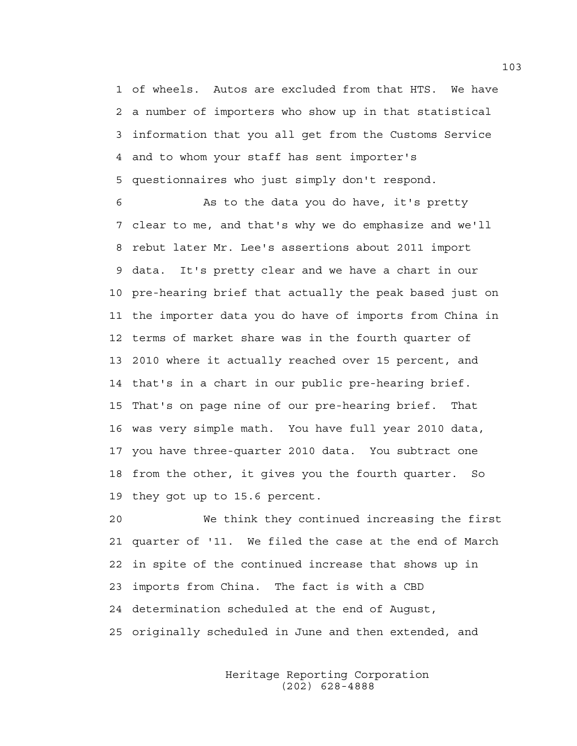1 of wheels. Autos are excluded from that HTS. We have 2 a number of importers who show up in that statistical 3 information that you all get from the Customs Service 4 and to whom your staff has sent importer's 5 questionnaires who just simply don't respond.

6 As to the data you do have, it's pretty 7 clear to me, and that's why we do emphasize and we'll 8 rebut later Mr. Lee's assertions about 2011 import 9 data. It's pretty clear and we have a chart in our 10 pre-hearing brief that actually the peak based just on 11 the importer data you do have of imports from China in 12 terms of market share was in the fourth quarter of 13 2010 where it actually reached over 15 percent, and 14 that's in a chart in our public pre-hearing brief. 15 That's on page nine of our pre-hearing brief. That 16 was very simple math. You have full year 2010 data, 17 you have three-quarter 2010 data. You subtract one 18 from the other, it gives you the fourth quarter. So 19 they got up to 15.6 percent.

20 We think they continued increasing the first 21 quarter of '11. We filed the case at the end of March 22 in spite of the continued increase that shows up in 23 imports from China. The fact is with a CBD 24 determination scheduled at the end of August, 25 originally scheduled in June and then extended, and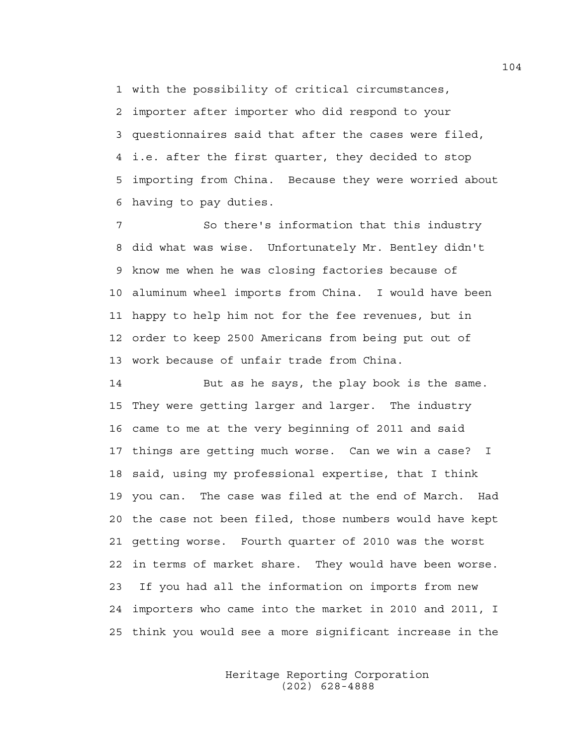1 with the possibility of critical circumstances,

2 importer after importer who did respond to your 3 questionnaires said that after the cases were filed, 4 i.e. after the first quarter, they decided to stop 5 importing from China. Because they were worried about 6 having to pay duties.

7 So there's information that this industry 8 did what was wise. Unfortunately Mr. Bentley didn't 9 know me when he was closing factories because of 10 aluminum wheel imports from China. I would have been 11 happy to help him not for the fee revenues, but in 12 order to keep 2500 Americans from being put out of 13 work because of unfair trade from China.

14 But as he says, the play book is the same. 15 They were getting larger and larger. The industry 16 came to me at the very beginning of 2011 and said 17 things are getting much worse. Can we win a case? I 18 said, using my professional expertise, that I think 19 you can. The case was filed at the end of March. Had 20 the case not been filed, those numbers would have kept 21 getting worse. Fourth quarter of 2010 was the worst 22 in terms of market share. They would have been worse. 23 If you had all the information on imports from new 24 importers who came into the market in 2010 and 2011, I 25 think you would see a more significant increase in the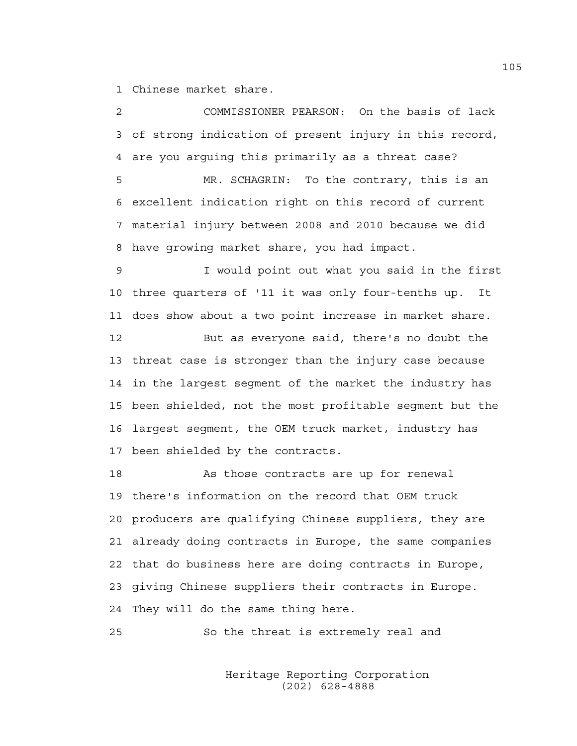1 Chinese market share.

2 COMMISSIONER PEARSON: On the basis of lack 3 of strong indication of present injury in this record, 4 are you arguing this primarily as a threat case?

5 MR. SCHAGRIN: To the contrary, this is an 6 excellent indication right on this record of current 7 material injury between 2008 and 2010 because we did 8 have growing market share, you had impact.

9 I would point out what you said in the first 10 three quarters of '11 it was only four-tenths up. It 11 does show about a two point increase in market share.

12 But as everyone said, there's no doubt the 13 threat case is stronger than the injury case because 14 in the largest segment of the market the industry has 15 been shielded, not the most profitable segment but the 16 largest segment, the OEM truck market, industry has 17 been shielded by the contracts.

18 As those contracts are up for renewal 19 there's information on the record that OEM truck 20 producers are qualifying Chinese suppliers, they are 21 already doing contracts in Europe, the same companies 22 that do business here are doing contracts in Europe, 23 giving Chinese suppliers their contracts in Europe. 24 They will do the same thing here.

25 So the threat is extremely real and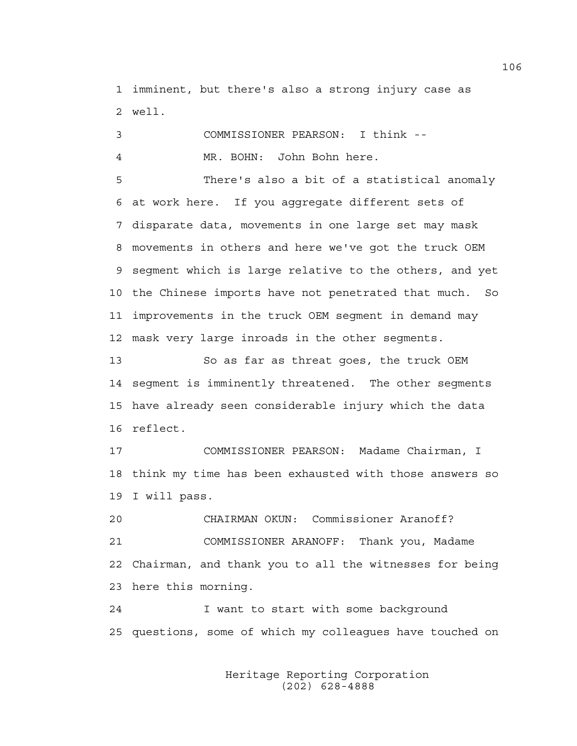1 imminent, but there's also a strong injury case as 2 well.

3 COMMISSIONER PEARSON: I think -- 4 MR. BOHN: John Bohn here.

5 There's also a bit of a statistical anomaly 6 at work here. If you aggregate different sets of 7 disparate data, movements in one large set may mask 8 movements in others and here we've got the truck OEM 9 segment which is large relative to the others, and yet 10 the Chinese imports have not penetrated that much. So 11 improvements in the truck OEM segment in demand may 12 mask very large inroads in the other segments.

13 So as far as threat goes, the truck OEM 14 segment is imminently threatened. The other segments 15 have already seen considerable injury which the data 16 reflect.

17 COMMISSIONER PEARSON: Madame Chairman, I 18 think my time has been exhausted with those answers so 19 I will pass.

20 CHAIRMAN OKUN: Commissioner Aranoff? 21 COMMISSIONER ARANOFF: Thank you, Madame 22 Chairman, and thank you to all the witnesses for being 23 here this morning.

24 I want to start with some background 25 questions, some of which my colleagues have touched on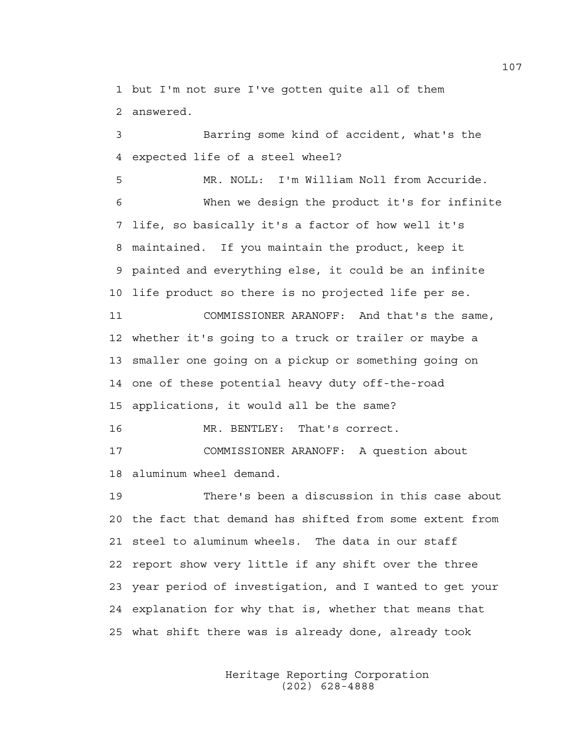1 but I'm not sure I've gotten quite all of them 2 answered.

3 Barring some kind of accident, what's the 4 expected life of a steel wheel?

5 MR. NOLL: I'm William Noll from Accuride. 6 When we design the product it's for infinite 7 life, so basically it's a factor of how well it's 8 maintained. If you maintain the product, keep it 9 painted and everything else, it could be an infinite 10 life product so there is no projected life per se. 11 COMMISSIONER ARANOFF: And that's the same, 12 whether it's going to a truck or trailer or maybe a 13 smaller one going on a pickup or something going on 14 one of these potential heavy duty off-the-road

15 applications, it would all be the same?

16 MR. BENTLEY: That's correct.

17 COMMISSIONER ARANOFF: A question about 18 aluminum wheel demand.

19 There's been a discussion in this case about 20 the fact that demand has shifted from some extent from 21 steel to aluminum wheels. The data in our staff 22 report show very little if any shift over the three 23 year period of investigation, and I wanted to get your 24 explanation for why that is, whether that means that 25 what shift there was is already done, already took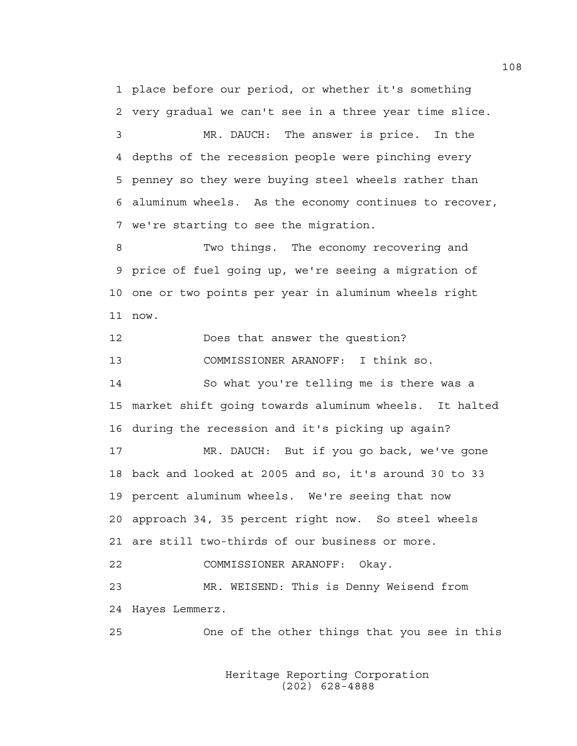1 place before our period, or whether it's something 2 very gradual we can't see in a three year time slice.

3 MR. DAUCH: The answer is price. In the 4 depths of the recession people were pinching every 5 penney so they were buying steel wheels rather than 6 aluminum wheels. As the economy continues to recover, 7 we're starting to see the migration.

8 Two things. The economy recovering and 9 price of fuel going up, we're seeing a migration of 10 one or two points per year in aluminum wheels right 11 now.

12 Does that answer the question?

13 COMMISSIONER ARANOFF: I think so.

14 So what you're telling me is there was a 15 market shift going towards aluminum wheels. It halted 16 during the recession and it's picking up again?

17 MR. DAUCH: But if you go back, we've gone 18 back and looked at 2005 and so, it's around 30 to 33 19 percent aluminum wheels. We're seeing that now 20 approach 34, 35 percent right now. So steel wheels 21 are still two-thirds of our business or more.

22 COMMISSIONER ARANOFF: Okay.

23 MR. WEISEND: This is Denny Weisend from 24 Hayes Lemmerz.

25 One of the other things that you see in this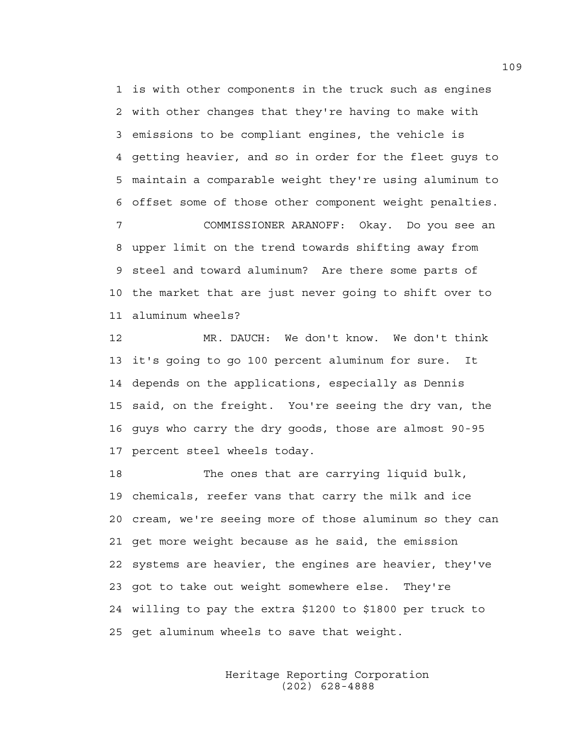1 is with other components in the truck such as engines 2 with other changes that they're having to make with 3 emissions to be compliant engines, the vehicle is 4 getting heavier, and so in order for the fleet guys to 5 maintain a comparable weight they're using aluminum to 6 offset some of those other component weight penalties. 7 COMMISSIONER ARANOFF: Okay. Do you see an 8 upper limit on the trend towards shifting away from 9 steel and toward aluminum? Are there some parts of 10 the market that are just never going to shift over to

11 aluminum wheels?

12 MR. DAUCH: We don't know. We don't think 13 it's going to go 100 percent aluminum for sure. It 14 depends on the applications, especially as Dennis 15 said, on the freight. You're seeing the dry van, the 16 guys who carry the dry goods, those are almost 90-95 17 percent steel wheels today.

18 The ones that are carrying liquid bulk, 19 chemicals, reefer vans that carry the milk and ice 20 cream, we're seeing more of those aluminum so they can 21 get more weight because as he said, the emission 22 systems are heavier, the engines are heavier, they've 23 got to take out weight somewhere else. They're 24 willing to pay the extra \$1200 to \$1800 per truck to 25 get aluminum wheels to save that weight.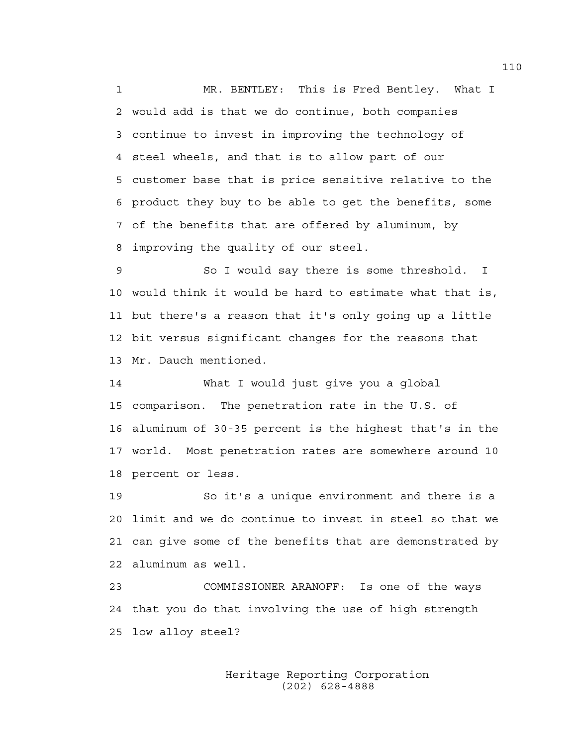1 MR. BENTLEY: This is Fred Bentley. What I 2 would add is that we do continue, both companies 3 continue to invest in improving the technology of 4 steel wheels, and that is to allow part of our 5 customer base that is price sensitive relative to the 6 product they buy to be able to get the benefits, some 7 of the benefits that are offered by aluminum, by 8 improving the quality of our steel.

9 So I would say there is some threshold. I 10 would think it would be hard to estimate what that is, 11 but there's a reason that it's only going up a little 12 bit versus significant changes for the reasons that 13 Mr. Dauch mentioned.

14 What I would just give you a global 15 comparison. The penetration rate in the U.S. of 16 aluminum of 30-35 percent is the highest that's in the 17 world. Most penetration rates are somewhere around 10 18 percent or less.

19 So it's a unique environment and there is a 20 limit and we do continue to invest in steel so that we 21 can give some of the benefits that are demonstrated by 22 aluminum as well.

23 COMMISSIONER ARANOFF: Is one of the ways 24 that you do that involving the use of high strength 25 low alloy steel?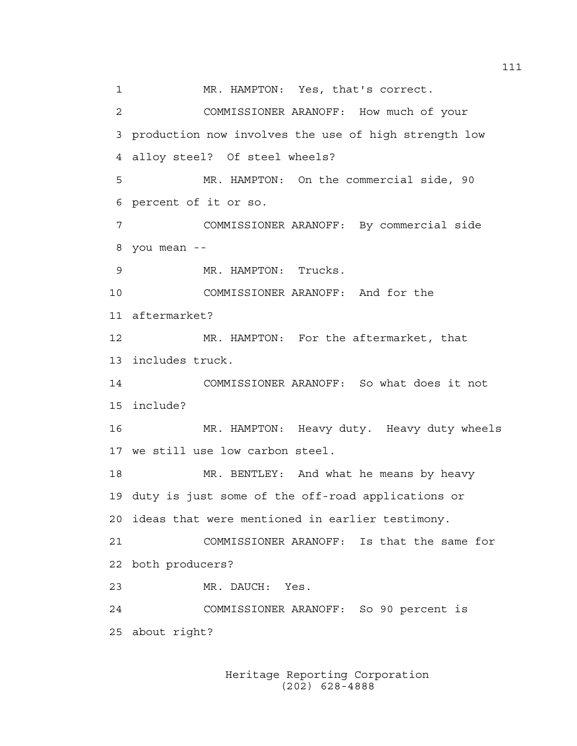1 MR. HAMPTON: Yes, that's correct. 2 COMMISSIONER ARANOFF: How much of your 3 production now involves the use of high strength low 4 alloy steel? Of steel wheels? 5 MR. HAMPTON: On the commercial side, 90 6 percent of it or so. 7 COMMISSIONER ARANOFF: By commercial side 8 you mean -- 9 MR. HAMPTON: Trucks. 10 COMMISSIONER ARANOFF: And for the 11 aftermarket? 12 MR. HAMPTON: For the aftermarket, that 13 includes truck. 14 COMMISSIONER ARANOFF: So what does it not 15 include? 16 MR. HAMPTON: Heavy duty. Heavy duty wheels 17 we still use low carbon steel. 18 MR. BENTLEY: And what he means by heavy 19 duty is just some of the off-road applications or 20 ideas that were mentioned in earlier testimony. 21 COMMISSIONER ARANOFF: Is that the same for 22 both producers? 23 MR. DAUCH: Yes. 24 COMMISSIONER ARANOFF: So 90 percent is 25 about right?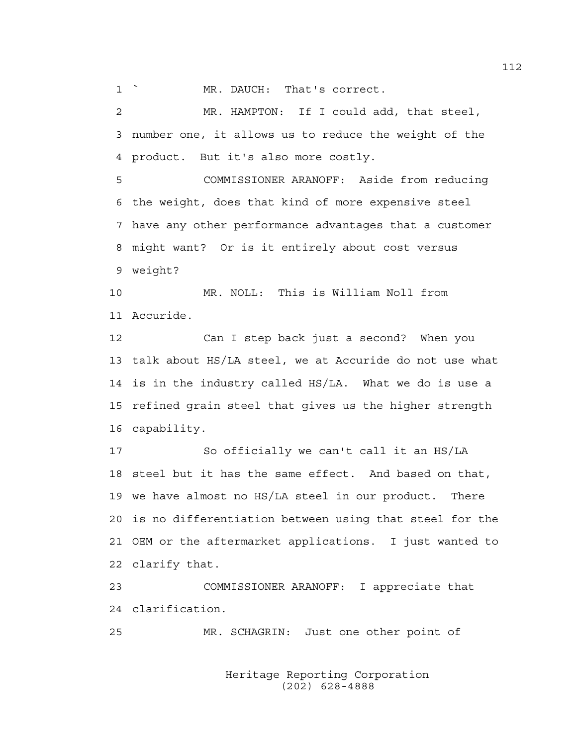1 ` MR. DAUCH: That's correct.

2 MR. HAMPTON: If I could add, that steel, 3 number one, it allows us to reduce the weight of the 4 product. But it's also more costly.

5 COMMISSIONER ARANOFF: Aside from reducing 6 the weight, does that kind of more expensive steel 7 have any other performance advantages that a customer 8 might want? Or is it entirely about cost versus 9 weight?

10 MR. NOLL: This is William Noll from 11 Accuride.

12 Can I step back just a second? When you 13 talk about HS/LA steel, we at Accuride do not use what 14 is in the industry called HS/LA. What we do is use a 15 refined grain steel that gives us the higher strength 16 capability.

17 So officially we can't call it an HS/LA 18 steel but it has the same effect. And based on that, 19 we have almost no HS/LA steel in our product. There 20 is no differentiation between using that steel for the 21 OEM or the aftermarket applications. I just wanted to 22 clarify that.

23 COMMISSIONER ARANOFF: I appreciate that 24 clarification.

25 MR. SCHAGRIN: Just one other point of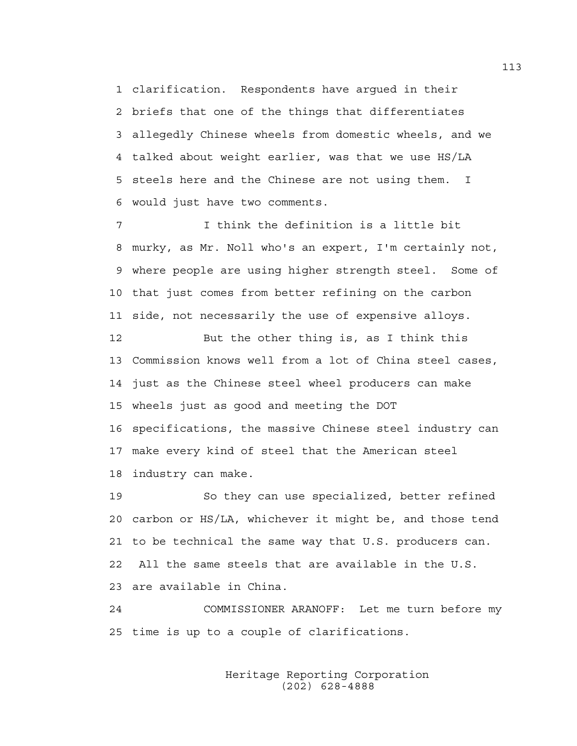1 clarification. Respondents have argued in their 2 briefs that one of the things that differentiates 3 allegedly Chinese wheels from domestic wheels, and we 4 talked about weight earlier, was that we use HS/LA 5 steels here and the Chinese are not using them. I 6 would just have two comments.

7 I think the definition is a little bit 8 murky, as Mr. Noll who's an expert, I'm certainly not, 9 where people are using higher strength steel. Some of 10 that just comes from better refining on the carbon 11 side, not necessarily the use of expensive alloys.

12 But the other thing is, as I think this 13 Commission knows well from a lot of China steel cases, 14 just as the Chinese steel wheel producers can make 15 wheels just as good and meeting the DOT 16 specifications, the massive Chinese steel industry can 17 make every kind of steel that the American steel 18 industry can make.

19 So they can use specialized, better refined 20 carbon or HS/LA, whichever it might be, and those tend 21 to be technical the same way that U.S. producers can. 22 All the same steels that are available in the U.S. 23 are available in China.

24 COMMISSIONER ARANOFF: Let me turn before my 25 time is up to a couple of clarifications.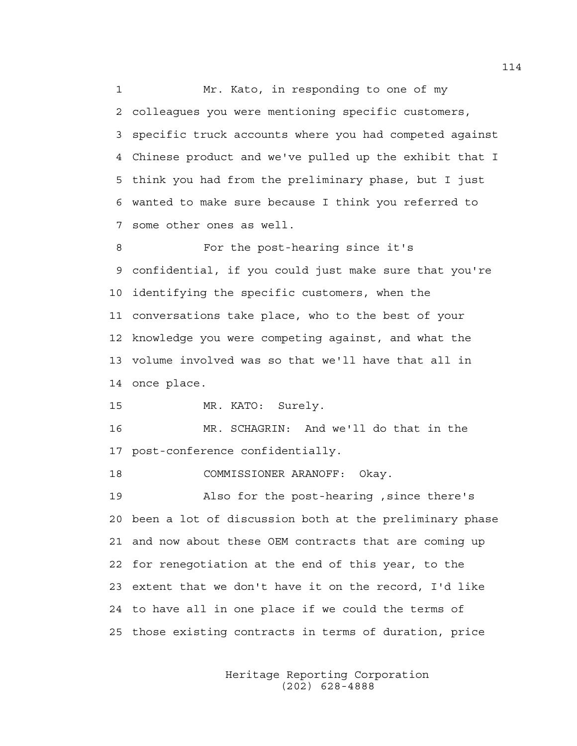1 Mr. Kato, in responding to one of my 2 colleagues you were mentioning specific customers, 3 specific truck accounts where you had competed against 4 Chinese product and we've pulled up the exhibit that I 5 think you had from the preliminary phase, but I just 6 wanted to make sure because I think you referred to 7 some other ones as well.

8 For the post-hearing since it's 9 confidential, if you could just make sure that you're 10 identifying the specific customers, when the 11 conversations take place, who to the best of your 12 knowledge you were competing against, and what the 13 volume involved was so that we'll have that all in 14 once place.

15 MR. KATO: Surely.

16 MR. SCHAGRIN: And we'll do that in the 17 post-conference confidentially.

18 COMMISSIONER ARANOFF: Okay.

19 Also for the post-hearing ,since there's 20 been a lot of discussion both at the preliminary phase 21 and now about these OEM contracts that are coming up 22 for renegotiation at the end of this year, to the 23 extent that we don't have it on the record, I'd like 24 to have all in one place if we could the terms of 25 those existing contracts in terms of duration, price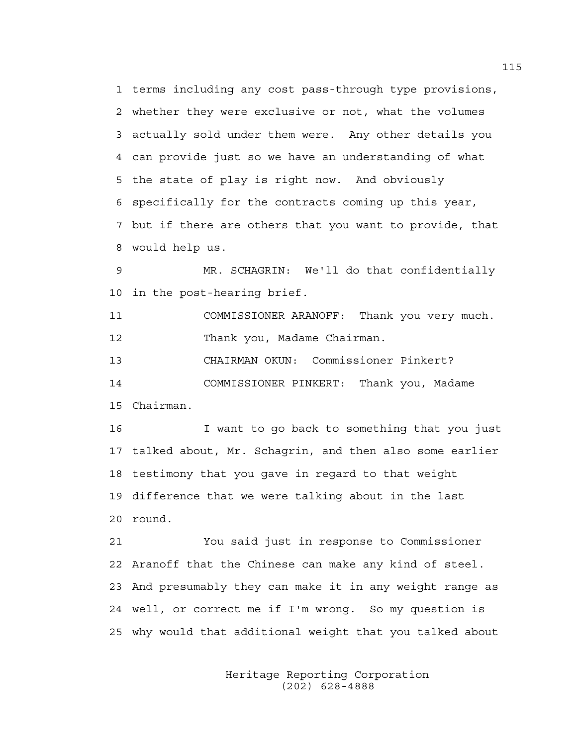1 terms including any cost pass-through type provisions, 2 whether they were exclusive or not, what the volumes 3 actually sold under them were. Any other details you 4 can provide just so we have an understanding of what 5 the state of play is right now. And obviously 6 specifically for the contracts coming up this year, 7 but if there are others that you want to provide, that 8 would help us.

9 MR. SCHAGRIN: We'll do that confidentially 10 in the post-hearing brief.

11 COMMISSIONER ARANOFF: Thank you very much. 12 Thank you, Madame Chairman.

13 CHAIRMAN OKUN: Commissioner Pinkert?

14 COMMISSIONER PINKERT: Thank you, Madame

15 Chairman.

16 I want to go back to something that you just 17 talked about, Mr. Schagrin, and then also some earlier 18 testimony that you gave in regard to that weight 19 difference that we were talking about in the last 20 round.

21 You said just in response to Commissioner 22 Aranoff that the Chinese can make any kind of steel. 23 And presumably they can make it in any weight range as 24 well, or correct me if I'm wrong. So my question is 25 why would that additional weight that you talked about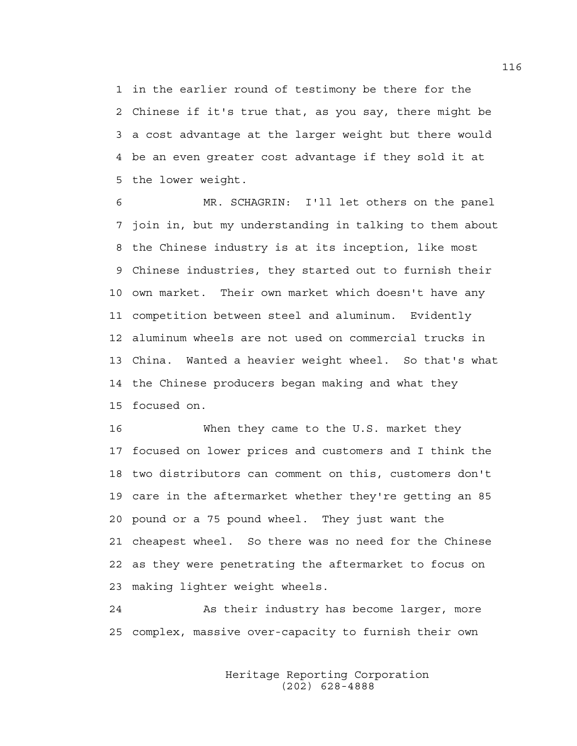1 in the earlier round of testimony be there for the 2 Chinese if it's true that, as you say, there might be 3 a cost advantage at the larger weight but there would 4 be an even greater cost advantage if they sold it at 5 the lower weight.

6 MR. SCHAGRIN: I'll let others on the panel 7 join in, but my understanding in talking to them about 8 the Chinese industry is at its inception, like most 9 Chinese industries, they started out to furnish their 10 own market. Their own market which doesn't have any 11 competition between steel and aluminum. Evidently 12 aluminum wheels are not used on commercial trucks in 13 China. Wanted a heavier weight wheel. So that's what 14 the Chinese producers began making and what they 15 focused on.

16 When they came to the U.S. market they 17 focused on lower prices and customers and I think the 18 two distributors can comment on this, customers don't 19 care in the aftermarket whether they're getting an 85 20 pound or a 75 pound wheel. They just want the 21 cheapest wheel. So there was no need for the Chinese 22 as they were penetrating the aftermarket to focus on 23 making lighter weight wheels.

24 As their industry has become larger, more 25 complex, massive over-capacity to furnish their own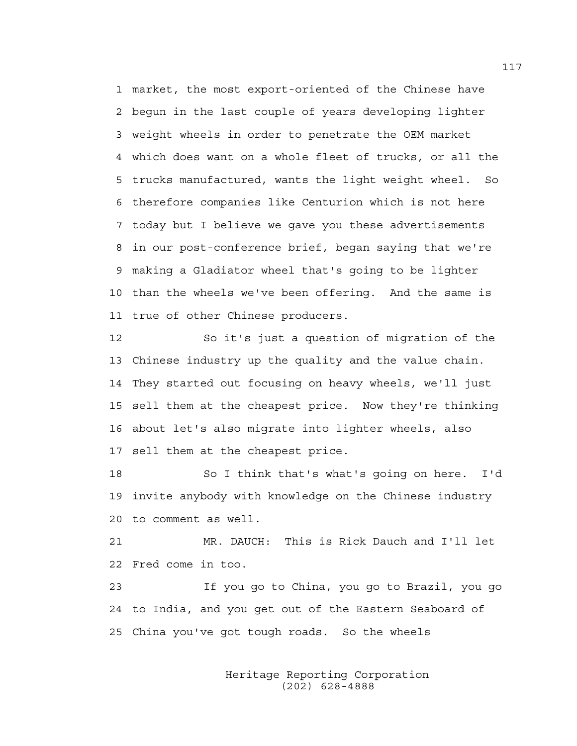1 market, the most export-oriented of the Chinese have 2 begun in the last couple of years developing lighter 3 weight wheels in order to penetrate the OEM market 4 which does want on a whole fleet of trucks, or all the 5 trucks manufactured, wants the light weight wheel. So 6 therefore companies like Centurion which is not here 7 today but I believe we gave you these advertisements 8 in our post-conference brief, began saying that we're 9 making a Gladiator wheel that's going to be lighter 10 than the wheels we've been offering. And the same is 11 true of other Chinese producers.

12 So it's just a question of migration of the 13 Chinese industry up the quality and the value chain. 14 They started out focusing on heavy wheels, we'll just 15 sell them at the cheapest price. Now they're thinking 16 about let's also migrate into lighter wheels, also 17 sell them at the cheapest price.

18 So I think that's what's going on here. I'd 19 invite anybody with knowledge on the Chinese industry 20 to comment as well.

21 MR. DAUCH: This is Rick Dauch and I'll let 22 Fred come in too.

23 If you go to China, you go to Brazil, you go 24 to India, and you get out of the Eastern Seaboard of 25 China you've got tough roads. So the wheels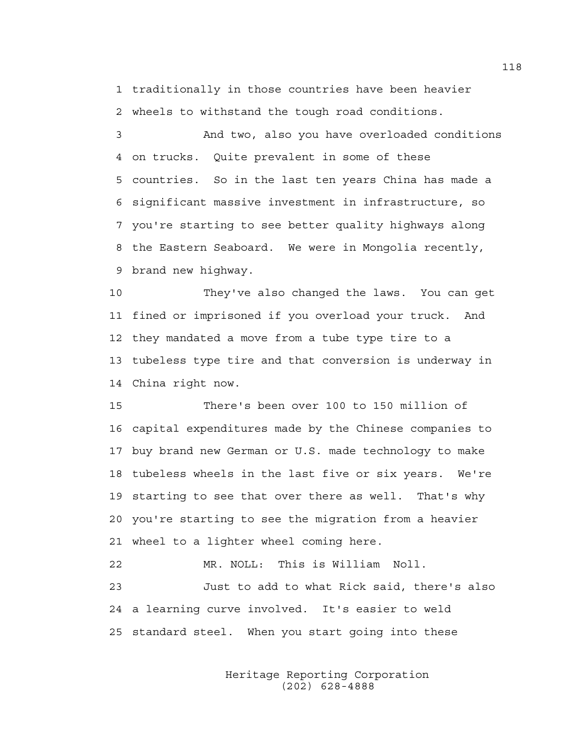1 traditionally in those countries have been heavier 2 wheels to withstand the tough road conditions.

3 And two, also you have overloaded conditions 4 on trucks. Quite prevalent in some of these 5 countries. So in the last ten years China has made a 6 significant massive investment in infrastructure, so 7 you're starting to see better quality highways along 8 the Eastern Seaboard. We were in Mongolia recently, 9 brand new highway.

10 They've also changed the laws. You can get 11 fined or imprisoned if you overload your truck. And 12 they mandated a move from a tube type tire to a 13 tubeless type tire and that conversion is underway in 14 China right now.

15 There's been over 100 to 150 million of 16 capital expenditures made by the Chinese companies to 17 buy brand new German or U.S. made technology to make 18 tubeless wheels in the last five or six years. We're 19 starting to see that over there as well. That's why 20 you're starting to see the migration from a heavier 21 wheel to a lighter wheel coming here.

22 MR. NOLL: This is William Noll. 23 Just to add to what Rick said, there's also 24 a learning curve involved. It's easier to weld 25 standard steel. When you start going into these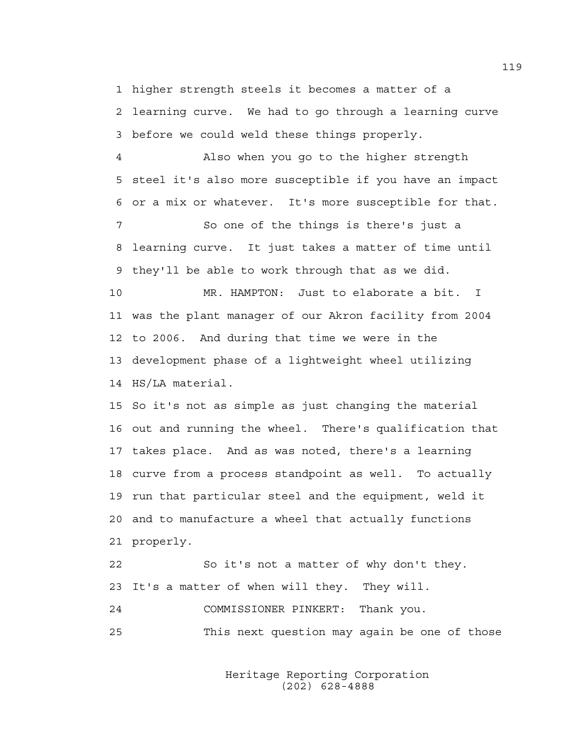1 higher strength steels it becomes a matter of a 2 learning curve. We had to go through a learning curve 3 before we could weld these things properly.

4 Also when you go to the higher strength 5 steel it's also more susceptible if you have an impact 6 or a mix or whatever. It's more susceptible for that. 7 So one of the things is there's just a 8 learning curve. It just takes a matter of time until 9 they'll be able to work through that as we did. 10 MR. HAMPTON: Just to elaborate a bit. I 11 was the plant manager of our Akron facility from 2004 12 to 2006. And during that time we were in the 13 development phase of a lightweight wheel utilizing 14 HS/LA material. 15 So it's not as simple as just changing the material 16 out and running the wheel. There's qualification that 17 takes place. And as was noted, there's a learning 18 curve from a process standpoint as well. To actually

19 run that particular steel and the equipment, weld it 20 and to manufacture a wheel that actually functions 21 properly.

22 So it's not a matter of why don't they. 23 It's a matter of when will they. They will. 24 COMMISSIONER PINKERT: Thank you. 25 This next question may again be one of those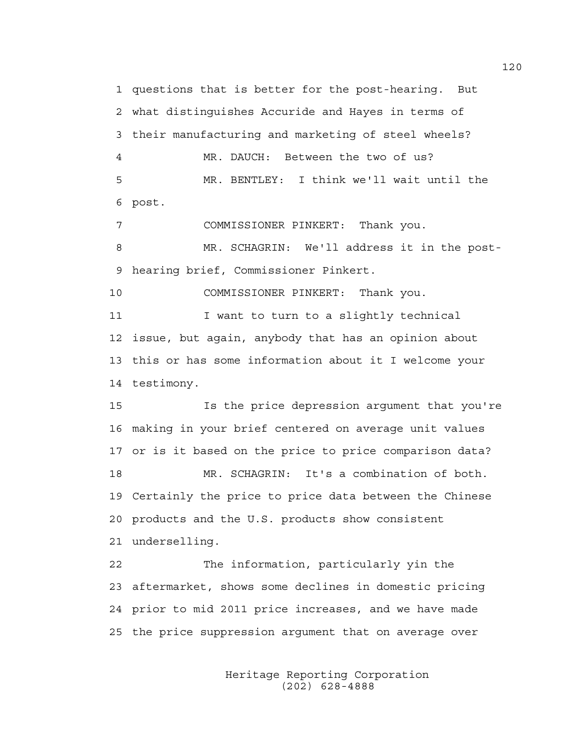1 questions that is better for the post-hearing. But 2 what distinguishes Accuride and Hayes in terms of 3 their manufacturing and marketing of steel wheels? 4 MR. DAUCH: Between the two of us? 5 MR. BENTLEY: I think we'll wait until the 6 post.

7 COMMISSIONER PINKERT: Thank you.

8 MR. SCHAGRIN: We'll address it in the post-9 hearing brief, Commissioner Pinkert.

10 COMMISSIONER PINKERT: Thank you.

11 I want to turn to a slightly technical 12 issue, but again, anybody that has an opinion about 13 this or has some information about it I welcome your 14 testimony.

15 Is the price depression argument that you're 16 making in your brief centered on average unit values 17 or is it based on the price to price comparison data? 18 MR. SCHAGRIN: It's a combination of both. 19 Certainly the price to price data between the Chinese 20 products and the U.S. products show consistent 21 underselling.

22 The information, particularly yin the 23 aftermarket, shows some declines in domestic pricing 24 prior to mid 2011 price increases, and we have made 25 the price suppression argument that on average over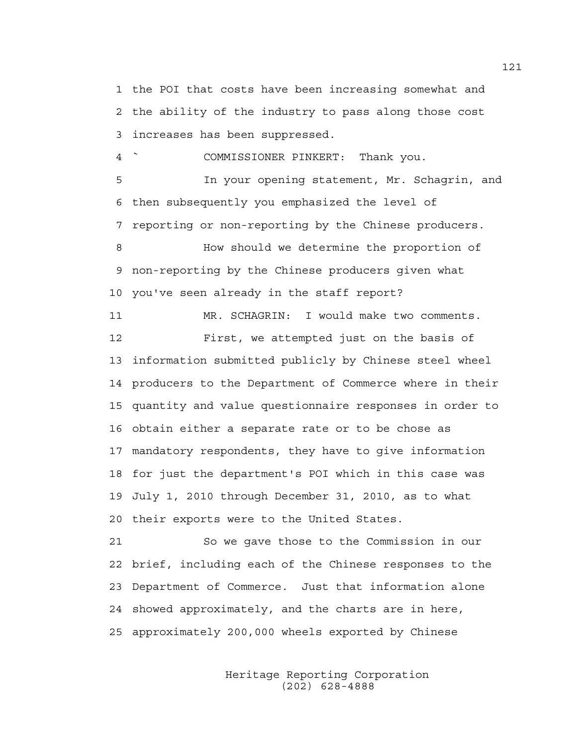1 the POI that costs have been increasing somewhat and 2 the ability of the industry to pass along those cost 3 increases has been suppressed.

4 ` COMMISSIONER PINKERT: Thank you.

5 In your opening statement, Mr. Schagrin, and 6 then subsequently you emphasized the level of 7 reporting or non-reporting by the Chinese producers. 8 How should we determine the proportion of 9 non-reporting by the Chinese producers given what 10 you've seen already in the staff report?

11 MR. SCHAGRIN: I would make two comments. 12 First, we attempted just on the basis of 13 information submitted publicly by Chinese steel wheel 14 producers to the Department of Commerce where in their 15 quantity and value questionnaire responses in order to 16 obtain either a separate rate or to be chose as 17 mandatory respondents, they have to give information 18 for just the department's POI which in this case was 19 July 1, 2010 through December 31, 2010, as to what 20 their exports were to the United States.

21 So we gave those to the Commission in our 22 brief, including each of the Chinese responses to the 23 Department of Commerce. Just that information alone 24 showed approximately, and the charts are in here, 25 approximately 200,000 wheels exported by Chinese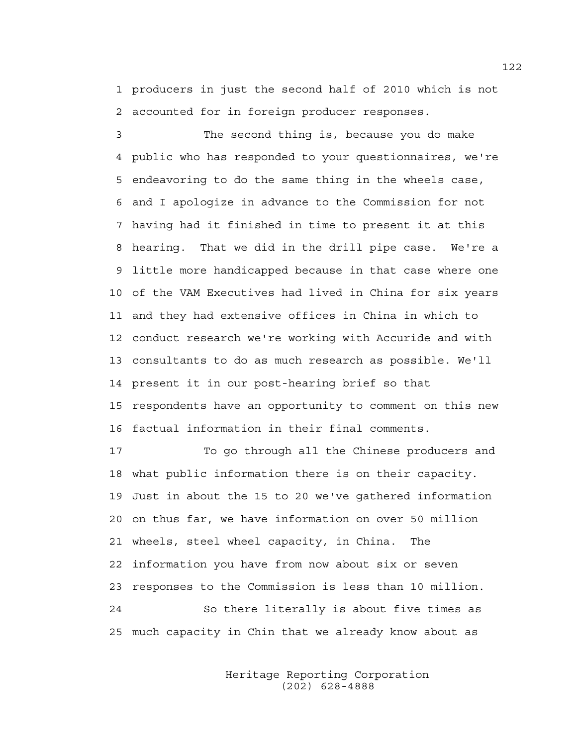1 producers in just the second half of 2010 which is not 2 accounted for in foreign producer responses.

3 The second thing is, because you do make 4 public who has responded to your questionnaires, we're 5 endeavoring to do the same thing in the wheels case, 6 and I apologize in advance to the Commission for not 7 having had it finished in time to present it at this 8 hearing. That we did in the drill pipe case. We're a 9 little more handicapped because in that case where one 10 of the VAM Executives had lived in China for six years 11 and they had extensive offices in China in which to 12 conduct research we're working with Accuride and with 13 consultants to do as much research as possible. We'll 14 present it in our post-hearing brief so that 15 respondents have an opportunity to comment on this new 16 factual information in their final comments.

17 To go through all the Chinese producers and 18 what public information there is on their capacity. 19 Just in about the 15 to 20 we've gathered information 20 on thus far, we have information on over 50 million 21 wheels, steel wheel capacity, in China. The 22 information you have from now about six or seven 23 responses to the Commission is less than 10 million. 24 So there literally is about five times as 25 much capacity in Chin that we already know about as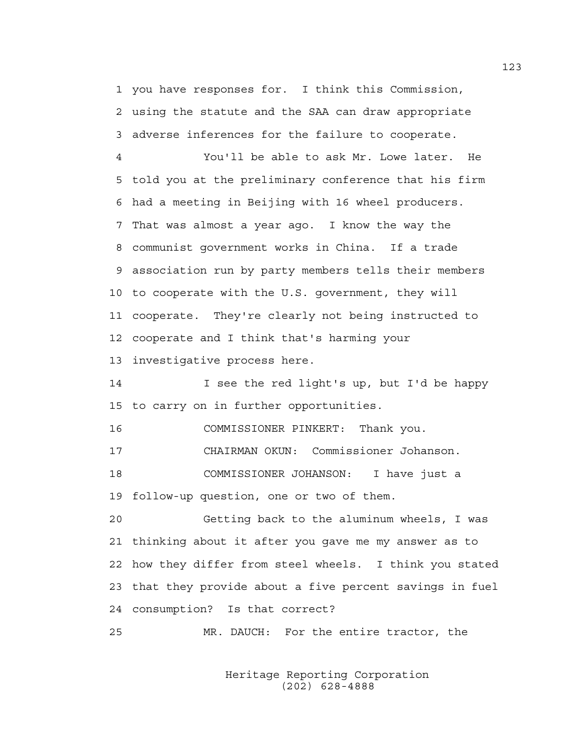1 you have responses for. I think this Commission, 2 using the statute and the SAA can draw appropriate 3 adverse inferences for the failure to cooperate.

4 You'll be able to ask Mr. Lowe later. He 5 told you at the preliminary conference that his firm 6 had a meeting in Beijing with 16 wheel producers. 7 That was almost a year ago. I know the way the 8 communist government works in China. If a trade 9 association run by party members tells their members 10 to cooperate with the U.S. government, they will 11 cooperate. They're clearly not being instructed to 12 cooperate and I think that's harming your 13 investigative process here.

14 I see the red light's up, but I'd be happy 15 to carry on in further opportunities.

16 COMMISSIONER PINKERT: Thank you.

17 CHAIRMAN OKUN: Commissioner Johanson.

18 COMMISSIONER JOHANSON: I have just a 19 follow-up question, one or two of them.

20 Getting back to the aluminum wheels, I was 21 thinking about it after you gave me my answer as to 22 how they differ from steel wheels. I think you stated 23 that they provide about a five percent savings in fuel 24 consumption? Is that correct?

25 MR. DAUCH: For the entire tractor, the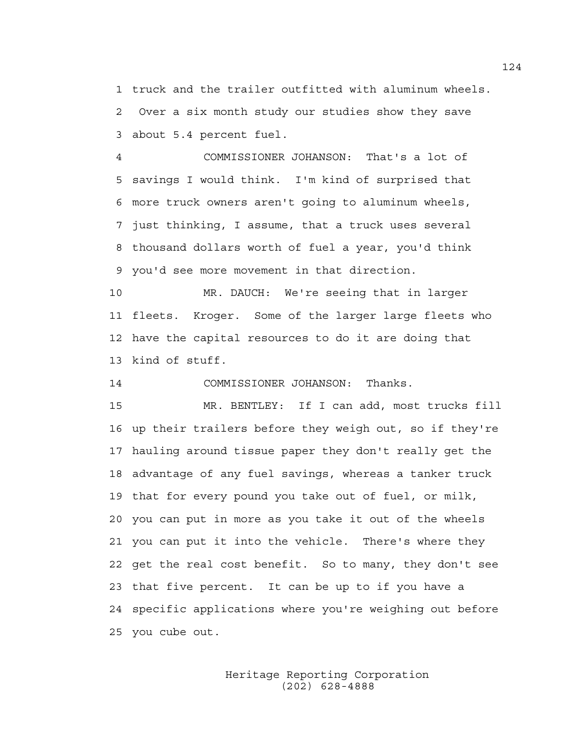1 truck and the trailer outfitted with aluminum wheels. 2 Over a six month study our studies show they save 3 about 5.4 percent fuel.

4 COMMISSIONER JOHANSON: That's a lot of 5 savings I would think. I'm kind of surprised that 6 more truck owners aren't going to aluminum wheels, 7 just thinking, I assume, that a truck uses several 8 thousand dollars worth of fuel a year, you'd think 9 you'd see more movement in that direction.

10 MR. DAUCH: We're seeing that in larger 11 fleets. Kroger. Some of the larger large fleets who 12 have the capital resources to do it are doing that 13 kind of stuff.

14 COMMISSIONER JOHANSON: Thanks.

15 MR. BENTLEY: If I can add, most trucks fill 16 up their trailers before they weigh out, so if they're 17 hauling around tissue paper they don't really get the 18 advantage of any fuel savings, whereas a tanker truck 19 that for every pound you take out of fuel, or milk, 20 you can put in more as you take it out of the wheels 21 you can put it into the vehicle. There's where they 22 get the real cost benefit. So to many, they don't see 23 that five percent. It can be up to if you have a 24 specific applications where you're weighing out before 25 you cube out.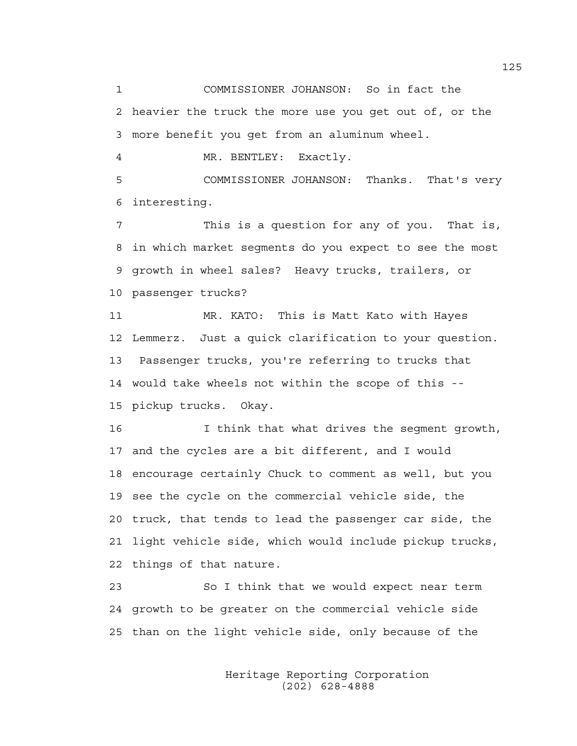1 COMMISSIONER JOHANSON: So in fact the 2 heavier the truck the more use you get out of, or the 3 more benefit you get from an aluminum wheel.

4 MR. BENTLEY: Exactly.

5 COMMISSIONER JOHANSON: Thanks. That's very 6 interesting.

7 This is a question for any of you. That is, 8 in which market segments do you expect to see the most 9 growth in wheel sales? Heavy trucks, trailers, or 10 passenger trucks?

11 MR. KATO: This is Matt Kato with Hayes 12 Lemmerz. Just a quick clarification to your question. 13 Passenger trucks, you're referring to trucks that 14 would take wheels not within the scope of this -- 15 pickup trucks. Okay.

16 I think that what drives the segment growth, 17 and the cycles are a bit different, and I would 18 encourage certainly Chuck to comment as well, but you 19 see the cycle on the commercial vehicle side, the 20 truck, that tends to lead the passenger car side, the 21 light vehicle side, which would include pickup trucks, 22 things of that nature.

23 So I think that we would expect near term 24 growth to be greater on the commercial vehicle side 25 than on the light vehicle side, only because of the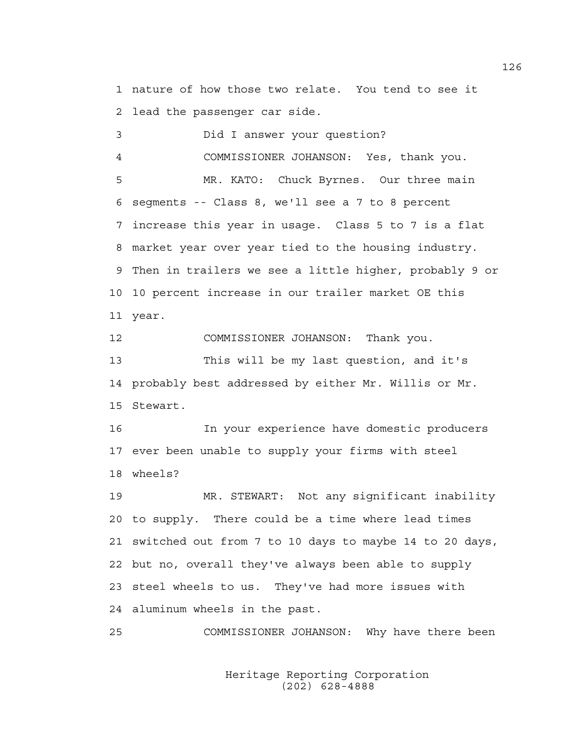1 nature of how those two relate. You tend to see it 2 lead the passenger car side.

3 Did I answer your question? 4 COMMISSIONER JOHANSON: Yes, thank you. 5 MR. KATO: Chuck Byrnes. Our three main 6 segments -- Class 8, we'll see a 7 to 8 percent 7 increase this year in usage. Class 5 to 7 is a flat 8 market year over year tied to the housing industry. 9 Then in trailers we see a little higher, probably 9 or 10 10 percent increase in our trailer market OE this 11 year.

12 COMMISSIONER JOHANSON: Thank you. 13 This will be my last question, and it's 14 probably best addressed by either Mr. Willis or Mr. 15 Stewart.

16 In your experience have domestic producers 17 ever been unable to supply your firms with steel 18 wheels?

19 MR. STEWART: Not any significant inability 20 to supply. There could be a time where lead times 21 switched out from 7 to 10 days to maybe 14 to 20 days, 22 but no, overall they've always been able to supply 23 steel wheels to us. They've had more issues with 24 aluminum wheels in the past.

25 COMMISSIONER JOHANSON: Why have there been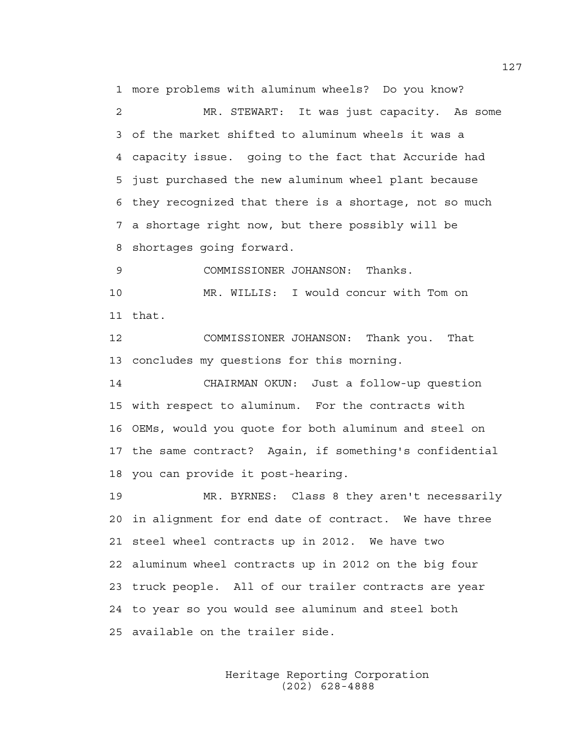1 more problems with aluminum wheels? Do you know? 2 MR. STEWART: It was just capacity. As some 3 of the market shifted to aluminum wheels it was a 4 capacity issue. going to the fact that Accuride had 5 just purchased the new aluminum wheel plant because 6 they recognized that there is a shortage, not so much 7 a shortage right now, but there possibly will be 8 shortages going forward.

9 COMMISSIONER JOHANSON: Thanks.

10 MR. WILLIS: I would concur with Tom on 11 that.

12 COMMISSIONER JOHANSON: Thank you. That 13 concludes my questions for this morning.

14 CHAIRMAN OKUN: Just a follow-up question 15 with respect to aluminum. For the contracts with 16 OEMs, would you quote for both aluminum and steel on 17 the same contract? Again, if something's confidential 18 you can provide it post-hearing.

19 MR. BYRNES: Class 8 they aren't necessarily 20 in alignment for end date of contract. We have three 21 steel wheel contracts up in 2012. We have two 22 aluminum wheel contracts up in 2012 on the big four 23 truck people. All of our trailer contracts are year 24 to year so you would see aluminum and steel both 25 available on the trailer side.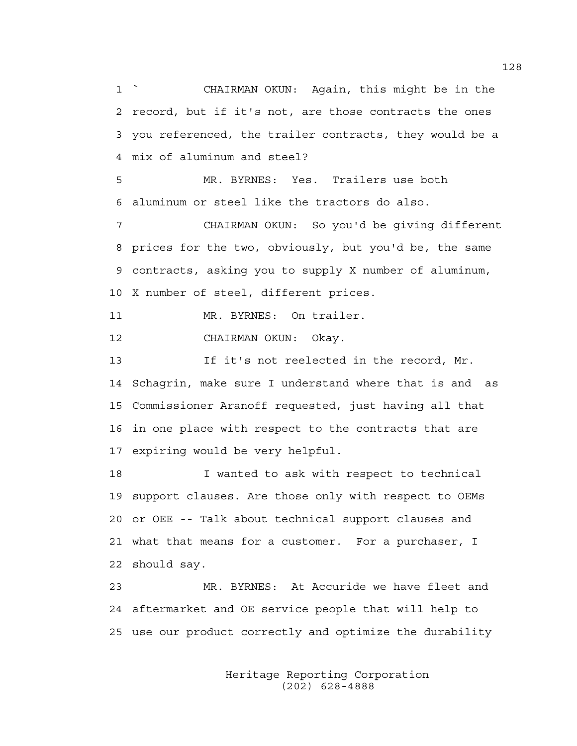1 ` CHAIRMAN OKUN: Again, this might be in the 2 record, but if it's not, are those contracts the ones 3 you referenced, the trailer contracts, they would be a 4 mix of aluminum and steel?

5 MR. BYRNES: Yes. Trailers use both 6 aluminum or steel like the tractors do also.

7 CHAIRMAN OKUN: So you'd be giving different 8 prices for the two, obviously, but you'd be, the same 9 contracts, asking you to supply X number of aluminum, 10 X number of steel, different prices.

11 MR. BYRNES: On trailer.

12 CHAIRMAN OKUN: Okay.

13 If it's not reelected in the record, Mr. 14 Schagrin, make sure I understand where that is and as 15 Commissioner Aranoff requested, just having all that 16 in one place with respect to the contracts that are 17 expiring would be very helpful.

18 I wanted to ask with respect to technical 19 support clauses. Are those only with respect to OEMs 20 or OEE -- Talk about technical support clauses and 21 what that means for a customer. For a purchaser, I 22 should say.

23 MR. BYRNES: At Accuride we have fleet and 24 aftermarket and OE service people that will help to 25 use our product correctly and optimize the durability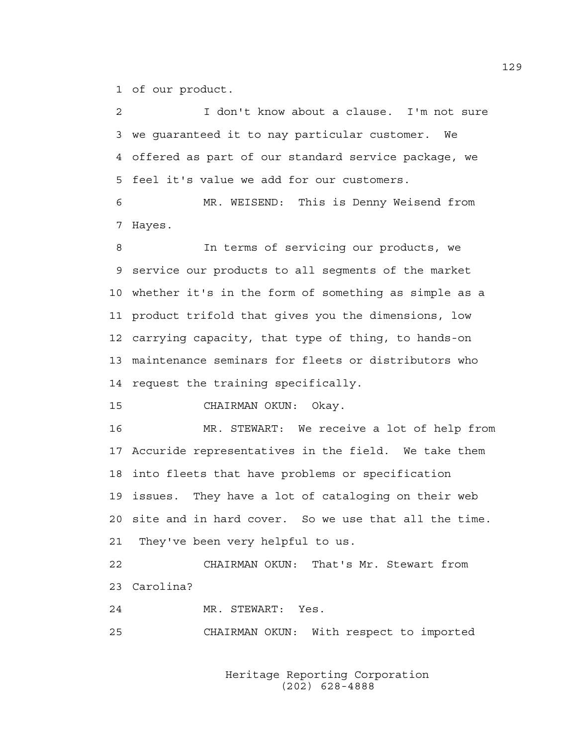1 of our product.

2 I don't know about a clause. I'm not sure 3 we guaranteed it to nay particular customer. We 4 offered as part of our standard service package, we 5 feel it's value we add for our customers.

6 MR. WEISEND: This is Denny Weisend from 7 Hayes.

8 In terms of servicing our products, we 9 service our products to all segments of the market 10 whether it's in the form of something as simple as a 11 product trifold that gives you the dimensions, low 12 carrying capacity, that type of thing, to hands-on 13 maintenance seminars for fleets or distributors who 14 request the training specifically.

15 CHAIRMAN OKUN: Okay.

16 MR. STEWART: We receive a lot of help from 17 Accuride representatives in the field. We take them 18 into fleets that have problems or specification 19 issues. They have a lot of cataloging on their web 20 site and in hard cover. So we use that all the time. 21 They've been very helpful to us.

22 CHAIRMAN OKUN: That's Mr. Stewart from 23 Carolina?

24 MR. STEWART: Yes.

25 CHAIRMAN OKUN: With respect to imported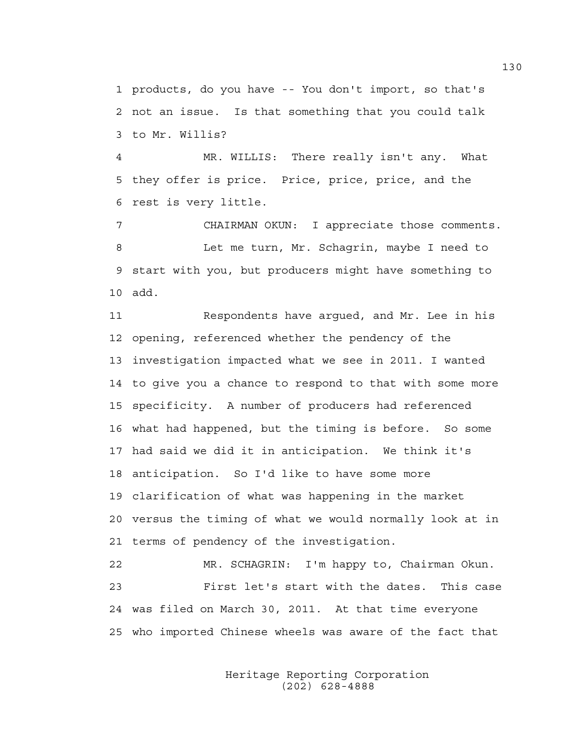1 products, do you have -- You don't import, so that's 2 not an issue. Is that something that you could talk 3 to Mr. Willis?

4 MR. WILLIS: There really isn't any. What 5 they offer is price. Price, price, price, and the 6 rest is very little.

7 CHAIRMAN OKUN: I appreciate those comments. 8 Let me turn, Mr. Schagrin, maybe I need to 9 start with you, but producers might have something to 10 add.

11 Respondents have argued, and Mr. Lee in his 12 opening, referenced whether the pendency of the 13 investigation impacted what we see in 2011. I wanted 14 to give you a chance to respond to that with some more 15 specificity. A number of producers had referenced 16 what had happened, but the timing is before. So some 17 had said we did it in anticipation. We think it's 18 anticipation. So I'd like to have some more 19 clarification of what was happening in the market 20 versus the timing of what we would normally look at in 21 terms of pendency of the investigation. 22 MR. SCHAGRIN: I'm happy to, Chairman Okun. 23 First let's start with the dates. This case

25 who imported Chinese wheels was aware of the fact that

24 was filed on March 30, 2011. At that time everyone

 Heritage Reporting Corporation (202) 628-4888

130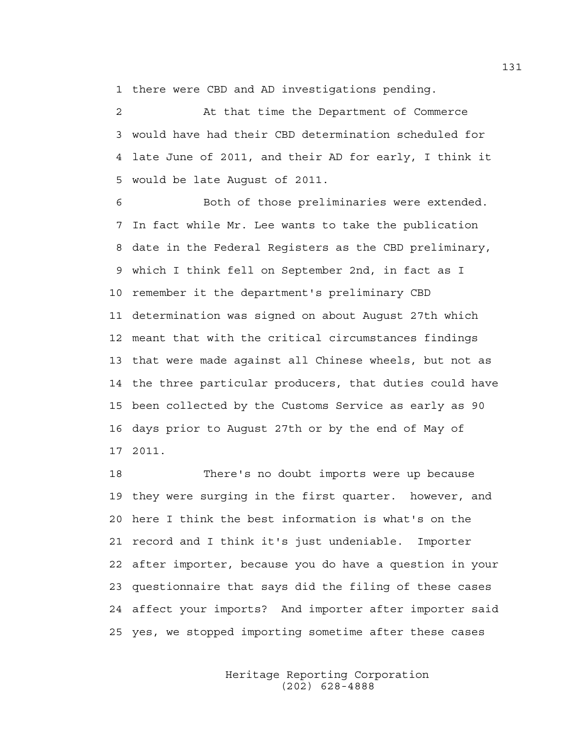1 there were CBD and AD investigations pending.

2 At that time the Department of Commerce 3 would have had their CBD determination scheduled for 4 late June of 2011, and their AD for early, I think it 5 would be late August of 2011.

6 Both of those preliminaries were extended. 7 In fact while Mr. Lee wants to take the publication 8 date in the Federal Registers as the CBD preliminary, 9 which I think fell on September 2nd, in fact as I 10 remember it the department's preliminary CBD 11 determination was signed on about August 27th which 12 meant that with the critical circumstances findings 13 that were made against all Chinese wheels, but not as 14 the three particular producers, that duties could have 15 been collected by the Customs Service as early as 90 16 days prior to August 27th or by the end of May of 17 2011.

18 There's no doubt imports were up because 19 they were surging in the first quarter. however, and 20 here I think the best information is what's on the 21 record and I think it's just undeniable. Importer 22 after importer, because you do have a question in your 23 questionnaire that says did the filing of these cases 24 affect your imports? And importer after importer said 25 yes, we stopped importing sometime after these cases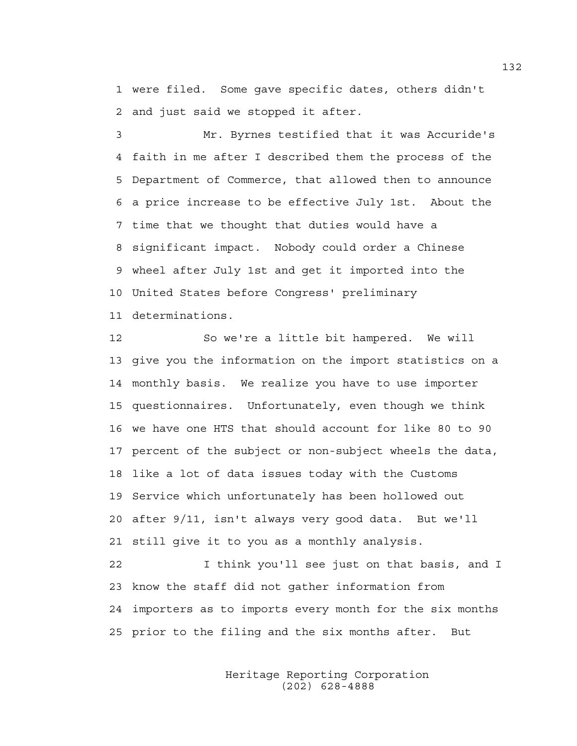1 were filed. Some gave specific dates, others didn't 2 and just said we stopped it after.

3 Mr. Byrnes testified that it was Accuride's 4 faith in me after I described them the process of the 5 Department of Commerce, that allowed then to announce 6 a price increase to be effective July 1st. About the 7 time that we thought that duties would have a 8 significant impact. Nobody could order a Chinese 9 wheel after July 1st and get it imported into the 10 United States before Congress' preliminary 11 determinations.

12 So we're a little bit hampered. We will 13 give you the information on the import statistics on a 14 monthly basis. We realize you have to use importer 15 questionnaires. Unfortunately, even though we think 16 we have one HTS that should account for like 80 to 90 17 percent of the subject or non-subject wheels the data, 18 like a lot of data issues today with the Customs 19 Service which unfortunately has been hollowed out 20 after 9/11, isn't always very good data. But we'll 21 still give it to you as a monthly analysis.

22 I think you'll see just on that basis, and I 23 know the staff did not gather information from 24 importers as to imports every month for the six months 25 prior to the filing and the six months after. But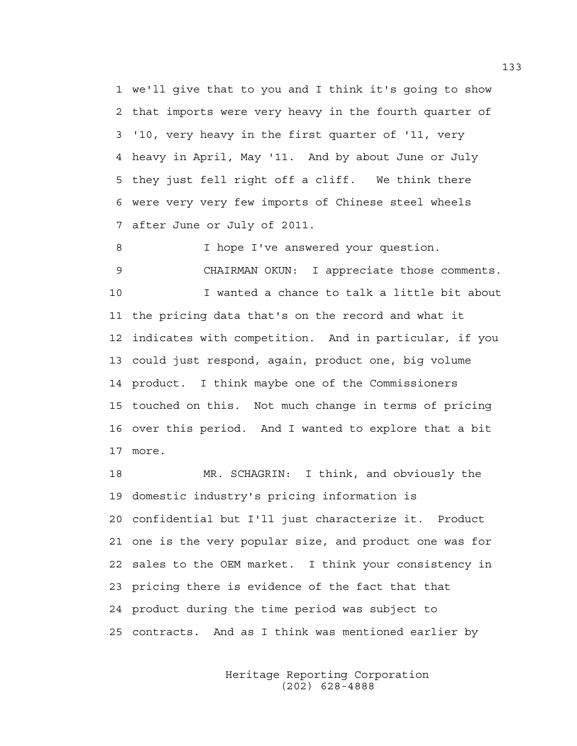1 we'll give that to you and I think it's going to show 2 that imports were very heavy in the fourth quarter of 3 '10, very heavy in the first quarter of '11, very 4 heavy in April, May '11. And by about June or July 5 they just fell right off a cliff. We think there 6 were very very few imports of Chinese steel wheels 7 after June or July of 2011.

8 I hope I've answered your question. 9 CHAIRMAN OKUN: I appreciate those comments. 10 I wanted a chance to talk a little bit about 11 the pricing data that's on the record and what it 12 indicates with competition. And in particular, if you 13 could just respond, again, product one, big volume 14 product. I think maybe one of the Commissioners

15 touched on this. Not much change in terms of pricing 16 over this period. And I wanted to explore that a bit 17 more.

18 MR. SCHAGRIN: I think, and obviously the 19 domestic industry's pricing information is 20 confidential but I'll just characterize it. Product 21 one is the very popular size, and product one was for 22 sales to the OEM market. I think your consistency in 23 pricing there is evidence of the fact that that 24 product during the time period was subject to 25 contracts. And as I think was mentioned earlier by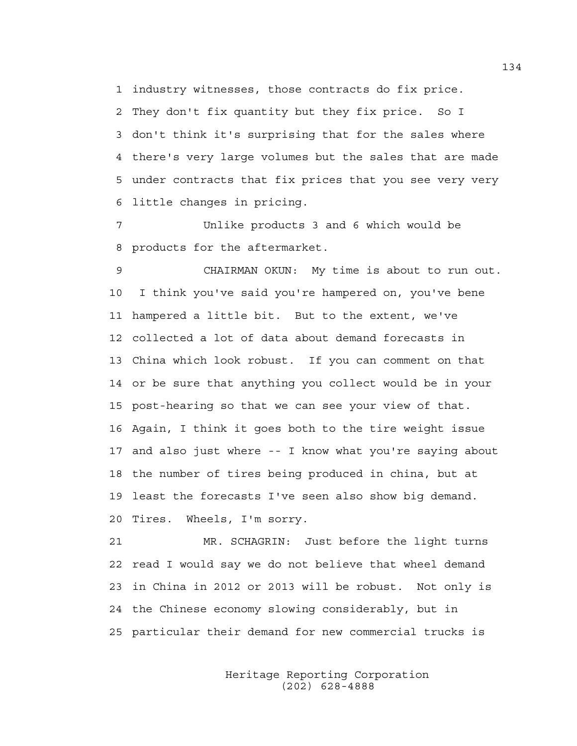1 industry witnesses, those contracts do fix price.

2 They don't fix quantity but they fix price. So I 3 don't think it's surprising that for the sales where 4 there's very large volumes but the sales that are made 5 under contracts that fix prices that you see very very 6 little changes in pricing.

7 Unlike products 3 and 6 which would be 8 products for the aftermarket.

9 CHAIRMAN OKUN: My time is about to run out. 10 I think you've said you're hampered on, you've bene 11 hampered a little bit. But to the extent, we've 12 collected a lot of data about demand forecasts in 13 China which look robust. If you can comment on that 14 or be sure that anything you collect would be in your 15 post-hearing so that we can see your view of that. 16 Again, I think it goes both to the tire weight issue 17 and also just where -- I know what you're saying about 18 the number of tires being produced in china, but at 19 least the forecasts I've seen also show big demand. 20 Tires. Wheels, I'm sorry.

21 MR. SCHAGRIN: Just before the light turns 22 read I would say we do not believe that wheel demand 23 in China in 2012 or 2013 will be robust. Not only is 24 the Chinese economy slowing considerably, but in 25 particular their demand for new commercial trucks is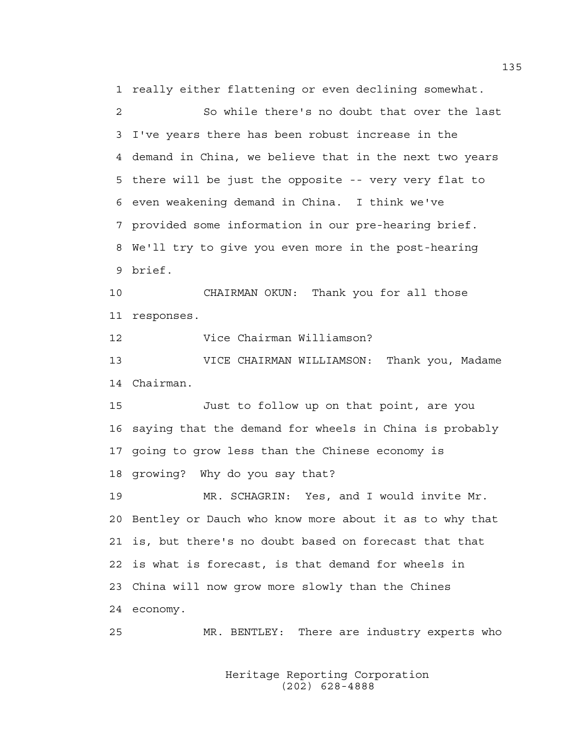1 really either flattening or even declining somewhat.

2 So while there's no doubt that over the last 3 I've years there has been robust increase in the 4 demand in China, we believe that in the next two years 5 there will be just the opposite -- very very flat to 6 even weakening demand in China. I think we've 7 provided some information in our pre-hearing brief. 8 We'll try to give you even more in the post-hearing 9 brief.

10 CHAIRMAN OKUN: Thank you for all those 11 responses.

12 Vice Chairman Williamson?

13 VICE CHAIRMAN WILLIAMSON: Thank you, Madame 14 Chairman.

15 Just to follow up on that point, are you 16 saying that the demand for wheels in China is probably 17 going to grow less than the Chinese economy is 18 growing? Why do you say that?

19 MR. SCHAGRIN: Yes, and I would invite Mr. 20 Bentley or Dauch who know more about it as to why that 21 is, but there's no doubt based on forecast that that 22 is what is forecast, is that demand for wheels in 23 China will now grow more slowly than the Chines 24 economy.

25 MR. BENTLEY: There are industry experts who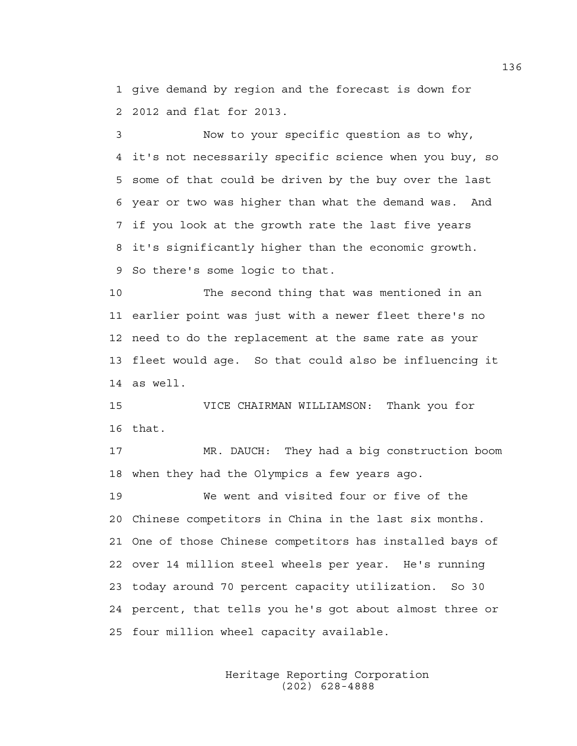1 give demand by region and the forecast is down for 2 2012 and flat for 2013.

3 Now to your specific question as to why, 4 it's not necessarily specific science when you buy, so 5 some of that could be driven by the buy over the last 6 year or two was higher than what the demand was. And 7 if you look at the growth rate the last five years 8 it's significantly higher than the economic growth. 9 So there's some logic to that.

10 The second thing that was mentioned in an 11 earlier point was just with a newer fleet there's no 12 need to do the replacement at the same rate as your 13 fleet would age. So that could also be influencing it 14 as well.

15 VICE CHAIRMAN WILLIAMSON: Thank you for 16 that.

17 MR. DAUCH: They had a big construction boom 18 when they had the Olympics a few years ago.

19 We went and visited four or five of the 20 Chinese competitors in China in the last six months. 21 One of those Chinese competitors has installed bays of 22 over 14 million steel wheels per year. He's running 23 today around 70 percent capacity utilization. So 30 24 percent, that tells you he's got about almost three or 25 four million wheel capacity available.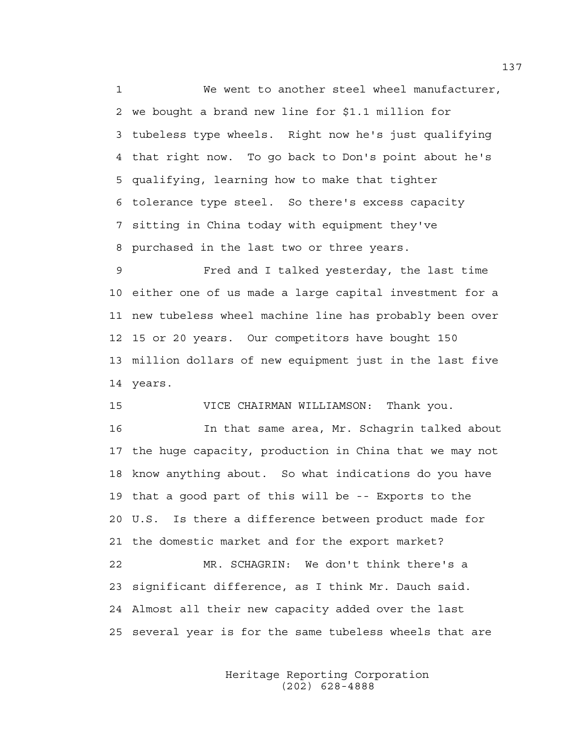1 We went to another steel wheel manufacturer, 2 we bought a brand new line for \$1.1 million for 3 tubeless type wheels. Right now he's just qualifying 4 that right now. To go back to Don's point about he's 5 qualifying, learning how to make that tighter 6 tolerance type steel. So there's excess capacity 7 sitting in China today with equipment they've 8 purchased in the last two or three years.

9 Fred and I talked yesterday, the last time 10 either one of us made a large capital investment for a 11 new tubeless wheel machine line has probably been over 12 15 or 20 years. Our competitors have bought 150 13 million dollars of new equipment just in the last five 14 years.

15 VICE CHAIRMAN WILLIAMSON: Thank you.

16 In that same area, Mr. Schagrin talked about 17 the huge capacity, production in China that we may not 18 know anything about. So what indications do you have 19 that a good part of this will be -- Exports to the 20 U.S. Is there a difference between product made for 21 the domestic market and for the export market? 22 MR. SCHAGRIN: We don't think there's a 23 significant difference, as I think Mr. Dauch said. 24 Almost all their new capacity added over the last 25 several year is for the same tubeless wheels that are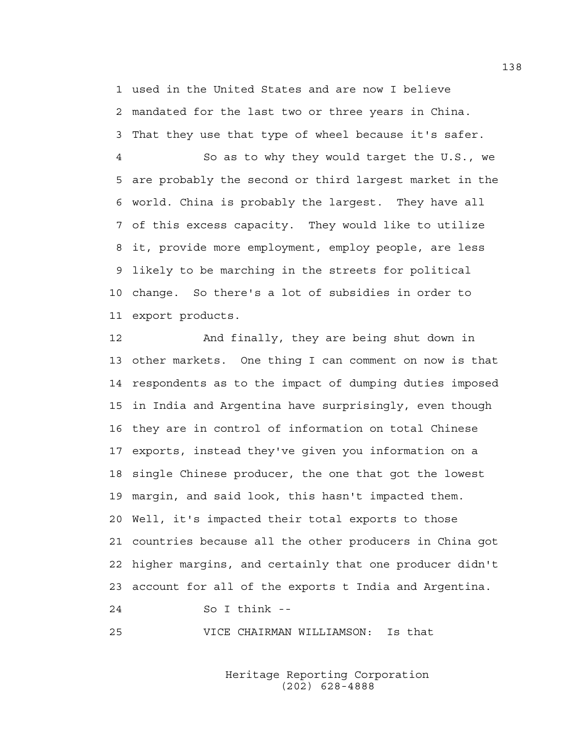1 used in the United States and are now I believe 2 mandated for the last two or three years in China. 3 That they use that type of wheel because it's safer.

4 So as to why they would target the U.S., we 5 are probably the second or third largest market in the 6 world. China is probably the largest. They have all 7 of this excess capacity. They would like to utilize 8 it, provide more employment, employ people, are less 9 likely to be marching in the streets for political 10 change. So there's a lot of subsidies in order to 11 export products.

12 And finally, they are being shut down in 13 other markets. One thing I can comment on now is that 14 respondents as to the impact of dumping duties imposed 15 in India and Argentina have surprisingly, even though 16 they are in control of information on total Chinese 17 exports, instead they've given you information on a 18 single Chinese producer, the one that got the lowest 19 margin, and said look, this hasn't impacted them. 20 Well, it's impacted their total exports to those 21 countries because all the other producers in China got 22 higher margins, and certainly that one producer didn't 23 account for all of the exports t India and Argentina. 24 So I think --

25 VICE CHAIRMAN WILLIAMSON: Is that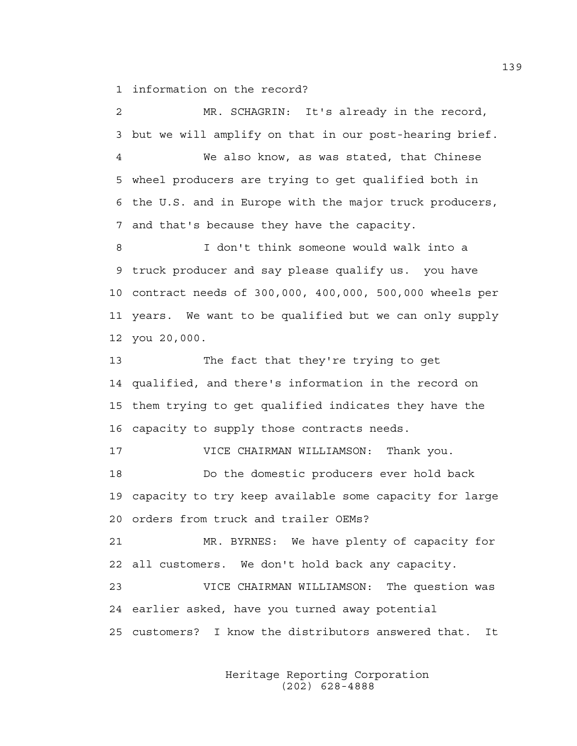1 information on the record?

2 MR. SCHAGRIN: It's already in the record, 3 but we will amplify on that in our post-hearing brief. 4 We also know, as was stated, that Chinese 5 wheel producers are trying to get qualified both in 6 the U.S. and in Europe with the major truck producers, 7 and that's because they have the capacity. 8 I don't think someone would walk into a 9 truck producer and say please qualify us. you have 10 contract needs of 300,000, 400,000, 500,000 wheels per 11 years. We want to be qualified but we can only supply 12 you 20,000. 13 The fact that they're trying to get 14 qualified, and there's information in the record on 15 them trying to get qualified indicates they have the 16 capacity to supply those contracts needs. 17 VICE CHAIRMAN WILLIAMSON: Thank you. 18 Do the domestic producers ever hold back 19 capacity to try keep available some capacity for large 20 orders from truck and trailer OEMs? 21 MR. BYRNES: We have plenty of capacity for 22 all customers. We don't hold back any capacity. 23 VICE CHAIRMAN WILLIAMSON: The question was 24 earlier asked, have you turned away potential 25 customers? I know the distributors answered that. It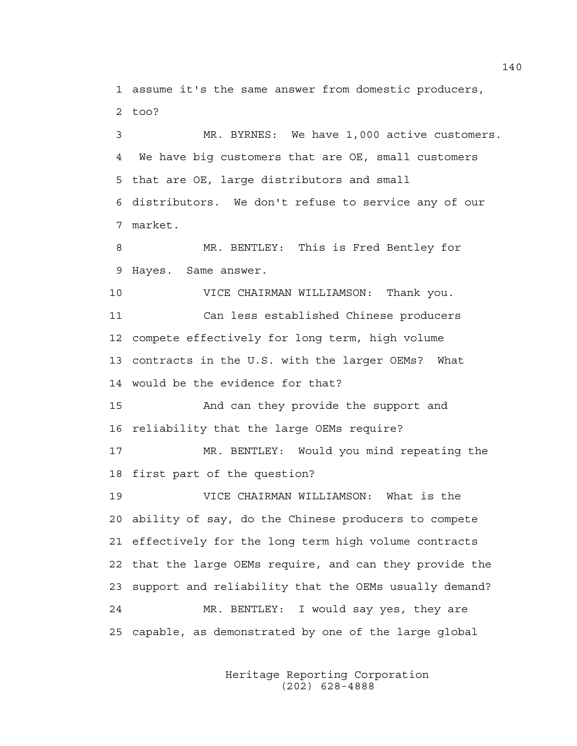1 assume it's the same answer from domestic producers, 2 too?

3 MR. BYRNES: We have 1,000 active customers. 4 We have big customers that are OE, small customers 5 that are OE, large distributors and small 6 distributors. We don't refuse to service any of our 7 market.

8 MR. BENTLEY: This is Fred Bentley for 9 Hayes. Same answer.

10 VICE CHAIRMAN WILLIAMSON: Thank you. 11 Can less established Chinese producers 12 compete effectively for long term, high volume 13 contracts in the U.S. with the larger OEMs? What 14 would be the evidence for that?

15 And can they provide the support and 16 reliability that the large OEMs require?

17 MR. BENTLEY: Would you mind repeating the 18 first part of the question?

19 VICE CHAIRMAN WILLIAMSON: What is the 20 ability of say, do the Chinese producers to compete 21 effectively for the long term high volume contracts 22 that the large OEMs require, and can they provide the 23 support and reliability that the OEMs usually demand? 24 MR. BENTLEY: I would say yes, they are 25 capable, as demonstrated by one of the large global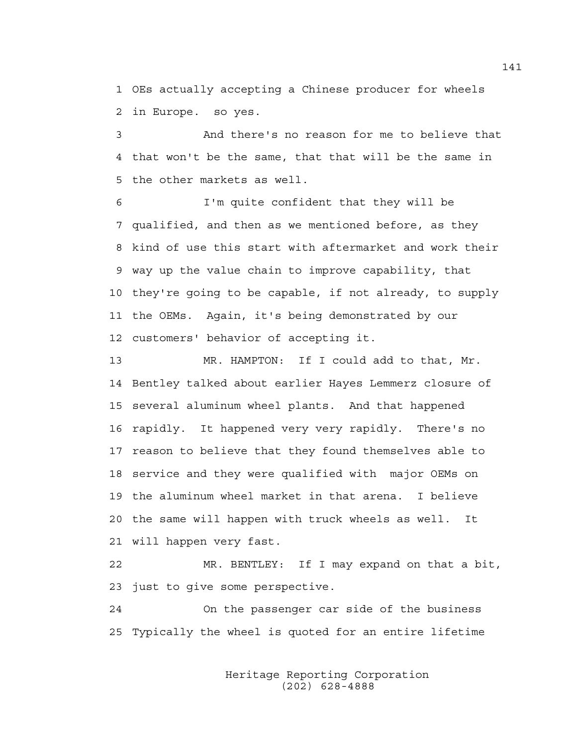1 OEs actually accepting a Chinese producer for wheels 2 in Europe. so yes.

3 And there's no reason for me to believe that 4 that won't be the same, that that will be the same in 5 the other markets as well.

6 I'm quite confident that they will be 7 qualified, and then as we mentioned before, as they 8 kind of use this start with aftermarket and work their 9 way up the value chain to improve capability, that 10 they're going to be capable, if not already, to supply 11 the OEMs. Again, it's being demonstrated by our 12 customers' behavior of accepting it.

13 MR. HAMPTON: If I could add to that, Mr. 14 Bentley talked about earlier Hayes Lemmerz closure of 15 several aluminum wheel plants. And that happened 16 rapidly. It happened very very rapidly. There's no 17 reason to believe that they found themselves able to 18 service and they were qualified with major OEMs on 19 the aluminum wheel market in that arena. I believe 20 the same will happen with truck wheels as well. It 21 will happen very fast.

22 MR. BENTLEY: If I may expand on that a bit, 23 just to give some perspective.

24 On the passenger car side of the business 25 Typically the wheel is quoted for an entire lifetime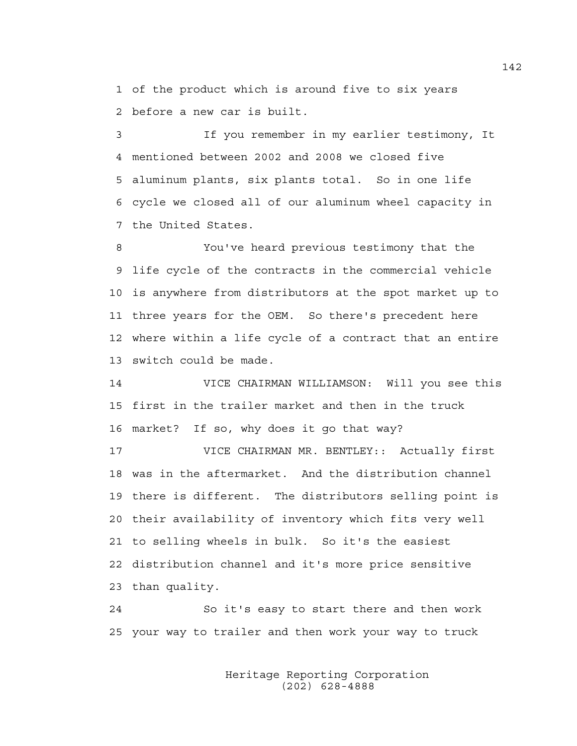1 of the product which is around five to six years 2 before a new car is built.

3 If you remember in my earlier testimony, It 4 mentioned between 2002 and 2008 we closed five 5 aluminum plants, six plants total. So in one life 6 cycle we closed all of our aluminum wheel capacity in 7 the United States.

8 You've heard previous testimony that the 9 life cycle of the contracts in the commercial vehicle 10 is anywhere from distributors at the spot market up to 11 three years for the OEM. So there's precedent here 12 where within a life cycle of a contract that an entire 13 switch could be made.

14 VICE CHAIRMAN WILLIAMSON: Will you see this 15 first in the trailer market and then in the truck 16 market? If so, why does it go that way?

17 VICE CHAIRMAN MR. BENTLEY:: Actually first 18 was in the aftermarket. And the distribution channel 19 there is different. The distributors selling point is 20 their availability of inventory which fits very well 21 to selling wheels in bulk. So it's the easiest 22 distribution channel and it's more price sensitive 23 than quality.

24 So it's easy to start there and then work 25 your way to trailer and then work your way to truck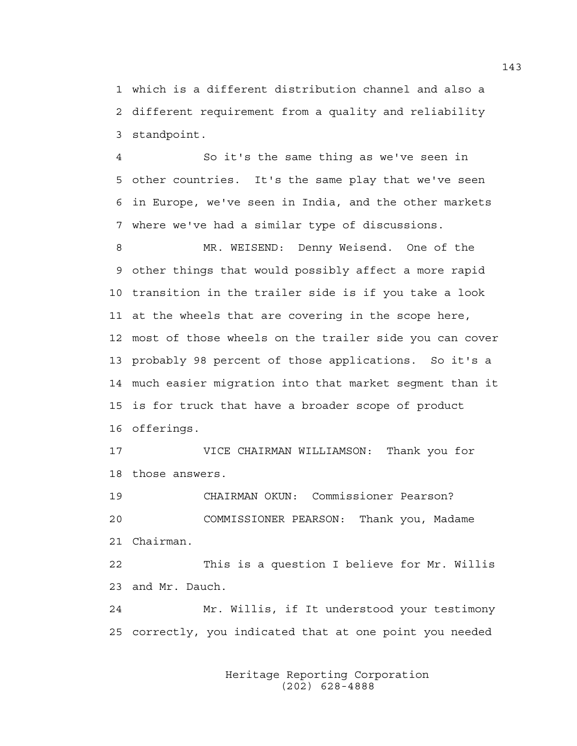1 which is a different distribution channel and also a 2 different requirement from a quality and reliability 3 standpoint.

4 So it's the same thing as we've seen in 5 other countries. It's the same play that we've seen 6 in Europe, we've seen in India, and the other markets 7 where we've had a similar type of discussions.

8 MR. WEISEND: Denny Weisend. One of the 9 other things that would possibly affect a more rapid 10 transition in the trailer side is if you take a look 11 at the wheels that are covering in the scope here, 12 most of those wheels on the trailer side you can cover 13 probably 98 percent of those applications. So it's a 14 much easier migration into that market segment than it 15 is for truck that have a broader scope of product 16 offerings.

17 VICE CHAIRMAN WILLIAMSON: Thank you for 18 those answers.

19 CHAIRMAN OKUN: Commissioner Pearson? 20 COMMISSIONER PEARSON: Thank you, Madame 21 Chairman.

22 This is a question I believe for Mr. Willis 23 and Mr. Dauch.

24 Mr. Willis, if It understood your testimony 25 correctly, you indicated that at one point you needed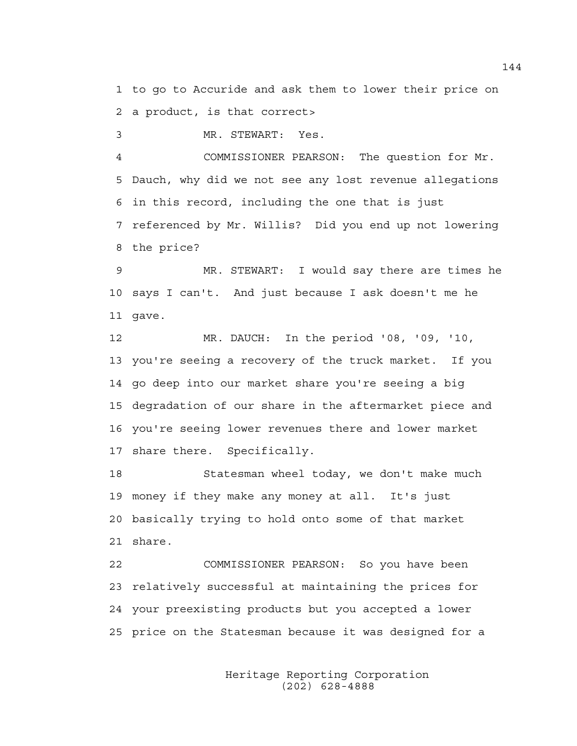1 to go to Accuride and ask them to lower their price on 2 a product, is that correct>

3 MR. STEWART: Yes.

4 COMMISSIONER PEARSON: The question for Mr. 5 Dauch, why did we not see any lost revenue allegations 6 in this record, including the one that is just 7 referenced by Mr. Willis? Did you end up not lowering 8 the price?

9 MR. STEWART: I would say there are times he 10 says I can't. And just because I ask doesn't me he 11 gave.

12 MR. DAUCH: In the period '08, '09, '10, 13 you're seeing a recovery of the truck market. If you 14 go deep into our market share you're seeing a big 15 degradation of our share in the aftermarket piece and 16 you're seeing lower revenues there and lower market 17 share there. Specifically.

18 Statesman wheel today, we don't make much 19 money if they make any money at all. It's just 20 basically trying to hold onto some of that market 21 share.

22 COMMISSIONER PEARSON: So you have been 23 relatively successful at maintaining the prices for 24 your preexisting products but you accepted a lower 25 price on the Statesman because it was designed for a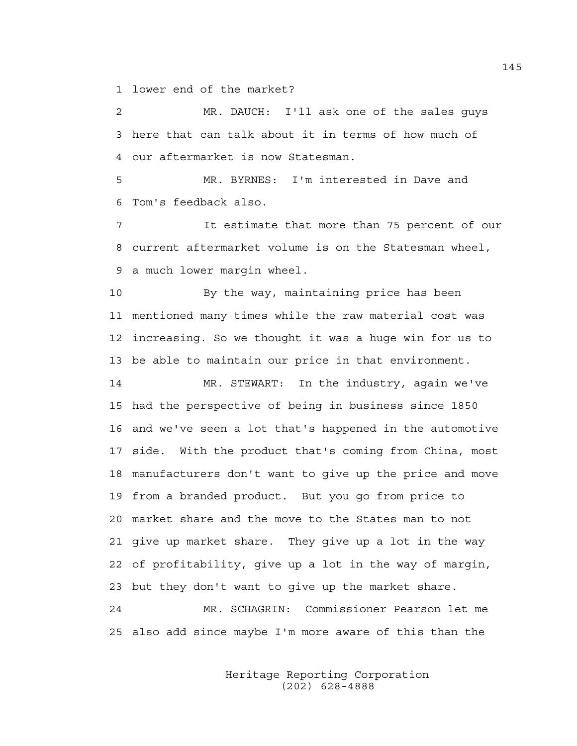1 lower end of the market?

2 MR. DAUCH: I'll ask one of the sales guys 3 here that can talk about it in terms of how much of 4 our aftermarket is now Statesman.

5 MR. BYRNES: I'm interested in Dave and 6 Tom's feedback also.

7 It estimate that more than 75 percent of our 8 current aftermarket volume is on the Statesman wheel, 9 a much lower margin wheel.

10 By the way, maintaining price has been 11 mentioned many times while the raw material cost was 12 increasing. So we thought it was a huge win for us to 13 be able to maintain our price in that environment.

14 MR. STEWART: In the industry, again we've 15 had the perspective of being in business since 1850 16 and we've seen a lot that's happened in the automotive 17 side. With the product that's coming from China, most 18 manufacturers don't want to give up the price and move 19 from a branded product. But you go from price to 20 market share and the move to the States man to not 21 give up market share. They give up a lot in the way 22 of profitability, give up a lot in the way of margin, 23 but they don't want to give up the market share.

24 MR. SCHAGRIN: Commissioner Pearson let me 25 also add since maybe I'm more aware of this than the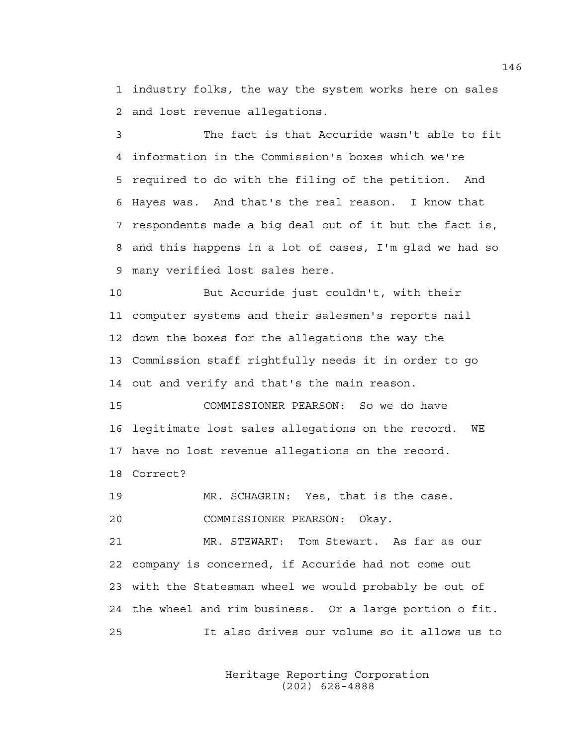1 industry folks, the way the system works here on sales 2 and lost revenue allegations.

3 The fact is that Accuride wasn't able to fit 4 information in the Commission's boxes which we're 5 required to do with the filing of the petition. And 6 Hayes was. And that's the real reason. I know that 7 respondents made a big deal out of it but the fact is, 8 and this happens in a lot of cases, I'm glad we had so 9 many verified lost sales here.

10 But Accuride just couldn't, with their 11 computer systems and their salesmen's reports nail 12 down the boxes for the allegations the way the 13 Commission staff rightfully needs it in order to go 14 out and verify and that's the main reason.

15 COMMISSIONER PEARSON: So we do have 16 legitimate lost sales allegations on the record. WE 17 have no lost revenue allegations on the record. 18 Correct?

19 MR. SCHAGRIN: Yes, that is the case. 20 COMMISSIONER PEARSON: Okay.

21 MR. STEWART: Tom Stewart. As far as our 22 company is concerned, if Accuride had not come out 23 with the Statesman wheel we would probably be out of 24 the wheel and rim business. Or a large portion o fit. 25 It also drives our volume so it allows us to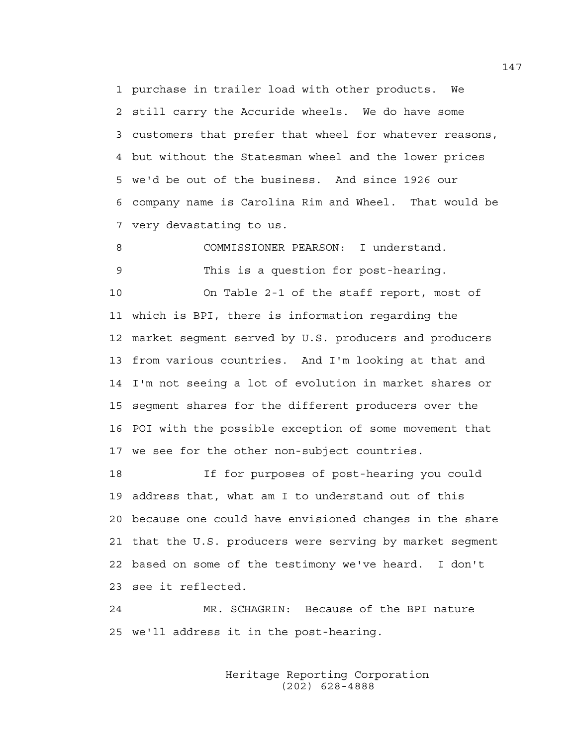1 purchase in trailer load with other products. We 2 still carry the Accuride wheels. We do have some 3 customers that prefer that wheel for whatever reasons, 4 but without the Statesman wheel and the lower prices 5 we'd be out of the business. And since 1926 our 6 company name is Carolina Rim and Wheel. That would be 7 very devastating to us.

8 COMMISSIONER PEARSON: I understand. 9 This is a question for post-hearing. 10 On Table 2-1 of the staff report, most of 11 which is BPI, there is information regarding the 12 market segment served by U.S. producers and producers 13 from various countries. And I'm looking at that and 14 I'm not seeing a lot of evolution in market shares or 15 segment shares for the different producers over the 16 POI with the possible exception of some movement that 17 we see for the other non-subject countries.

18 If for purposes of post-hearing you could 19 address that, what am I to understand out of this 20 because one could have envisioned changes in the share 21 that the U.S. producers were serving by market segment 22 based on some of the testimony we've heard. I don't 23 see it reflected.

24 MR. SCHAGRIN: Because of the BPI nature 25 we'll address it in the post-hearing.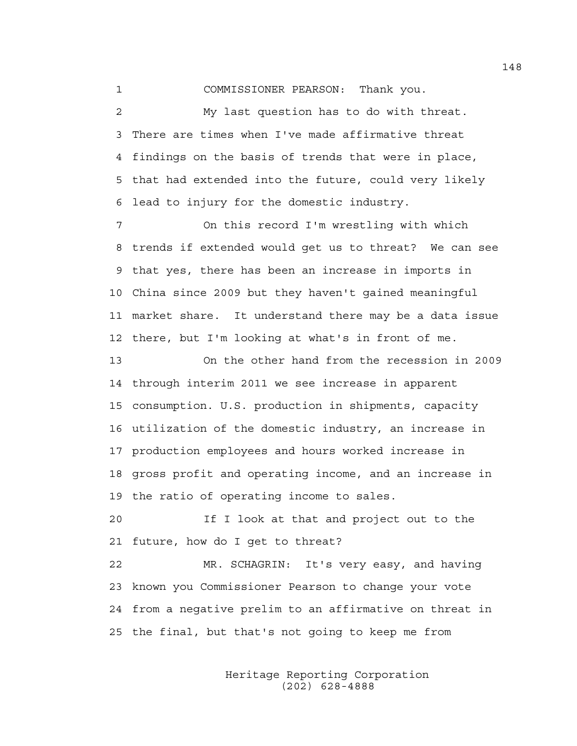1 COMMISSIONER PEARSON: Thank you.

2 My last question has to do with threat. 3 There are times when I've made affirmative threat 4 findings on the basis of trends that were in place, 5 that had extended into the future, could very likely 6 lead to injury for the domestic industry.

7 On this record I'm wrestling with which 8 trends if extended would get us to threat? We can see 9 that yes, there has been an increase in imports in 10 China since 2009 but they haven't gained meaningful 11 market share. It understand there may be a data issue 12 there, but I'm looking at what's in front of me.

13 On the other hand from the recession in 2009 14 through interim 2011 we see increase in apparent 15 consumption. U.S. production in shipments, capacity 16 utilization of the domestic industry, an increase in 17 production employees and hours worked increase in 18 gross profit and operating income, and an increase in 19 the ratio of operating income to sales.

20 If I look at that and project out to the 21 future, how do I get to threat?

22 MR. SCHAGRIN: It's very easy, and having 23 known you Commissioner Pearson to change your vote 24 from a negative prelim to an affirmative on threat in 25 the final, but that's not going to keep me from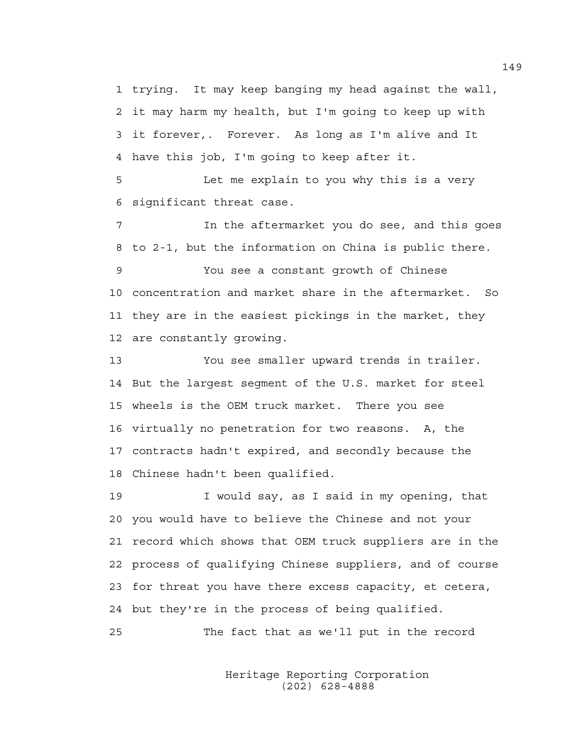1 trying. It may keep banging my head against the wall, 2 it may harm my health, but I'm going to keep up with 3 it forever,. Forever. As long as I'm alive and It 4 have this job, I'm going to keep after it.

5 Let me explain to you why this is a very 6 significant threat case.

7 In the aftermarket you do see, and this goes 8 to 2-1, but the information on China is public there.

9 You see a constant growth of Chinese 10 concentration and market share in the aftermarket. So 11 they are in the easiest pickings in the market, they 12 are constantly growing.

13 You see smaller upward trends in trailer. 14 But the largest segment of the U.S. market for steel 15 wheels is the OEM truck market. There you see 16 virtually no penetration for two reasons. A, the 17 contracts hadn't expired, and secondly because the 18 Chinese hadn't been qualified.

19 I would say, as I said in my opening, that 20 you would have to believe the Chinese and not your 21 record which shows that OEM truck suppliers are in the 22 process of qualifying Chinese suppliers, and of course 23 for threat you have there excess capacity, et cetera, 24 but they're in the process of being qualified.

25 The fact that as we'll put in the record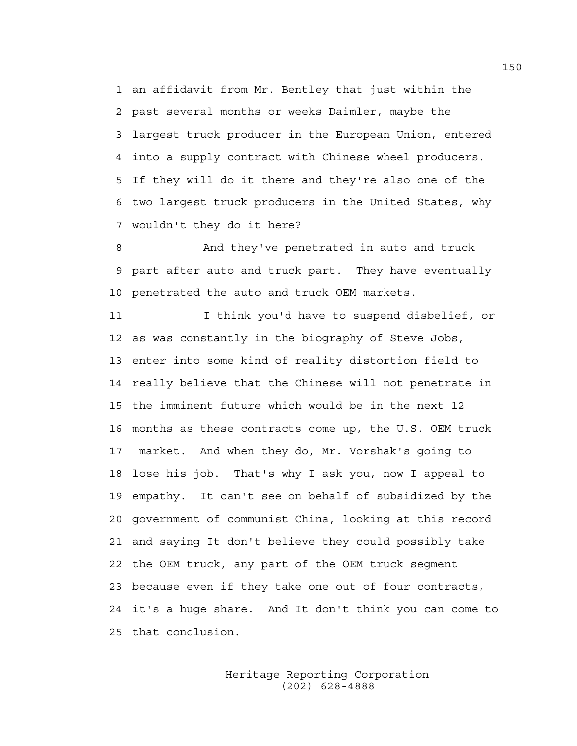1 an affidavit from Mr. Bentley that just within the 2 past several months or weeks Daimler, maybe the 3 largest truck producer in the European Union, entered 4 into a supply contract with Chinese wheel producers. 5 If they will do it there and they're also one of the 6 two largest truck producers in the United States, why 7 wouldn't they do it here?

8 And they've penetrated in auto and truck 9 part after auto and truck part. They have eventually 10 penetrated the auto and truck OEM markets.

11 I think you'd have to suspend disbelief, or 12 as was constantly in the biography of Steve Jobs, 13 enter into some kind of reality distortion field to 14 really believe that the Chinese will not penetrate in 15 the imminent future which would be in the next 12 16 months as these contracts come up, the U.S. OEM truck 17 market. And when they do, Mr. Vorshak's going to 18 lose his job. That's why I ask you, now I appeal to 19 empathy. It can't see on behalf of subsidized by the 20 government of communist China, looking at this record 21 and saying It don't believe they could possibly take 22 the OEM truck, any part of the OEM truck segment 23 because even if they take one out of four contracts, 24 it's a huge share. And It don't think you can come to 25 that conclusion.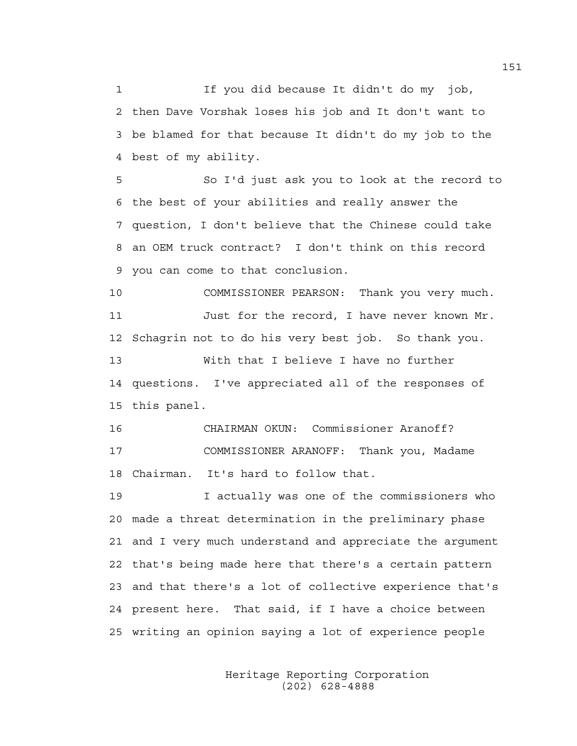1 If you did because It didn't do my job, 2 then Dave Vorshak loses his job and It don't want to 3 be blamed for that because It didn't do my job to the 4 best of my ability.

5 So I'd just ask you to look at the record to 6 the best of your abilities and really answer the 7 question, I don't believe that the Chinese could take 8 an OEM truck contract? I don't think on this record 9 you can come to that conclusion.

10 COMMISSIONER PEARSON: Thank you very much. 11 Just for the record, I have never known Mr. 12 Schagrin not to do his very best job. So thank you. 13 With that I believe I have no further 14 questions. I've appreciated all of the responses of 15 this panel.

16 CHAIRMAN OKUN: Commissioner Aranoff? 17 COMMISSIONER ARANOFF: Thank you, Madame 18 Chairman. It's hard to follow that.

19 I actually was one of the commissioners who 20 made a threat determination in the preliminary phase 21 and I very much understand and appreciate the argument 22 that's being made here that there's a certain pattern 23 and that there's a lot of collective experience that's 24 present here. That said, if I have a choice between 25 writing an opinion saying a lot of experience people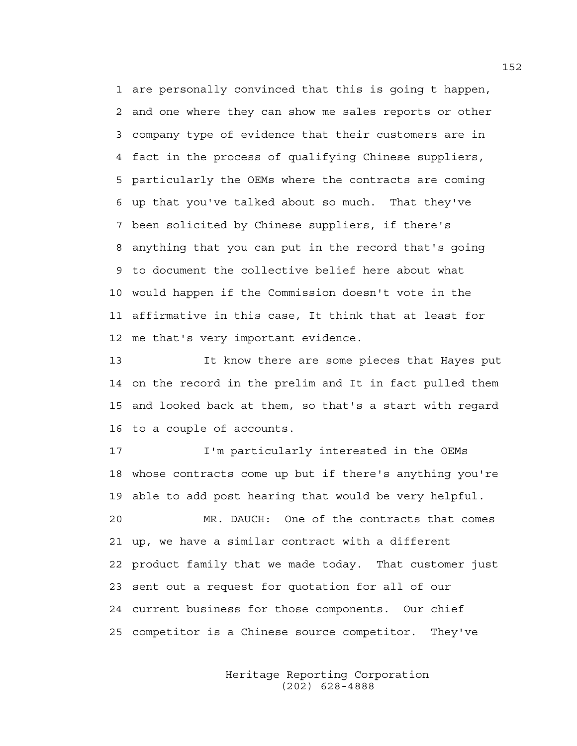1 are personally convinced that this is going t happen, 2 and one where they can show me sales reports or other 3 company type of evidence that their customers are in 4 fact in the process of qualifying Chinese suppliers, 5 particularly the OEMs where the contracts are coming 6 up that you've talked about so much. That they've 7 been solicited by Chinese suppliers, if there's 8 anything that you can put in the record that's going 9 to document the collective belief here about what 10 would happen if the Commission doesn't vote in the 11 affirmative in this case, It think that at least for 12 me that's very important evidence.

13 It know there are some pieces that Hayes put 14 on the record in the prelim and It in fact pulled them 15 and looked back at them, so that's a start with regard 16 to a couple of accounts.

17 I'm particularly interested in the OEMs 18 whose contracts come up but if there's anything you're 19 able to add post hearing that would be very helpful. 20 MR. DAUCH: One of the contracts that comes 21 up, we have a similar contract with a different 22 product family that we made today. That customer just 23 sent out a request for quotation for all of our 24 current business for those components. Our chief 25 competitor is a Chinese source competitor. They've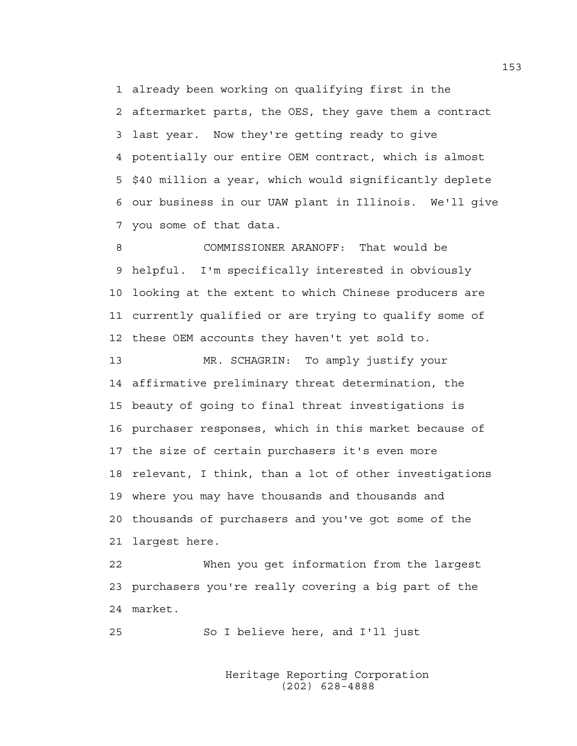1 already been working on qualifying first in the 2 aftermarket parts, the OES, they gave them a contract 3 last year. Now they're getting ready to give 4 potentially our entire OEM contract, which is almost 5 \$40 million a year, which would significantly deplete 6 our business in our UAW plant in Illinois. We'll give 7 you some of that data.

8 COMMISSIONER ARANOFF: That would be 9 helpful. I'm specifically interested in obviously 10 looking at the extent to which Chinese producers are 11 currently qualified or are trying to qualify some of 12 these OEM accounts they haven't yet sold to.

13 MR. SCHAGRIN: To amply justify your 14 affirmative preliminary threat determination, the 15 beauty of going to final threat investigations is 16 purchaser responses, which in this market because of 17 the size of certain purchasers it's even more 18 relevant, I think, than a lot of other investigations 19 where you may have thousands and thousands and 20 thousands of purchasers and you've got some of the 21 largest here.

22 When you get information from the largest 23 purchasers you're really covering a big part of the 24 market.

25 So I believe here, and I'll just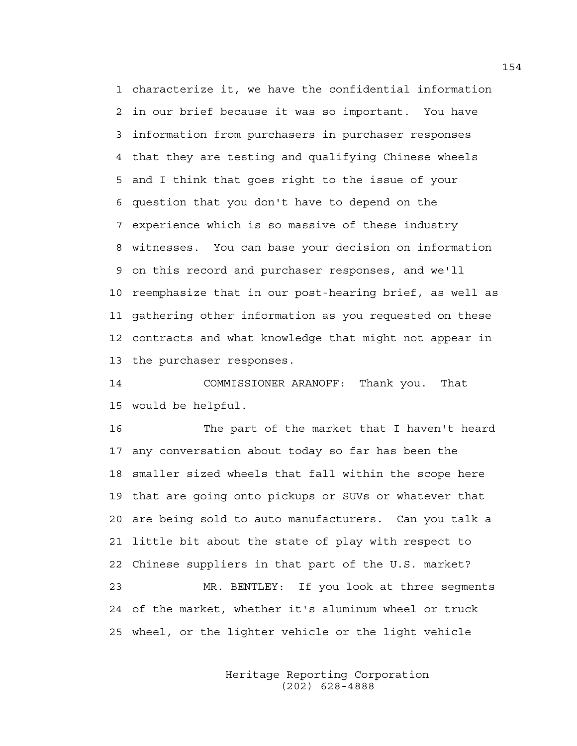1 characterize it, we have the confidential information 2 in our brief because it was so important. You have 3 information from purchasers in purchaser responses 4 that they are testing and qualifying Chinese wheels 5 and I think that goes right to the issue of your 6 question that you don't have to depend on the 7 experience which is so massive of these industry 8 witnesses. You can base your decision on information 9 on this record and purchaser responses, and we'll 10 reemphasize that in our post-hearing brief, as well as 11 gathering other information as you requested on these 12 contracts and what knowledge that might not appear in 13 the purchaser responses.

14 COMMISSIONER ARANOFF: Thank you. That 15 would be helpful.

16 The part of the market that I haven't heard 17 any conversation about today so far has been the 18 smaller sized wheels that fall within the scope here 19 that are going onto pickups or SUVs or whatever that 20 are being sold to auto manufacturers. Can you talk a 21 little bit about the state of play with respect to 22 Chinese suppliers in that part of the U.S. market? 23 MR. BENTLEY: If you look at three segments 24 of the market, whether it's aluminum wheel or truck 25 wheel, or the lighter vehicle or the light vehicle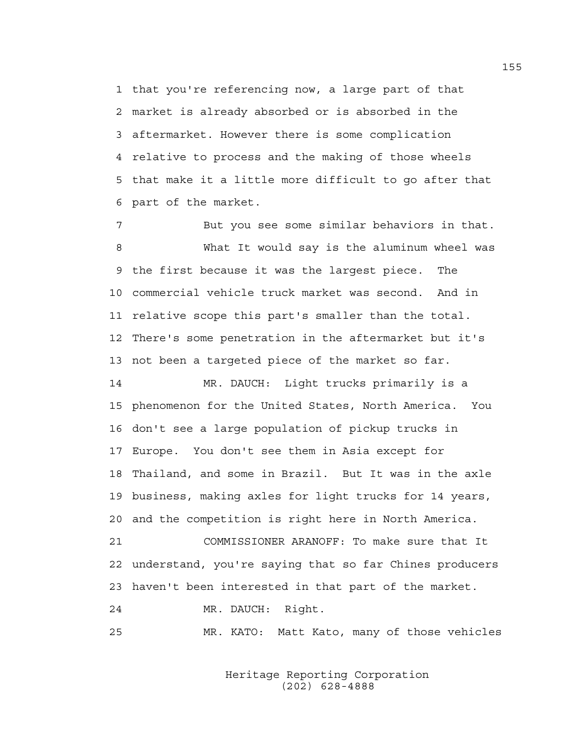1 that you're referencing now, a large part of that 2 market is already absorbed or is absorbed in the 3 aftermarket. However there is some complication 4 relative to process and the making of those wheels 5 that make it a little more difficult to go after that 6 part of the market.

7 But you see some similar behaviors in that. 8 What It would say is the aluminum wheel was 9 the first because it was the largest piece. The 10 commercial vehicle truck market was second. And in 11 relative scope this part's smaller than the total. 12 There's some penetration in the aftermarket but it's 13 not been a targeted piece of the market so far.

14 MR. DAUCH: Light trucks primarily is a 15 phenomenon for the United States, North America. You 16 don't see a large population of pickup trucks in 17 Europe. You don't see them in Asia except for 18 Thailand, and some in Brazil. But It was in the axle 19 business, making axles for light trucks for 14 years, 20 and the competition is right here in North America.

21 COMMISSIONER ARANOFF: To make sure that It 22 understand, you're saying that so far Chines producers 23 haven't been interested in that part of the market.

24 MR. DAUCH: Right.

25 MR. KATO: Matt Kato, many of those vehicles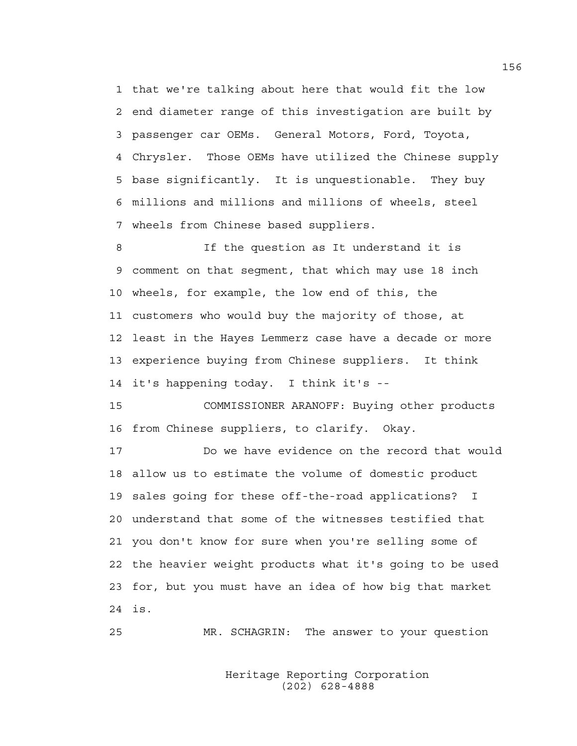1 that we're talking about here that would fit the low 2 end diameter range of this investigation are built by 3 passenger car OEMs. General Motors, Ford, Toyota, 4 Chrysler. Those OEMs have utilized the Chinese supply 5 base significantly. It is unquestionable. They buy 6 millions and millions and millions of wheels, steel 7 wheels from Chinese based suppliers.

8 If the question as It understand it is 9 comment on that segment, that which may use 18 inch 10 wheels, for example, the low end of this, the 11 customers who would buy the majority of those, at 12 least in the Hayes Lemmerz case have a decade or more 13 experience buying from Chinese suppliers. It think 14 it's happening today. I think it's --

15 COMMISSIONER ARANOFF: Buying other products 16 from Chinese suppliers, to clarify. Okay.

17 Do we have evidence on the record that would 18 allow us to estimate the volume of domestic product 19 sales going for these off-the-road applications? I 20 understand that some of the witnesses testified that 21 you don't know for sure when you're selling some of 22 the heavier weight products what it's going to be used 23 for, but you must have an idea of how big that market 24 is.

25 MR. SCHAGRIN: The answer to your question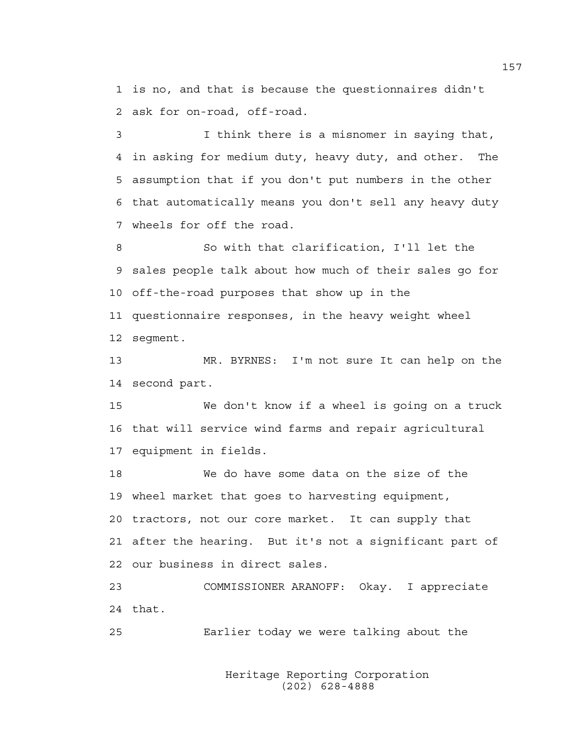1 is no, and that is because the questionnaires didn't 2 ask for on-road, off-road.

3 I think there is a misnomer in saying that, 4 in asking for medium duty, heavy duty, and other. The 5 assumption that if you don't put numbers in the other 6 that automatically means you don't sell any heavy duty 7 wheels for off the road.

8 So with that clarification, I'll let the 9 sales people talk about how much of their sales go for 10 off-the-road purposes that show up in the 11 questionnaire responses, in the heavy weight wheel 12 segment.

13 MR. BYRNES: I'm not sure It can help on the 14 second part.

15 We don't know if a wheel is going on a truck 16 that will service wind farms and repair agricultural 17 equipment in fields.

18 We do have some data on the size of the 19 wheel market that goes to harvesting equipment, 20 tractors, not our core market. It can supply that 21 after the hearing. But it's not a significant part of 22 our business in direct sales.

23 COMMISSIONER ARANOFF: Okay. I appreciate 24 that.

25 Earlier today we were talking about the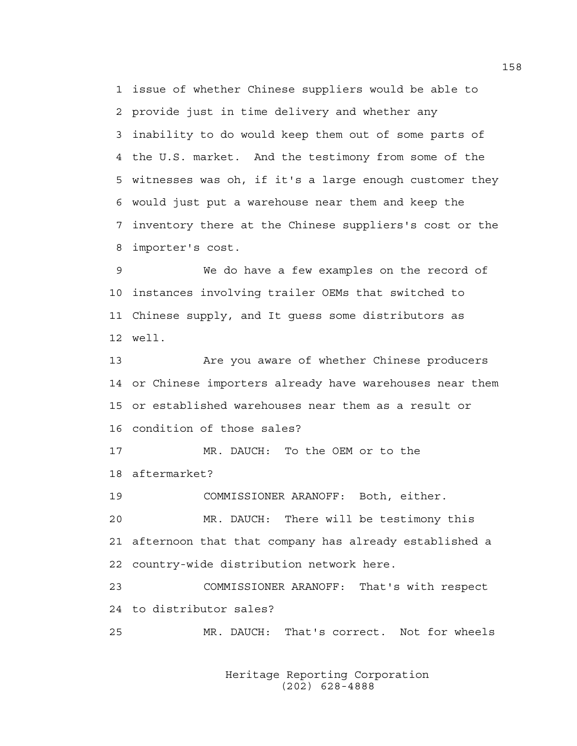1 issue of whether Chinese suppliers would be able to 2 provide just in time delivery and whether any 3 inability to do would keep them out of some parts of 4 the U.S. market. And the testimony from some of the 5 witnesses was oh, if it's a large enough customer they 6 would just put a warehouse near them and keep the 7 inventory there at the Chinese suppliers's cost or the 8 importer's cost.

9 We do have a few examples on the record of 10 instances involving trailer OEMs that switched to 11 Chinese supply, and It guess some distributors as 12 well.

13 Are you aware of whether Chinese producers 14 or Chinese importers already have warehouses near them 15 or established warehouses near them as a result or 16 condition of those sales?

17 MR. DAUCH: To the OEM or to the 18 aftermarket?

19 COMMISSIONER ARANOFF: Both, either.

20 MR. DAUCH: There will be testimony this 21 afternoon that that company has already established a 22 country-wide distribution network here.

23 COMMISSIONER ARANOFF: That's with respect 24 to distributor sales?

25 MR. DAUCH: That's correct. Not for wheels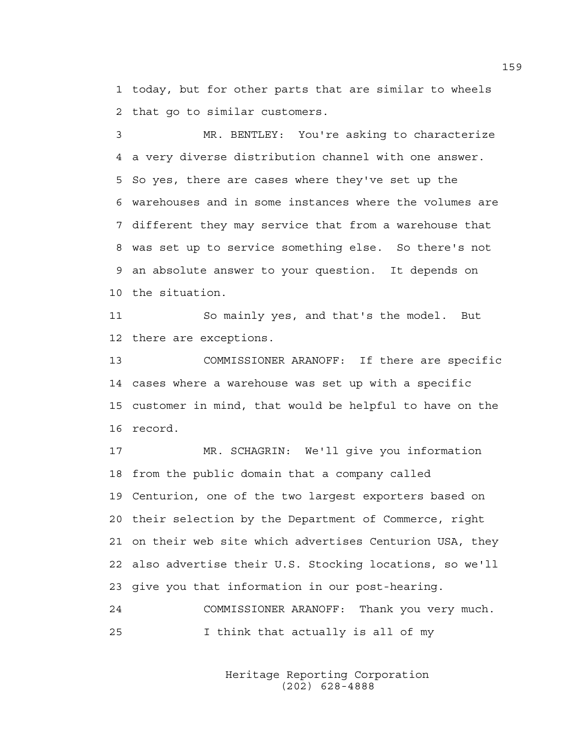1 today, but for other parts that are similar to wheels 2 that go to similar customers.

3 MR. BENTLEY: You're asking to characterize 4 a very diverse distribution channel with one answer. 5 So yes, there are cases where they've set up the 6 warehouses and in some instances where the volumes are 7 different they may service that from a warehouse that 8 was set up to service something else. So there's not 9 an absolute answer to your question. It depends on 10 the situation.

11 So mainly yes, and that's the model. But 12 there are exceptions.

13 COMMISSIONER ARANOFF: If there are specific 14 cases where a warehouse was set up with a specific 15 customer in mind, that would be helpful to have on the 16 record.

17 MR. SCHAGRIN: We'll give you information 18 from the public domain that a company called 19 Centurion, one of the two largest exporters based on 20 their selection by the Department of Commerce, right 21 on their web site which advertises Centurion USA, they 22 also advertise their U.S. Stocking locations, so we'll 23 give you that information in our post-hearing.

24 COMMISSIONER ARANOFF: Thank you very much. 25 I think that actually is all of my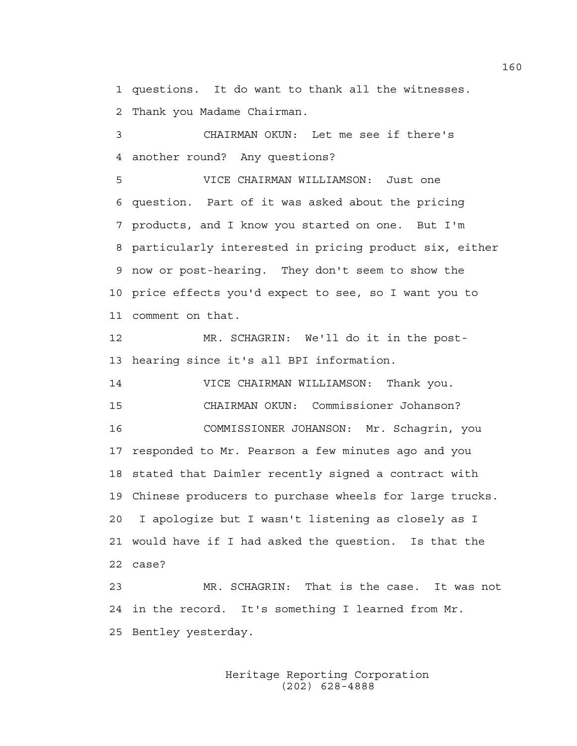1 questions. It do want to thank all the witnesses. 2 Thank you Madame Chairman.

3 CHAIRMAN OKUN: Let me see if there's 4 another round? Any questions?

5 VICE CHAIRMAN WILLIAMSON: Just one 6 question. Part of it was asked about the pricing 7 products, and I know you started on one. But I'm 8 particularly interested in pricing product six, either 9 now or post-hearing. They don't seem to show the 10 price effects you'd expect to see, so I want you to 11 comment on that.

12 MR. SCHAGRIN: We'll do it in the post-13 hearing since it's all BPI information.

14 VICE CHAIRMAN WILLIAMSON: Thank you. 15 CHAIRMAN OKUN: Commissioner Johanson? 16 COMMISSIONER JOHANSON: Mr. Schagrin, you 17 responded to Mr. Pearson a few minutes ago and you 18 stated that Daimler recently signed a contract with 19 Chinese producers to purchase wheels for large trucks. 20 I apologize but I wasn't listening as closely as I 21 would have if I had asked the question. Is that the 22 case?

23 MR. SCHAGRIN: That is the case. It was not 24 in the record. It's something I learned from Mr. 25 Bentley yesterday.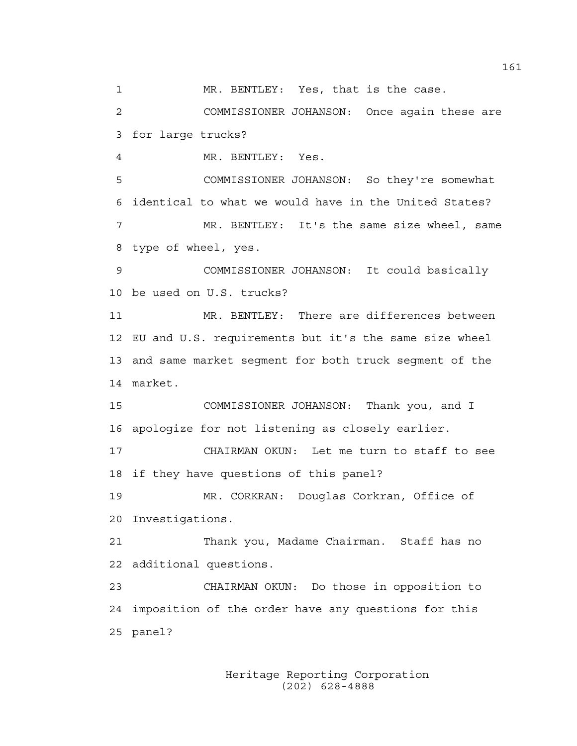1 MR. BENTLEY: Yes, that is the case.

2 COMMISSIONER JOHANSON: Once again these are 3 for large trucks?

4 MR. BENTLEY: Yes.

5 COMMISSIONER JOHANSON: So they're somewhat 6 identical to what we would have in the United States? 7 MR. BENTLEY: It's the same size wheel, same 8 type of wheel, yes.

9 COMMISSIONER JOHANSON: It could basically 10 be used on U.S. trucks?

11 MR. BENTLEY: There are differences between 12 EU and U.S. requirements but it's the same size wheel 13 and same market segment for both truck segment of the 14 market.

15 COMMISSIONER JOHANSON: Thank you, and I 16 apologize for not listening as closely earlier.

17 CHAIRMAN OKUN: Let me turn to staff to see 18 if they have questions of this panel?

19 MR. CORKRAN: Douglas Corkran, Office of 20 Investigations.

21 Thank you, Madame Chairman. Staff has no 22 additional questions.

23 CHAIRMAN OKUN: Do those in opposition to 24 imposition of the order have any questions for this 25 panel?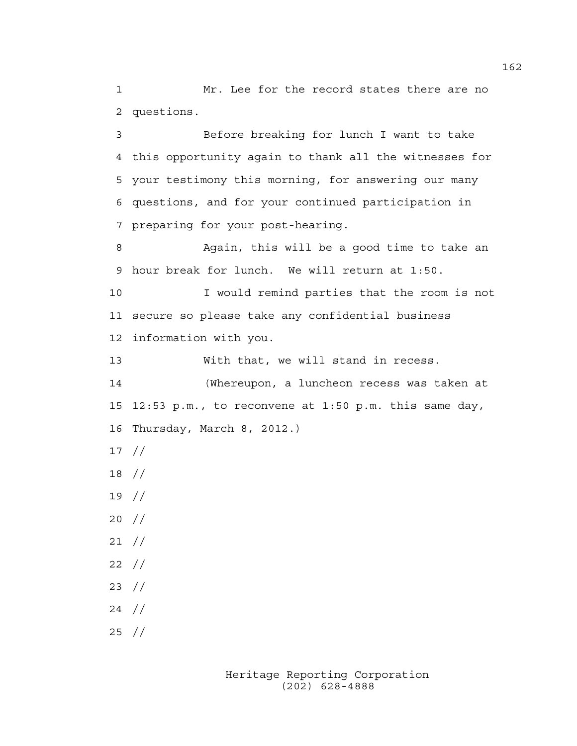1 Mr. Lee for the record states there are no 2 questions.

3 Before breaking for lunch I want to take 4 this opportunity again to thank all the witnesses for 5 your testimony this morning, for answering our many 6 questions, and for your continued participation in 7 preparing for your post-hearing.

8 Again, this will be a good time to take an 9 hour break for lunch. We will return at 1:50.

10 I would remind parties that the room is not 11 secure so please take any confidential business 12 information with you.

13 With that, we will stand in recess.

14 (Whereupon, a luncheon recess was taken at 15 12:53 p.m., to reconvene at 1:50 p.m. this same day, 16 Thursday, March 8, 2012.)

- 17 //
- 18 //
- 19 //
- 20 //
- 21 //
- 22 //
- 23 //
- 24 //
- 25 //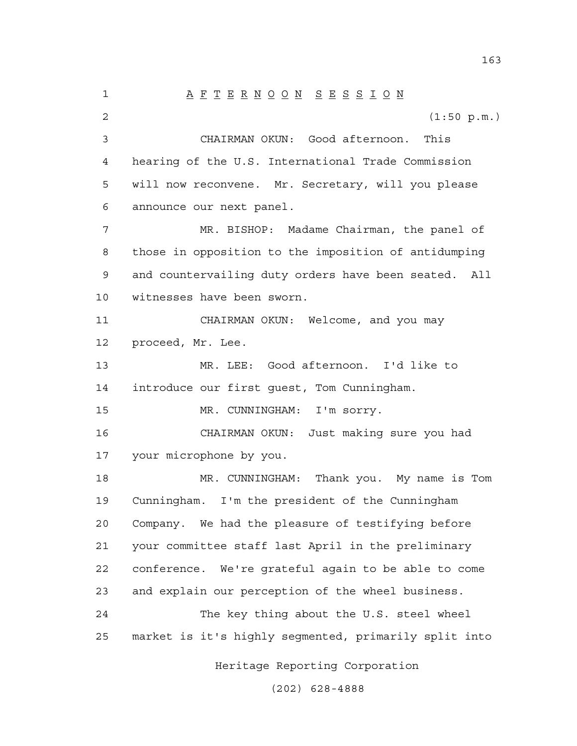1 A F T E R N O O N S E S S I O N 2 (1:50 p.m.) 3 CHAIRMAN OKUN: Good afternoon. This 4 hearing of the U.S. International Trade Commission 5 will now reconvene. Mr. Secretary, will you please 6 announce our next panel. 7 MR. BISHOP: Madame Chairman, the panel of 8 those in opposition to the imposition of antidumping 9 and countervailing duty orders have been seated. All 10 witnesses have been sworn. 11 CHAIRMAN OKUN: Welcome, and you may 12 proceed, Mr. Lee. 13 MR. LEE: Good afternoon. I'd like to 14 introduce our first guest, Tom Cunningham. 15 MR. CUNNINGHAM: I'm sorry. 16 CHAIRMAN OKUN: Just making sure you had 17 your microphone by you. 18 MR. CUNNINGHAM: Thank you. My name is Tom 19 Cunningham. I'm the president of the Cunningham 20 Company. We had the pleasure of testifying before 21 your committee staff last April in the preliminary 22 conference. We're grateful again to be able to come 23 and explain our perception of the wheel business. 24 The key thing about the U.S. steel wheel 25 market is it's highly segmented, primarily split into

Heritage Reporting Corporation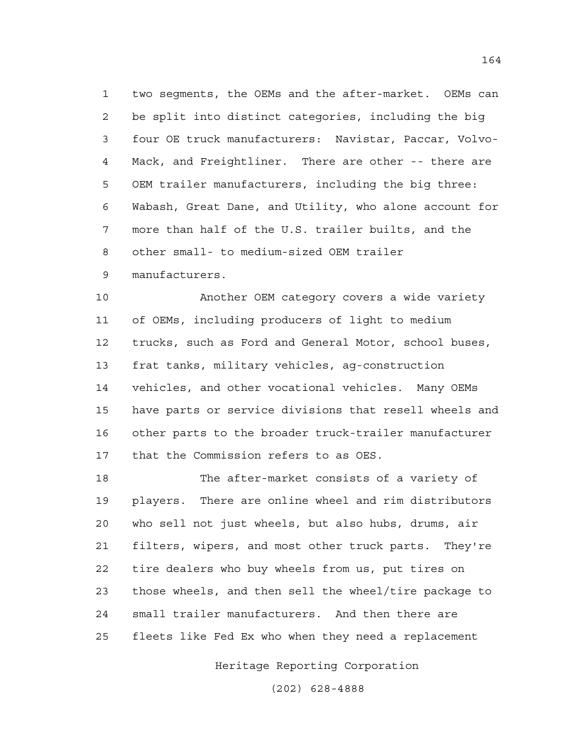1 two segments, the OEMs and the after-market. OEMs can 2 be split into distinct categories, including the big 3 four OE truck manufacturers: Navistar, Paccar, Volvo-4 Mack, and Freightliner. There are other -- there are 5 OEM trailer manufacturers, including the big three: 6 Wabash, Great Dane, and Utility, who alone account for 7 more than half of the U.S. trailer builts, and the 8 other small- to medium-sized OEM trailer 9 manufacturers.

10 Another OEM category covers a wide variety 11 of OEMs, including producers of light to medium 12 trucks, such as Ford and General Motor, school buses, 13 frat tanks, military vehicles, ag-construction 14 vehicles, and other vocational vehicles. Many OEMs 15 have parts or service divisions that resell wheels and 16 other parts to the broader truck-trailer manufacturer 17 that the Commission refers to as OES.

18 The after-market consists of a variety of 19 players. There are online wheel and rim distributors 20 who sell not just wheels, but also hubs, drums, air 21 filters, wipers, and most other truck parts. They're 22 tire dealers who buy wheels from us, put tires on 23 those wheels, and then sell the wheel/tire package to 24 small trailer manufacturers. And then there are 25 fleets like Fed Ex who when they need a replacement

Heritage Reporting Corporation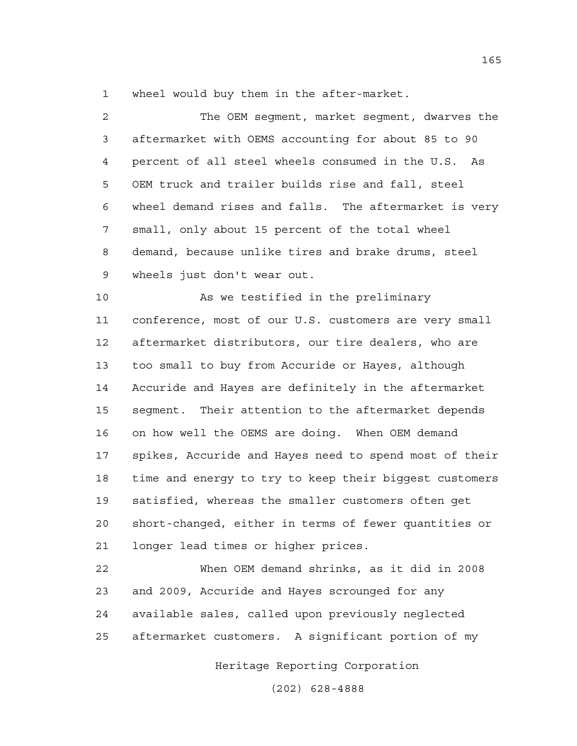1 wheel would buy them in the after-market.

2 The OEM segment, market segment, dwarves the 3 aftermarket with OEMS accounting for about 85 to 90 4 percent of all steel wheels consumed in the U.S. As 5 OEM truck and trailer builds rise and fall, steel 6 wheel demand rises and falls. The aftermarket is very 7 small, only about 15 percent of the total wheel 8 demand, because unlike tires and brake drums, steel 9 wheels just don't wear out.

10 As we testified in the preliminary 11 conference, most of our U.S. customers are very small 12 aftermarket distributors, our tire dealers, who are 13 too small to buy from Accuride or Hayes, although 14 Accuride and Hayes are definitely in the aftermarket 15 segment. Their attention to the aftermarket depends 16 on how well the OEMS are doing. When OEM demand 17 spikes, Accuride and Hayes need to spend most of their 18 time and energy to try to keep their biggest customers 19 satisfied, whereas the smaller customers often get 20 short-changed, either in terms of fewer quantities or 21 longer lead times or higher prices.

22 When OEM demand shrinks, as it did in 2008 23 and 2009, Accuride and Hayes scrounged for any 24 available sales, called upon previously neglected 25 aftermarket customers. A significant portion of my

Heritage Reporting Corporation

(202) 628-4888

165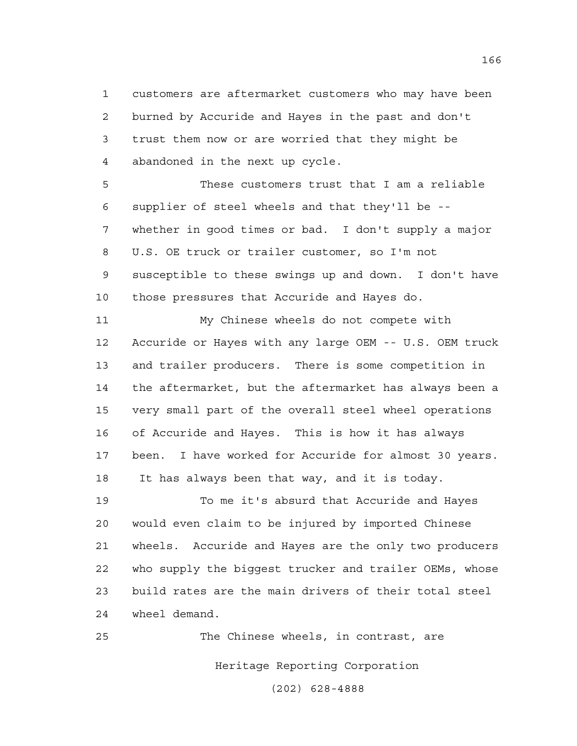1 customers are aftermarket customers who may have been 2 burned by Accuride and Hayes in the past and don't 3 trust them now or are worried that they might be 4 abandoned in the next up cycle.

5 These customers trust that I am a reliable 6 supplier of steel wheels and that they'll be -- 7 whether in good times or bad. I don't supply a major 8 U.S. OE truck or trailer customer, so I'm not 9 susceptible to these swings up and down. I don't have 10 those pressures that Accuride and Hayes do.

11 My Chinese wheels do not compete with 12 Accuride or Hayes with any large OEM -- U.S. OEM truck 13 and trailer producers. There is some competition in 14 the aftermarket, but the aftermarket has always been a 15 very small part of the overall steel wheel operations 16 of Accuride and Hayes. This is how it has always 17 been. I have worked for Accuride for almost 30 years. 18 It has always been that way, and it is today.

19 To me it's absurd that Accuride and Hayes 20 would even claim to be injured by imported Chinese 21 wheels. Accuride and Hayes are the only two producers 22 who supply the biggest trucker and trailer OEMs, whose 23 build rates are the main drivers of their total steel 24 wheel demand.

Heritage Reporting Corporation 25 The Chinese wheels, in contrast, are

(202) 628-4888

166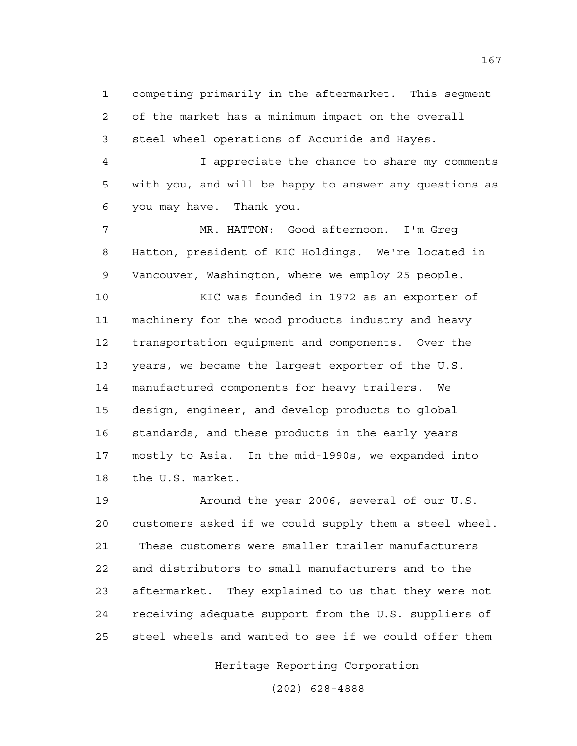1 competing primarily in the aftermarket. This segment 2 of the market has a minimum impact on the overall 3 steel wheel operations of Accuride and Hayes.

4 I appreciate the chance to share my comments 5 with you, and will be happy to answer any questions as 6 you may have. Thank you.

7 MR. HATTON: Good afternoon. I'm Greg 8 Hatton, president of KIC Holdings. We're located in 9 Vancouver, Washington, where we employ 25 people.

10 KIC was founded in 1972 as an exporter of 11 machinery for the wood products industry and heavy 12 transportation equipment and components. Over the 13 years, we became the largest exporter of the U.S. 14 manufactured components for heavy trailers. We 15 design, engineer, and develop products to global 16 standards, and these products in the early years 17 mostly to Asia. In the mid-1990s, we expanded into 18 the U.S. market.

19 Around the year 2006, several of our U.S. 20 customers asked if we could supply them a steel wheel. 21 These customers were smaller trailer manufacturers 22 and distributors to small manufacturers and to the 23 aftermarket. They explained to us that they were not 24 receiving adequate support from the U.S. suppliers of 25 steel wheels and wanted to see if we could offer them

Heritage Reporting Corporation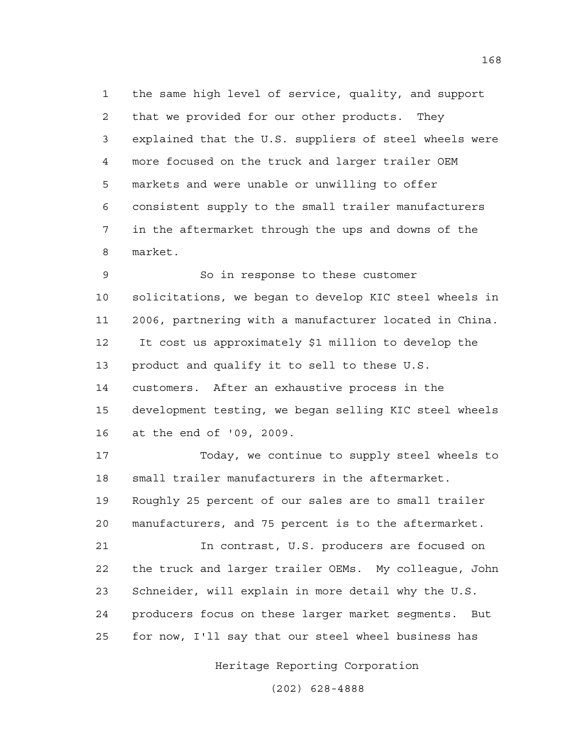1 the same high level of service, quality, and support 2 that we provided for our other products. They 3 explained that the U.S. suppliers of steel wheels were 4 more focused on the truck and larger trailer OEM 5 markets and were unable or unwilling to offer 6 consistent supply to the small trailer manufacturers 7 in the aftermarket through the ups and downs of the 8 market.

9 So in response to these customer 10 solicitations, we began to develop KIC steel wheels in 11 2006, partnering with a manufacturer located in China. 12 It cost us approximately \$1 million to develop the 13 product and qualify it to sell to these U.S. 14 customers. After an exhaustive process in the 15 development testing, we began selling KIC steel wheels 16 at the end of '09, 2009.

17 Today, we continue to supply steel wheels to 18 small trailer manufacturers in the aftermarket. 19 Roughly 25 percent of our sales are to small trailer 20 manufacturers, and 75 percent is to the aftermarket.

21 In contrast, U.S. producers are focused on 22 the truck and larger trailer OEMs. My colleague, John 23 Schneider, will explain in more detail why the U.S. 24 producers focus on these larger market segments. But 25 for now, I'll say that our steel wheel business has

Heritage Reporting Corporation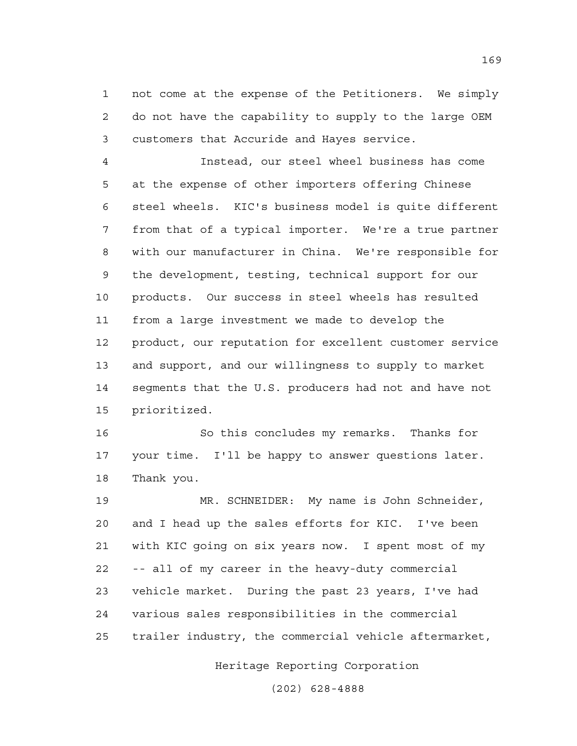1 not come at the expense of the Petitioners. We simply 2 do not have the capability to supply to the large OEM 3 customers that Accuride and Hayes service.

4 Instead, our steel wheel business has come 5 at the expense of other importers offering Chinese 6 steel wheels. KIC's business model is quite different 7 from that of a typical importer. We're a true partner 8 with our manufacturer in China. We're responsible for 9 the development, testing, technical support for our 10 products. Our success in steel wheels has resulted 11 from a large investment we made to develop the 12 product, our reputation for excellent customer service 13 and support, and our willingness to supply to market 14 segments that the U.S. producers had not and have not 15 prioritized.

16 So this concludes my remarks. Thanks for 17 your time. I'll be happy to answer questions later. 18 Thank you.

19 MR. SCHNEIDER: My name is John Schneider, 20 and I head up the sales efforts for KIC. I've been 21 with KIC going on six years now. I spent most of my 22 -- all of my career in the heavy-duty commercial 23 vehicle market. During the past 23 years, I've had 24 various sales responsibilities in the commercial 25 trailer industry, the commercial vehicle aftermarket,

Heritage Reporting Corporation

(202) 628-4888

169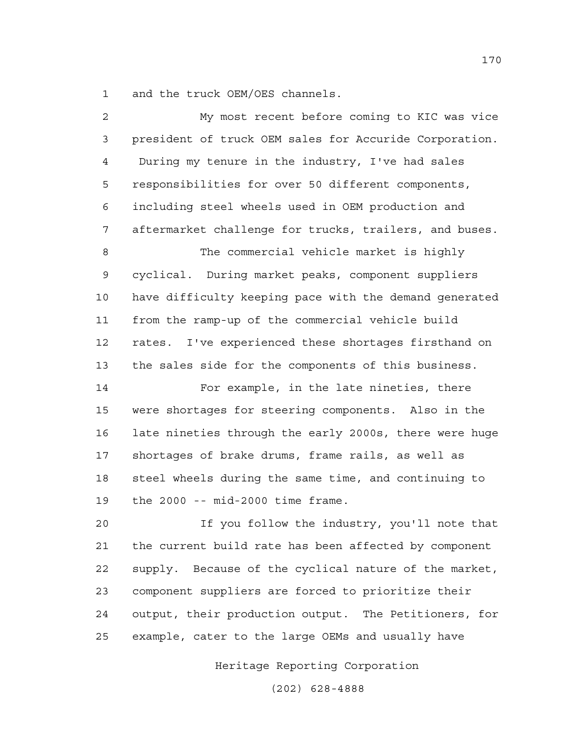1 and the truck OEM/OES channels.

| $\overline{c}$ | My most recent before coming to KIC was vice           |
|----------------|--------------------------------------------------------|
| 3              | president of truck OEM sales for Accuride Corporation. |
| 4              | During my tenure in the industry, I've had sales       |
| 5              | responsibilities for over 50 different components,     |
| 6              | including steel wheels used in OEM production and      |
| 7              | aftermarket challenge for trucks, trailers, and buses. |
| 8              | The commercial vehicle market is highly                |
| $\mathsf 9$    | cyclical. During market peaks, component suppliers     |
| 10             | have difficulty keeping pace with the demand generated |
| 11             | from the ramp-up of the commercial vehicle build       |
| 12             | rates. I've experienced these shortages firsthand on   |
| 13             | the sales side for the components of this business.    |
| 14             | For example, in the late nineties, there               |
| 15             | were shortages for steering components. Also in the    |
| 16             | late nineties through the early 2000s, there were huge |
| 17             | shortages of brake drums, frame rails, as well as      |
| 18             | steel wheels during the same time, and continuing to   |
| 19             | the $2000 - mid-2000$ time frame.                      |
| 20             | If you follow the industry, you'll note that           |
| 21             | the current build rate has been affected by component  |
| 22             | supply. Because of the cyclical nature of the market,  |
| 23             | component suppliers are forced to prioritize their     |
| 24             | output, their production output. The Petitioners, for  |
| 25             | example, cater to the large OEMs and usually have      |

Heritage Reporting Corporation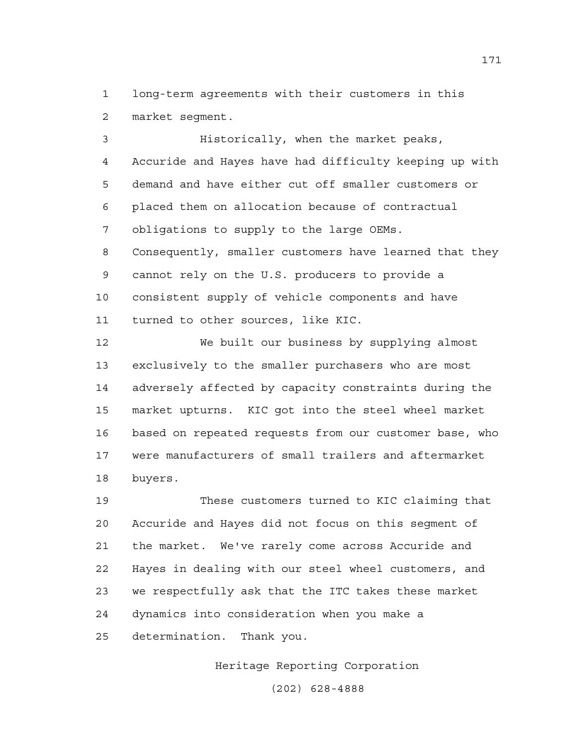1 long-term agreements with their customers in this 2 market segment.

3 Historically, when the market peaks, 4 Accuride and Hayes have had difficulty keeping up with 5 demand and have either cut off smaller customers or 6 placed them on allocation because of contractual 7 obligations to supply to the large OEMs. 8 Consequently, smaller customers have learned that they 9 cannot rely on the U.S. producers to provide a 10 consistent supply of vehicle components and have 11 turned to other sources, like KIC.

12 We built our business by supplying almost 13 exclusively to the smaller purchasers who are most 14 adversely affected by capacity constraints during the 15 market upturns. KIC got into the steel wheel market 16 based on repeated requests from our customer base, who 17 were manufacturers of small trailers and aftermarket 18 buyers.

19 These customers turned to KIC claiming that 20 Accuride and Hayes did not focus on this segment of 21 the market. We've rarely come across Accuride and 22 Hayes in dealing with our steel wheel customers, and 23 we respectfully ask that the ITC takes these market 24 dynamics into consideration when you make a 25 determination. Thank you.

Heritage Reporting Corporation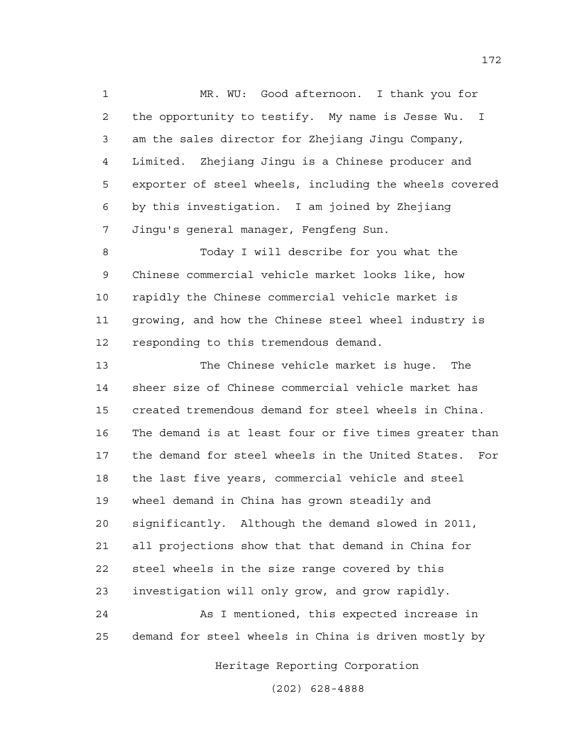1 MR. WU: Good afternoon. I thank you for 2 the opportunity to testify. My name is Jesse Wu. I 3 am the sales director for Zhejiang Jingu Company, 4 Limited. Zhejiang Jingu is a Chinese producer and 5 exporter of steel wheels, including the wheels covered 6 by this investigation. I am joined by Zhejiang 7 Jingu's general manager, Fengfeng Sun.

8 Today I will describe for you what the 9 Chinese commercial vehicle market looks like, how 10 rapidly the Chinese commercial vehicle market is 11 growing, and how the Chinese steel wheel industry is 12 responding to this tremendous demand.

13 The Chinese vehicle market is huge. The 14 sheer size of Chinese commercial vehicle market has 15 created tremendous demand for steel wheels in China. 16 The demand is at least four or five times greater than 17 the demand for steel wheels in the United States. For 18 the last five years, commercial vehicle and steel 19 wheel demand in China has grown steadily and 20 significantly. Although the demand slowed in 2011, 21 all projections show that that demand in China for 22 steel wheels in the size range covered by this 23 investigation will only grow, and grow rapidly.

24 As I mentioned, this expected increase in 25 demand for steel wheels in China is driven mostly by

Heritage Reporting Corporation

(202) 628-4888

172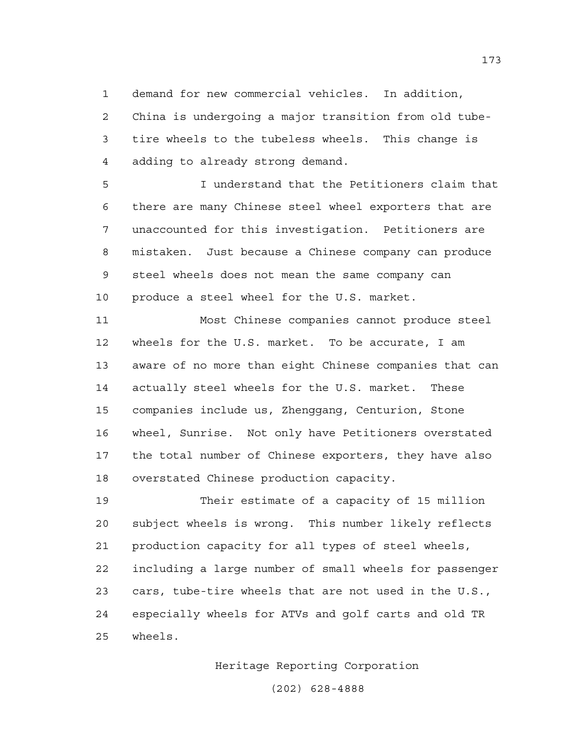1 demand for new commercial vehicles. In addition,

2 China is undergoing a major transition from old tube-3 tire wheels to the tubeless wheels. This change is 4 adding to already strong demand.

5 I understand that the Petitioners claim that 6 there are many Chinese steel wheel exporters that are 7 unaccounted for this investigation. Petitioners are 8 mistaken. Just because a Chinese company can produce 9 steel wheels does not mean the same company can 10 produce a steel wheel for the U.S. market.

11 Most Chinese companies cannot produce steel 12 wheels for the U.S. market. To be accurate, I am 13 aware of no more than eight Chinese companies that can 14 actually steel wheels for the U.S. market. These 15 companies include us, Zhenggang, Centurion, Stone 16 wheel, Sunrise. Not only have Petitioners overstated 17 the total number of Chinese exporters, they have also 18 overstated Chinese production capacity.

19 Their estimate of a capacity of 15 million 20 subject wheels is wrong. This number likely reflects 21 production capacity for all types of steel wheels, 22 including a large number of small wheels for passenger 23 cars, tube-tire wheels that are not used in the U.S., 24 especially wheels for ATVs and golf carts and old TR 25 wheels.

Heritage Reporting Corporation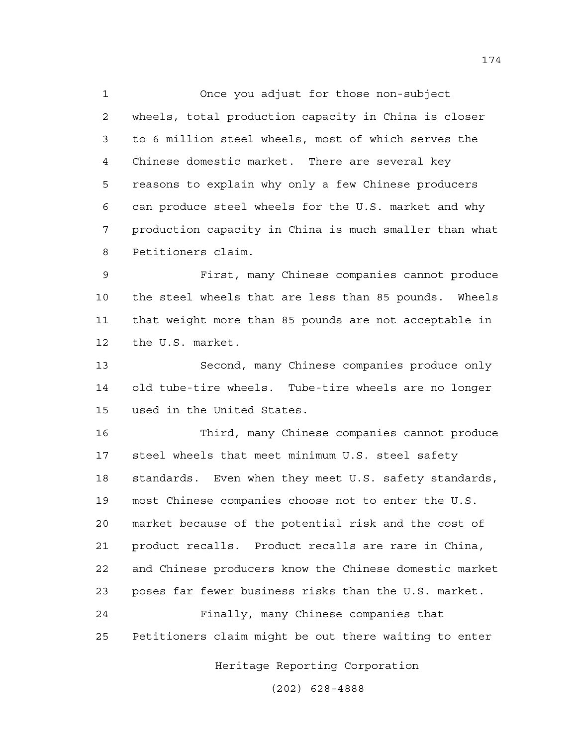1 Once you adjust for those non-subject 2 wheels, total production capacity in China is closer 3 to 6 million steel wheels, most of which serves the 4 Chinese domestic market. There are several key 5 reasons to explain why only a few Chinese producers 6 can produce steel wheels for the U.S. market and why 7 production capacity in China is much smaller than what 8 Petitioners claim.

9 First, many Chinese companies cannot produce 10 the steel wheels that are less than 85 pounds. Wheels 11 that weight more than 85 pounds are not acceptable in 12 the U.S. market.

13 Second, many Chinese companies produce only 14 old tube-tire wheels. Tube-tire wheels are no longer 15 used in the United States.

16 Third, many Chinese companies cannot produce 17 steel wheels that meet minimum U.S. steel safety 18 standards. Even when they meet U.S. safety standards, 19 most Chinese companies choose not to enter the U.S. 20 market because of the potential risk and the cost of 21 product recalls. Product recalls are rare in China, 22 and Chinese producers know the Chinese domestic market 23 poses far fewer business risks than the U.S. market.

24 Finally, many Chinese companies that 25 Petitioners claim might be out there waiting to enter

Heritage Reporting Corporation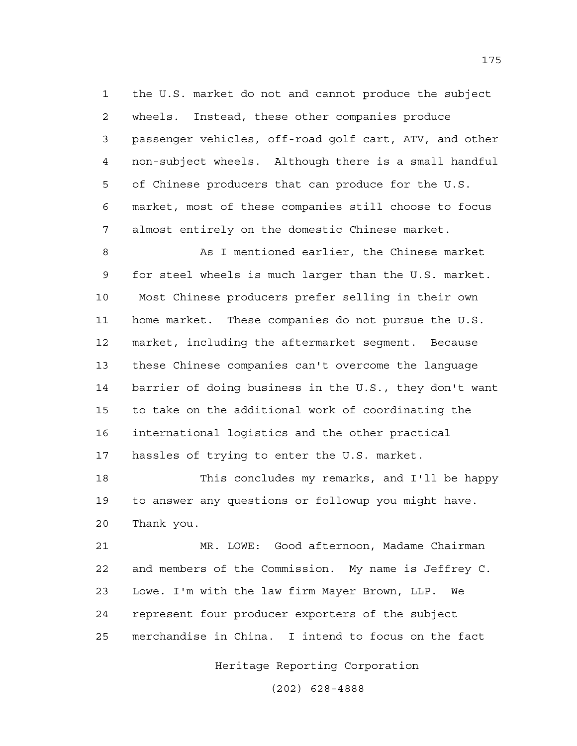1 the U.S. market do not and cannot produce the subject 2 wheels. Instead, these other companies produce 3 passenger vehicles, off-road golf cart, ATV, and other 4 non-subject wheels. Although there is a small handful 5 of Chinese producers that can produce for the U.S. 6 market, most of these companies still choose to focus 7 almost entirely on the domestic Chinese market.

8 As I mentioned earlier, the Chinese market 9 for steel wheels is much larger than the U.S. market. 10 Most Chinese producers prefer selling in their own 11 home market. These companies do not pursue the U.S. 12 market, including the aftermarket segment. Because 13 these Chinese companies can't overcome the language 14 barrier of doing business in the U.S., they don't want 15 to take on the additional work of coordinating the 16 international logistics and the other practical 17 hassles of trying to enter the U.S. market.

18 This concludes my remarks, and I'll be happy 19 to answer any questions or followup you might have. 20 Thank you.

21 MR. LOWE: Good afternoon, Madame Chairman 22 and members of the Commission. My name is Jeffrey C. 23 Lowe. I'm with the law firm Mayer Brown, LLP. We 24 represent four producer exporters of the subject 25 merchandise in China. I intend to focus on the fact

Heritage Reporting Corporation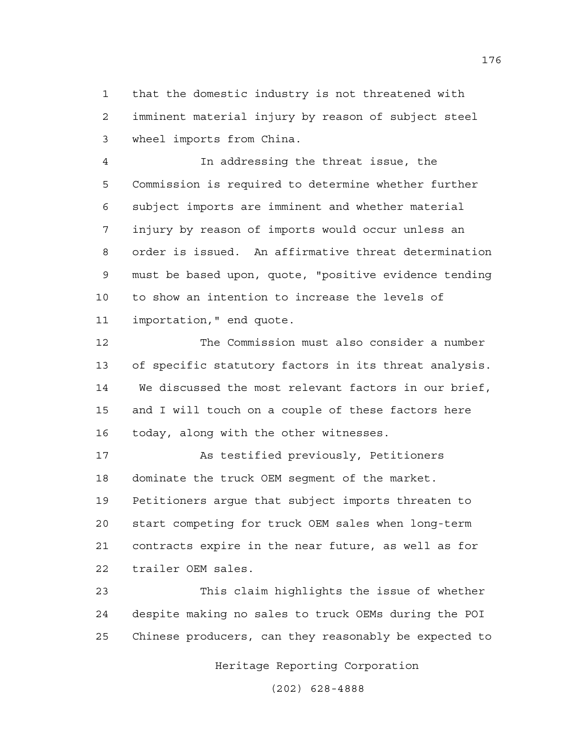1 that the domestic industry is not threatened with 2 imminent material injury by reason of subject steel 3 wheel imports from China.

4 In addressing the threat issue, the 5 Commission is required to determine whether further 6 subject imports are imminent and whether material 7 injury by reason of imports would occur unless an 8 order is issued. An affirmative threat determination 9 must be based upon, quote, "positive evidence tending 10 to show an intention to increase the levels of 11 importation," end quote.

12 The Commission must also consider a number 13 of specific statutory factors in its threat analysis. 14 We discussed the most relevant factors in our brief, 15 and I will touch on a couple of these factors here 16 today, along with the other witnesses.

17 As testified previously, Petitioners 18 dominate the truck OEM segment of the market. 19 Petitioners argue that subject imports threaten to 20 start competing for truck OEM sales when long-term 21 contracts expire in the near future, as well as for 22 trailer OEM sales.

23 This claim highlights the issue of whether 24 despite making no sales to truck OEMs during the POI 25 Chinese producers, can they reasonably be expected to

Heritage Reporting Corporation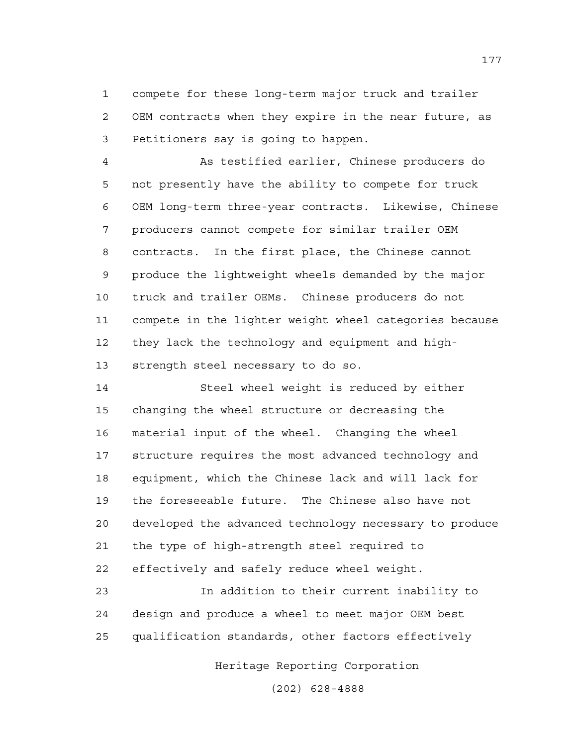1 compete for these long-term major truck and trailer 2 OEM contracts when they expire in the near future, as 3 Petitioners say is going to happen.

4 As testified earlier, Chinese producers do 5 not presently have the ability to compete for truck 6 OEM long-term three-year contracts. Likewise, Chinese 7 producers cannot compete for similar trailer OEM 8 contracts. In the first place, the Chinese cannot 9 produce the lightweight wheels demanded by the major 10 truck and trailer OEMs. Chinese producers do not 11 compete in the lighter weight wheel categories because 12 they lack the technology and equipment and high-13 strength steel necessary to do so.

14 Steel wheel weight is reduced by either 15 changing the wheel structure or decreasing the 16 material input of the wheel. Changing the wheel 17 structure requires the most advanced technology and 18 equipment, which the Chinese lack and will lack for 19 the foreseeable future. The Chinese also have not 20 developed the advanced technology necessary to produce 21 the type of high-strength steel required to 22 effectively and safely reduce wheel weight.

23 In addition to their current inability to 24 design and produce a wheel to meet major OEM best 25 qualification standards, other factors effectively

Heritage Reporting Corporation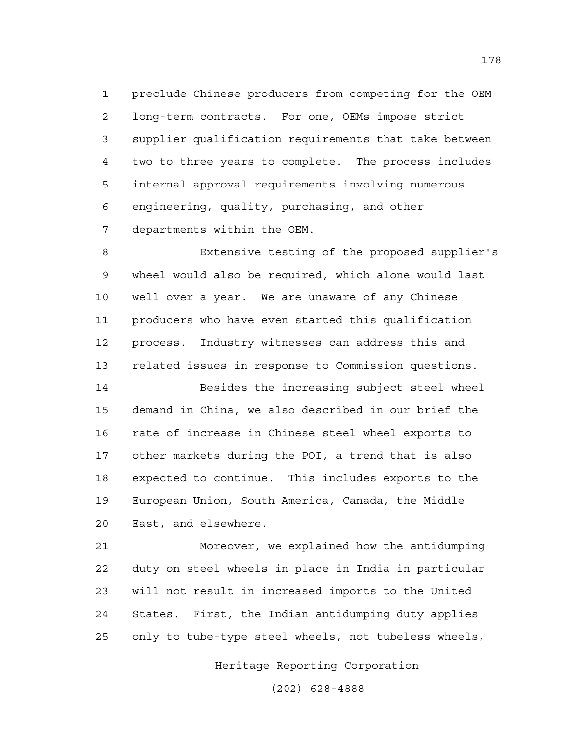1 preclude Chinese producers from competing for the OEM 2 long-term contracts. For one, OEMs impose strict 3 supplier qualification requirements that take between 4 two to three years to complete. The process includes 5 internal approval requirements involving numerous 6 engineering, quality, purchasing, and other 7 departments within the OEM.

8 Extensive testing of the proposed supplier's 9 wheel would also be required, which alone would last 10 well over a year. We are unaware of any Chinese 11 producers who have even started this qualification 12 process. Industry witnesses can address this and 13 related issues in response to Commission questions.

14 Besides the increasing subject steel wheel 15 demand in China, we also described in our brief the 16 rate of increase in Chinese steel wheel exports to 17 other markets during the POI, a trend that is also 18 expected to continue. This includes exports to the 19 European Union, South America, Canada, the Middle 20 East, and elsewhere.

21 Moreover, we explained how the antidumping 22 duty on steel wheels in place in India in particular 23 will not result in increased imports to the United 24 States. First, the Indian antidumping duty applies 25 only to tube-type steel wheels, not tubeless wheels,

Heritage Reporting Corporation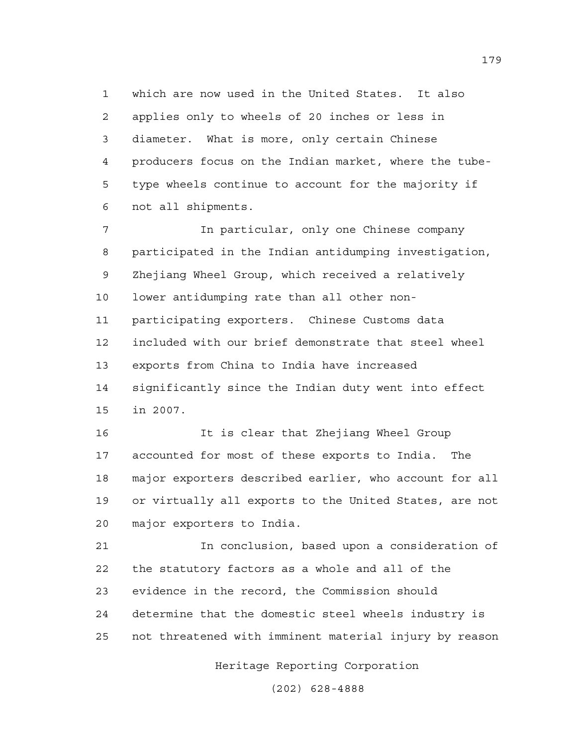1 which are now used in the United States. It also 2 applies only to wheels of 20 inches or less in 3 diameter. What is more, only certain Chinese 4 producers focus on the Indian market, where the tube-5 type wheels continue to account for the majority if 6 not all shipments.

7 In particular, only one Chinese company 8 participated in the Indian antidumping investigation, 9 Zhejiang Wheel Group, which received a relatively 10 lower antidumping rate than all other non-11 participating exporters. Chinese Customs data 12 included with our brief demonstrate that steel wheel 13 exports from China to India have increased 14 significantly since the Indian duty went into effect 15 in 2007.

16 It is clear that Zhejiang Wheel Group 17 accounted for most of these exports to India. The 18 major exporters described earlier, who account for all 19 or virtually all exports to the United States, are not 20 major exporters to India.

21 In conclusion, based upon a consideration of 22 the statutory factors as a whole and all of the 23 evidence in the record, the Commission should 24 determine that the domestic steel wheels industry is 25 not threatened with imminent material injury by reason

Heritage Reporting Corporation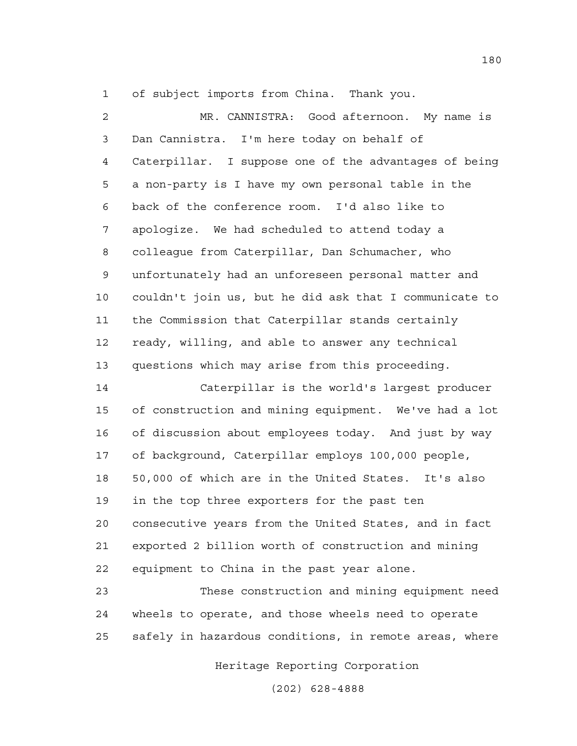1 of subject imports from China. Thank you.

2 MR. CANNISTRA: Good afternoon. My name is 3 Dan Cannistra. I'm here today on behalf of 4 Caterpillar. I suppose one of the advantages of being 5 a non-party is I have my own personal table in the 6 back of the conference room. I'd also like to 7 apologize. We had scheduled to attend today a 8 colleague from Caterpillar, Dan Schumacher, who 9 unfortunately had an unforeseen personal matter and 10 couldn't join us, but he did ask that I communicate to 11 the Commission that Caterpillar stands certainly 12 ready, willing, and able to answer any technical 13 questions which may arise from this proceeding.

14 Caterpillar is the world's largest producer 15 of construction and mining equipment. We've had a lot 16 of discussion about employees today. And just by way 17 of background, Caterpillar employs 100,000 people, 18 50,000 of which are in the United States. It's also 19 in the top three exporters for the past ten 20 consecutive years from the United States, and in fact 21 exported 2 billion worth of construction and mining 22 equipment to China in the past year alone.

23 These construction and mining equipment need 24 wheels to operate, and those wheels need to operate 25 safely in hazardous conditions, in remote areas, where

Heritage Reporting Corporation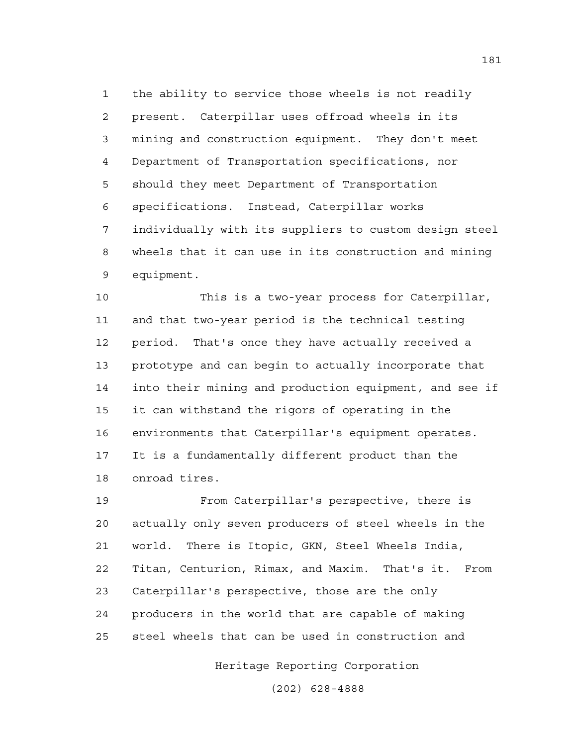1 the ability to service those wheels is not readily 2 present. Caterpillar uses offroad wheels in its 3 mining and construction equipment. They don't meet 4 Department of Transportation specifications, nor 5 should they meet Department of Transportation 6 specifications. Instead, Caterpillar works 7 individually with its suppliers to custom design steel 8 wheels that it can use in its construction and mining 9 equipment.

10 This is a two-year process for Caterpillar, 11 and that two-year period is the technical testing 12 period. That's once they have actually received a 13 prototype and can begin to actually incorporate that 14 into their mining and production equipment, and see if 15 it can withstand the rigors of operating in the 16 environments that Caterpillar's equipment operates. 17 It is a fundamentally different product than the 18 onroad tires.

19 From Caterpillar's perspective, there is 20 actually only seven producers of steel wheels in the 21 world. There is Itopic, GKN, Steel Wheels India, 22 Titan, Centurion, Rimax, and Maxim. That's it. From 23 Caterpillar's perspective, those are the only 24 producers in the world that are capable of making 25 steel wheels that can be used in construction and

Heritage Reporting Corporation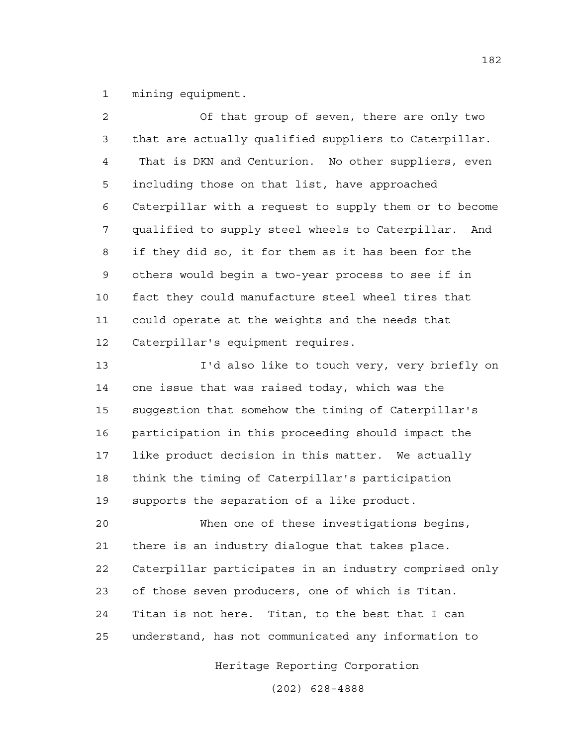1 mining equipment.

2 Of that group of seven, there are only two 3 that are actually qualified suppliers to Caterpillar. 4 That is DKN and Centurion. No other suppliers, even 5 including those on that list, have approached 6 Caterpillar with a request to supply them or to become 7 qualified to supply steel wheels to Caterpillar. And 8 if they did so, it for them as it has been for the 9 others would begin a two-year process to see if in 10 fact they could manufacture steel wheel tires that 11 could operate at the weights and the needs that 12 Caterpillar's equipment requires.

13 I'd also like to touch very, very briefly on 14 one issue that was raised today, which was the 15 suggestion that somehow the timing of Caterpillar's 16 participation in this proceeding should impact the 17 like product decision in this matter. We actually 18 think the timing of Caterpillar's participation 19 supports the separation of a like product.

20 When one of these investigations begins, 21 there is an industry dialogue that takes place. 22 Caterpillar participates in an industry comprised only 23 of those seven producers, one of which is Titan. 24 Titan is not here. Titan, to the best that I can 25 understand, has not communicated any information to

Heritage Reporting Corporation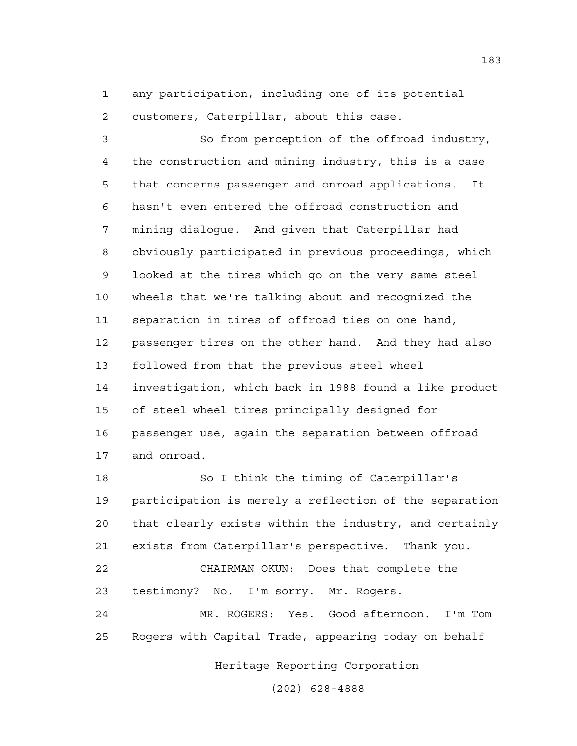1 any participation, including one of its potential 2 customers, Caterpillar, about this case.

3 So from perception of the offroad industry, 4 the construction and mining industry, this is a case 5 that concerns passenger and onroad applications. It 6 hasn't even entered the offroad construction and 7 mining dialogue. And given that Caterpillar had 8 obviously participated in previous proceedings, which 9 looked at the tires which go on the very same steel 10 wheels that we're talking about and recognized the 11 separation in tires of offroad ties on one hand, 12 passenger tires on the other hand. And they had also 13 followed from that the previous steel wheel 14 investigation, which back in 1988 found a like product 15 of steel wheel tires principally designed for 16 passenger use, again the separation between offroad 17 and onroad.

18 So I think the timing of Caterpillar's 19 participation is merely a reflection of the separation 20 that clearly exists within the industry, and certainly 21 exists from Caterpillar's perspective. Thank you. 22 CHAIRMAN OKUN: Does that complete the 23 testimony? No. I'm sorry. Mr. Rogers. 24 MR. ROGERS: Yes. Good afternoon. I'm Tom

25 Rogers with Capital Trade, appearing today on behalf

Heritage Reporting Corporation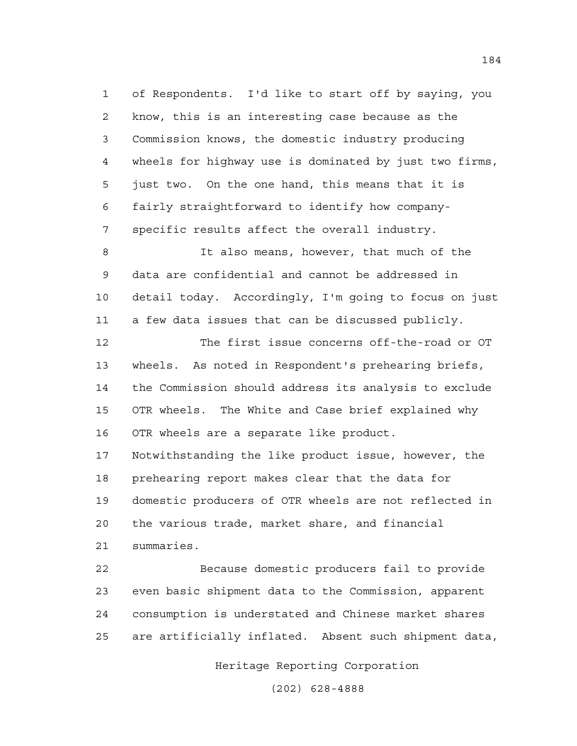1 of Respondents. I'd like to start off by saying, you 2 know, this is an interesting case because as the 3 Commission knows, the domestic industry producing 4 wheels for highway use is dominated by just two firms, 5 just two. On the one hand, this means that it is 6 fairly straightforward to identify how company-7 specific results affect the overall industry.

8 It also means, however, that much of the 9 data are confidential and cannot be addressed in 10 detail today. Accordingly, I'm going to focus on just 11 a few data issues that can be discussed publicly.

12 The first issue concerns off-the-road or OT 13 wheels. As noted in Respondent's prehearing briefs, 14 the Commission should address its analysis to exclude 15 OTR wheels. The White and Case brief explained why 16 OTR wheels are a separate like product. 17 Notwithstanding the like product issue, however, the

18 prehearing report makes clear that the data for 19 domestic producers of OTR wheels are not reflected in 20 the various trade, market share, and financial 21 summaries.

22 Because domestic producers fail to provide 23 even basic shipment data to the Commission, apparent 24 consumption is understated and Chinese market shares 25 are artificially inflated. Absent such shipment data,

Heritage Reporting Corporation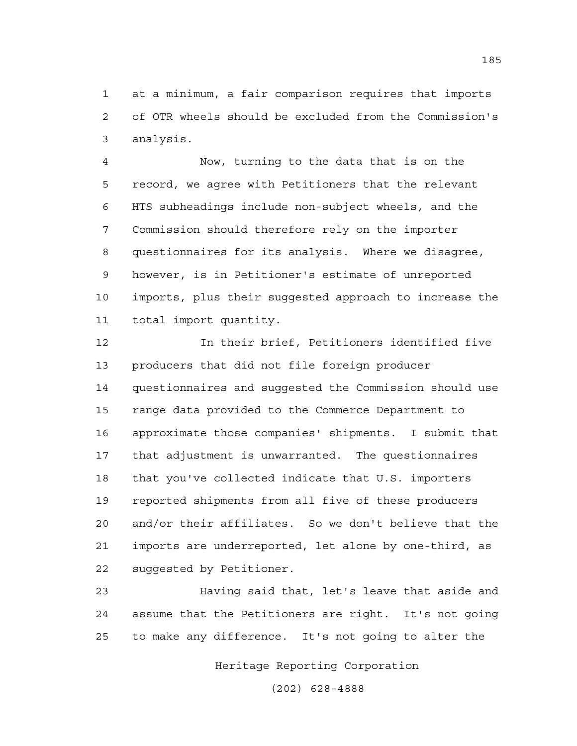1 at a minimum, a fair comparison requires that imports 2 of OTR wheels should be excluded from the Commission's 3 analysis.

4 Now, turning to the data that is on the 5 record, we agree with Petitioners that the relevant 6 HTS subheadings include non-subject wheels, and the 7 Commission should therefore rely on the importer 8 questionnaires for its analysis. Where we disagree, 9 however, is in Petitioner's estimate of unreported 10 imports, plus their suggested approach to increase the 11 total import quantity.

12 In their brief, Petitioners identified five 13 producers that did not file foreign producer 14 questionnaires and suggested the Commission should use 15 range data provided to the Commerce Department to 16 approximate those companies' shipments. I submit that 17 that adjustment is unwarranted. The questionnaires 18 that you've collected indicate that U.S. importers 19 reported shipments from all five of these producers 20 and/or their affiliates. So we don't believe that the 21 imports are underreported, let alone by one-third, as 22 suggested by Petitioner.

23 Having said that, let's leave that aside and 24 assume that the Petitioners are right. It's not going 25 to make any difference. It's not going to alter the

Heritage Reporting Corporation

(202) 628-4888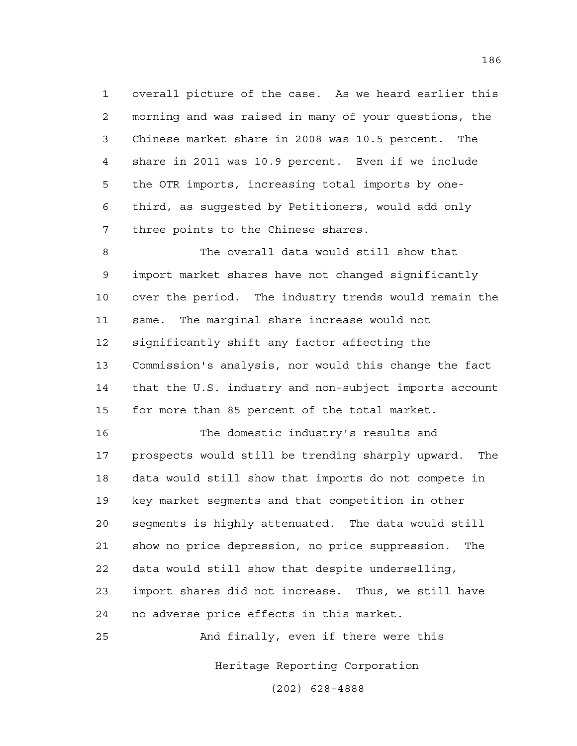1 overall picture of the case. As we heard earlier this 2 morning and was raised in many of your questions, the 3 Chinese market share in 2008 was 10.5 percent. The 4 share in 2011 was 10.9 percent. Even if we include 5 the OTR imports, increasing total imports by one-6 third, as suggested by Petitioners, would add only 7 three points to the Chinese shares.

8 The overall data would still show that 9 import market shares have not changed significantly 10 over the period. The industry trends would remain the 11 same. The marginal share increase would not 12 significantly shift any factor affecting the 13 Commission's analysis, nor would this change the fact 14 that the U.S. industry and non-subject imports account 15 for more than 85 percent of the total market.

16 The domestic industry's results and 17 prospects would still be trending sharply upward. The 18 data would still show that imports do not compete in 19 key market segments and that competition in other 20 segments is highly attenuated. The data would still 21 show no price depression, no price suppression. The 22 data would still show that despite underselling, 23 import shares did not increase. Thus, we still have 24 no adverse price effects in this market.

25 And finally, even if there were this

Heritage Reporting Corporation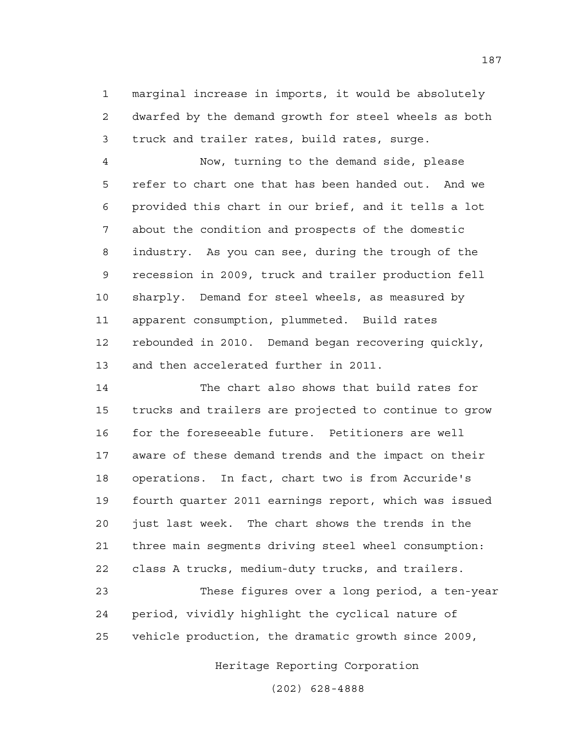1 marginal increase in imports, it would be absolutely 2 dwarfed by the demand growth for steel wheels as both 3 truck and trailer rates, build rates, surge.

4 Now, turning to the demand side, please 5 refer to chart one that has been handed out. And we 6 provided this chart in our brief, and it tells a lot 7 about the condition and prospects of the domestic 8 industry. As you can see, during the trough of the 9 recession in 2009, truck and trailer production fell 10 sharply. Demand for steel wheels, as measured by 11 apparent consumption, plummeted. Build rates 12 rebounded in 2010. Demand began recovering quickly, 13 and then accelerated further in 2011.

14 The chart also shows that build rates for 15 trucks and trailers are projected to continue to grow 16 for the foreseeable future. Petitioners are well 17 aware of these demand trends and the impact on their 18 operations. In fact, chart two is from Accuride's 19 fourth quarter 2011 earnings report, which was issued 20 just last week. The chart shows the trends in the 21 three main segments driving steel wheel consumption: 22 class A trucks, medium-duty trucks, and trailers.

23 These figures over a long period, a ten-year 24 period, vividly highlight the cyclical nature of 25 vehicle production, the dramatic growth since 2009,

Heritage Reporting Corporation

(202) 628-4888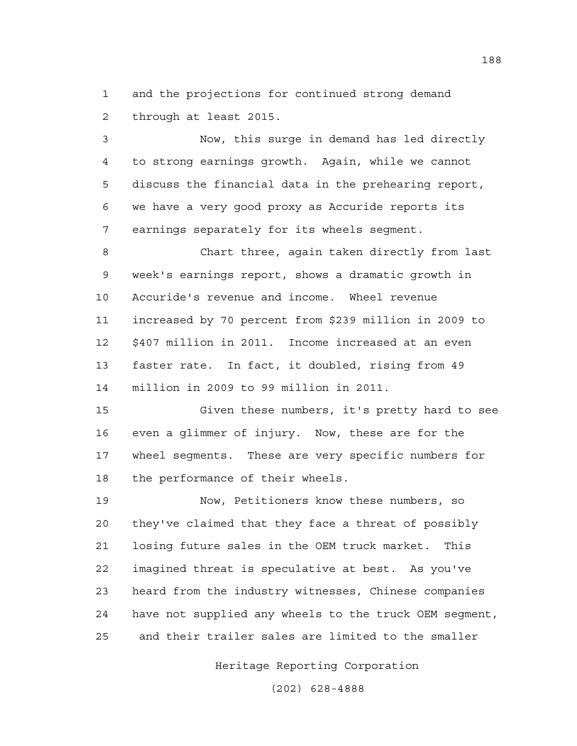1 and the projections for continued strong demand 2 through at least 2015.

3 Now, this surge in demand has led directly 4 to strong earnings growth. Again, while we cannot 5 discuss the financial data in the prehearing report, 6 we have a very good proxy as Accuride reports its 7 earnings separately for its wheels segment.

8 Chart three, again taken directly from last 9 week's earnings report, shows a dramatic growth in 10 Accuride's revenue and income. Wheel revenue 11 increased by 70 percent from \$239 million in 2009 to 12 \$407 million in 2011. Income increased at an even 13 faster rate. In fact, it doubled, rising from 49 14 million in 2009 to 99 million in 2011.

15 Given these numbers, it's pretty hard to see 16 even a glimmer of injury. Now, these are for the 17 wheel segments. These are very specific numbers for 18 the performance of their wheels.

19 Now, Petitioners know these numbers, so 20 they've claimed that they face a threat of possibly 21 losing future sales in the OEM truck market. This 22 imagined threat is speculative at best. As you've 23 heard from the industry witnesses, Chinese companies 24 have not supplied any wheels to the truck OEM segment, 25 and their trailer sales are limited to the smaller

Heritage Reporting Corporation

(202) 628-4888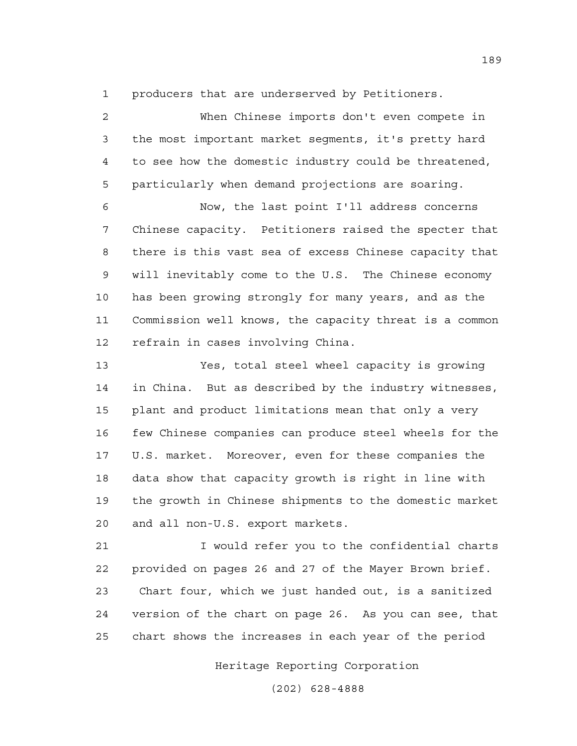1 producers that are underserved by Petitioners.

| $\overline{2}$ | When Chinese imports don't even compete in             |
|----------------|--------------------------------------------------------|
| 3              | the most important market segments, it's pretty hard   |
| $\overline{4}$ | to see how the domestic industry could be threatened,  |
| 5              | particularly when demand projections are soaring.      |
| 6              | Now, the last point I'll address concerns              |
| 7              | Chinese capacity. Petitioners raised the specter that  |
| 8              | there is this vast sea of excess Chinese capacity that |
| 9              | will inevitably come to the U.S. The Chinese economy   |
| 10             | has been growing strongly for many years, and as the   |
| 11             | Commission well knows, the capacity threat is a common |
| 12             | refrain in cases involving China.                      |
| 13             | Yes, total steel wheel capacity is growing             |
| 14             | in China. But as described by the industry witnesses,  |
| 15             | plant and product limitations mean that only a very    |
| 16             | few Chinese companies can produce steel wheels for the |
| 17             | U.S. market. Moreover, even for these companies the    |

18 data show that capacity growth is right in line with 19 the growth in Chinese shipments to the domestic market 20 and all non-U.S. export markets.

21 I would refer you to the confidential charts 22 provided on pages 26 and 27 of the Mayer Brown brief. 23 Chart four, which we just handed out, is a sanitized 24 version of the chart on page 26. As you can see, that 25 chart shows the increases in each year of the period

Heritage Reporting Corporation

(202) 628-4888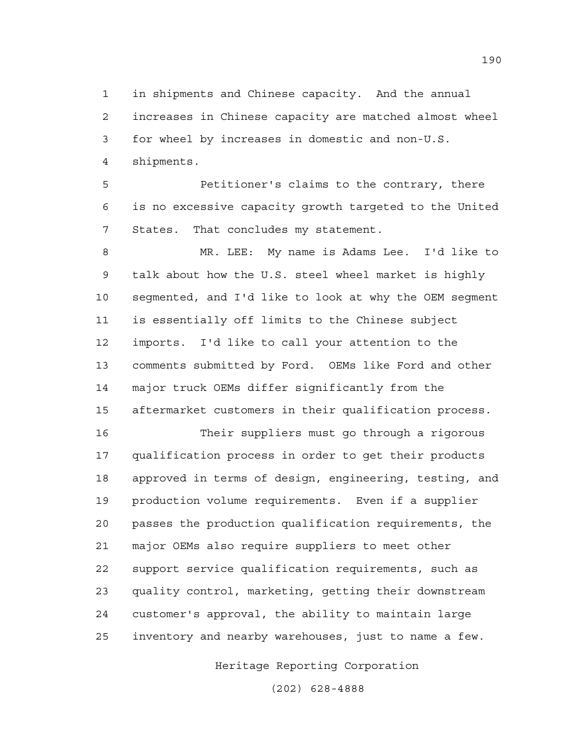1 in shipments and Chinese capacity. And the annual 2 increases in Chinese capacity are matched almost wheel 3 for wheel by increases in domestic and non-U.S. 4 shipments.

5 Petitioner's claims to the contrary, there 6 is no excessive capacity growth targeted to the United 7 States. That concludes my statement.

8 MR. LEE: My name is Adams Lee. I'd like to 9 talk about how the U.S. steel wheel market is highly 10 segmented, and I'd like to look at why the OEM segment 11 is essentially off limits to the Chinese subject 12 imports. I'd like to call your attention to the 13 comments submitted by Ford. OEMs like Ford and other 14 major truck OEMs differ significantly from the 15 aftermarket customers in their qualification process.

16 Their suppliers must go through a rigorous 17 qualification process in order to get their products 18 approved in terms of design, engineering, testing, and 19 production volume requirements. Even if a supplier 20 passes the production qualification requirements, the 21 major OEMs also require suppliers to meet other 22 support service qualification requirements, such as 23 quality control, marketing, getting their downstream 24 customer's approval, the ability to maintain large 25 inventory and nearby warehouses, just to name a few.

Heritage Reporting Corporation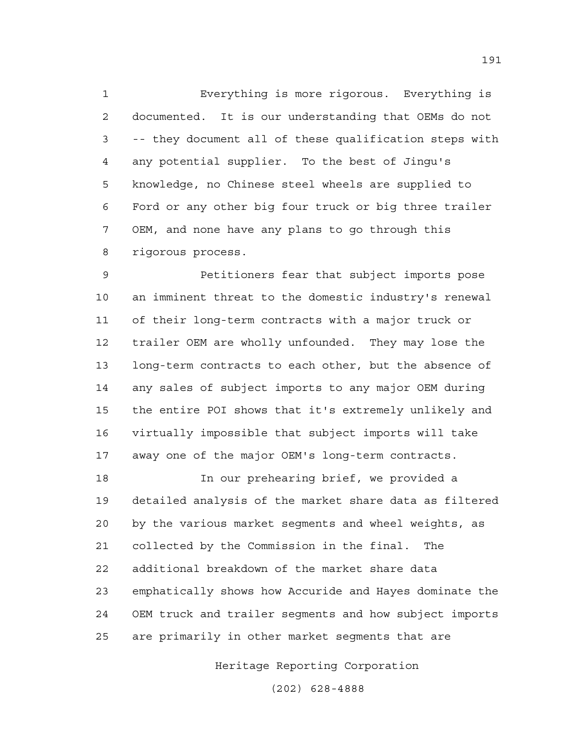1 Everything is more rigorous. Everything is 2 documented. It is our understanding that OEMs do not 3 -- they document all of these qualification steps with 4 any potential supplier. To the best of Jingu's 5 knowledge, no Chinese steel wheels are supplied to 6 Ford or any other big four truck or big three trailer 7 OEM, and none have any plans to go through this 8 rigorous process.

9 Petitioners fear that subject imports pose 10 an imminent threat to the domestic industry's renewal 11 of their long-term contracts with a major truck or 12 trailer OEM are wholly unfounded. They may lose the 13 long-term contracts to each other, but the absence of 14 any sales of subject imports to any major OEM during 15 the entire POI shows that it's extremely unlikely and 16 virtually impossible that subject imports will take 17 away one of the major OEM's long-term contracts.

18 In our prehearing brief, we provided a 19 detailed analysis of the market share data as filtered 20 by the various market segments and wheel weights, as 21 collected by the Commission in the final. The 22 additional breakdown of the market share data 23 emphatically shows how Accuride and Hayes dominate the 24 OEM truck and trailer segments and how subject imports 25 are primarily in other market segments that are

Heritage Reporting Corporation

(202) 628-4888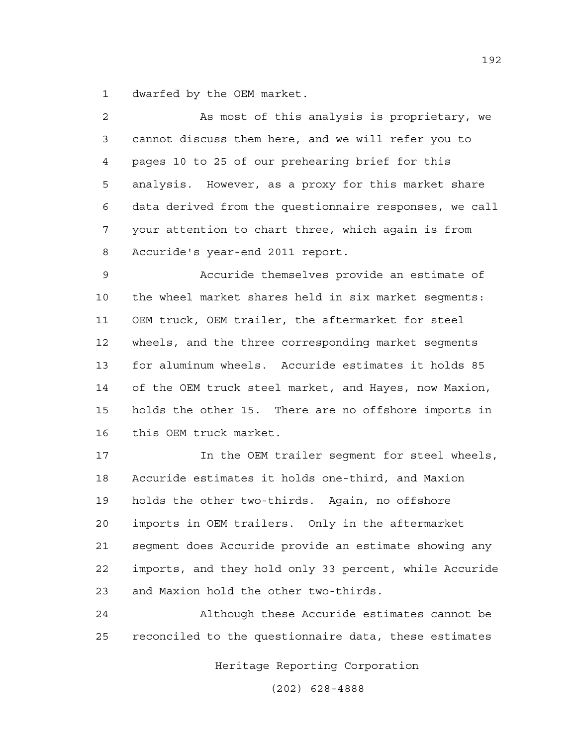1 dwarfed by the OEM market.

| 2  | As most of this analysis is proprietary, we            |
|----|--------------------------------------------------------|
| 3  | cannot discuss them here, and we will refer you to     |
| 4  | pages 10 to 25 of our prehearing brief for this        |
| 5  | analysis. However, as a proxy for this market share    |
| 6  | data derived from the questionnaire responses, we call |
| 7  | your attention to chart three, which again is from     |
| 8  | Accuride's year-end 2011 report.                       |
| 9  | Accuride themselves provide an estimate of             |
| 10 | the wheel market shares held in six market seqments:   |
| 11 | OEM truck, OEM trailer, the aftermarket for steel      |
| 12 | wheels, and the three corresponding market segments    |
| 13 | for aluminum wheels. Accuride estimates it holds 85    |
| 14 | of the OEM truck steel market, and Hayes, now Maxion,  |
| 15 | holds the other 15. There are no offshore imports in   |
| 16 | this OEM truck market.                                 |
| 17 | In the OEM trailer segment for steel wheels,           |
| 18 | Accuride estimates it holds one-third, and Maxion      |
| 19 | holds the other two-thirds. Again, no offshore         |
| 20 | imports in OEM trailers. Only in the aftermarket       |

21 segment does Accuride provide an estimate showing any 22 imports, and they hold only 33 percent, while Accuride 23 and Maxion hold the other two-thirds.

24 Although these Accuride estimates cannot be 25 reconciled to the questionnaire data, these estimates

Heritage Reporting Corporation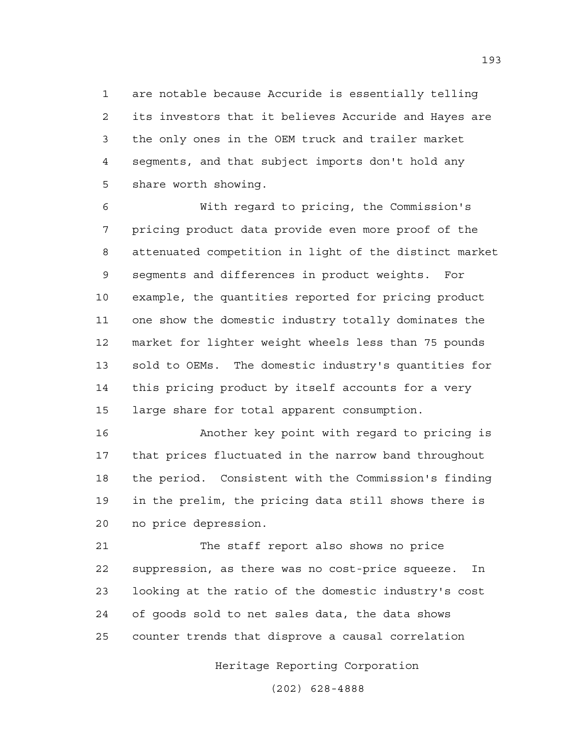1 are notable because Accuride is essentially telling 2 its investors that it believes Accuride and Hayes are 3 the only ones in the OEM truck and trailer market 4 segments, and that subject imports don't hold any 5 share worth showing.

6 With regard to pricing, the Commission's 7 pricing product data provide even more proof of the 8 attenuated competition in light of the distinct market 9 segments and differences in product weights. For 10 example, the quantities reported for pricing product 11 one show the domestic industry totally dominates the 12 market for lighter weight wheels less than 75 pounds 13 sold to OEMs. The domestic industry's quantities for 14 this pricing product by itself accounts for a very 15 large share for total apparent consumption.

16 Another key point with regard to pricing is 17 that prices fluctuated in the narrow band throughout 18 the period. Consistent with the Commission's finding 19 in the prelim, the pricing data still shows there is 20 no price depression.

21 The staff report also shows no price 22 suppression, as there was no cost-price squeeze. In 23 looking at the ratio of the domestic industry's cost 24 of goods sold to net sales data, the data shows 25 counter trends that disprove a causal correlation

Heritage Reporting Corporation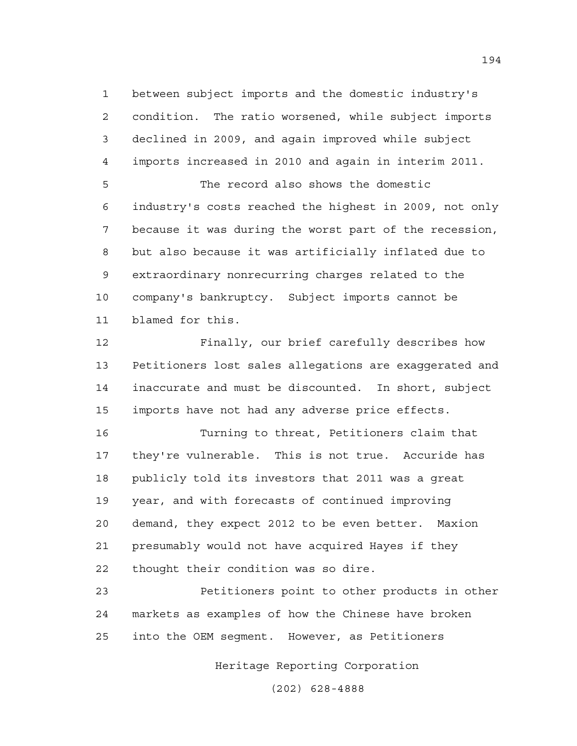1 between subject imports and the domestic industry's 2 condition. The ratio worsened, while subject imports 3 declined in 2009, and again improved while subject 4 imports increased in 2010 and again in interim 2011.

5 The record also shows the domestic 6 industry's costs reached the highest in 2009, not only 7 because it was during the worst part of the recession, 8 but also because it was artificially inflated due to 9 extraordinary nonrecurring charges related to the 10 company's bankruptcy. Subject imports cannot be 11 blamed for this.

12 Finally, our brief carefully describes how 13 Petitioners lost sales allegations are exaggerated and 14 inaccurate and must be discounted. In short, subject 15 imports have not had any adverse price effects.

16 Turning to threat, Petitioners claim that 17 they're vulnerable. This is not true. Accuride has 18 publicly told its investors that 2011 was a great 19 year, and with forecasts of continued improving 20 demand, they expect 2012 to be even better. Maxion 21 presumably would not have acquired Hayes if they 22 thought their condition was so dire.

23 Petitioners point to other products in other 24 markets as examples of how the Chinese have broken 25 into the OEM segment. However, as Petitioners

Heritage Reporting Corporation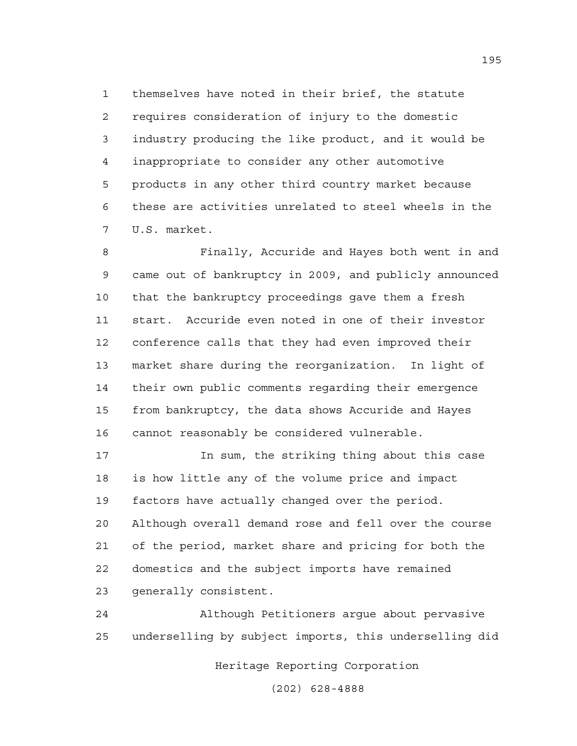1 themselves have noted in their brief, the statute 2 requires consideration of injury to the domestic 3 industry producing the like product, and it would be 4 inappropriate to consider any other automotive 5 products in any other third country market because 6 these are activities unrelated to steel wheels in the 7 U.S. market.

8 Finally, Accuride and Hayes both went in and 9 came out of bankruptcy in 2009, and publicly announced 10 that the bankruptcy proceedings gave them a fresh 11 start. Accuride even noted in one of their investor 12 conference calls that they had even improved their 13 market share during the reorganization. In light of 14 their own public comments regarding their emergence 15 from bankruptcy, the data shows Accuride and Hayes 16 cannot reasonably be considered vulnerable.

17 In sum, the striking thing about this case 18 is how little any of the volume price and impact 19 factors have actually changed over the period. 20 Although overall demand rose and fell over the course 21 of the period, market share and pricing for both the 22 domestics and the subject imports have remained 23 generally consistent.

24 Although Petitioners argue about pervasive 25 underselling by subject imports, this underselling did

Heritage Reporting Corporation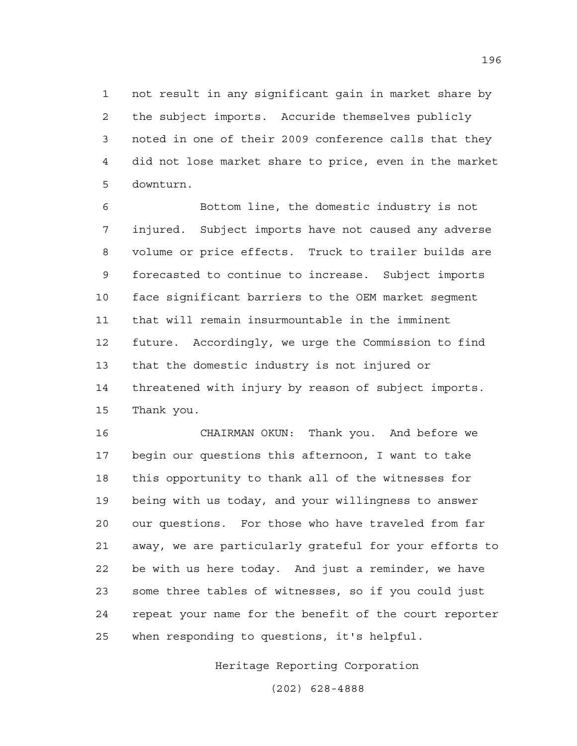1 not result in any significant gain in market share by 2 the subject imports. Accuride themselves publicly 3 noted in one of their 2009 conference calls that they 4 did not lose market share to price, even in the market 5 downturn.

6 Bottom line, the domestic industry is not 7 injured. Subject imports have not caused any adverse 8 volume or price effects. Truck to trailer builds are 9 forecasted to continue to increase. Subject imports 10 face significant barriers to the OEM market segment 11 that will remain insurmountable in the imminent 12 future. Accordingly, we urge the Commission to find 13 that the domestic industry is not injured or 14 threatened with injury by reason of subject imports. 15 Thank you.

16 CHAIRMAN OKUN: Thank you. And before we 17 begin our questions this afternoon, I want to take 18 this opportunity to thank all of the witnesses for 19 being with us today, and your willingness to answer 20 our questions. For those who have traveled from far 21 away, we are particularly grateful for your efforts to 22 be with us here today. And just a reminder, we have 23 some three tables of witnesses, so if you could just 24 repeat your name for the benefit of the court reporter 25 when responding to questions, it's helpful.

Heritage Reporting Corporation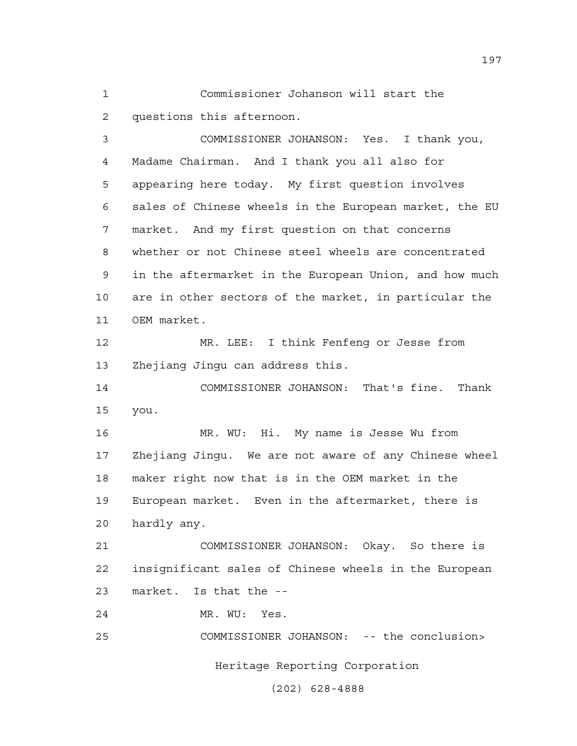1 Commissioner Johanson will start the 2 questions this afternoon.

3 COMMISSIONER JOHANSON: Yes. I thank you, 4 Madame Chairman. And I thank you all also for 5 appearing here today. My first question involves 6 sales of Chinese wheels in the European market, the EU 7 market. And my first question on that concerns 8 whether or not Chinese steel wheels are concentrated 9 in the aftermarket in the European Union, and how much 10 are in other sectors of the market, in particular the 11 OEM market.

12 MR. LEE: I think Fenfeng or Jesse from 13 Zhejiang Jingu can address this.

14 COMMISSIONER JOHANSON: That's fine. Thank 15 you.

16 MR. WU: Hi. My name is Jesse Wu from 17 Zhejiang Jingu. We are not aware of any Chinese wheel 18 maker right now that is in the OEM market in the 19 European market. Even in the aftermarket, there is 20 hardly any.

21 COMMISSIONER JOHANSON: Okay. So there is 22 insignificant sales of Chinese wheels in the European 23 market. Is that the --

24 MR. WU: Yes.

Heritage Reporting Corporation 25 COMMISSIONER JOHANSON: -- the conclusion>

(202) 628-4888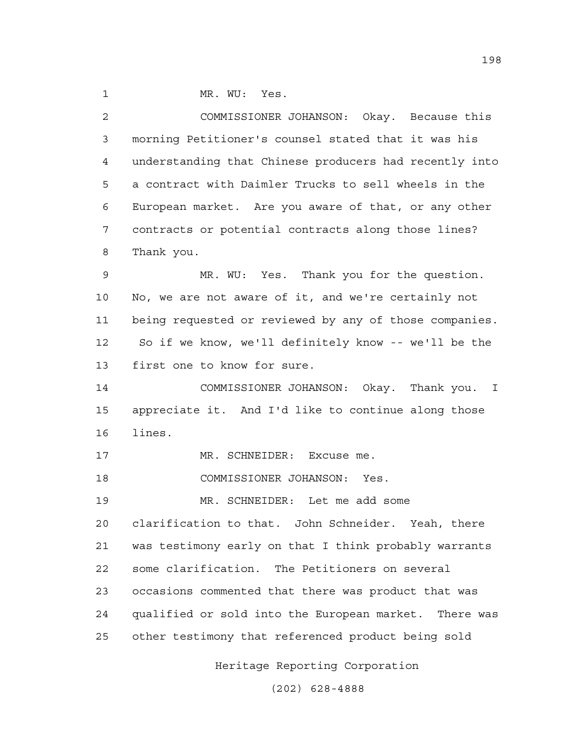1 MR. WU: Yes.

2 COMMISSIONER JOHANSON: Okay. Because this 3 morning Petitioner's counsel stated that it was his 4 understanding that Chinese producers had recently into 5 a contract with Daimler Trucks to sell wheels in the 6 European market. Are you aware of that, or any other 7 contracts or potential contracts along those lines? 8 Thank you.

9 MR. WU: Yes. Thank you for the question. 10 No, we are not aware of it, and we're certainly not 11 being requested or reviewed by any of those companies. 12 So if we know, we'll definitely know -- we'll be the 13 first one to know for sure.

14 COMMISSIONER JOHANSON: Okay. Thank you. I 15 appreciate it. And I'd like to continue along those 16 lines.

17 MR. SCHNEIDER: Excuse me.

18 COMMISSIONER JOHANSON: Yes.

19 MR. SCHNEIDER: Let me add some 20 clarification to that. John Schneider. Yeah, there 21 was testimony early on that I think probably warrants 22 some clarification. The Petitioners on several 23 occasions commented that there was product that was 24 qualified or sold into the European market. There was 25 other testimony that referenced product being sold

Heritage Reporting Corporation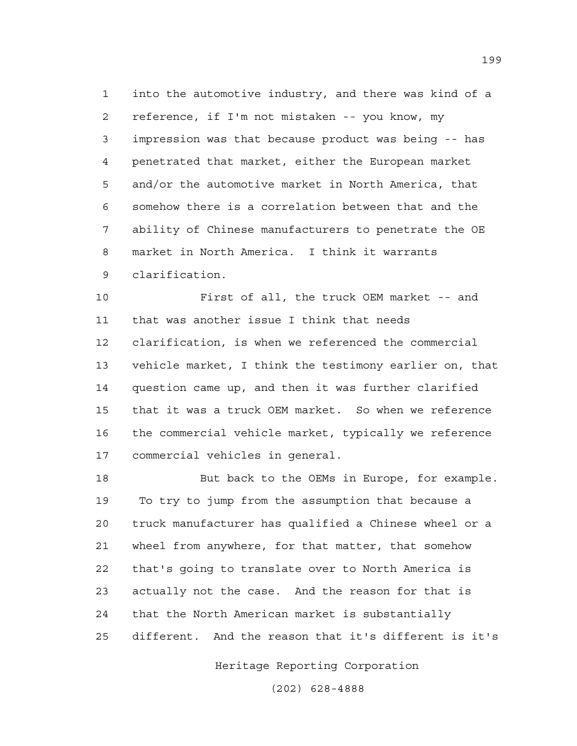1 into the automotive industry, and there was kind of a 2 reference, if I'm not mistaken -- you know, my 3 impression was that because product was being -- has 4 penetrated that market, either the European market 5 and/or the automotive market in North America, that 6 somehow there is a correlation between that and the 7 ability of Chinese manufacturers to penetrate the OE 8 market in North America. I think it warrants 9 clarification.

10 First of all, the truck OEM market -- and 11 that was another issue I think that needs 12 clarification, is when we referenced the commercial 13 vehicle market, I think the testimony earlier on, that 14 question came up, and then it was further clarified 15 that it was a truck OEM market. So when we reference 16 the commercial vehicle market, typically we reference 17 commercial vehicles in general.

18 But back to the OEMs in Europe, for example. 19 To try to jump from the assumption that because a 20 truck manufacturer has qualified a Chinese wheel or a 21 wheel from anywhere, for that matter, that somehow 22 that's going to translate over to North America is 23 actually not the case. And the reason for that is 24 that the North American market is substantially 25 different. And the reason that it's different is it's

Heritage Reporting Corporation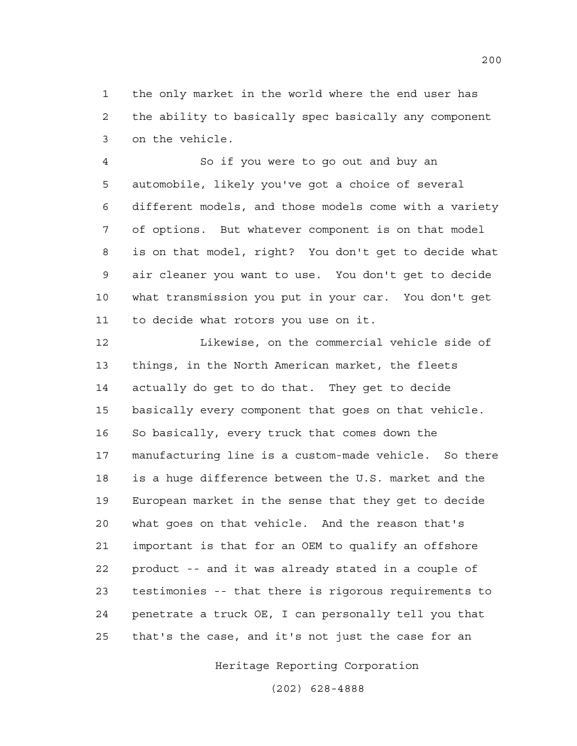1 the only market in the world where the end user has 2 the ability to basically spec basically any component 3 on the vehicle.

4 So if you were to go out and buy an 5 automobile, likely you've got a choice of several 6 different models, and those models come with a variety 7 of options. But whatever component is on that model 8 is on that model, right? You don't get to decide what 9 air cleaner you want to use. You don't get to decide 10 what transmission you put in your car. You don't get 11 to decide what rotors you use on it.

12 Likewise, on the commercial vehicle side of 13 things, in the North American market, the fleets 14 actually do get to do that. They get to decide 15 basically every component that goes on that vehicle. 16 So basically, every truck that comes down the 17 manufacturing line is a custom-made vehicle. So there 18 is a huge difference between the U.S. market and the 19 European market in the sense that they get to decide 20 what goes on that vehicle. And the reason that's 21 important is that for an OEM to qualify an offshore 22 product -- and it was already stated in a couple of 23 testimonies -- that there is rigorous requirements to 24 penetrate a truck OE, I can personally tell you that 25 that's the case, and it's not just the case for an

Heritage Reporting Corporation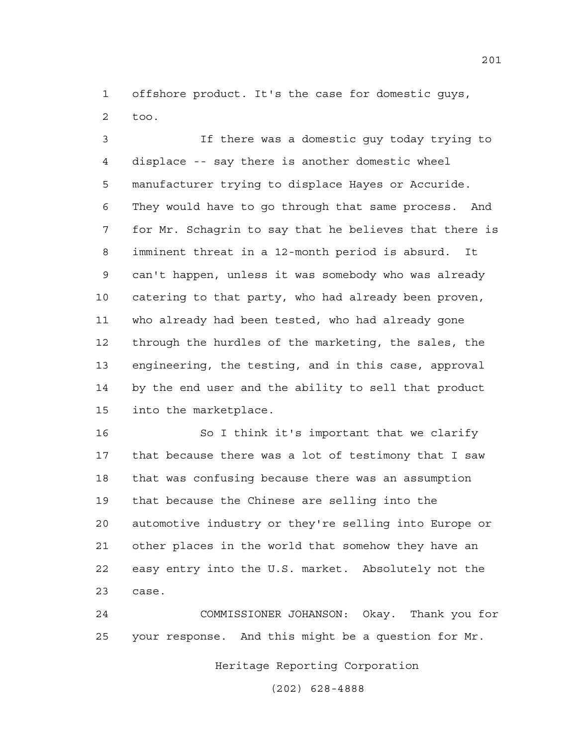1 offshore product. It's the case for domestic guys, 2 too.

3 If there was a domestic guy today trying to 4 displace -- say there is another domestic wheel 5 manufacturer trying to displace Hayes or Accuride. 6 They would have to go through that same process. And 7 for Mr. Schagrin to say that he believes that there is 8 imminent threat in a 12-month period is absurd. It 9 can't happen, unless it was somebody who was already 10 catering to that party, who had already been proven, 11 who already had been tested, who had already gone 12 through the hurdles of the marketing, the sales, the 13 engineering, the testing, and in this case, approval 14 by the end user and the ability to sell that product 15 into the marketplace.

16 So I think it's important that we clarify 17 that because there was a lot of testimony that I saw 18 that was confusing because there was an assumption 19 that because the Chinese are selling into the 20 automotive industry or they're selling into Europe or 21 other places in the world that somehow they have an 22 easy entry into the U.S. market. Absolutely not the 23 case.

24 COMMISSIONER JOHANSON: Okay. Thank you for 25 your response. And this might be a question for Mr.

Heritage Reporting Corporation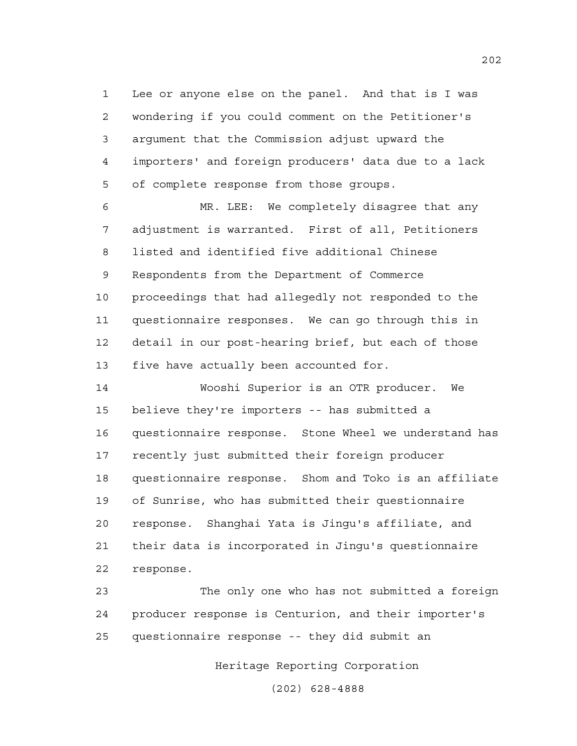1 Lee or anyone else on the panel. And that is I was 2 wondering if you could comment on the Petitioner's 3 argument that the Commission adjust upward the 4 importers' and foreign producers' data due to a lack 5 of complete response from those groups.

6 MR. LEE: We completely disagree that any 7 adjustment is warranted. First of all, Petitioners 8 listed and identified five additional Chinese 9 Respondents from the Department of Commerce 10 proceedings that had allegedly not responded to the 11 questionnaire responses. We can go through this in 12 detail in our post-hearing brief, but each of those 13 five have actually been accounted for.

14 Wooshi Superior is an OTR producer. We 15 believe they're importers -- has submitted a 16 questionnaire response. Stone Wheel we understand has 17 recently just submitted their foreign producer 18 questionnaire response. Shom and Toko is an affiliate 19 of Sunrise, who has submitted their questionnaire 20 response. Shanghai Yata is Jingu's affiliate, and 21 their data is incorporated in Jingu's questionnaire 22 response.

23 The only one who has not submitted a foreign 24 producer response is Centurion, and their importer's 25 questionnaire response -- they did submit an

Heritage Reporting Corporation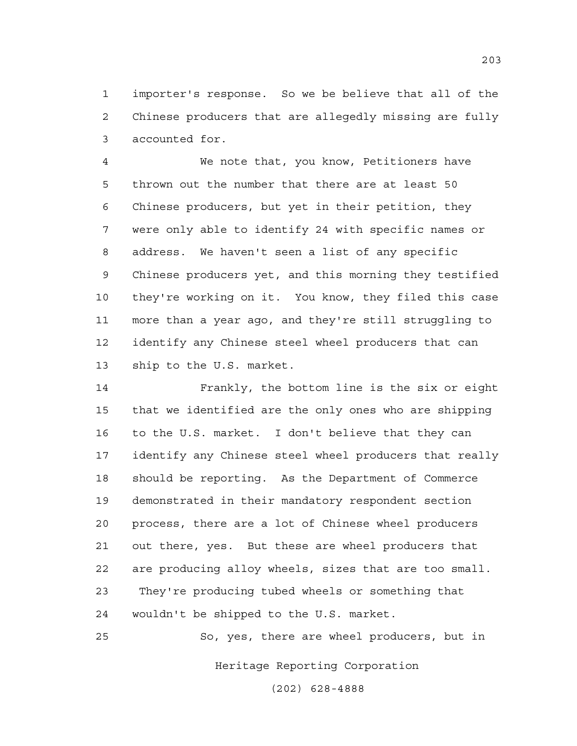1 importer's response. So we be believe that all of the 2 Chinese producers that are allegedly missing are fully 3 accounted for.

4 We note that, you know, Petitioners have 5 thrown out the number that there are at least 50 6 Chinese producers, but yet in their petition, they 7 were only able to identify 24 with specific names or 8 address. We haven't seen a list of any specific 9 Chinese producers yet, and this morning they testified 10 they're working on it. You know, they filed this case 11 more than a year ago, and they're still struggling to 12 identify any Chinese steel wheel producers that can 13 ship to the U.S. market.

14 Frankly, the bottom line is the six or eight 15 that we identified are the only ones who are shipping 16 to the U.S. market. I don't believe that they can 17 identify any Chinese steel wheel producers that really 18 should be reporting. As the Department of Commerce 19 demonstrated in their mandatory respondent section 20 process, there are a lot of Chinese wheel producers 21 out there, yes. But these are wheel producers that 22 are producing alloy wheels, sizes that are too small. 23 They're producing tubed wheels or something that 24 wouldn't be shipped to the U.S. market.

25 So, yes, there are wheel producers, but in

Heritage Reporting Corporation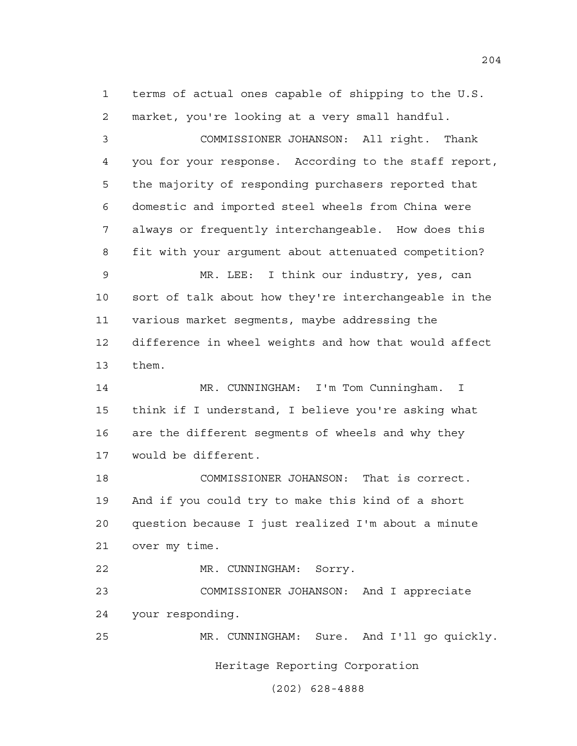1 terms of actual ones capable of shipping to the U.S. 2 market, you're looking at a very small handful.

3 COMMISSIONER JOHANSON: All right. Thank 4 you for your response. According to the staff report, 5 the majority of responding purchasers reported that 6 domestic and imported steel wheels from China were 7 always or frequently interchangeable. How does this 8 fit with your argument about attenuated competition?

9 MR. LEE: I think our industry, yes, can 10 sort of talk about how they're interchangeable in the 11 various market segments, maybe addressing the 12 difference in wheel weights and how that would affect 13 them.

14 MR. CUNNINGHAM: I'm Tom Cunningham. I 15 think if I understand, I believe you're asking what 16 are the different segments of wheels and why they 17 would be different.

18 COMMISSIONER JOHANSON: That is correct. 19 And if you could try to make this kind of a short 20 question because I just realized I'm about a minute 21 over my time.

22 MR. CUNNINGHAM: Sorry.

23 COMMISSIONER JOHANSON: And I appreciate 24 your responding.

25 MR. CUNNINGHAM: Sure. And I'll go quickly.

Heritage Reporting Corporation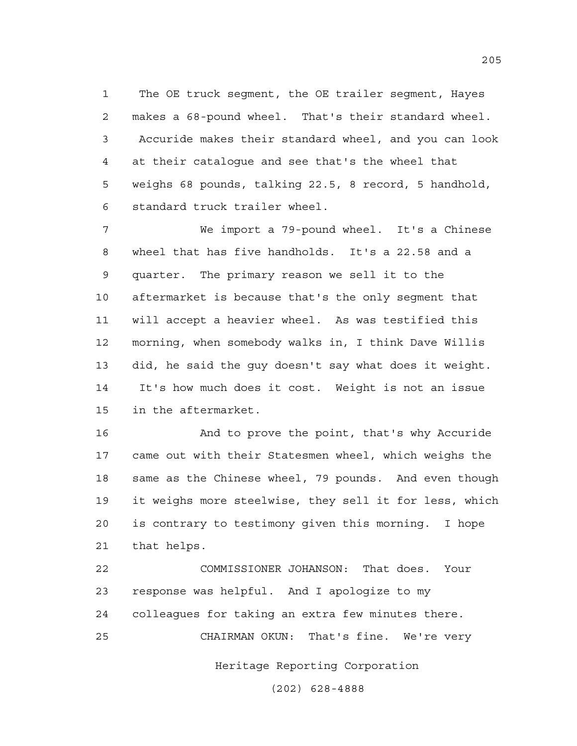1 The OE truck segment, the OE trailer segment, Hayes 2 makes a 68-pound wheel. That's their standard wheel. 3 Accuride makes their standard wheel, and you can look 4 at their catalogue and see that's the wheel that 5 weighs 68 pounds, talking 22.5, 8 record, 5 handhold, 6 standard truck trailer wheel.

7 We import a 79-pound wheel. It's a Chinese 8 wheel that has five handholds. It's a 22.58 and a 9 quarter. The primary reason we sell it to the 10 aftermarket is because that's the only segment that 11 will accept a heavier wheel. As was testified this 12 morning, when somebody walks in, I think Dave Willis 13 did, he said the guy doesn't say what does it weight. 14 It's how much does it cost. Weight is not an issue 15 in the aftermarket.

16 And to prove the point, that's why Accuride 17 came out with their Statesmen wheel, which weighs the 18 same as the Chinese wheel, 79 pounds. And even though 19 it weighs more steelwise, they sell it for less, which 20 is contrary to testimony given this morning. I hope 21 that helps.

22 COMMISSIONER JOHANSON: That does. Your 23 response was helpful. And I apologize to my 24 colleagues for taking an extra few minutes there. 25 CHAIRMAN OKUN: That's fine. We're very

Heritage Reporting Corporation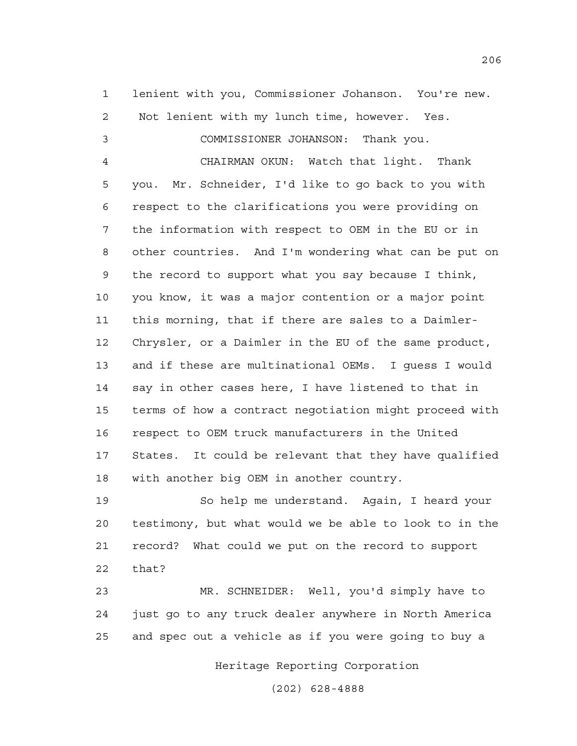1 lenient with you, Commissioner Johanson. You're new. 2 Not lenient with my lunch time, however. Yes.

3 COMMISSIONER JOHANSON: Thank you. 4 CHAIRMAN OKUN: Watch that light. Thank 5 you. Mr. Schneider, I'd like to go back to you with 6 respect to the clarifications you were providing on 7 the information with respect to OEM in the EU or in 8 other countries. And I'm wondering what can be put on 9 the record to support what you say because I think, 10 you know, it was a major contention or a major point 11 this morning, that if there are sales to a Daimler-12 Chrysler, or a Daimler in the EU of the same product, 13 and if these are multinational OEMs. I guess I would 14 say in other cases here, I have listened to that in 15 terms of how a contract negotiation might proceed with 16 respect to OEM truck manufacturers in the United 17 States. It could be relevant that they have qualified 18 with another big OEM in another country.

19 So help me understand. Again, I heard your 20 testimony, but what would we be able to look to in the 21 record? What could we put on the record to support 22 that?

23 MR. SCHNEIDER: Well, you'd simply have to 24 just go to any truck dealer anywhere in North America 25 and spec out a vehicle as if you were going to buy a

Heritage Reporting Corporation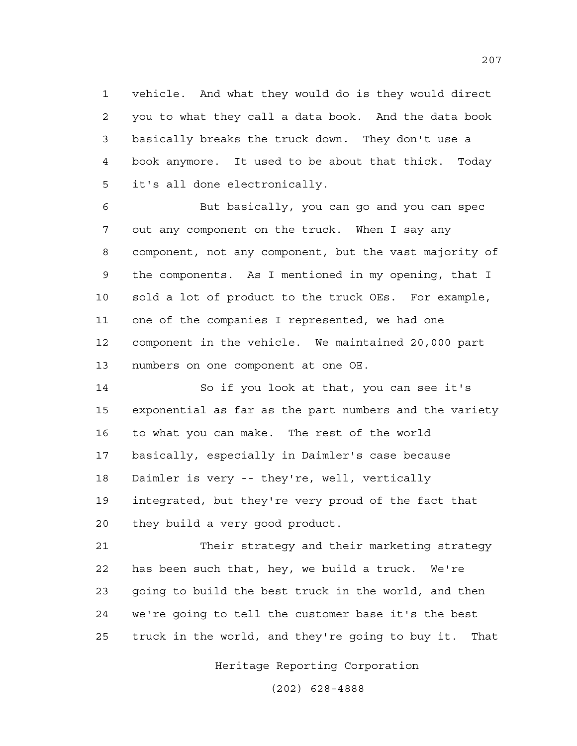1 vehicle. And what they would do is they would direct 2 you to what they call a data book. And the data book 3 basically breaks the truck down. They don't use a 4 book anymore. It used to be about that thick. Today 5 it's all done electronically.

6 But basically, you can go and you can spec 7 out any component on the truck. When I say any 8 component, not any component, but the vast majority of 9 the components. As I mentioned in my opening, that I 10 sold a lot of product to the truck OEs. For example, 11 one of the companies I represented, we had one 12 component in the vehicle. We maintained 20,000 part 13 numbers on one component at one OE.

14 So if you look at that, you can see it's 15 exponential as far as the part numbers and the variety 16 to what you can make. The rest of the world 17 basically, especially in Daimler's case because 18 Daimler is very -- they're, well, vertically 19 integrated, but they're very proud of the fact that 20 they build a very good product.

21 Their strategy and their marketing strategy 22 has been such that, hey, we build a truck. We're 23 going to build the best truck in the world, and then 24 we're going to tell the customer base it's the best 25 truck in the world, and they're going to buy it. That

Heritage Reporting Corporation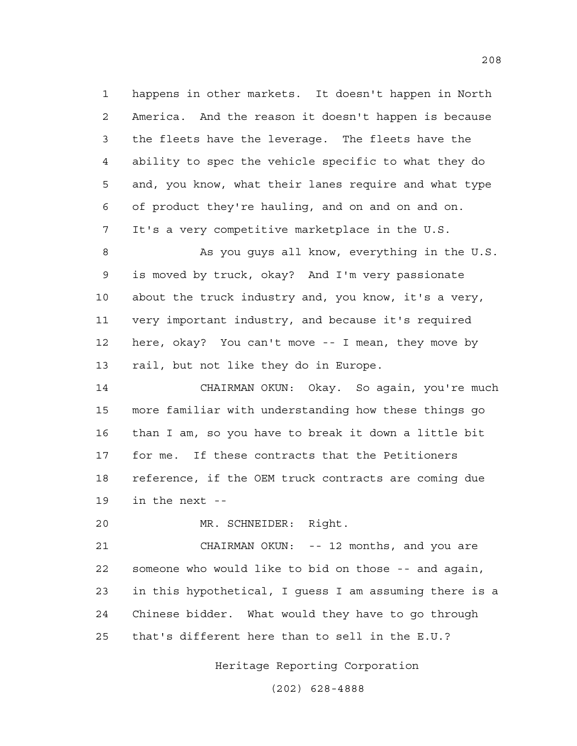1 happens in other markets. It doesn't happen in North 2 America. And the reason it doesn't happen is because 3 the fleets have the leverage. The fleets have the 4 ability to spec the vehicle specific to what they do 5 and, you know, what their lanes require and what type 6 of product they're hauling, and on and on and on. 7 It's a very competitive marketplace in the U.S.

8 As you guys all know, everything in the U.S. 9 is moved by truck, okay? And I'm very passionate 10 about the truck industry and, you know, it's a very, 11 very important industry, and because it's required 12 here, okay? You can't move -- I mean, they move by 13 rail, but not like they do in Europe.

14 CHAIRMAN OKUN: Okay. So again, you're much 15 more familiar with understanding how these things go 16 than I am, so you have to break it down a little bit 17 for me. If these contracts that the Petitioners 18 reference, if the OEM truck contracts are coming due 19 in the next --

20 MR. SCHNEIDER: Right.

21 CHAIRMAN OKUN: -- 12 months, and you are 22 someone who would like to bid on those -- and again, 23 in this hypothetical, I guess I am assuming there is a 24 Chinese bidder. What would they have to go through 25 that's different here than to sell in the E.U.?

Heritage Reporting Corporation

(202) 628-4888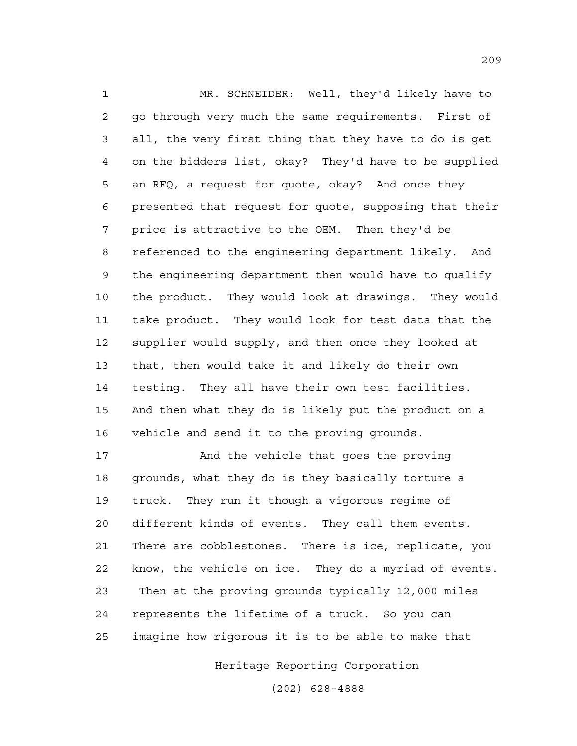1 MR. SCHNEIDER: Well, they'd likely have to 2 go through very much the same requirements. First of 3 all, the very first thing that they have to do is get 4 on the bidders list, okay? They'd have to be supplied 5 an RFQ, a request for quote, okay? And once they 6 presented that request for quote, supposing that their 7 price is attractive to the OEM. Then they'd be 8 referenced to the engineering department likely. And 9 the engineering department then would have to qualify 10 the product. They would look at drawings. They would 11 take product. They would look for test data that the 12 supplier would supply, and then once they looked at 13 that, then would take it and likely do their own 14 testing. They all have their own test facilities. 15 And then what they do is likely put the product on a 16 vehicle and send it to the proving grounds.

17 And the vehicle that goes the proving 18 grounds, what they do is they basically torture a 19 truck. They run it though a vigorous regime of 20 different kinds of events. They call them events. 21 There are cobblestones. There is ice, replicate, you 22 know, the vehicle on ice. They do a myriad of events. 23 Then at the proving grounds typically 12,000 miles 24 represents the lifetime of a truck. So you can 25 imagine how rigorous it is to be able to make that

Heritage Reporting Corporation

(202) 628-4888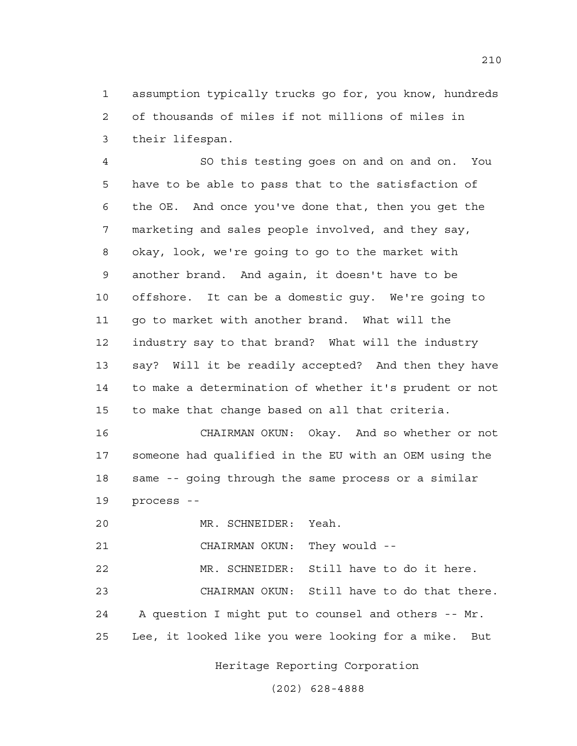1 assumption typically trucks go for, you know, hundreds 2 of thousands of miles if not millions of miles in 3 their lifespan.

4 SO this testing goes on and on and on. You 5 have to be able to pass that to the satisfaction of 6 the OE. And once you've done that, then you get the 7 marketing and sales people involved, and they say, 8 okay, look, we're going to go to the market with 9 another brand. And again, it doesn't have to be 10 offshore. It can be a domestic guy. We're going to 11 go to market with another brand. What will the 12 industry say to that brand? What will the industry 13 say? Will it be readily accepted? And then they have 14 to make a determination of whether it's prudent or not 15 to make that change based on all that criteria.

16 CHAIRMAN OKUN: Okay. And so whether or not 17 someone had qualified in the EU with an OEM using the 18 same -- going through the same process or a similar 19 process --

20 MR. SCHNEIDER: Yeah.

21 CHAIRMAN OKUN: They would --

22 MR. SCHNEIDER: Still have to do it here.

23 CHAIRMAN OKUN: Still have to do that there. 24 A question I might put to counsel and others -- Mr. 25 Lee, it looked like you were looking for a mike. But

Heritage Reporting Corporation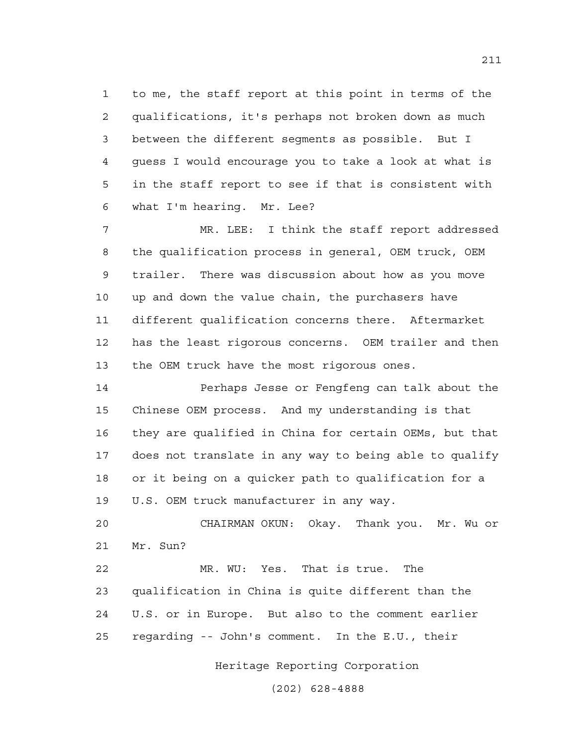1 to me, the staff report at this point in terms of the 2 qualifications, it's perhaps not broken down as much 3 between the different segments as possible. But I 4 guess I would encourage you to take a look at what is 5 in the staff report to see if that is consistent with 6 what I'm hearing. Mr. Lee?

7 MR. LEE: I think the staff report addressed 8 the qualification process in general, OEM truck, OEM 9 trailer. There was discussion about how as you move 10 up and down the value chain, the purchasers have 11 different qualification concerns there. Aftermarket 12 has the least rigorous concerns. OEM trailer and then 13 the OEM truck have the most rigorous ones.

14 Perhaps Jesse or Fengfeng can talk about the 15 Chinese OEM process. And my understanding is that 16 they are qualified in China for certain OEMs, but that 17 does not translate in any way to being able to qualify 18 or it being on a quicker path to qualification for a 19 U.S. OEM truck manufacturer in any way.

20 CHAIRMAN OKUN: Okay. Thank you. Mr. Wu or 21 Mr. Sun?

22 MR. WU: Yes. That is true. The 23 qualification in China is quite different than the 24 U.S. or in Europe. But also to the comment earlier 25 regarding -- John's comment. In the E.U., their

Heritage Reporting Corporation

(202) 628-4888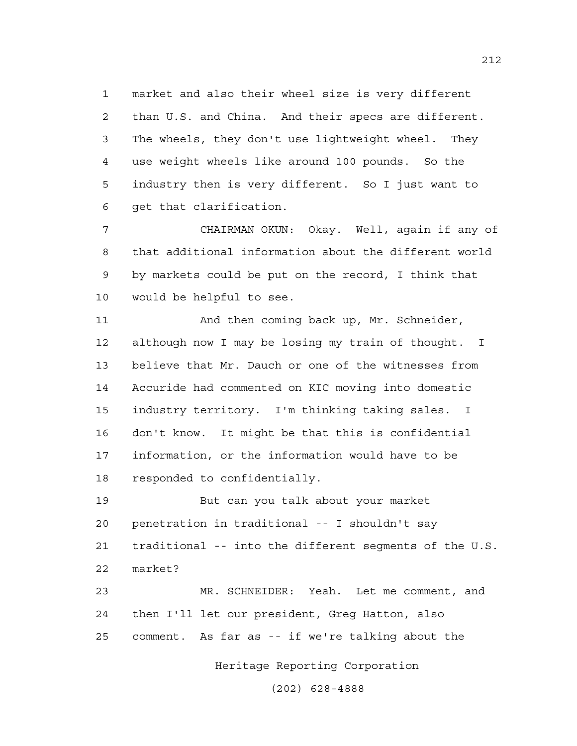1 market and also their wheel size is very different 2 than U.S. and China. And their specs are different. 3 The wheels, they don't use lightweight wheel. They 4 use weight wheels like around 100 pounds. So the 5 industry then is very different. So I just want to 6 get that clarification.

7 CHAIRMAN OKUN: Okay. Well, again if any of 8 that additional information about the different world 9 by markets could be put on the record, I think that 10 would be helpful to see.

11 And then coming back up, Mr. Schneider, 12 although now I may be losing my train of thought. I 13 believe that Mr. Dauch or one of the witnesses from 14 Accuride had commented on KIC moving into domestic 15 industry territory. I'm thinking taking sales. I 16 don't know. It might be that this is confidential 17 information, or the information would have to be 18 responded to confidentially.

19 But can you talk about your market 20 penetration in traditional -- I shouldn't say 21 traditional -- into the different segments of the U.S. 22 market?

23 MR. SCHNEIDER: Yeah. Let me comment, and 24 then I'll let our president, Greg Hatton, also 25 comment. As far as -- if we're talking about the

Heritage Reporting Corporation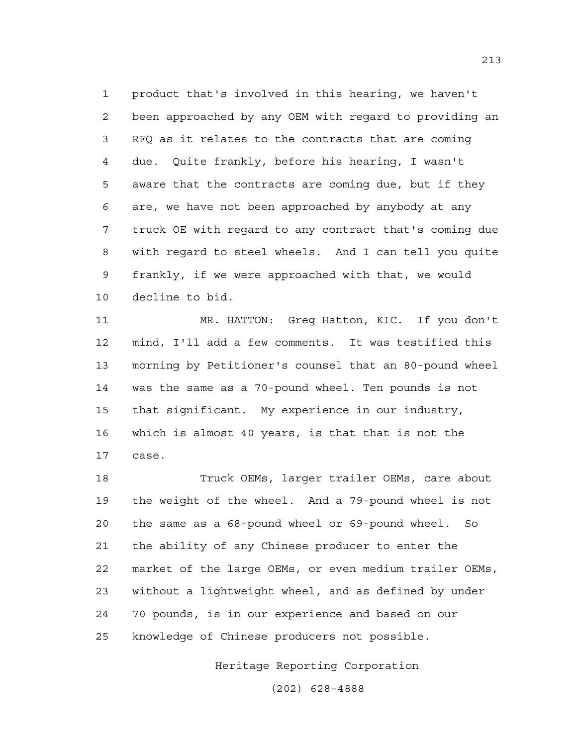1 product that's involved in this hearing, we haven't 2 been approached by any OEM with regard to providing an 3 RFQ as it relates to the contracts that are coming 4 due. Quite frankly, before his hearing, I wasn't 5 aware that the contracts are coming due, but if they 6 are, we have not been approached by anybody at any 7 truck OE with regard to any contract that's coming due 8 with regard to steel wheels. And I can tell you quite 9 frankly, if we were approached with that, we would 10 decline to bid.

11 MR. HATTON: Greg Hatton, KIC. If you don't 12 mind, I'll add a few comments. It was testified this 13 morning by Petitioner's counsel that an 80-pound wheel 14 was the same as a 70-pound wheel. Ten pounds is not 15 that significant. My experience in our industry, 16 which is almost 40 years, is that that is not the 17 case.

18 Truck OEMs, larger trailer OEMs, care about 19 the weight of the wheel. And a 79-pound wheel is not 20 the same as a 68-pound wheel or 69-pound wheel. So 21 the ability of any Chinese producer to enter the 22 market of the large OEMs, or even medium trailer OEMs, 23 without a lightweight wheel, and as defined by under 24 70 pounds, is in our experience and based on our 25 knowledge of Chinese producers not possible.

Heritage Reporting Corporation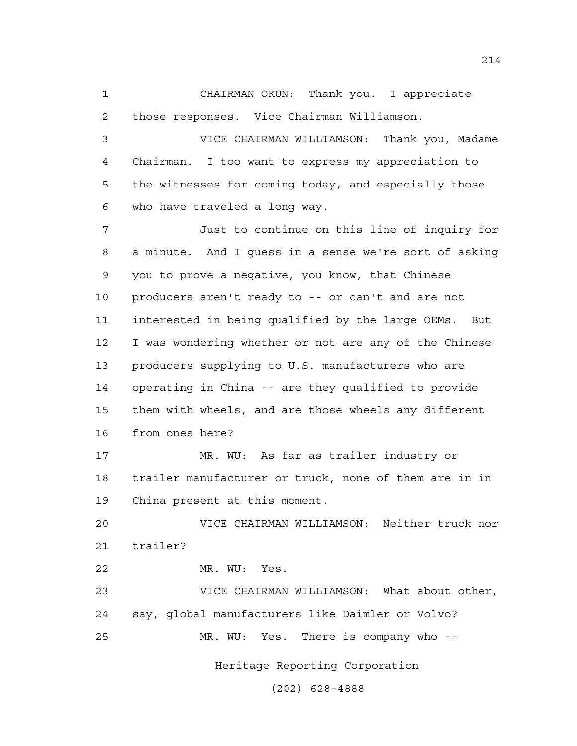1 CHAIRMAN OKUN: Thank you. I appreciate 2 those responses. Vice Chairman Williamson.

3 VICE CHAIRMAN WILLIAMSON: Thank you, Madame 4 Chairman. I too want to express my appreciation to 5 the witnesses for coming today, and especially those 6 who have traveled a long way.

7 Just to continue on this line of inquiry for 8 a minute. And I guess in a sense we're sort of asking 9 you to prove a negative, you know, that Chinese 10 producers aren't ready to -- or can't and are not 11 interested in being qualified by the large OEMs. But 12 I was wondering whether or not are any of the Chinese 13 producers supplying to U.S. manufacturers who are 14 operating in China -- are they qualified to provide 15 them with wheels, and are those wheels any different 16 from ones here?

17 MR. WU: As far as trailer industry or 18 trailer manufacturer or truck, none of them are in in 19 China present at this moment.

20 VICE CHAIRMAN WILLIAMSON: Neither truck nor 21 trailer?

22 MR. WU: Yes.

23 VICE CHAIRMAN WILLIAMSON: What about other, 24 say, global manufacturers like Daimler or Volvo? 25 MR. WU: Yes. There is company who --

Heritage Reporting Corporation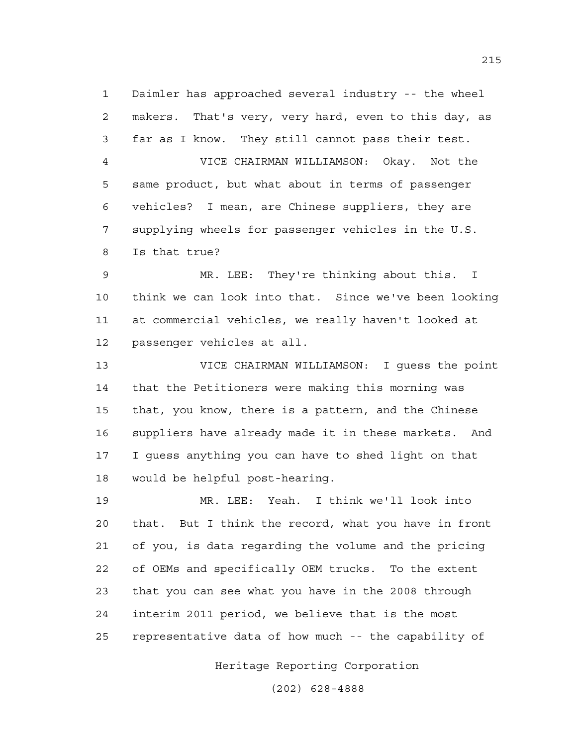1 Daimler has approached several industry -- the wheel 2 makers. That's very, very hard, even to this day, as 3 far as I know. They still cannot pass their test.

4 VICE CHAIRMAN WILLIAMSON: Okay. Not the 5 same product, but what about in terms of passenger 6 vehicles? I mean, are Chinese suppliers, they are 7 supplying wheels for passenger vehicles in the U.S. 8 Is that true?

9 MR. LEE: They're thinking about this. I 10 think we can look into that. Since we've been looking 11 at commercial vehicles, we really haven't looked at 12 passenger vehicles at all.

13 VICE CHAIRMAN WILLIAMSON: I guess the point 14 that the Petitioners were making this morning was 15 that, you know, there is a pattern, and the Chinese 16 suppliers have already made it in these markets. And 17 I guess anything you can have to shed light on that 18 would be helpful post-hearing.

19 MR. LEE: Yeah. I think we'll look into 20 that. But I think the record, what you have in front 21 of you, is data regarding the volume and the pricing 22 of OEMs and specifically OEM trucks. To the extent 23 that you can see what you have in the 2008 through 24 interim 2011 period, we believe that is the most 25 representative data of how much -- the capability of

Heritage Reporting Corporation

(202) 628-4888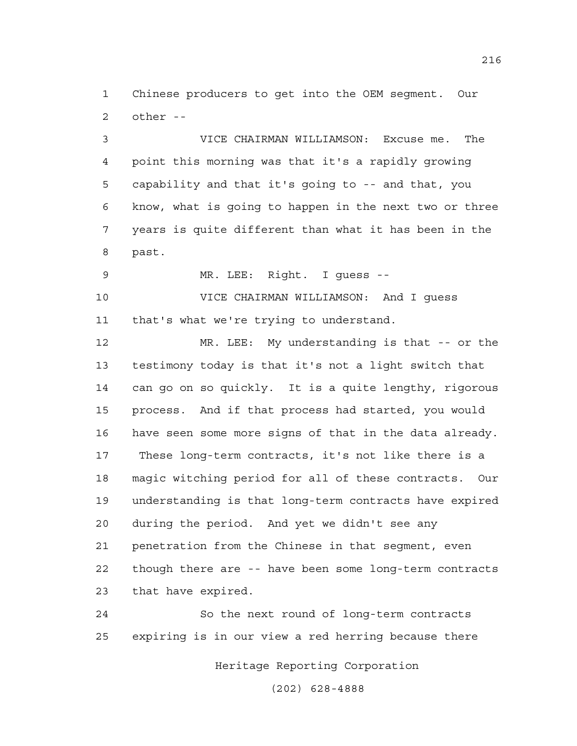1 Chinese producers to get into the OEM segment. Our 2 other --

3 VICE CHAIRMAN WILLIAMSON: Excuse me. The 4 point this morning was that it's a rapidly growing 5 capability and that it's going to -- and that, you 6 know, what is going to happen in the next two or three 7 years is quite different than what it has been in the 8 past.

9 MR. LEE: Right. I guess --

10 VICE CHAIRMAN WILLIAMSON: And I guess 11 that's what we're trying to understand.

12 MR. LEE: My understanding is that -- or the 13 testimony today is that it's not a light switch that 14 can go on so quickly. It is a quite lengthy, rigorous 15 process. And if that process had started, you would 16 have seen some more signs of that in the data already. 17 These long-term contracts, it's not like there is a 18 magic witching period for all of these contracts. Our 19 understanding is that long-term contracts have expired 20 during the period. And yet we didn't see any 21 penetration from the Chinese in that segment, even 22 though there are -- have been some long-term contracts 23 that have expired.

24 So the next round of long-term contracts 25 expiring is in our view a red herring because there

Heritage Reporting Corporation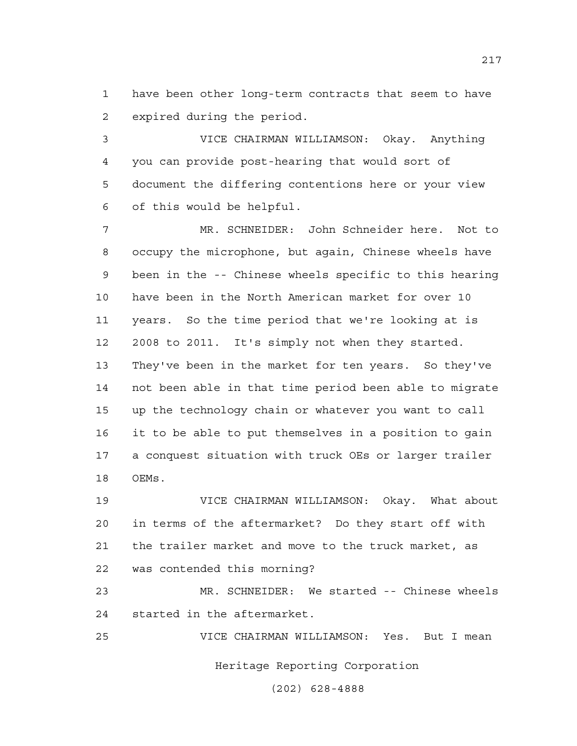1 have been other long-term contracts that seem to have 2 expired during the period.

3 VICE CHAIRMAN WILLIAMSON: Okay. Anything 4 you can provide post-hearing that would sort of 5 document the differing contentions here or your view 6 of this would be helpful.

7 MR. SCHNEIDER: John Schneider here. Not to 8 occupy the microphone, but again, Chinese wheels have 9 been in the -- Chinese wheels specific to this hearing 10 have been in the North American market for over 10 11 years. So the time period that we're looking at is 12 2008 to 2011. It's simply not when they started. 13 They've been in the market for ten years. So they've 14 not been able in that time period been able to migrate 15 up the technology chain or whatever you want to call 16 it to be able to put themselves in a position to gain 17 a conquest situation with truck OEs or larger trailer 18 OEMs.

19 VICE CHAIRMAN WILLIAMSON: Okay. What about 20 in terms of the aftermarket? Do they start off with 21 the trailer market and move to the truck market, as 22 was contended this morning?

23 MR. SCHNEIDER: We started -- Chinese wheels 24 started in the aftermarket.

Heritage Reporting Corporation 25 VICE CHAIRMAN WILLIAMSON: Yes. But I mean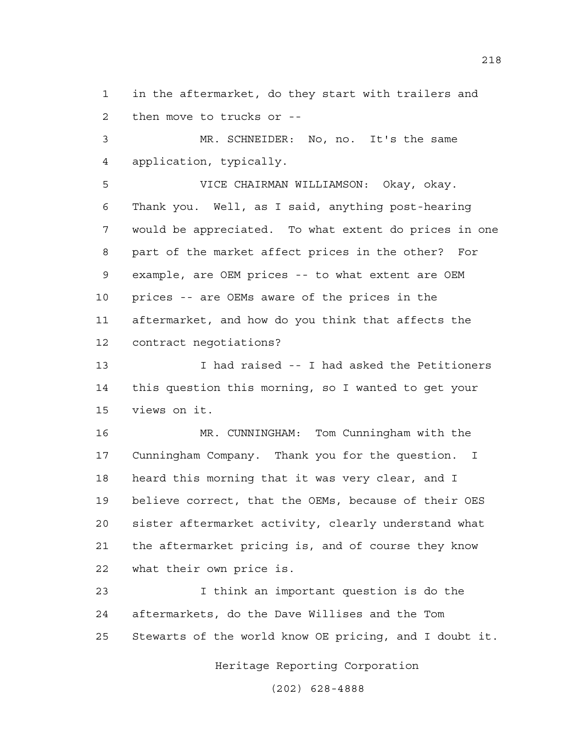1 in the aftermarket, do they start with trailers and 2 then move to trucks or --

3 MR. SCHNEIDER: No, no. It's the same 4 application, typically.

5 VICE CHAIRMAN WILLIAMSON: Okay, okay. 6 Thank you. Well, as I said, anything post-hearing 7 would be appreciated. To what extent do prices in one 8 part of the market affect prices in the other? For 9 example, are OEM prices -- to what extent are OEM 10 prices -- are OEMs aware of the prices in the 11 aftermarket, and how do you think that affects the 12 contract negotiations?

13 I had raised -- I had asked the Petitioners 14 this question this morning, so I wanted to get your 15 views on it.

16 MR. CUNNINGHAM: Tom Cunningham with the 17 Cunningham Company. Thank you for the question. I 18 heard this morning that it was very clear, and I 19 believe correct, that the OEMs, because of their OES 20 sister aftermarket activity, clearly understand what 21 the aftermarket pricing is, and of course they know 22 what their own price is.

23 I think an important question is do the 24 aftermarkets, do the Dave Willises and the Tom 25 Stewarts of the world know OE pricing, and I doubt it.

Heritage Reporting Corporation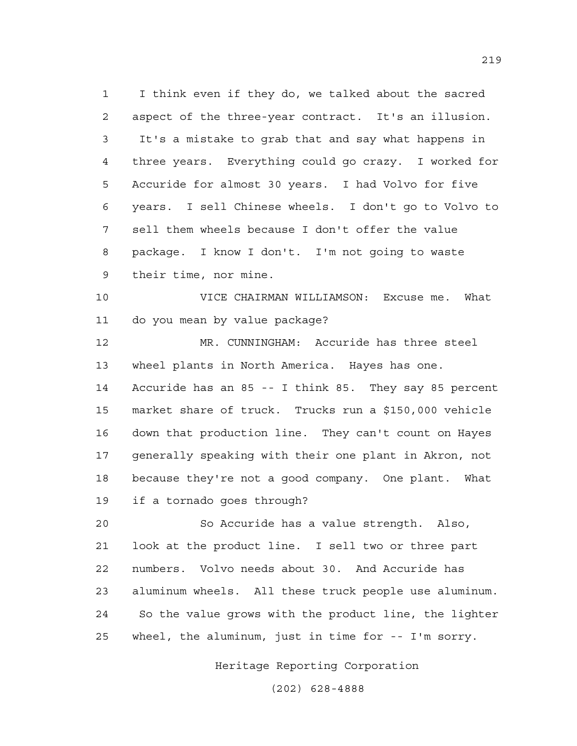1 I think even if they do, we talked about the sacred 2 aspect of the three-year contract. It's an illusion. 3 It's a mistake to grab that and say what happens in 4 three years. Everything could go crazy. I worked for 5 Accuride for almost 30 years. I had Volvo for five 6 years. I sell Chinese wheels. I don't go to Volvo to 7 sell them wheels because I don't offer the value 8 package. I know I don't. I'm not going to waste 9 their time, nor mine.

10 VICE CHAIRMAN WILLIAMSON: Excuse me. What 11 do you mean by value package?

12 MR. CUNNINGHAM: Accuride has three steel 13 wheel plants in North America. Hayes has one. 14 Accuride has an 85 -- I think 85. They say 85 percent 15 market share of truck. Trucks run a \$150,000 vehicle 16 down that production line. They can't count on Hayes 17 generally speaking with their one plant in Akron, not 18 because they're not a good company. One plant. What 19 if a tornado goes through?

20 So Accuride has a value strength. Also, 21 look at the product line. I sell two or three part 22 numbers. Volvo needs about 30. And Accuride has 23 aluminum wheels. All these truck people use aluminum. 24 So the value grows with the product line, the lighter 25 wheel, the aluminum, just in time for -- I'm sorry.

Heritage Reporting Corporation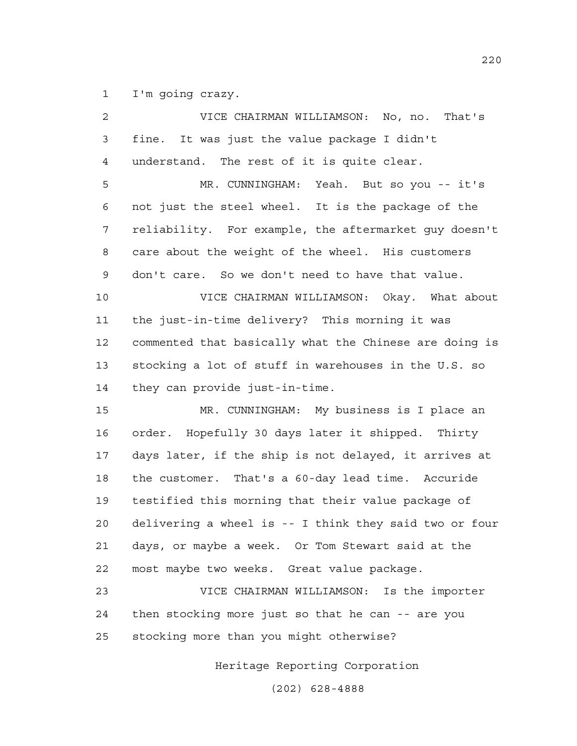1 I'm going crazy.

| 2  | VICE CHAIRMAN WILLIAMSON: No, no. That's               |
|----|--------------------------------------------------------|
| 3  | It was just the value package I didn't<br>fine.        |
| 4  | understand. The rest of it is quite clear.             |
| 5  | MR. CUNNINGHAM: Yeah. But so you -- it's               |
| 6  | not just the steel wheel. It is the package of the     |
| 7  | reliability. For example, the aftermarket guy doesn't  |
| 8  | care about the weight of the wheel. His customers      |
| 9  | don't care. So we don't need to have that value.       |
| 10 | VICE CHAIRMAN WILLIAMSON: Okay. What about             |
| 11 | the just-in-time delivery? This morning it was         |
| 12 | commented that basically what the Chinese are doing is |
| 13 | stocking a lot of stuff in warehouses in the U.S. so   |
| 14 | they can provide just-in-time.                         |
| 15 | MR. CUNNINGHAM: My business is I place an              |
| 16 | order. Hopefully 30 days later it shipped. Thirty      |
| 17 | days later, if the ship is not delayed, it arrives at  |
| 18 | the customer. That's a 60-day lead time. Accuride      |
| 19 | testified this morning that their value package of     |
| 20 | delivering a wheel is -- I think they said two or four |
| 21 | days, or maybe a week. Or Tom Stewart said at the      |
| 22 | most maybe two weeks. Great value package.             |
| 23 | VICE CHAIRMAN WILLIAMSON: Is the importer              |
| 24 | then stocking more just so that he can -- are you      |
| 25 | stocking more than you might otherwise?                |

Heritage Reporting Corporation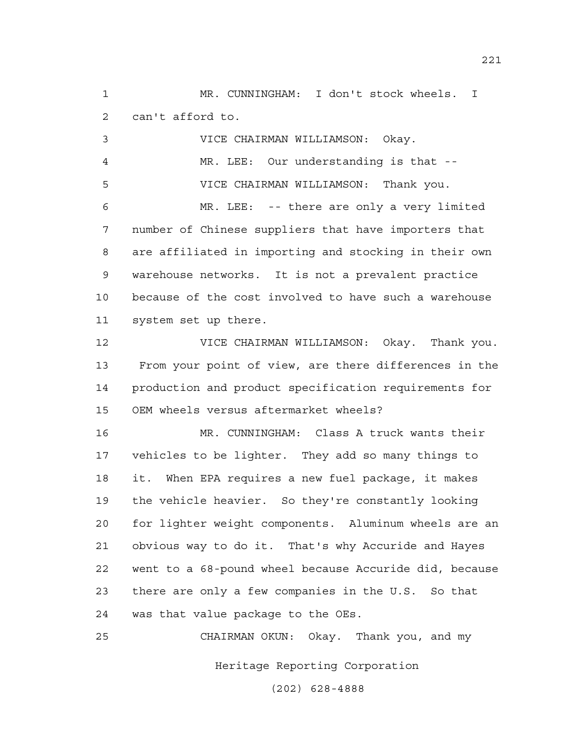1 MR. CUNNINGHAM: I don't stock wheels. I 2 can't afford to.

3 VICE CHAIRMAN WILLIAMSON: Okay. 4 MR. LEE: Our understanding is that -- 5 VICE CHAIRMAN WILLIAMSON: Thank you. 6 MR. LEE: -- there are only a very limited 7 number of Chinese suppliers that have importers that 8 are affiliated in importing and stocking in their own 9 warehouse networks. It is not a prevalent practice 10 because of the cost involved to have such a warehouse 11 system set up there.

12 VICE CHAIRMAN WILLIAMSON: Okay. Thank you. 13 From your point of view, are there differences in the 14 production and product specification requirements for 15 OEM wheels versus aftermarket wheels?

16 MR. CUNNINGHAM: Class A truck wants their 17 vehicles to be lighter. They add so many things to 18 it. When EPA requires a new fuel package, it makes 19 the vehicle heavier. So they're constantly looking 20 for lighter weight components. Aluminum wheels are an 21 obvious way to do it. That's why Accuride and Hayes 22 went to a 68-pound wheel because Accuride did, because 23 there are only a few companies in the U.S. So that 24 was that value package to the OEs.

Heritage Reporting Corporation 25 CHAIRMAN OKUN: Okay. Thank you, and my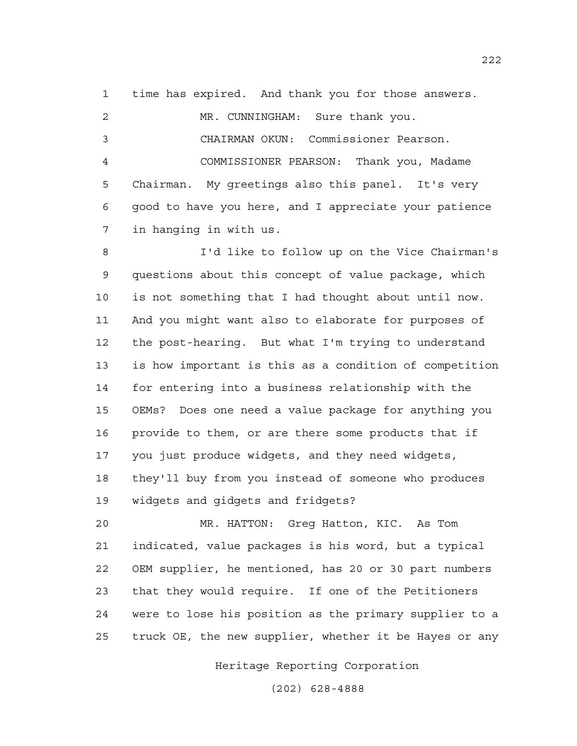1 time has expired. And thank you for those answers.

2 MR. CUNNINGHAM: Sure thank you. 3 CHAIRMAN OKUN: Commissioner Pearson. 4 COMMISSIONER PEARSON: Thank you, Madame 5 Chairman. My greetings also this panel. It's very 6 good to have you here, and I appreciate your patience 7 in hanging in with us.

8 I'd like to follow up on the Vice Chairman's 9 questions about this concept of value package, which 10 is not something that I had thought about until now. 11 And you might want also to elaborate for purposes of 12 the post-hearing. But what I'm trying to understand 13 is how important is this as a condition of competition 14 for entering into a business relationship with the 15 OEMs? Does one need a value package for anything you 16 provide to them, or are there some products that if 17 you just produce widgets, and they need widgets, 18 they'll buy from you instead of someone who produces 19 widgets and gidgets and fridgets?

20 MR. HATTON: Greg Hatton, KIC. As Tom 21 indicated, value packages is his word, but a typical 22 OEM supplier, he mentioned, has 20 or 30 part numbers 23 that they would require. If one of the Petitioners 24 were to lose his position as the primary supplier to a 25 truck OE, the new supplier, whether it be Hayes or any

Heritage Reporting Corporation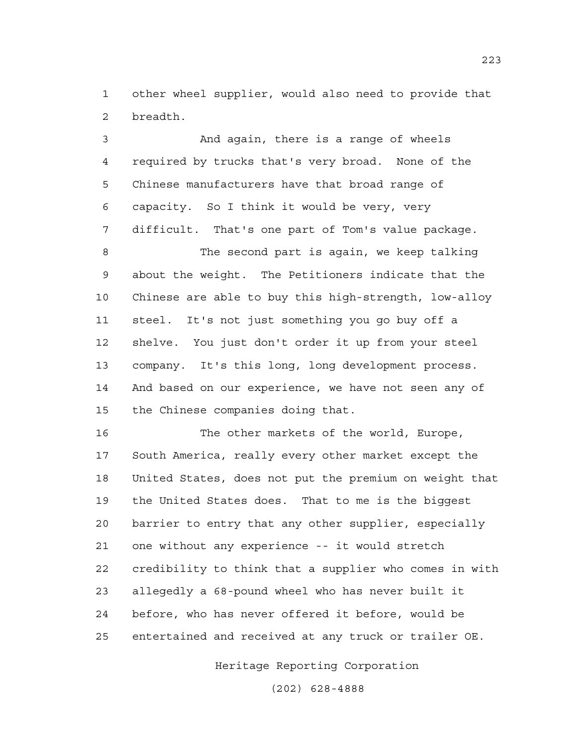1 other wheel supplier, would also need to provide that 2 breadth.

3 And again, there is a range of wheels 4 required by trucks that's very broad. None of the 5 Chinese manufacturers have that broad range of 6 capacity. So I think it would be very, very 7 difficult. That's one part of Tom's value package.

8 The second part is again, we keep talking 9 about the weight. The Petitioners indicate that the 10 Chinese are able to buy this high-strength, low-alloy 11 steel. It's not just something you go buy off a 12 shelve. You just don't order it up from your steel 13 company. It's this long, long development process. 14 And based on our experience, we have not seen any of 15 the Chinese companies doing that.

16 The other markets of the world, Europe, 17 South America, really every other market except the 18 United States, does not put the premium on weight that 19 the United States does. That to me is the biggest 20 barrier to entry that any other supplier, especially 21 one without any experience -- it would stretch 22 credibility to think that a supplier who comes in with 23 allegedly a 68-pound wheel who has never built it 24 before, who has never offered it before, would be 25 entertained and received at any truck or trailer OE.

Heritage Reporting Corporation

(202) 628-4888

223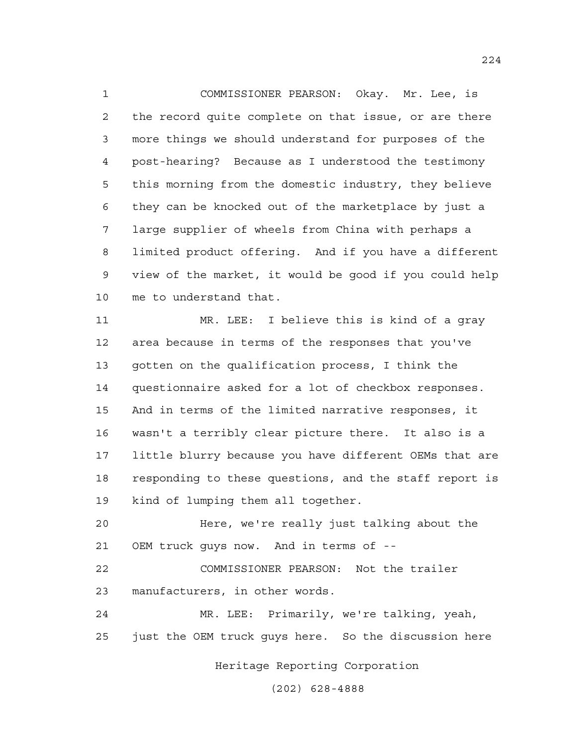1 COMMISSIONER PEARSON: Okay. Mr. Lee, is 2 the record quite complete on that issue, or are there 3 more things we should understand for purposes of the 4 post-hearing? Because as I understood the testimony 5 this morning from the domestic industry, they believe 6 they can be knocked out of the marketplace by just a 7 large supplier of wheels from China with perhaps a 8 limited product offering. And if you have a different 9 view of the market, it would be good if you could help 10 me to understand that.

11 MR. LEE: I believe this is kind of a gray 12 area because in terms of the responses that you've 13 gotten on the qualification process, I think the 14 questionnaire asked for a lot of checkbox responses. 15 And in terms of the limited narrative responses, it 16 wasn't a terribly clear picture there. It also is a 17 little blurry because you have different OEMs that are 18 responding to these questions, and the staff report is 19 kind of lumping them all together.

20 Here, we're really just talking about the 21 OEM truck guys now. And in terms of --

22 COMMISSIONER PEARSON: Not the trailer 23 manufacturers, in other words.

24 MR. LEE: Primarily, we're talking, yeah, 25 just the OEM truck guys here. So the discussion here

Heritage Reporting Corporation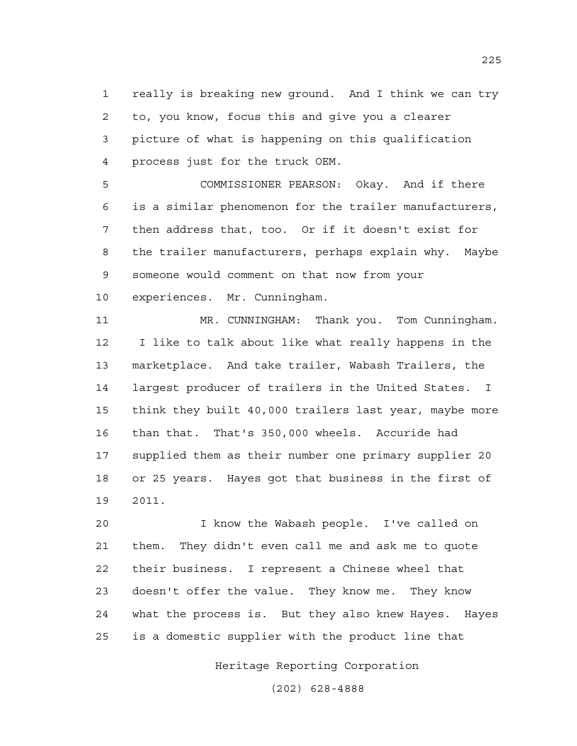1 really is breaking new ground. And I think we can try 2 to, you know, focus this and give you a clearer 3 picture of what is happening on this qualification 4 process just for the truck OEM.

5 COMMISSIONER PEARSON: Okay. And if there 6 is a similar phenomenon for the trailer manufacturers, 7 then address that, too. Or if it doesn't exist for 8 the trailer manufacturers, perhaps explain why. Maybe 9 someone would comment on that now from your 10 experiences. Mr. Cunningham.

11 MR. CUNNINGHAM: Thank you. Tom Cunningham. 12 I like to talk about like what really happens in the 13 marketplace. And take trailer, Wabash Trailers, the 14 largest producer of trailers in the United States. I 15 think they built 40,000 trailers last year, maybe more 16 than that. That's 350,000 wheels. Accuride had 17 supplied them as their number one primary supplier 20 18 or 25 years. Hayes got that business in the first of 19 2011.

20 I know the Wabash people. I've called on 21 them. They didn't even call me and ask me to quote 22 their business. I represent a Chinese wheel that 23 doesn't offer the value. They know me. They know 24 what the process is. But they also knew Hayes. Hayes 25 is a domestic supplier with the product line that

Heritage Reporting Corporation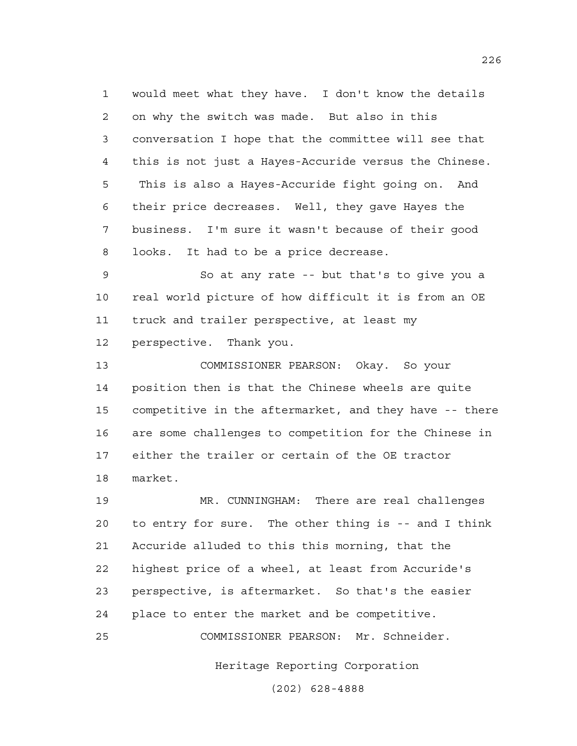1 would meet what they have. I don't know the details 2 on why the switch was made. But also in this 3 conversation I hope that the committee will see that 4 this is not just a Hayes-Accuride versus the Chinese. 5 This is also a Hayes-Accuride fight going on. And 6 their price decreases. Well, they gave Hayes the 7 business. I'm sure it wasn't because of their good 8 looks. It had to be a price decrease.

9 So at any rate -- but that's to give you a 10 real world picture of how difficult it is from an OE 11 truck and trailer perspective, at least my 12 perspective. Thank you.

13 COMMISSIONER PEARSON: Okay. So your 14 position then is that the Chinese wheels are quite 15 competitive in the aftermarket, and they have -- there 16 are some challenges to competition for the Chinese in 17 either the trailer or certain of the OE tractor 18 market.

19 MR. CUNNINGHAM: There are real challenges 20 to entry for sure. The other thing is -- and I think 21 Accuride alluded to this this morning, that the 22 highest price of a wheel, at least from Accuride's 23 perspective, is aftermarket. So that's the easier 24 place to enter the market and be competitive. 25 COMMISSIONER PEARSON: Mr. Schneider.

Heritage Reporting Corporation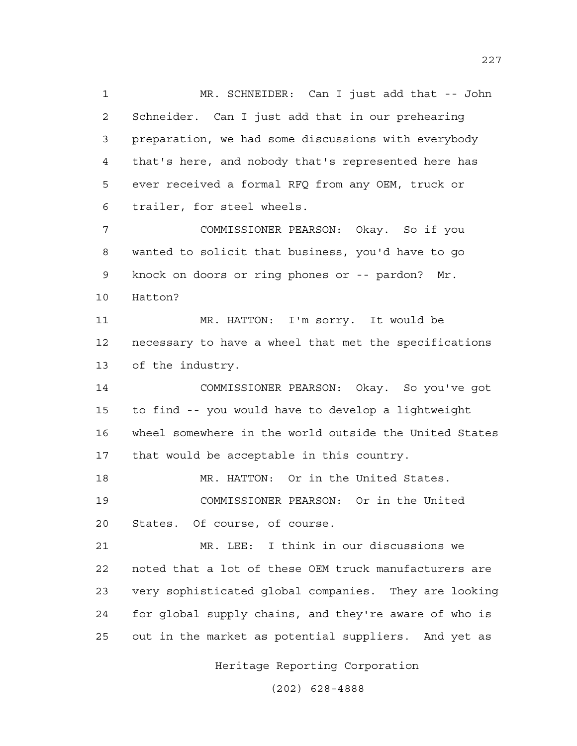1 MR. SCHNEIDER: Can I just add that -- John 2 Schneider. Can I just add that in our prehearing 3 preparation, we had some discussions with everybody 4 that's here, and nobody that's represented here has 5 ever received a formal RFQ from any OEM, truck or 6 trailer, for steel wheels. 7 COMMISSIONER PEARSON: Okay. So if you

8 wanted to solicit that business, you'd have to go 9 knock on doors or ring phones or -- pardon? Mr. 10 Hatton?

11 MR. HATTON: I'm sorry. It would be 12 necessary to have a wheel that met the specifications 13 of the industry.

14 COMMISSIONER PEARSON: Okay. So you've got 15 to find -- you would have to develop a lightweight 16 wheel somewhere in the world outside the United States 17 that would be acceptable in this country.

18 MR. HATTON: Or in the United States. 19 COMMISSIONER PEARSON: Or in the United 20 States. Of course, of course.

21 MR. LEE: I think in our discussions we 22 noted that a lot of these OEM truck manufacturers are 23 very sophisticated global companies. They are looking 24 for global supply chains, and they're aware of who is 25 out in the market as potential suppliers. And yet as

Heritage Reporting Corporation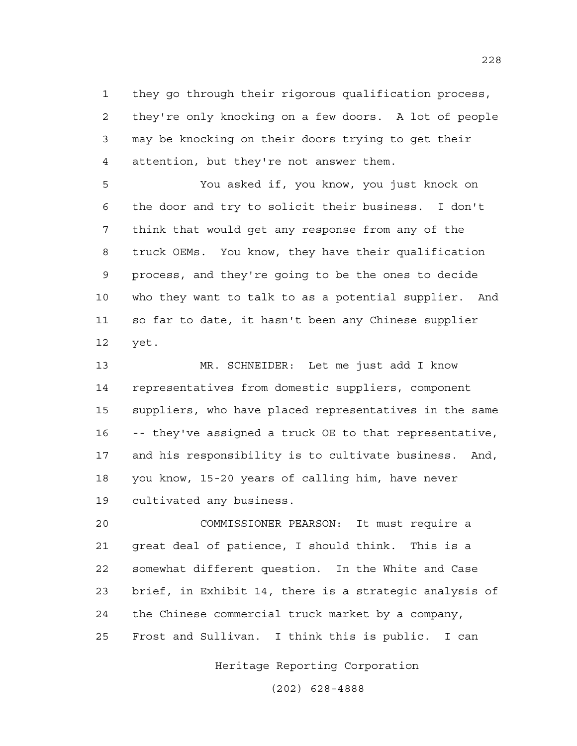1 they go through their rigorous qualification process, 2 they're only knocking on a few doors. A lot of people 3 may be knocking on their doors trying to get their 4 attention, but they're not answer them.

5 You asked if, you know, you just knock on 6 the door and try to solicit their business. I don't 7 think that would get any response from any of the 8 truck OEMs. You know, they have their qualification 9 process, and they're going to be the ones to decide 10 who they want to talk to as a potential supplier. And 11 so far to date, it hasn't been any Chinese supplier 12 yet.

13 MR. SCHNEIDER: Let me just add I know 14 representatives from domestic suppliers, component 15 suppliers, who have placed representatives in the same 16 -- they've assigned a truck OE to that representative, 17 and his responsibility is to cultivate business. And, 18 you know, 15-20 years of calling him, have never 19 cultivated any business.

20 COMMISSIONER PEARSON: It must require a 21 great deal of patience, I should think. This is a 22 somewhat different question. In the White and Case 23 brief, in Exhibit 14, there is a strategic analysis of 24 the Chinese commercial truck market by a company, 25 Frost and Sullivan. I think this is public. I can

Heritage Reporting Corporation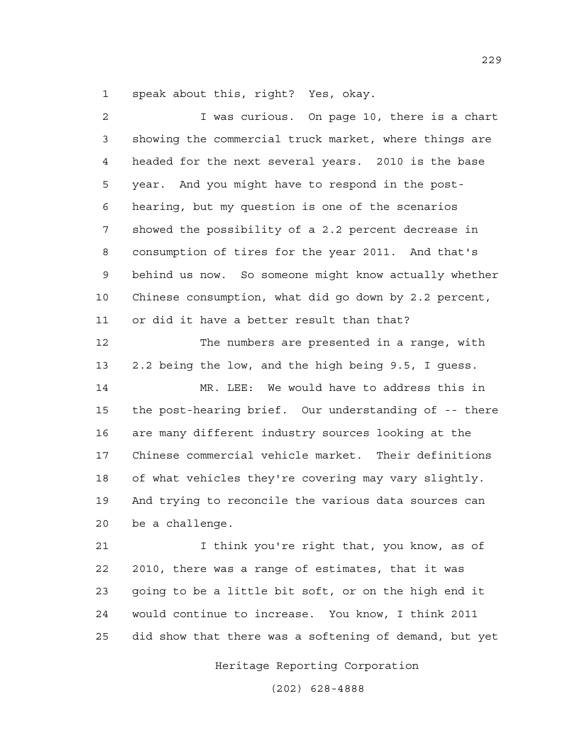1 speak about this, right? Yes, okay.

2 I was curious. On page 10, there is a chart 3 showing the commercial truck market, where things are 4 headed for the next several years. 2010 is the base 5 year. And you might have to respond in the post-6 hearing, but my question is one of the scenarios 7 showed the possibility of a 2.2 percent decrease in 8 consumption of tires for the year 2011. And that's 9 behind us now. So someone might know actually whether 10 Chinese consumption, what did go down by 2.2 percent, 11 or did it have a better result than that? 12 The numbers are presented in a range, with 13 2.2 being the low, and the high being 9.5, I guess. 14 MR. LEE: We would have to address this in 15 the post-hearing brief. Our understanding of -- there 16 are many different industry sources looking at the 17 Chinese commercial vehicle market. Their definitions 18 of what vehicles they're covering may vary slightly. 19 And trying to reconcile the various data sources can 20 be a challenge. 21 I think you're right that, you know, as of 22 2010, there was a range of estimates, that it was 23 going to be a little bit soft, or on the high end it 24 would continue to increase. You know, I think 2011

Heritage Reporting Corporation

25 did show that there was a softening of demand, but yet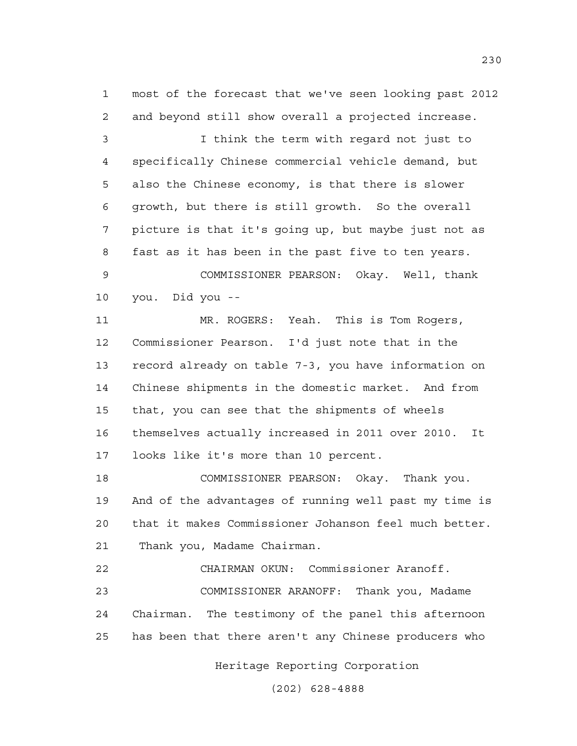1 most of the forecast that we've seen looking past 2012 2 and beyond still show overall a projected increase.

3 I think the term with regard not just to 4 specifically Chinese commercial vehicle demand, but 5 also the Chinese economy, is that there is slower 6 growth, but there is still growth. So the overall 7 picture is that it's going up, but maybe just not as 8 fast as it has been in the past five to ten years. 9 COMMISSIONER PEARSON: Okay. Well, thank 10 you. Did you --

11 MR. ROGERS: Yeah. This is Tom Rogers, 12 Commissioner Pearson. I'd just note that in the 13 record already on table 7-3, you have information on 14 Chinese shipments in the domestic market. And from 15 that, you can see that the shipments of wheels 16 themselves actually increased in 2011 over 2010. It 17 looks like it's more than 10 percent.

18 COMMISSIONER PEARSON: Okay. Thank you. 19 And of the advantages of running well past my time is 20 that it makes Commissioner Johanson feel much better. 21 Thank you, Madame Chairman.

22 CHAIRMAN OKUN: Commissioner Aranoff. 23 COMMISSIONER ARANOFF: Thank you, Madame 24 Chairman. The testimony of the panel this afternoon 25 has been that there aren't any Chinese producers who

Heritage Reporting Corporation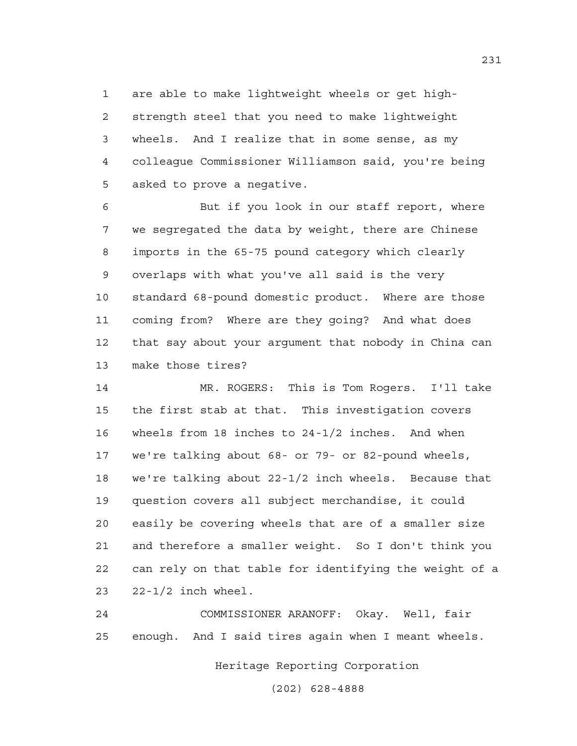1 are able to make lightweight wheels or get high-2 strength steel that you need to make lightweight 3 wheels. And I realize that in some sense, as my 4 colleague Commissioner Williamson said, you're being 5 asked to prove a negative.

6 But if you look in our staff report, where 7 we segregated the data by weight, there are Chinese 8 imports in the 65-75 pound category which clearly 9 overlaps with what you've all said is the very 10 standard 68-pound domestic product. Where are those 11 coming from? Where are they going? And what does 12 that say about your argument that nobody in China can 13 make those tires?

14 MR. ROGERS: This is Tom Rogers. I'll take 15 the first stab at that. This investigation covers 16 wheels from 18 inches to 24-1/2 inches. And when 17 we're talking about 68- or 79- or 82-pound wheels, 18 we're talking about 22-1/2 inch wheels. Because that 19 question covers all subject merchandise, it could 20 easily be covering wheels that are of a smaller size 21 and therefore a smaller weight. So I don't think you 22 can rely on that table for identifying the weight of a 23 22-1/2 inch wheel.

24 COMMISSIONER ARANOFF: Okay. Well, fair 25 enough. And I said tires again when I meant wheels.

Heritage Reporting Corporation

(202) 628-4888

231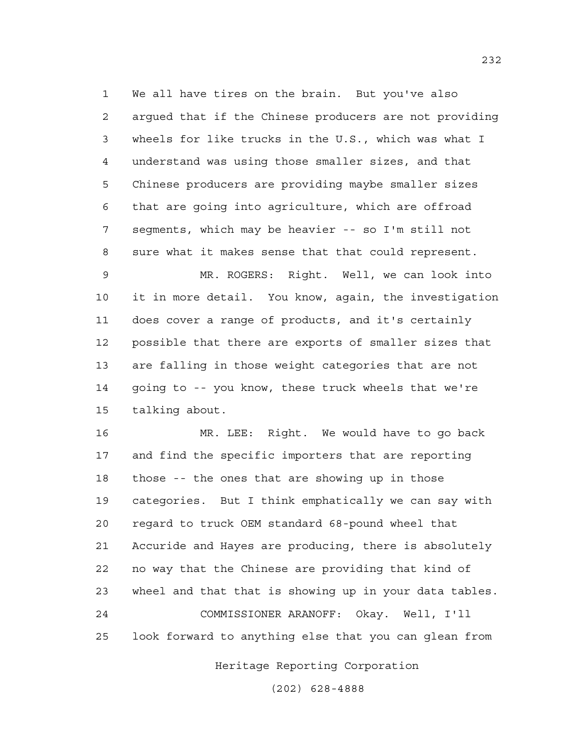1 We all have tires on the brain. But you've also 2 argued that if the Chinese producers are not providing 3 wheels for like trucks in the U.S., which was what I 4 understand was using those smaller sizes, and that 5 Chinese producers are providing maybe smaller sizes 6 that are going into agriculture, which are offroad 7 segments, which may be heavier -- so I'm still not 8 sure what it makes sense that that could represent.

9 MR. ROGERS: Right. Well, we can look into 10 it in more detail. You know, again, the investigation 11 does cover a range of products, and it's certainly 12 possible that there are exports of smaller sizes that 13 are falling in those weight categories that are not 14 going to -- you know, these truck wheels that we're 15 talking about.

16 MR. LEE: Right. We would have to go back 17 and find the specific importers that are reporting 18 those -- the ones that are showing up in those 19 categories. But I think emphatically we can say with 20 regard to truck OEM standard 68-pound wheel that 21 Accuride and Hayes are producing, there is absolutely 22 no way that the Chinese are providing that kind of 23 wheel and that that is showing up in your data tables. 24 COMMISSIONER ARANOFF: Okay. Well, I'll 25 look forward to anything else that you can glean from

Heritage Reporting Corporation

(202) 628-4888

232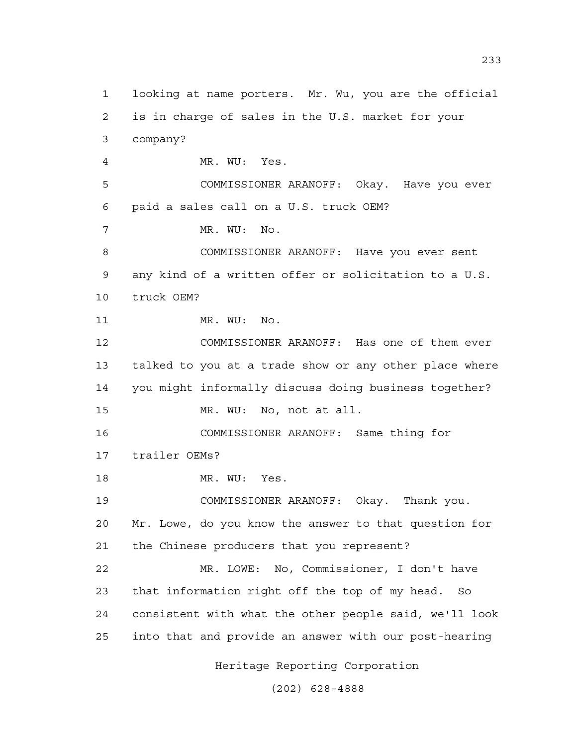1 looking at name porters. Mr. Wu, you are the official 2 is in charge of sales in the U.S. market for your 3 company? 4 MR. WU: Yes. 5 COMMISSIONER ARANOFF: Okay. Have you ever 6 paid a sales call on a U.S. truck OEM? 7 MR. WU: No. 8 COMMISSIONER ARANOFF: Have you ever sent 9 any kind of a written offer or solicitation to a U.S. 10 truck OEM? 11 MR. WU: No. 12 COMMISSIONER ARANOFF: Has one of them ever 13 talked to you at a trade show or any other place where 14 you might informally discuss doing business together? 15 MR. WU: No, not at all. 16 COMMISSIONER ARANOFF: Same thing for 17 trailer OEMs? 18 MR. WU: Yes. 19 COMMISSIONER ARANOFF: Okay. Thank you. 20 Mr. Lowe, do you know the answer to that question for 21 the Chinese producers that you represent? 22 MR. LOWE: No, Commissioner, I don't have 23 that information right off the top of my head. So 24 consistent with what the other people said, we'll look 25 into that and provide an answer with our post-hearing

Heritage Reporting Corporation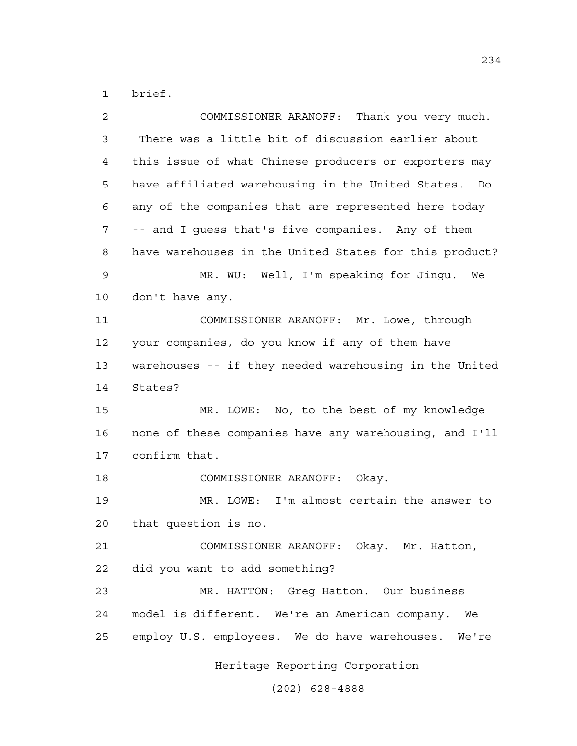1 brief.

| 2  | COMMISSIONER ARANOFF: Thank you very much.              |
|----|---------------------------------------------------------|
| 3  | There was a little bit of discussion earlier about      |
| 4  | this issue of what Chinese producers or exporters may   |
| 5  | have affiliated warehousing in the United States.<br>Do |
| 6  | any of the companies that are represented here today    |
| 7  | -- and I guess that's five companies. Any of them       |
| 8  | have warehouses in the United States for this product?  |
| 9  | MR. WU: Well, I'm speaking for Jingu. We                |
| 10 | don't have any.                                         |
| 11 | COMMISSIONER ARANOFF: Mr. Lowe, through                 |
| 12 | your companies, do you know if any of them have         |
| 13 | warehouses -- if they needed warehousing in the United  |
| 14 | States?                                                 |
| 15 | MR. LOWE: No, to the best of my knowledge               |
| 16 | none of these companies have any warehousing, and I'll  |
| 17 | confirm that.                                           |
| 18 | COMMISSIONER ARANOFF: Okay.                             |
| 19 | MR. LOWE: I'm almost certain the answer to              |
| 20 | that question is no.                                    |
| 21 | COMMISSIONER ARANOFF: Okay. Mr. Hatton,                 |
| 22 | did you want to add something?                          |
| 23 | MR. HATTON: Greg Hatton. Our business                   |
| 24 | model is different. We're an American company. We       |
| 25 | employ U.S. employees. We do have warehouses. We're     |
|    | Heritage Reporting Corporation                          |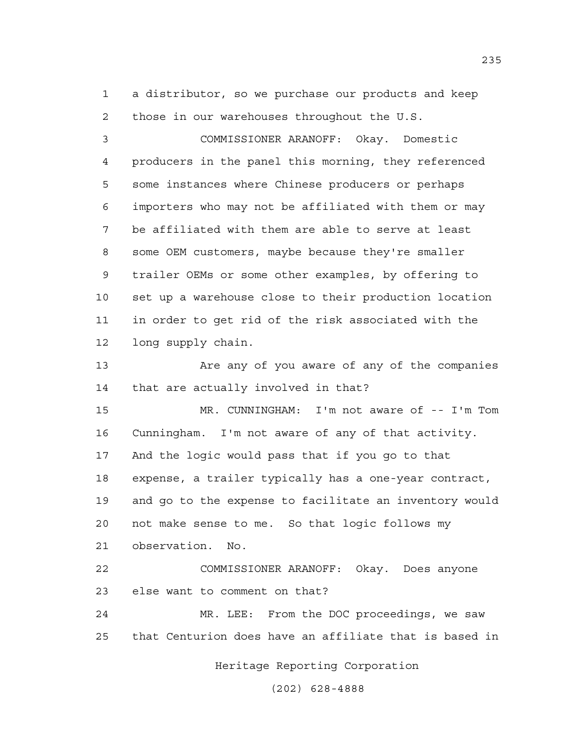1 a distributor, so we purchase our products and keep 2 those in our warehouses throughout the U.S.

3 COMMISSIONER ARANOFF: Okay. Domestic 4 producers in the panel this morning, they referenced 5 some instances where Chinese producers or perhaps 6 importers who may not be affiliated with them or may 7 be affiliated with them are able to serve at least 8 some OEM customers, maybe because they're smaller 9 trailer OEMs or some other examples, by offering to 10 set up a warehouse close to their production location 11 in order to get rid of the risk associated with the 12 long supply chain.

13 Are any of you aware of any of the companies 14 that are actually involved in that?

15 MR. CUNNINGHAM: I'm not aware of -- I'm Tom 16 Cunningham. I'm not aware of any of that activity. 17 And the logic would pass that if you go to that 18 expense, a trailer typically has a one-year contract, 19 and go to the expense to facilitate an inventory would 20 not make sense to me. So that logic follows my 21 observation. No.

22 COMMISSIONER ARANOFF: Okay. Does anyone 23 else want to comment on that?

24 MR. LEE: From the DOC proceedings, we saw 25 that Centurion does have an affiliate that is based in

Heritage Reporting Corporation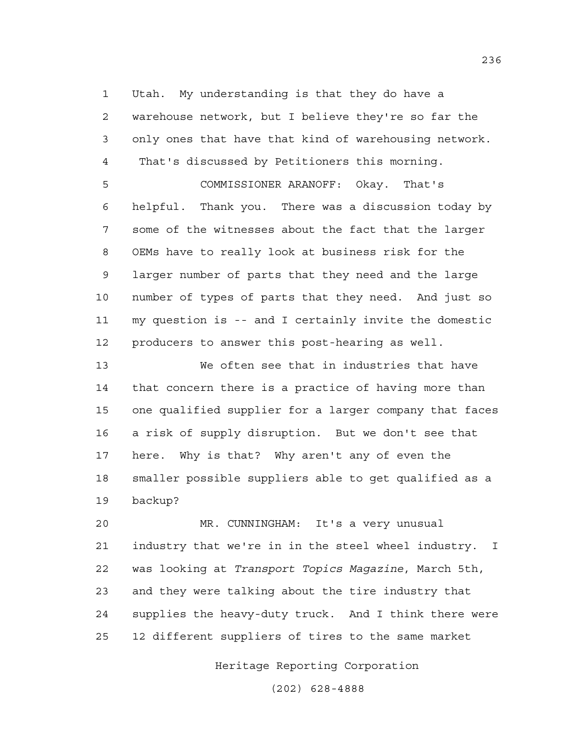1 Utah. My understanding is that they do have a 2 warehouse network, but I believe they're so far the 3 only ones that have that kind of warehousing network. 4 That's discussed by Petitioners this morning.

5 COMMISSIONER ARANOFF: Okay. That's 6 helpful. Thank you. There was a discussion today by 7 some of the witnesses about the fact that the larger 8 OEMs have to really look at business risk for the 9 larger number of parts that they need and the large 10 number of types of parts that they need. And just so 11 my question is -- and I certainly invite the domestic 12 producers to answer this post-hearing as well.

13 We often see that in industries that have 14 that concern there is a practice of having more than 15 one qualified supplier for a larger company that faces 16 a risk of supply disruption. But we don't see that 17 here. Why is that? Why aren't any of even the 18 smaller possible suppliers able to get qualified as a 19 backup?

20 MR. CUNNINGHAM: It's a very unusual 21 industry that we're in in the steel wheel industry. I 22 was looking at *Transport Topics Magazine*, March 5th, 23 and they were talking about the tire industry that 24 supplies the heavy-duty truck. And I think there were 25 12 different suppliers of tires to the same market

Heritage Reporting Corporation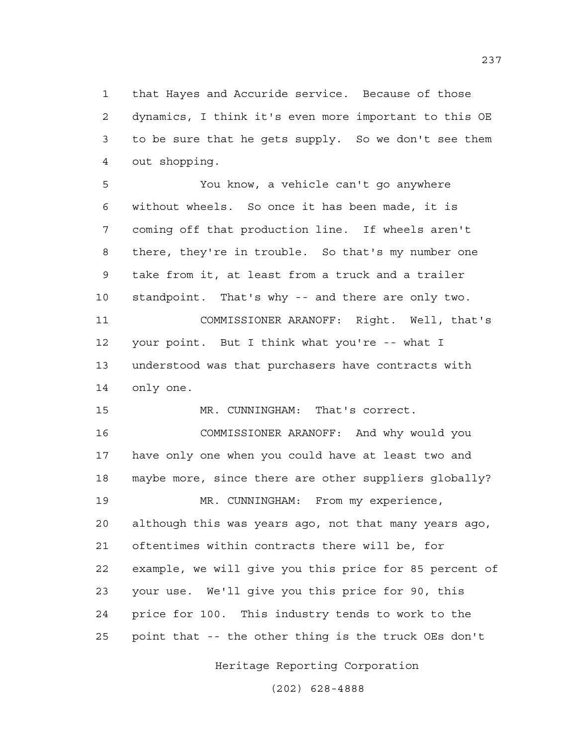1 that Hayes and Accuride service. Because of those 2 dynamics, I think it's even more important to this OE 3 to be sure that he gets supply. So we don't see them 4 out shopping.

5 You know, a vehicle can't go anywhere 6 without wheels. So once it has been made, it is 7 coming off that production line. If wheels aren't 8 there, they're in trouble. So that's my number one 9 take from it, at least from a truck and a trailer 10 standpoint. That's why -- and there are only two. 11 COMMISSIONER ARANOFF: Right. Well, that's 12 your point. But I think what you're -- what I 13 understood was that purchasers have contracts with 14 only one.

15 MR. CUNNINGHAM: That's correct.

16 COMMISSIONER ARANOFF: And why would you 17 have only one when you could have at least two and 18 maybe more, since there are other suppliers globally? 19 MR. CUNNINGHAM: From my experience, 20 although this was years ago, not that many years ago, 21 oftentimes within contracts there will be, for 22 example, we will give you this price for 85 percent of 23 your use. We'll give you this price for 90, this 24 price for 100. This industry tends to work to the 25 point that -- the other thing is the truck OEs don't

Heritage Reporting Corporation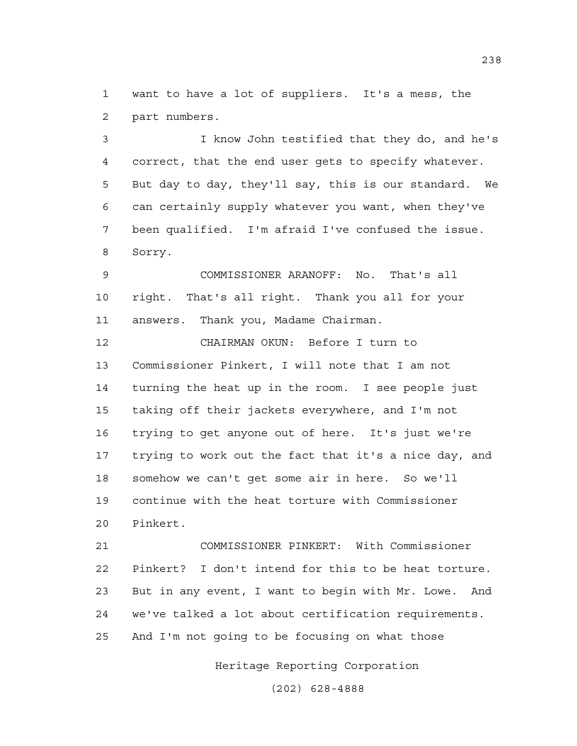1 want to have a lot of suppliers. It's a mess, the 2 part numbers.

3 I know John testified that they do, and he's 4 correct, that the end user gets to specify whatever. 5 But day to day, they'll say, this is our standard. We 6 can certainly supply whatever you want, when they've 7 been qualified. I'm afraid I've confused the issue. 8 Sorry.

9 COMMISSIONER ARANOFF: No. That's all 10 right. That's all right. Thank you all for your 11 answers. Thank you, Madame Chairman.

12 CHAIRMAN OKUN: Before I turn to 13 Commissioner Pinkert, I will note that I am not 14 turning the heat up in the room. I see people just 15 taking off their jackets everywhere, and I'm not 16 trying to get anyone out of here. It's just we're 17 trying to work out the fact that it's a nice day, and 18 somehow we can't get some air in here. So we'll 19 continue with the heat torture with Commissioner 20 Pinkert.

21 COMMISSIONER PINKERT: With Commissioner 22 Pinkert? I don't intend for this to be heat torture. 23 But in any event, I want to begin with Mr. Lowe. And 24 we've talked a lot about certification requirements. 25 And I'm not going to be focusing on what those

Heritage Reporting Corporation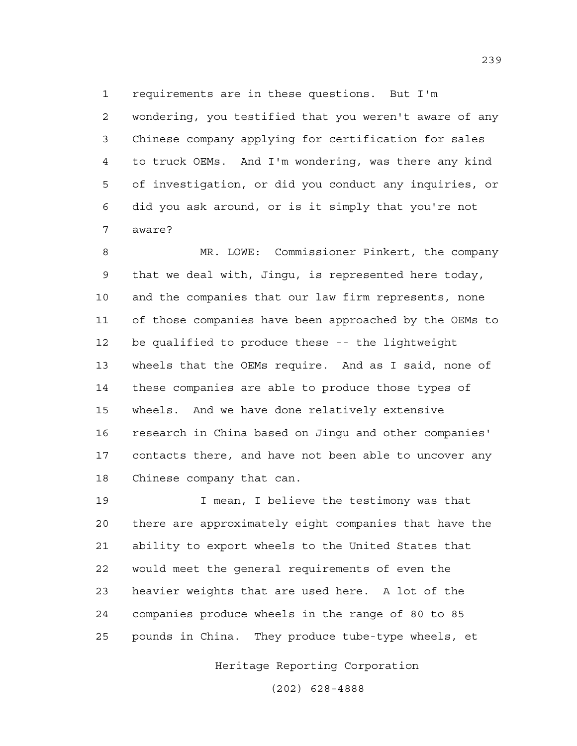1 requirements are in these questions. But I'm 2 wondering, you testified that you weren't aware of any 3 Chinese company applying for certification for sales 4 to truck OEMs. And I'm wondering, was there any kind 5 of investigation, or did you conduct any inquiries, or 6 did you ask around, or is it simply that you're not 7 aware?

8 MR. LOWE: Commissioner Pinkert, the company 9 that we deal with, Jingu, is represented here today, 10 and the companies that our law firm represents, none 11 of those companies have been approached by the OEMs to 12 be qualified to produce these -- the lightweight 13 wheels that the OEMs require. And as I said, none of 14 these companies are able to produce those types of 15 wheels. And we have done relatively extensive 16 research in China based on Jingu and other companies' 17 contacts there, and have not been able to uncover any 18 Chinese company that can.

19 I mean, I believe the testimony was that 20 there are approximately eight companies that have the 21 ability to export wheels to the United States that 22 would meet the general requirements of even the 23 heavier weights that are used here. A lot of the 24 companies produce wheels in the range of 80 to 85 25 pounds in China. They produce tube-type wheels, et

Heritage Reporting Corporation

(202) 628-4888

239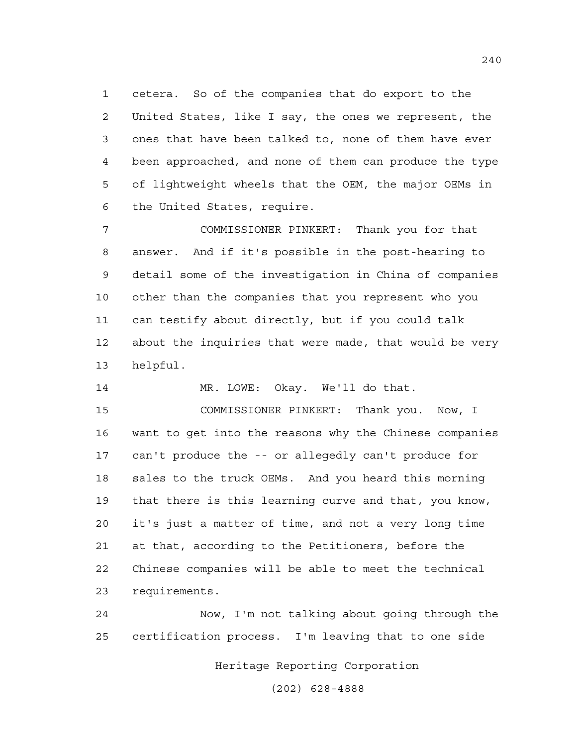1 cetera. So of the companies that do export to the 2 United States, like I say, the ones we represent, the 3 ones that have been talked to, none of them have ever 4 been approached, and none of them can produce the type 5 of lightweight wheels that the OEM, the major OEMs in 6 the United States, require.

7 COMMISSIONER PINKERT: Thank you for that 8 answer. And if it's possible in the post-hearing to 9 detail some of the investigation in China of companies 10 other than the companies that you represent who you 11 can testify about directly, but if you could talk 12 about the inquiries that were made, that would be very 13 helpful.

14 MR. LOWE: Okay. We'll do that.

15 COMMISSIONER PINKERT: Thank you. Now, I 16 want to get into the reasons why the Chinese companies 17 can't produce the -- or allegedly can't produce for 18 sales to the truck OEMs. And you heard this morning 19 that there is this learning curve and that, you know, 20 it's just a matter of time, and not a very long time 21 at that, according to the Petitioners, before the 22 Chinese companies will be able to meet the technical 23 requirements.

24 Now, I'm not talking about going through the 25 certification process. I'm leaving that to one side

Heritage Reporting Corporation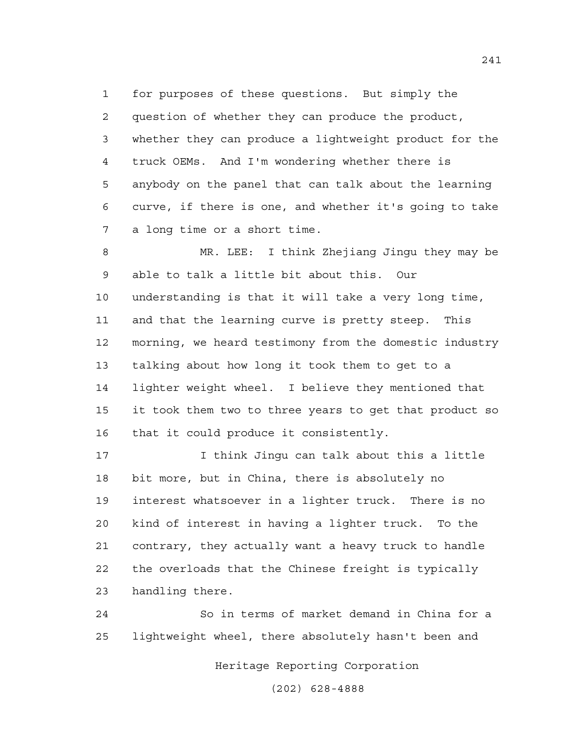1 for purposes of these questions. But simply the 2 question of whether they can produce the product, 3 whether they can produce a lightweight product for the 4 truck OEMs. And I'm wondering whether there is 5 anybody on the panel that can talk about the learning 6 curve, if there is one, and whether it's going to take 7 a long time or a short time.

8 MR. LEE: I think Zhejiang Jingu they may be 9 able to talk a little bit about this. Our 10 understanding is that it will take a very long time, 11 and that the learning curve is pretty steep. This 12 morning, we heard testimony from the domestic industry 13 talking about how long it took them to get to a 14 lighter weight wheel. I believe they mentioned that 15 it took them two to three years to get that product so 16 that it could produce it consistently.

17 I think Jingu can talk about this a little 18 bit more, but in China, there is absolutely no 19 interest whatsoever in a lighter truck. There is no 20 kind of interest in having a lighter truck. To the 21 contrary, they actually want a heavy truck to handle 22 the overloads that the Chinese freight is typically 23 handling there.

24 So in terms of market demand in China for a 25 lightweight wheel, there absolutely hasn't been and

Heritage Reporting Corporation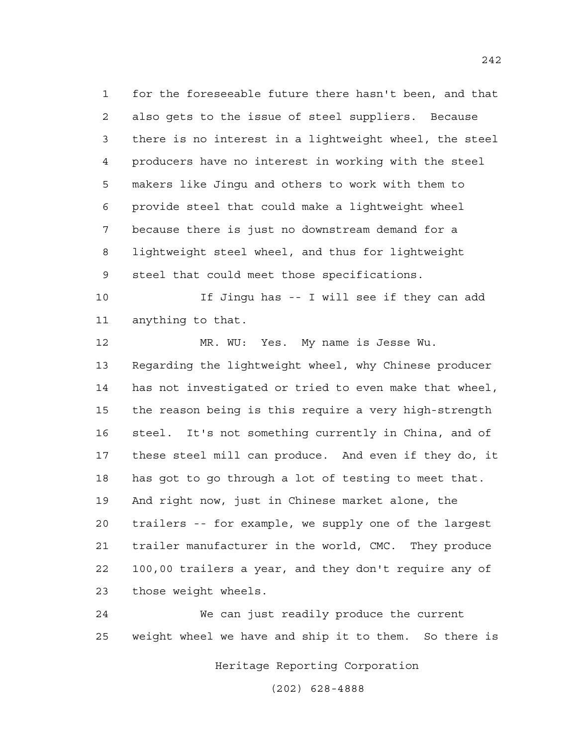1 for the foreseeable future there hasn't been, and that 2 also gets to the issue of steel suppliers. Because 3 there is no interest in a lightweight wheel, the steel 4 producers have no interest in working with the steel 5 makers like Jingu and others to work with them to 6 provide steel that could make a lightweight wheel 7 because there is just no downstream demand for a 8 lightweight steel wheel, and thus for lightweight 9 steel that could meet those specifications.

10 If Jingu has -- I will see if they can add 11 anything to that.

12 MR. WU: Yes. My name is Jesse Wu. 13 Regarding the lightweight wheel, why Chinese producer 14 has not investigated or tried to even make that wheel, 15 the reason being is this require a very high-strength 16 steel. It's not something currently in China, and of 17 these steel mill can produce. And even if they do, it 18 has got to go through a lot of testing to meet that. 19 And right now, just in Chinese market alone, the 20 trailers -- for example, we supply one of the largest 21 trailer manufacturer in the world, CMC. They produce 22 100,00 trailers a year, and they don't require any of 23 those weight wheels.

24 We can just readily produce the current 25 weight wheel we have and ship it to them. So there is

Heritage Reporting Corporation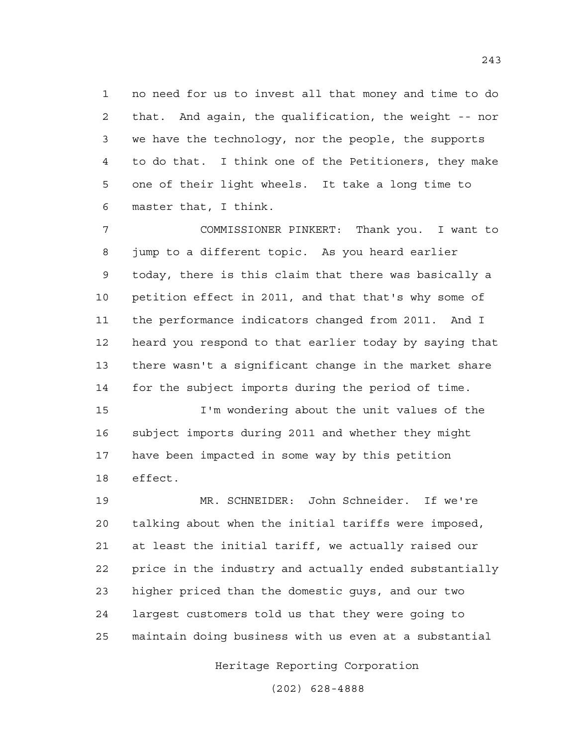1 no need for us to invest all that money and time to do 2 that. And again, the qualification, the weight -- nor 3 we have the technology, nor the people, the supports 4 to do that. I think one of the Petitioners, they make 5 one of their light wheels. It take a long time to 6 master that, I think.

7 COMMISSIONER PINKERT: Thank you. I want to 8 jump to a different topic. As you heard earlier 9 today, there is this claim that there was basically a 10 petition effect in 2011, and that that's why some of 11 the performance indicators changed from 2011. And I 12 heard you respond to that earlier today by saying that 13 there wasn't a significant change in the market share 14 for the subject imports during the period of time.

15 I'm wondering about the unit values of the 16 subject imports during 2011 and whether they might 17 have been impacted in some way by this petition 18 effect.

19 MR. SCHNEIDER: John Schneider. If we're 20 talking about when the initial tariffs were imposed, 21 at least the initial tariff, we actually raised our 22 price in the industry and actually ended substantially 23 higher priced than the domestic guys, and our two 24 largest customers told us that they were going to 25 maintain doing business with us even at a substantial

Heritage Reporting Corporation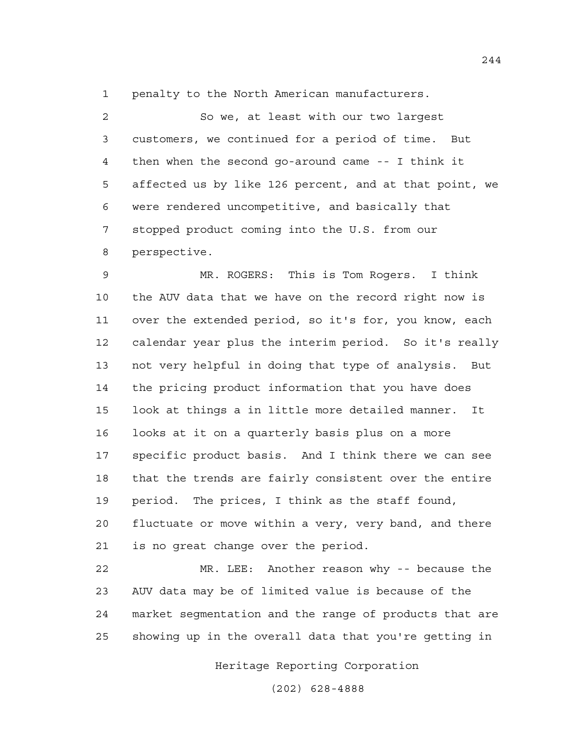1 penalty to the North American manufacturers.

2 So we, at least with our two largest 3 customers, we continued for a period of time. But 4 then when the second go-around came -- I think it 5 affected us by like 126 percent, and at that point, we 6 were rendered uncompetitive, and basically that 7 stopped product coming into the U.S. from our 8 perspective.

9 MR. ROGERS: This is Tom Rogers. I think 10 the AUV data that we have on the record right now is 11 over the extended period, so it's for, you know, each 12 calendar year plus the interim period. So it's really 13 not very helpful in doing that type of analysis. But 14 the pricing product information that you have does 15 look at things a in little more detailed manner. It 16 looks at it on a quarterly basis plus on a more 17 specific product basis. And I think there we can see 18 that the trends are fairly consistent over the entire 19 period. The prices, I think as the staff found, 20 fluctuate or move within a very, very band, and there 21 is no great change over the period.

22 MR. LEE: Another reason why -- because the 23 AUV data may be of limited value is because of the 24 market segmentation and the range of products that are 25 showing up in the overall data that you're getting in

Heritage Reporting Corporation

(202) 628-4888

244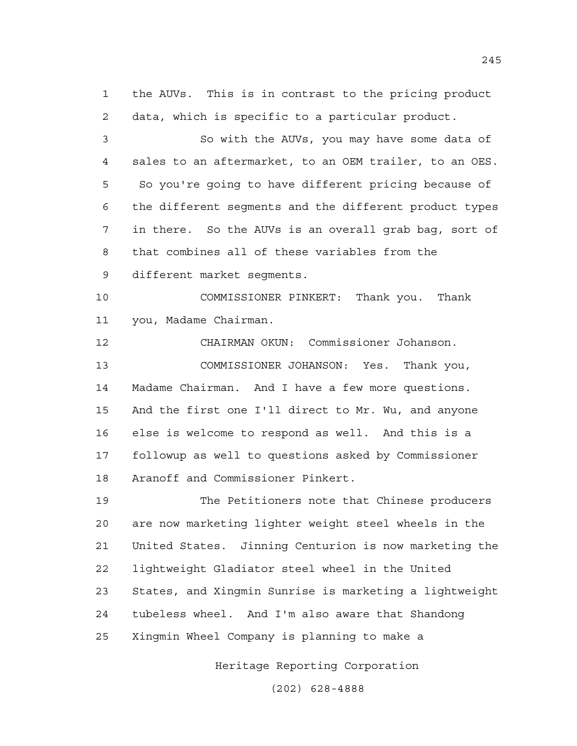1 the AUVs. This is in contrast to the pricing product 2 data, which is specific to a particular product.

3 So with the AUVs, you may have some data of 4 sales to an aftermarket, to an OEM trailer, to an OES. 5 So you're going to have different pricing because of 6 the different segments and the different product types 7 in there. So the AUVs is an overall grab bag, sort of 8 that combines all of these variables from the 9 different market segments.

10 COMMISSIONER PINKERT: Thank you. Thank 11 you, Madame Chairman.

12 CHAIRMAN OKUN: Commissioner Johanson. 13 COMMISSIONER JOHANSON: Yes. Thank you, 14 Madame Chairman. And I have a few more questions. 15 And the first one I'll direct to Mr. Wu, and anyone 16 else is welcome to respond as well. And this is a 17 followup as well to questions asked by Commissioner 18 Aranoff and Commissioner Pinkert.

19 The Petitioners note that Chinese producers 20 are now marketing lighter weight steel wheels in the 21 United States. Jinning Centurion is now marketing the 22 lightweight Gladiator steel wheel in the United 23 States, and Xingmin Sunrise is marketing a lightweight 24 tubeless wheel. And I'm also aware that Shandong 25 Xingmin Wheel Company is planning to make a

Heritage Reporting Corporation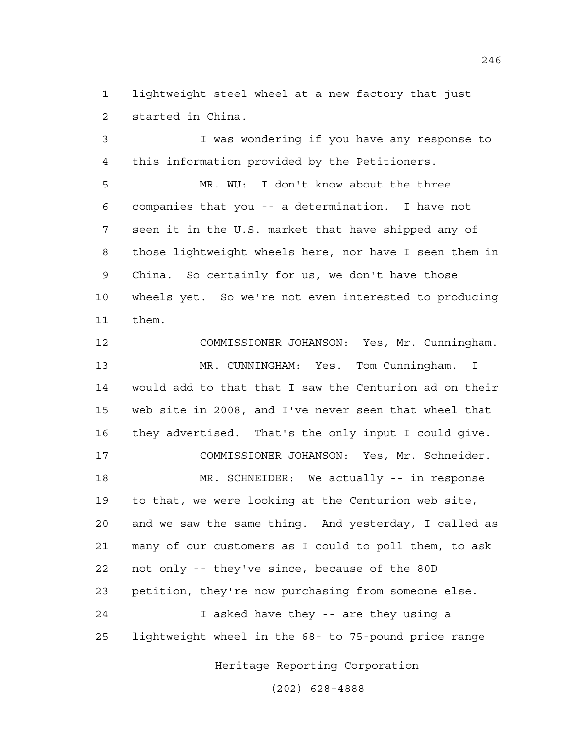1 lightweight steel wheel at a new factory that just 2 started in China.

3 I was wondering if you have any response to 4 this information provided by the Petitioners.

5 MR. WU: I don't know about the three 6 companies that you -- a determination. I have not 7 seen it in the U.S. market that have shipped any of 8 those lightweight wheels here, nor have I seen them in 9 China. So certainly for us, we don't have those 10 wheels yet. So we're not even interested to producing 11 them.

12 COMMISSIONER JOHANSON: Yes, Mr. Cunningham. 13 MR. CUNNINGHAM: Yes. Tom Cunningham. I 14 would add to that that I saw the Centurion ad on their 15 web site in 2008, and I've never seen that wheel that 16 they advertised. That's the only input I could give. 17 COMMISSIONER JOHANSON: Yes, Mr. Schneider. 18 MR. SCHNEIDER: We actually -- in response 19 to that, we were looking at the Centurion web site, 20 and we saw the same thing. And yesterday, I called as 21 many of our customers as I could to poll them, to ask 22 not only -- they've since, because of the 80D 23 petition, they're now purchasing from someone else. 24 I asked have they -- are they using a 25 lightweight wheel in the 68- to 75-pound price range

Heritage Reporting Corporation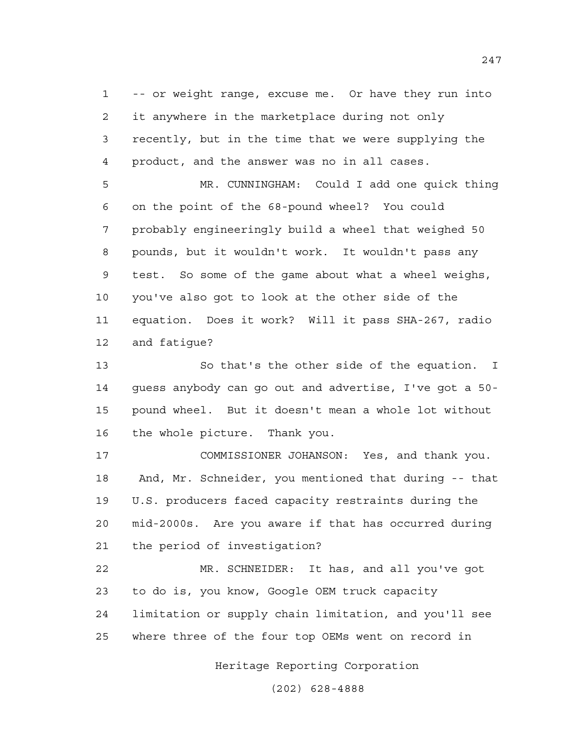1 -- or weight range, excuse me. Or have they run into 2 it anywhere in the marketplace during not only 3 recently, but in the time that we were supplying the 4 product, and the answer was no in all cases.

5 MR. CUNNINGHAM: Could I add one quick thing 6 on the point of the 68-pound wheel? You could 7 probably engineeringly build a wheel that weighed 50 8 pounds, but it wouldn't work. It wouldn't pass any 9 test. So some of the game about what a wheel weighs, 10 you've also got to look at the other side of the 11 equation. Does it work? Will it pass SHA-267, radio 12 and fatigue?

13 So that's the other side of the equation. I 14 guess anybody can go out and advertise, I've got a 50- 15 pound wheel. But it doesn't mean a whole lot without 16 the whole picture. Thank you.

17 COMMISSIONER JOHANSON: Yes, and thank you. 18 And, Mr. Schneider, you mentioned that during -- that 19 U.S. producers faced capacity restraints during the 20 mid-2000s. Are you aware if that has occurred during 21 the period of investigation?

22 MR. SCHNEIDER: It has, and all you've got 23 to do is, you know, Google OEM truck capacity 24 limitation or supply chain limitation, and you'll see 25 where three of the four top OEMs went on record in

Heritage Reporting Corporation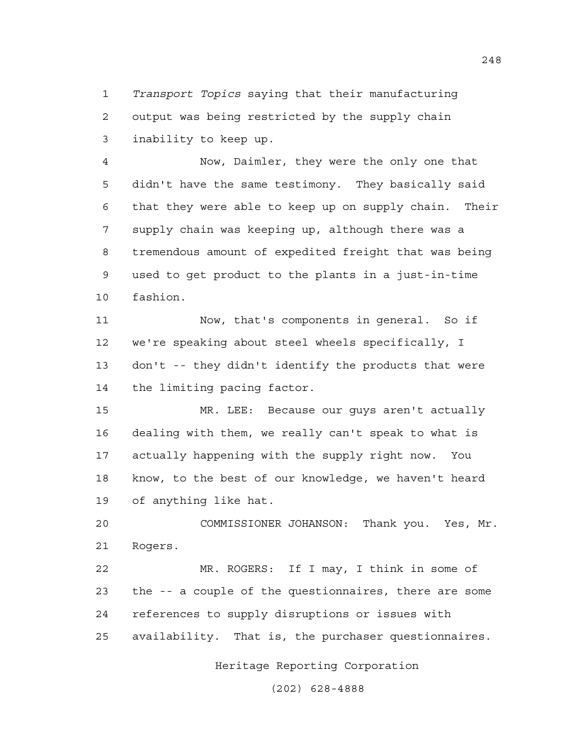1 *Transport Topics* saying that their manufacturing 2 output was being restricted by the supply chain 3 inability to keep up.

4 Now, Daimler, they were the only one that 5 didn't have the same testimony. They basically said 6 that they were able to keep up on supply chain. Their 7 supply chain was keeping up, although there was a 8 tremendous amount of expedited freight that was being 9 used to get product to the plants in a just-in-time 10 fashion.

11 Now, that's components in general. So if 12 we're speaking about steel wheels specifically, I 13 don't -- they didn't identify the products that were 14 the limiting pacing factor.

15 MR. LEE: Because our guys aren't actually 16 dealing with them, we really can't speak to what is 17 actually happening with the supply right now. You 18 know, to the best of our knowledge, we haven't heard 19 of anything like hat.

20 COMMISSIONER JOHANSON: Thank you. Yes, Mr. 21 Rogers.

22 MR. ROGERS: If I may, I think in some of 23 the -- a couple of the questionnaires, there are some 24 references to supply disruptions or issues with 25 availability. That is, the purchaser questionnaires.

Heritage Reporting Corporation

(202) 628-4888

248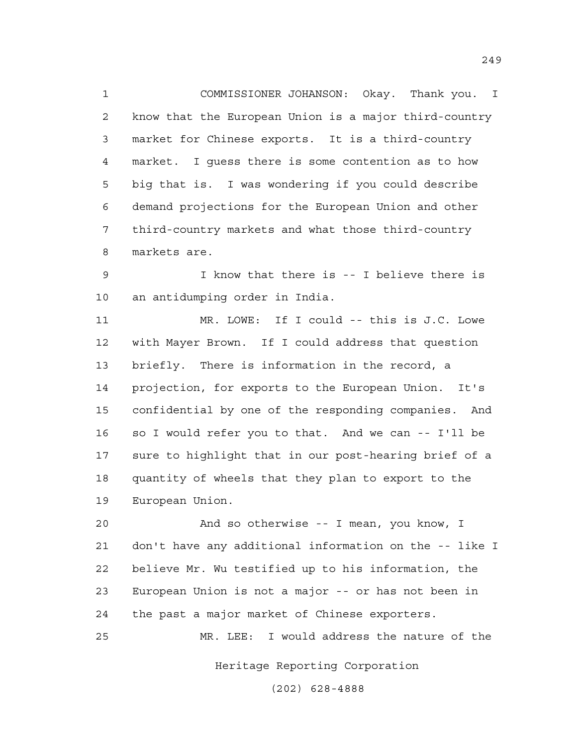1 COMMISSIONER JOHANSON: Okay. Thank you. I 2 know that the European Union is a major third-country 3 market for Chinese exports. It is a third-country 4 market. I guess there is some contention as to how 5 big that is. I was wondering if you could describe 6 demand projections for the European Union and other 7 third-country markets and what those third-country 8 markets are.

9 I know that there is -- I believe there is 10 an antidumping order in India.

11 MR. LOWE: If I could -- this is J.C. Lowe 12 with Mayer Brown. If I could address that question 13 briefly. There is information in the record, a 14 projection, for exports to the European Union. It's 15 confidential by one of the responding companies. And 16 so I would refer you to that. And we can -- I'll be 17 sure to highlight that in our post-hearing brief of a 18 quantity of wheels that they plan to export to the 19 European Union.

20 And so otherwise -- I mean, you know, I 21 don't have any additional information on the -- like I 22 believe Mr. Wu testified up to his information, the 23 European Union is not a major -- or has not been in 24 the past a major market of Chinese exporters.

25 MR. LEE: I would address the nature of the

Heritage Reporting Corporation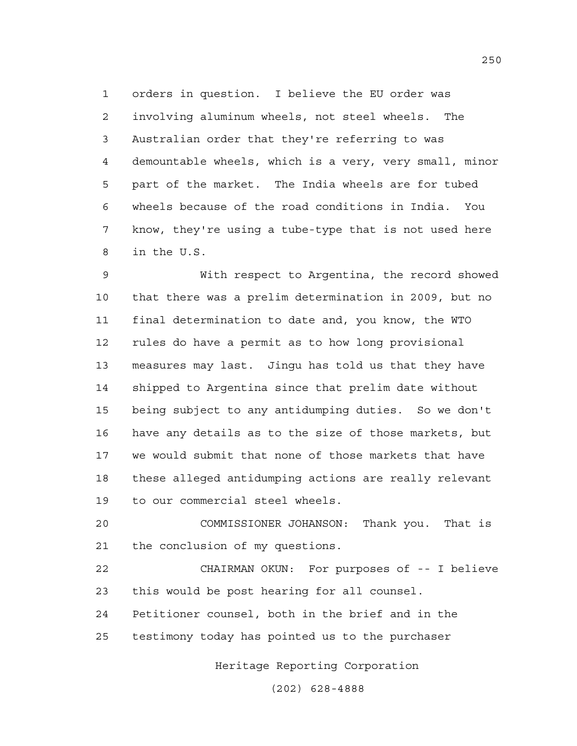1 orders in question. I believe the EU order was 2 involving aluminum wheels, not steel wheels. The 3 Australian order that they're referring to was 4 demountable wheels, which is a very, very small, minor 5 part of the market. The India wheels are for tubed 6 wheels because of the road conditions in India. You 7 know, they're using a tube-type that is not used here 8 in the U.S.

9 With respect to Argentina, the record showed 10 that there was a prelim determination in 2009, but no 11 final determination to date and, you know, the WTO 12 rules do have a permit as to how long provisional 13 measures may last. Jingu has told us that they have 14 shipped to Argentina since that prelim date without 15 being subject to any antidumping duties. So we don't 16 have any details as to the size of those markets, but 17 we would submit that none of those markets that have 18 these alleged antidumping actions are really relevant 19 to our commercial steel wheels.

20 COMMISSIONER JOHANSON: Thank you. That is 21 the conclusion of my questions.

22 CHAIRMAN OKUN: For purposes of -- I believe 23 this would be post hearing for all counsel.

24 Petitioner counsel, both in the brief and in the

25 testimony today has pointed us to the purchaser

Heritage Reporting Corporation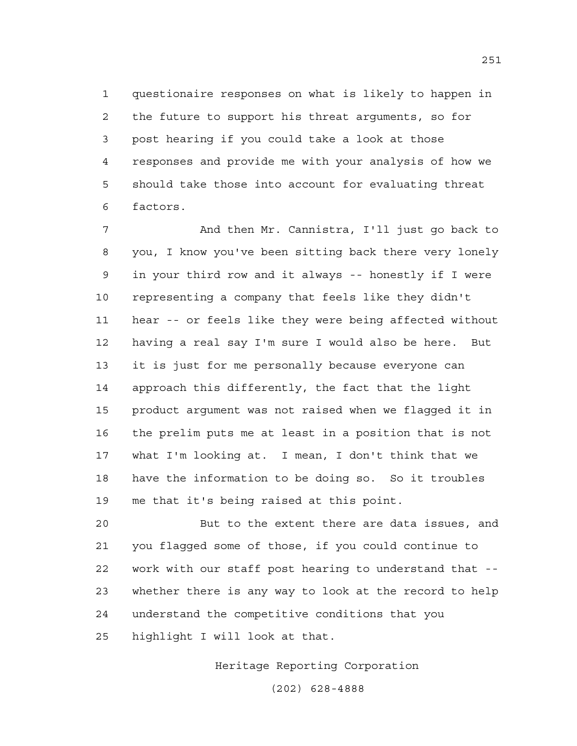1 questionaire responses on what is likely to happen in 2 the future to support his threat arguments, so for 3 post hearing if you could take a look at those 4 responses and provide me with your analysis of how we 5 should take those into account for evaluating threat 6 factors.

7 And then Mr. Cannistra, I'll just go back to 8 you, I know you've been sitting back there very lonely 9 in your third row and it always -- honestly if I were 10 representing a company that feels like they didn't 11 hear -- or feels like they were being affected without 12 having a real say I'm sure I would also be here. But 13 it is just for me personally because everyone can 14 approach this differently, the fact that the light 15 product argument was not raised when we flagged it in 16 the prelim puts me at least in a position that is not 17 what I'm looking at. I mean, I don't think that we 18 have the information to be doing so. So it troubles 19 me that it's being raised at this point.

20 But to the extent there are data issues, and 21 you flagged some of those, if you could continue to 22 work with our staff post hearing to understand that -- 23 whether there is any way to look at the record to help 24 understand the competitive conditions that you 25 highlight I will look at that.

Heritage Reporting Corporation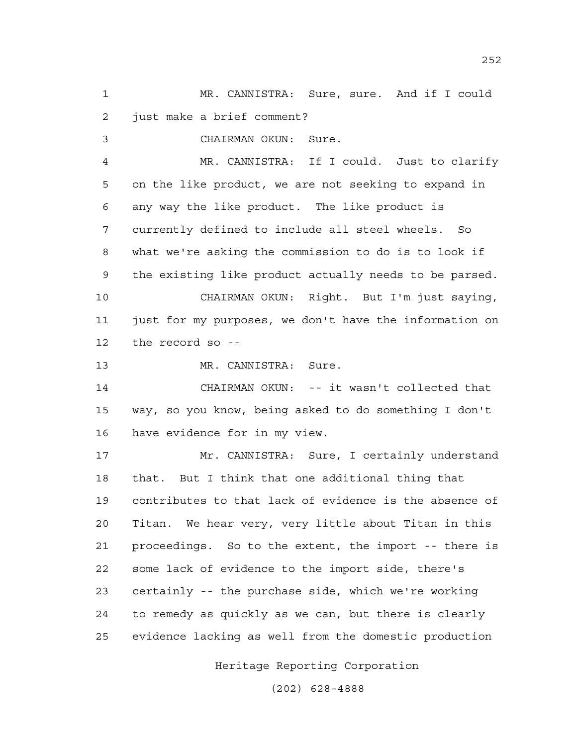1 MR. CANNISTRA: Sure, sure. And if I could 2 just make a brief comment?

3 CHAIRMAN OKUN: Sure.

4 MR. CANNISTRA: If I could. Just to clarify 5 on the like product, we are not seeking to expand in 6 any way the like product. The like product is 7 currently defined to include all steel wheels. So 8 what we're asking the commission to do is to look if 9 the existing like product actually needs to be parsed. 10 CHAIRMAN OKUN: Right. But I'm just saying, 11 just for my purposes, we don't have the information on 12 the record so --

13 MR. CANNISTRA: Sure.

14 CHAIRMAN OKUN: -- it wasn't collected that 15 way, so you know, being asked to do something I don't 16 have evidence for in my view.

17 Mr. CANNISTRA: Sure, I certainly understand 18 that. But I think that one additional thing that 19 contributes to that lack of evidence is the absence of 20 Titan. We hear very, very little about Titan in this 21 proceedings. So to the extent, the import -- there is 22 some lack of evidence to the import side, there's 23 certainly -- the purchase side, which we're working 24 to remedy as quickly as we can, but there is clearly 25 evidence lacking as well from the domestic production

Heritage Reporting Corporation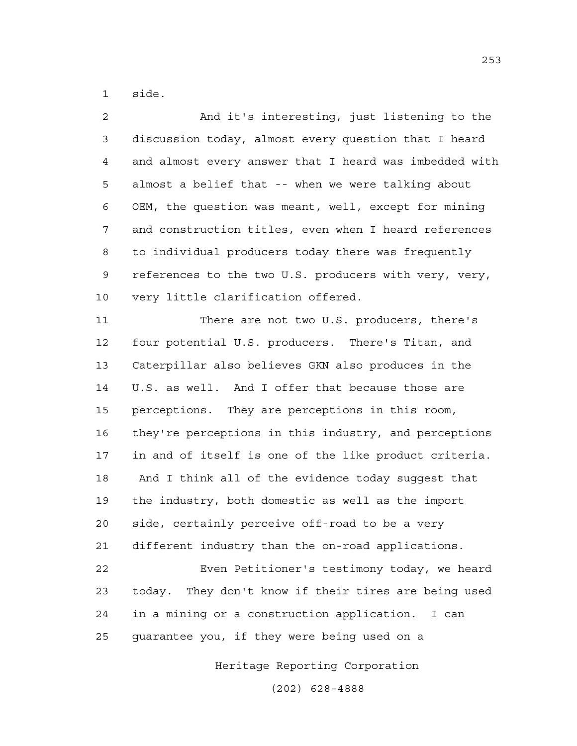1 side.

2 And it's interesting, just listening to the 3 discussion today, almost every question that I heard 4 and almost every answer that I heard was imbedded with 5 almost a belief that -- when we were talking about 6 OEM, the question was meant, well, except for mining 7 and construction titles, even when I heard references 8 to individual producers today there was frequently 9 references to the two U.S. producers with very, very, 10 very little clarification offered. 11 There are not two U.S. producers, there's 12 four potential U.S. producers. There's Titan, and 13 Caterpillar also believes GKN also produces in the 14 U.S. as well. And I offer that because those are 15 perceptions. They are perceptions in this room, 16 they're perceptions in this industry, and perceptions 17 in and of itself is one of the like product criteria. 18 And I think all of the evidence today suggest that 19 the industry, both domestic as well as the import 20 side, certainly perceive off-road to be a very 21 different industry than the on-road applications. 22 Even Petitioner's testimony today, we heard 23 today. They don't know if their tires are being used 24 in a mining or a construction application. I can 25 guarantee you, if they were being used on a

Heritage Reporting Corporation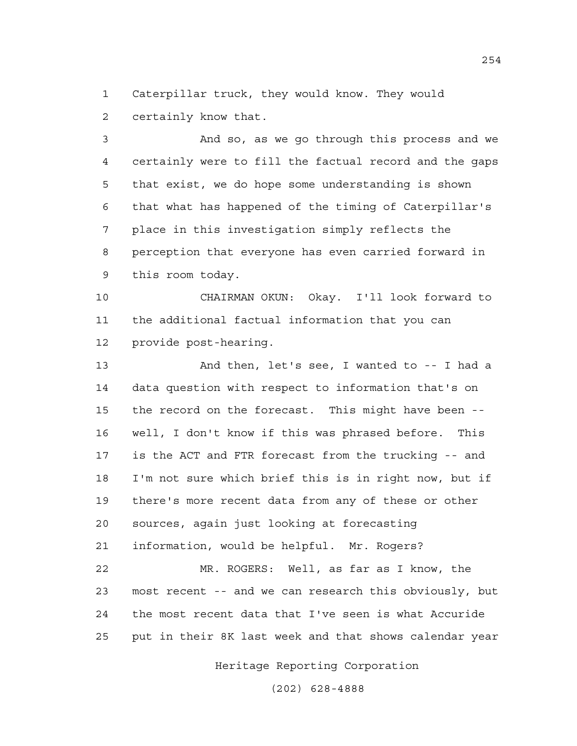1 Caterpillar truck, they would know. They would 2 certainly know that.

3 And so, as we go through this process and we 4 certainly were to fill the factual record and the gaps 5 that exist, we do hope some understanding is shown 6 that what has happened of the timing of Caterpillar's 7 place in this investigation simply reflects the 8 perception that everyone has even carried forward in 9 this room today.

10 CHAIRMAN OKUN: Okay. I'll look forward to 11 the additional factual information that you can 12 provide post-hearing.

13 And then, let's see, I wanted to -- I had a 14 data question with respect to information that's on 15 the record on the forecast. This might have been -- 16 well, I don't know if this was phrased before. This 17 is the ACT and FTR forecast from the trucking -- and 18 I'm not sure which brief this is in right now, but if 19 there's more recent data from any of these or other 20 sources, again just looking at forecasting 21 information, would be helpful. Mr. Rogers? 22 MR. ROGERS: Well, as far as I know, the 23 most recent -- and we can research this obviously, but 24 the most recent data that I've seen is what Accuride

25 put in their 8K last week and that shows calendar year

Heritage Reporting Corporation

(202) 628-4888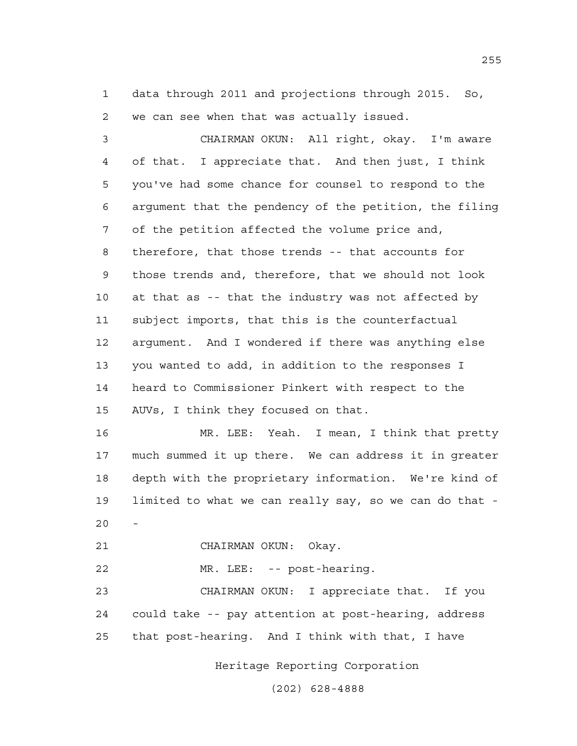1 data through 2011 and projections through 2015. So, 2 we can see when that was actually issued.

3 CHAIRMAN OKUN: All right, okay. I'm aware 4 of that. I appreciate that. And then just, I think 5 you've had some chance for counsel to respond to the 6 argument that the pendency of the petition, the filing 7 of the petition affected the volume price and, 8 therefore, that those trends -- that accounts for 9 those trends and, therefore, that we should not look 10 at that as -- that the industry was not affected by 11 subject imports, that this is the counterfactual 12 argument. And I wondered if there was anything else 13 you wanted to add, in addition to the responses I 14 heard to Commissioner Pinkert with respect to the 15 AUVs, I think they focused on that.

16 MR. LEE: Yeah. I mean, I think that pretty 17 much summed it up there. We can address it in greater 18 depth with the proprietary information. We're kind of 19 limited to what we can really say, so we can do that -  $20$ 

21 CHAIRMAN OKUN: Okay.

22 MR. LEE: -- post-hearing.

23 CHAIRMAN OKUN: I appreciate that. If you 24 could take -- pay attention at post-hearing, address 25 that post-hearing. And I think with that, I have

Heritage Reporting Corporation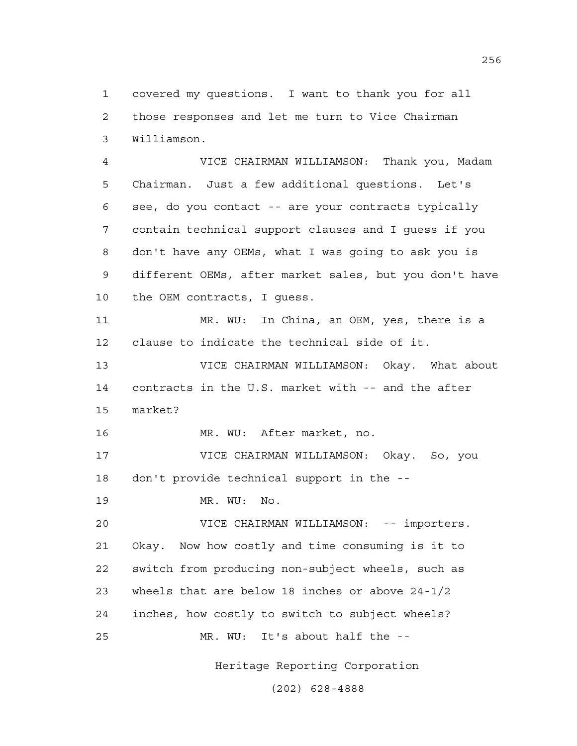1 covered my questions. I want to thank you for all 2 those responses and let me turn to Vice Chairman 3 Williamson.

4 VICE CHAIRMAN WILLIAMSON: Thank you, Madam 5 Chairman. Just a few additional questions. Let's 6 see, do you contact -- are your contracts typically 7 contain technical support clauses and I guess if you 8 don't have any OEMs, what I was going to ask you is 9 different OEMs, after market sales, but you don't have 10 the OEM contracts, I guess.

11 MR. WU: In China, an OEM, yes, there is a 12 clause to indicate the technical side of it.

13 VICE CHAIRMAN WILLIAMSON: Okay. What about 14 contracts in the U.S. market with -- and the after 15 market?

16 MR. WU: After market, no.

17 VICE CHAIRMAN WILLIAMSON: Okay. So, you 18 don't provide technical support in the --

19 MR. WU: No.

20 VICE CHAIRMAN WILLIAMSON: -- importers. 21 Okay. Now how costly and time consuming is it to 22 switch from producing non-subject wheels, such as 23 wheels that are below 18 inches or above 24-1/2 24 inches, how costly to switch to subject wheels? 25 MR. WU: It's about half the --

Heritage Reporting Corporation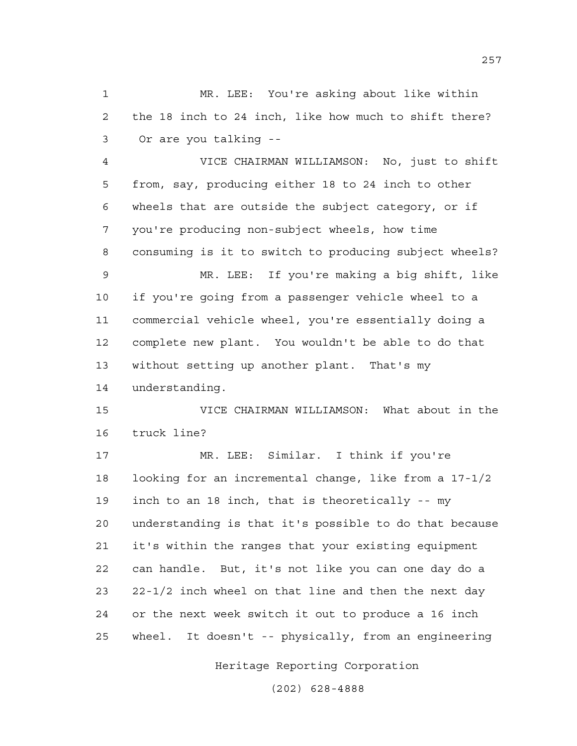1 MR. LEE: You're asking about like within 2 the 18 inch to 24 inch, like how much to shift there? 3 Or are you talking --

4 VICE CHAIRMAN WILLIAMSON: No, just to shift 5 from, say, producing either 18 to 24 inch to other 6 wheels that are outside the subject category, or if 7 you're producing non-subject wheels, how time 8 consuming is it to switch to producing subject wheels?

9 MR. LEE: If you're making a big shift, like 10 if you're going from a passenger vehicle wheel to a 11 commercial vehicle wheel, you're essentially doing a 12 complete new plant. You wouldn't be able to do that 13 without setting up another plant. That's my 14 understanding.

15 VICE CHAIRMAN WILLIAMSON: What about in the 16 truck line?

17 MR. LEE: Similar. I think if you're 18 looking for an incremental change, like from a 17-1/2 19 inch to an 18 inch, that is theoretically -- my 20 understanding is that it's possible to do that because 21 it's within the ranges that your existing equipment 22 can handle. But, it's not like you can one day do a 23 22-1/2 inch wheel on that line and then the next day 24 or the next week switch it out to produce a 16 inch 25 wheel. It doesn't -- physically, from an engineering

Heritage Reporting Corporation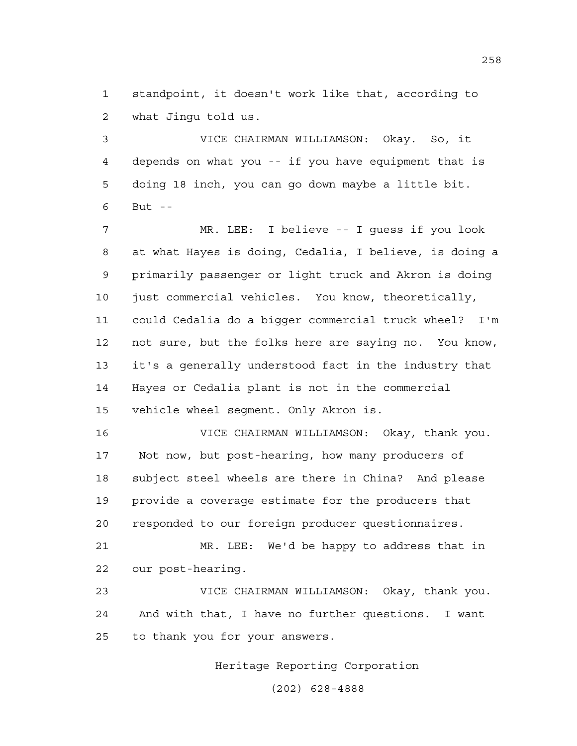1 standpoint, it doesn't work like that, according to 2 what Jingu told us.

3 VICE CHAIRMAN WILLIAMSON: Okay. So, it 4 depends on what you -- if you have equipment that is 5 doing 18 inch, you can go down maybe a little bit. 6 But --

7 MR. LEE: I believe -- I guess if you look 8 at what Hayes is doing, Cedalia, I believe, is doing a 9 primarily passenger or light truck and Akron is doing 10 just commercial vehicles. You know, theoretically, 11 could Cedalia do a bigger commercial truck wheel? I'm 12 not sure, but the folks here are saying no. You know, 13 it's a generally understood fact in the industry that 14 Hayes or Cedalia plant is not in the commercial 15 vehicle wheel segment. Only Akron is.

16 VICE CHAIRMAN WILLIAMSON: Okay, thank you. 17 Not now, but post-hearing, how many producers of 18 subject steel wheels are there in China? And please 19 provide a coverage estimate for the producers that 20 responded to our foreign producer questionnaires.

21 MR. LEE: We'd be happy to address that in 22 our post-hearing.

23 VICE CHAIRMAN WILLIAMSON: Okay, thank you. 24 And with that, I have no further questions. I want 25 to thank you for your answers.

Heritage Reporting Corporation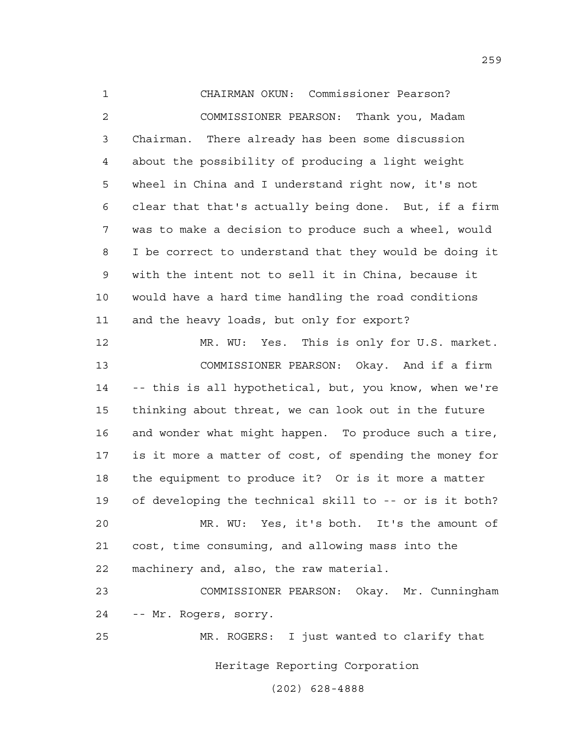1 CHAIRMAN OKUN: Commissioner Pearson? 2 COMMISSIONER PEARSON: Thank you, Madam 3 Chairman. There already has been some discussion 4 about the possibility of producing a light weight 5 wheel in China and I understand right now, it's not 6 clear that that's actually being done. But, if a firm 7 was to make a decision to produce such a wheel, would 8 I be correct to understand that they would be doing it 9 with the intent not to sell it in China, because it 10 would have a hard time handling the road conditions 11 and the heavy loads, but only for export?

12 MR. WU: Yes. This is only for U.S. market. 13 COMMISSIONER PEARSON: Okay. And if a firm 14 -- this is all hypothetical, but, you know, when we're 15 thinking about threat, we can look out in the future 16 and wonder what might happen. To produce such a tire, 17 is it more a matter of cost, of spending the money for 18 the equipment to produce it? Or is it more a matter 19 of developing the technical skill to -- or is it both? 20 MR. WU: Yes, it's both. It's the amount of 21 cost, time consuming, and allowing mass into the

22 machinery and, also, the raw material.

23 COMMISSIONER PEARSON: Okay. Mr. Cunningham 24 -- Mr. Rogers, sorry.

25 MR. ROGERS: I just wanted to clarify that

Heritage Reporting Corporation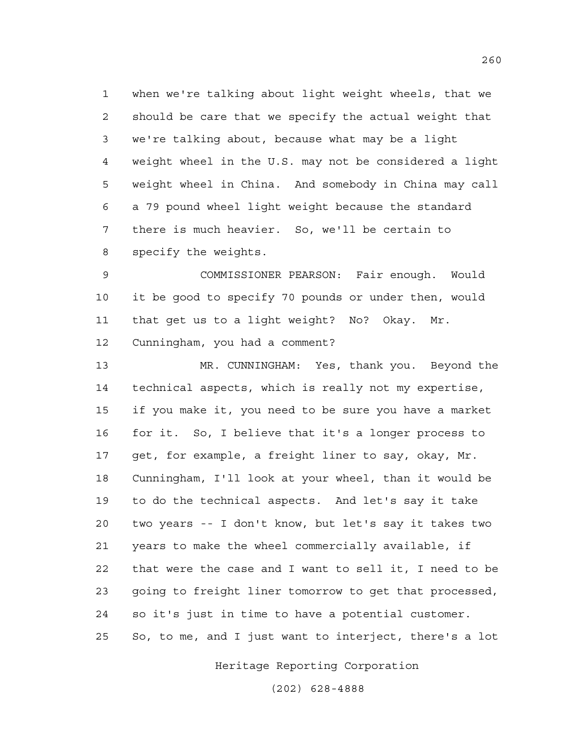1 when we're talking about light weight wheels, that we 2 should be care that we specify the actual weight that 3 we're talking about, because what may be a light 4 weight wheel in the U.S. may not be considered a light 5 weight wheel in China. And somebody in China may call 6 a 79 pound wheel light weight because the standard 7 there is much heavier. So, we'll be certain to 8 specify the weights.

9 COMMISSIONER PEARSON: Fair enough. Would 10 it be good to specify 70 pounds or under then, would 11 that get us to a light weight? No? Okay. Mr. 12 Cunningham, you had a comment?

13 MR. CUNNINGHAM: Yes, thank you. Beyond the 14 technical aspects, which is really not my expertise, 15 if you make it, you need to be sure you have a market 16 for it. So, I believe that it's a longer process to 17 get, for example, a freight liner to say, okay, Mr. 18 Cunningham, I'll look at your wheel, than it would be 19 to do the technical aspects. And let's say it take 20 two years -- I don't know, but let's say it takes two 21 years to make the wheel commercially available, if 22 that were the case and I want to sell it, I need to be 23 going to freight liner tomorrow to get that processed, 24 so it's just in time to have a potential customer. 25 So, to me, and I just want to interject, there's a lot

Heritage Reporting Corporation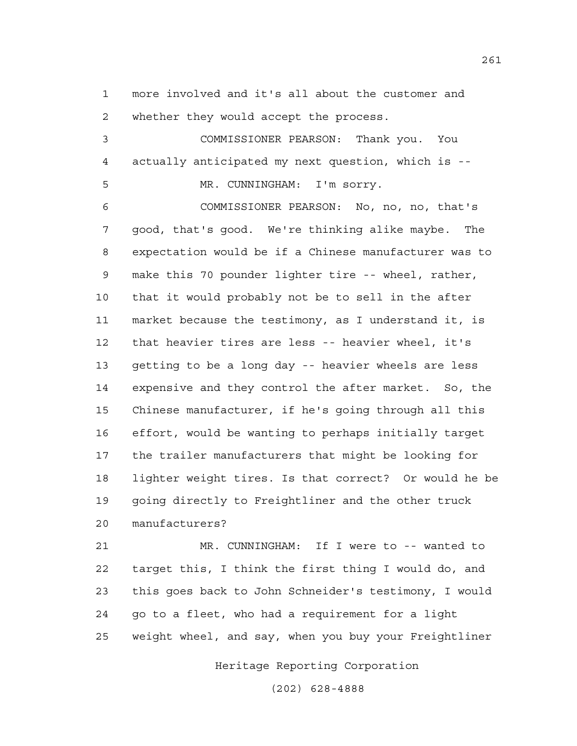1 more involved and it's all about the customer and 2 whether they would accept the process.

3 COMMISSIONER PEARSON: Thank you. You 4 actually anticipated my next question, which is --

5 MR. CUNNINGHAM: I'm sorry.

6 COMMISSIONER PEARSON: No, no, no, that's 7 good, that's good. We're thinking alike maybe. The 8 expectation would be if a Chinese manufacturer was to 9 make this 70 pounder lighter tire -- wheel, rather, 10 that it would probably not be to sell in the after 11 market because the testimony, as I understand it, is 12 that heavier tires are less -- heavier wheel, it's 13 getting to be a long day -- heavier wheels are less 14 expensive and they control the after market. So, the 15 Chinese manufacturer, if he's going through all this 16 effort, would be wanting to perhaps initially target 17 the trailer manufacturers that might be looking for 18 lighter weight tires. Is that correct? Or would he be 19 going directly to Freightliner and the other truck 20 manufacturers?

21 MR. CUNNINGHAM: If I were to -- wanted to 22 target this, I think the first thing I would do, and 23 this goes back to John Schneider's testimony, I would 24 go to a fleet, who had a requirement for a light 25 weight wheel, and say, when you buy your Freightliner

Heritage Reporting Corporation

(202) 628-4888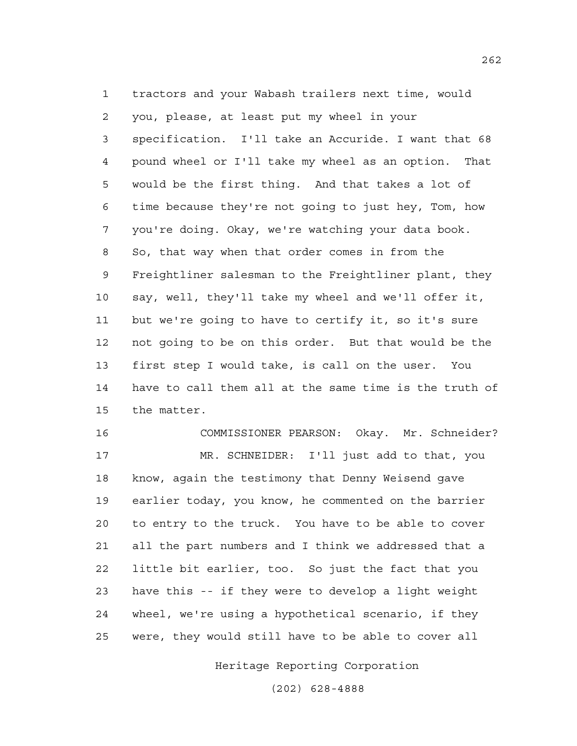1 tractors and your Wabash trailers next time, would 2 you, please, at least put my wheel in your 3 specification. I'll take an Accuride. I want that 68 4 pound wheel or I'll take my wheel as an option. That 5 would be the first thing. And that takes a lot of 6 time because they're not going to just hey, Tom, how 7 you're doing. Okay, we're watching your data book. 8 So, that way when that order comes in from the 9 Freightliner salesman to the Freightliner plant, they 10 say, well, they'll take my wheel and we'll offer it, 11 but we're going to have to certify it, so it's sure 12 not going to be on this order. But that would be the 13 first step I would take, is call on the user. You 14 have to call them all at the same time is the truth of 15 the matter.

16 COMMISSIONER PEARSON: Okay. Mr. Schneider? 17 MR. SCHNEIDER: I'll just add to that, you 18 know, again the testimony that Denny Weisend gave 19 earlier today, you know, he commented on the barrier 20 to entry to the truck. You have to be able to cover 21 all the part numbers and I think we addressed that a 22 little bit earlier, too. So just the fact that you 23 have this -- if they were to develop a light weight 24 wheel, we're using a hypothetical scenario, if they 25 were, they would still have to be able to cover all

Heritage Reporting Corporation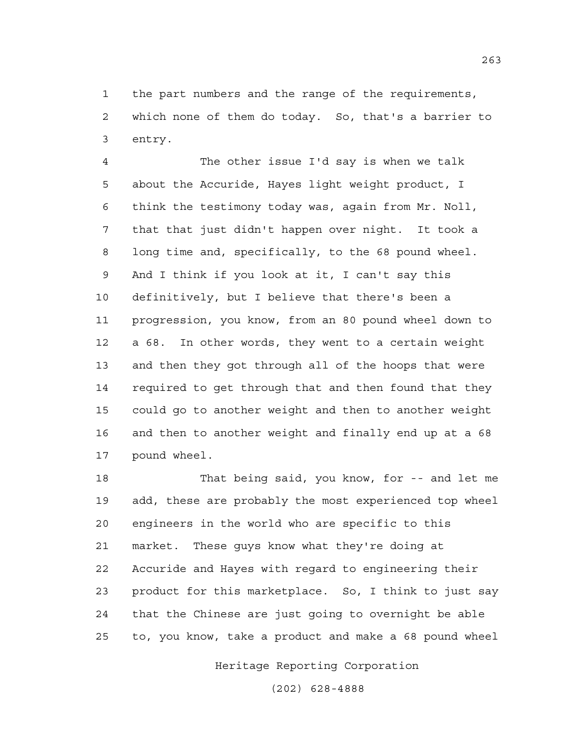1 the part numbers and the range of the requirements, 2 which none of them do today. So, that's a barrier to 3 entry.

4 The other issue I'd say is when we talk 5 about the Accuride, Hayes light weight product, I 6 think the testimony today was, again from Mr. Noll, 7 that that just didn't happen over night. It took a 8 long time and, specifically, to the 68 pound wheel. 9 And I think if you look at it, I can't say this 10 definitively, but I believe that there's been a 11 progression, you know, from an 80 pound wheel down to 12 a 68. In other words, they went to a certain weight 13 and then they got through all of the hoops that were 14 required to get through that and then found that they 15 could go to another weight and then to another weight 16 and then to another weight and finally end up at a 68 17 pound wheel.

18 That being said, you know, for -- and let me 19 add, these are probably the most experienced top wheel 20 engineers in the world who are specific to this 21 market. These guys know what they're doing at 22 Accuride and Hayes with regard to engineering their 23 product for this marketplace. So, I think to just say 24 that the Chinese are just going to overnight be able 25 to, you know, take a product and make a 68 pound wheel

Heritage Reporting Corporation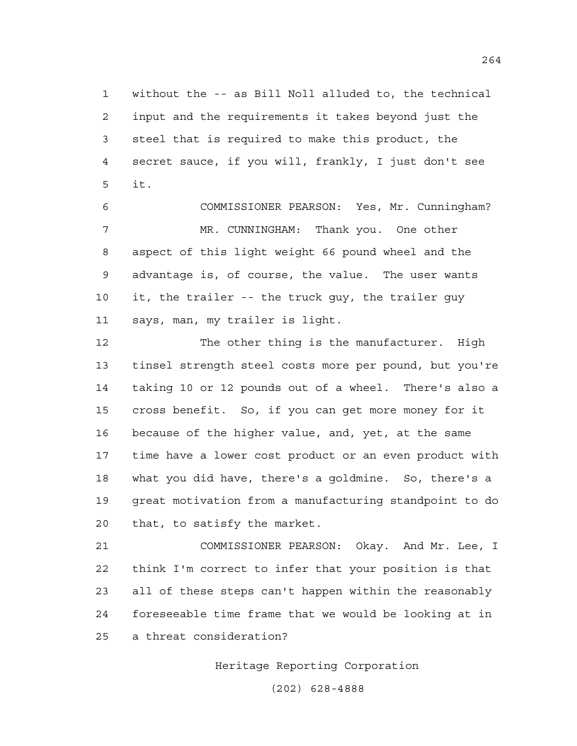1 without the -- as Bill Noll alluded to, the technical 2 input and the requirements it takes beyond just the 3 steel that is required to make this product, the 4 secret sauce, if you will, frankly, I just don't see 5 it.

6 COMMISSIONER PEARSON: Yes, Mr. Cunningham? 7 MR. CUNNINGHAM: Thank you. One other 8 aspect of this light weight 66 pound wheel and the 9 advantage is, of course, the value. The user wants 10 it, the trailer -- the truck guy, the trailer guy 11 says, man, my trailer is light.

12 The other thing is the manufacturer. High 13 tinsel strength steel costs more per pound, but you're 14 taking 10 or 12 pounds out of a wheel. There's also a 15 cross benefit. So, if you can get more money for it 16 because of the higher value, and, yet, at the same 17 time have a lower cost product or an even product with 18 what you did have, there's a goldmine. So, there's a 19 great motivation from a manufacturing standpoint to do 20 that, to satisfy the market.

21 COMMISSIONER PEARSON: Okay. And Mr. Lee, I 22 think I'm correct to infer that your position is that 23 all of these steps can't happen within the reasonably 24 foreseeable time frame that we would be looking at in 25 a threat consideration?

Heritage Reporting Corporation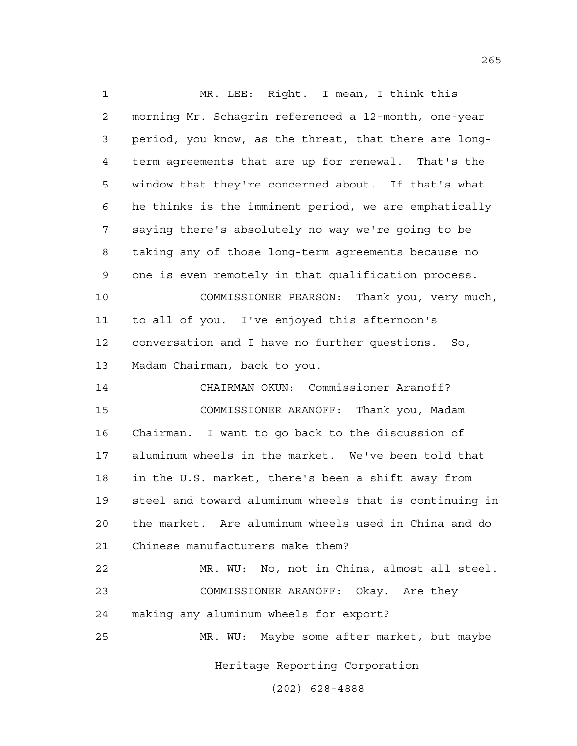Heritage Reporting Corporation 1 MR. LEE: Right. I mean, I think this 2 morning Mr. Schagrin referenced a 12-month, one-year 3 period, you know, as the threat, that there are long-4 term agreements that are up for renewal. That's the 5 window that they're concerned about. If that's what 6 he thinks is the imminent period, we are emphatically 7 saying there's absolutely no way we're going to be 8 taking any of those long-term agreements because no 9 one is even remotely in that qualification process. 10 COMMISSIONER PEARSON: Thank you, very much, 11 to all of you. I've enjoyed this afternoon's 12 conversation and I have no further questions. So, 13 Madam Chairman, back to you. 14 CHAIRMAN OKUN: Commissioner Aranoff? 15 COMMISSIONER ARANOFF: Thank you, Madam 16 Chairman. I want to go back to the discussion of 17 aluminum wheels in the market. We've been told that 18 in the U.S. market, there's been a shift away from 19 steel and toward aluminum wheels that is continuing in 20 the market. Are aluminum wheels used in China and do 21 Chinese manufacturers make them? 22 MR. WU: No, not in China, almost all steel. 23 COMMISSIONER ARANOFF: Okay. Are they 24 making any aluminum wheels for export? 25 MR. WU: Maybe some after market, but maybe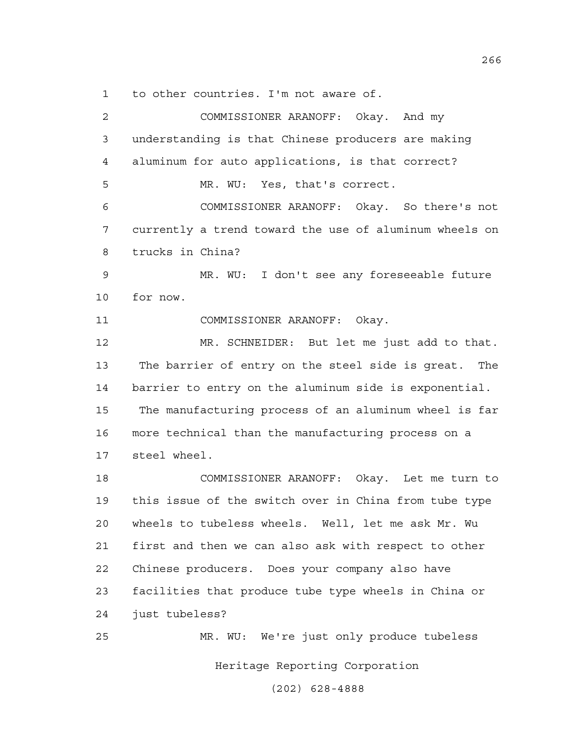1 to other countries. I'm not aware of.

2 COMMISSIONER ARANOFF: Okay. And my 3 understanding is that Chinese producers are making 4 aluminum for auto applications, is that correct? 5 MR. WU: Yes, that's correct. 6 COMMISSIONER ARANOFF: Okay. So there's not 7 currently a trend toward the use of aluminum wheels on 8 trucks in China? 9 MR. WU: I don't see any foreseeable future 10 for now. 11 COMMISSIONER ARANOFF: Okay. 12 MR. SCHNEIDER: But let me just add to that. 13 The barrier of entry on the steel side is great. The 14 barrier to entry on the aluminum side is exponential. 15 The manufacturing process of an aluminum wheel is far 16 more technical than the manufacturing process on a 17 steel wheel. 18 COMMISSIONER ARANOFF: Okay. Let me turn to 19 this issue of the switch over in China from tube type 20 wheels to tubeless wheels. Well, let me ask Mr. Wu 21 first and then we can also ask with respect to other 22 Chinese producers. Does your company also have 23 facilities that produce tube type wheels in China or 24 just tubeless? 25 MR. WU: We're just only produce tubeless

Heritage Reporting Corporation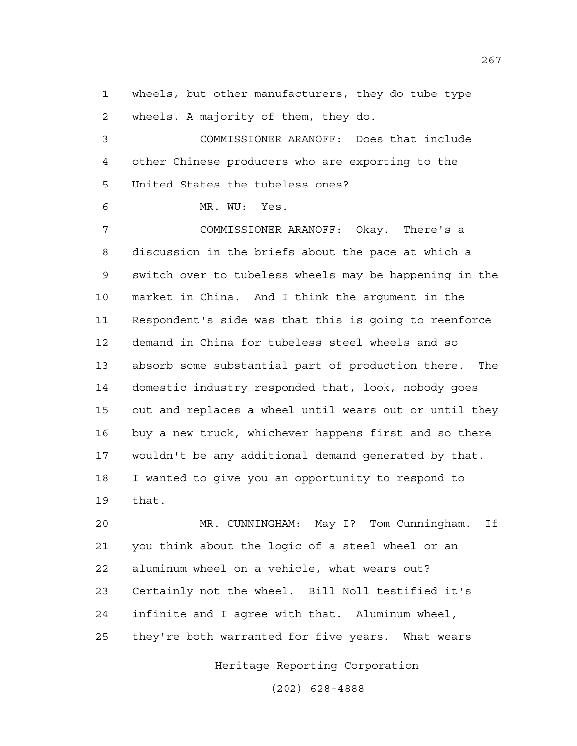1 wheels, but other manufacturers, they do tube type 2 wheels. A majority of them, they do.

3 COMMISSIONER ARANOFF: Does that include 4 other Chinese producers who are exporting to the 5 United States the tubeless ones?

6 MR. WU: Yes.

7 COMMISSIONER ARANOFF: Okay. There's a 8 discussion in the briefs about the pace at which a 9 switch over to tubeless wheels may be happening in the 10 market in China. And I think the argument in the 11 Respondent's side was that this is going to reenforce 12 demand in China for tubeless steel wheels and so 13 absorb some substantial part of production there. The 14 domestic industry responded that, look, nobody goes 15 out and replaces a wheel until wears out or until they 16 buy a new truck, whichever happens first and so there 17 wouldn't be any additional demand generated by that. 18 I wanted to give you an opportunity to respond to 19 that.

20 MR. CUNNINGHAM: May I? Tom Cunningham. If 21 you think about the logic of a steel wheel or an 22 aluminum wheel on a vehicle, what wears out? 23 Certainly not the wheel. Bill Noll testified it's 24 infinite and I agree with that. Aluminum wheel, 25 they're both warranted for five years. What wears

Heritage Reporting Corporation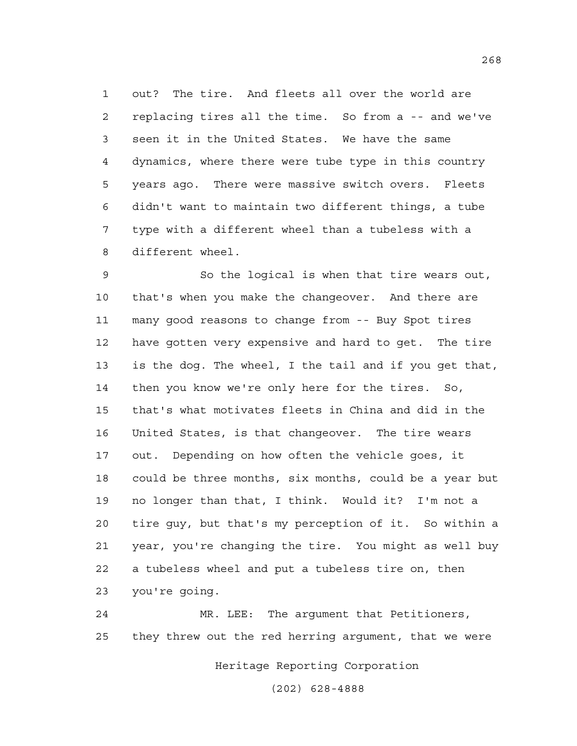1 out? The tire. And fleets all over the world are 2 replacing tires all the time. So from a -- and we've 3 seen it in the United States. We have the same 4 dynamics, where there were tube type in this country 5 years ago. There were massive switch overs. Fleets 6 didn't want to maintain two different things, a tube 7 type with a different wheel than a tubeless with a 8 different wheel.

9 So the logical is when that tire wears out, 10 that's when you make the changeover. And there are 11 many good reasons to change from -- Buy Spot tires 12 have gotten very expensive and hard to get. The tire 13 is the dog. The wheel, I the tail and if you get that, 14 then you know we're only here for the tires. So, 15 that's what motivates fleets in China and did in the 16 United States, is that changeover. The tire wears 17 out. Depending on how often the vehicle goes, it 18 could be three months, six months, could be a year but 19 no longer than that, I think. Would it? I'm not a 20 tire guy, but that's my perception of it. So within a 21 year, you're changing the tire. You might as well buy 22 a tubeless wheel and put a tubeless tire on, then 23 you're going.

24 MR. LEE: The argument that Petitioners, 25 they threw out the red herring argument, that we were

Heritage Reporting Corporation

(202) 628-4888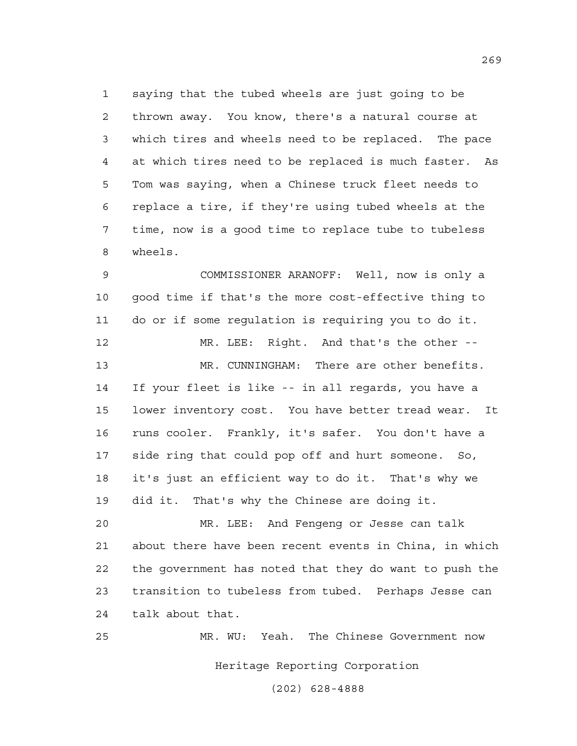1 saying that the tubed wheels are just going to be 2 thrown away. You know, there's a natural course at 3 which tires and wheels need to be replaced. The pace 4 at which tires need to be replaced is much faster. As 5 Tom was saying, when a Chinese truck fleet needs to 6 replace a tire, if they're using tubed wheels at the 7 time, now is a good time to replace tube to tubeless 8 wheels.

9 COMMISSIONER ARANOFF: Well, now is only a 10 good time if that's the more cost-effective thing to 11 do or if some regulation is requiring you to do it. 12 MR. LEE: Right. And that's the other -- 13 MR. CUNNINGHAM: There are other benefits. 14 If your fleet is like -- in all regards, you have a 15 lower inventory cost. You have better tread wear. It 16 runs cooler. Frankly, it's safer. You don't have a 17 side ring that could pop off and hurt someone. So, 18 it's just an efficient way to do it. That's why we 19 did it. That's why the Chinese are doing it.

20 MR. LEE: And Fengeng or Jesse can talk 21 about there have been recent events in China, in which 22 the government has noted that they do want to push the 23 transition to tubeless from tubed. Perhaps Jesse can 24 talk about that.

Heritage Reporting Corporation 25 MR. WU: Yeah. The Chinese Government now

(202) 628-4888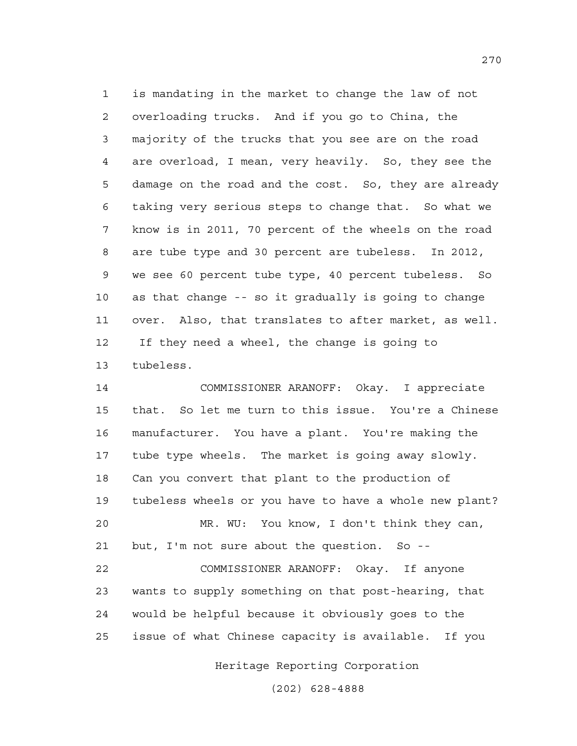1 is mandating in the market to change the law of not 2 overloading trucks. And if you go to China, the 3 majority of the trucks that you see are on the road 4 are overload, I mean, very heavily. So, they see the 5 damage on the road and the cost. So, they are already 6 taking very serious steps to change that. So what we 7 know is in 2011, 70 percent of the wheels on the road 8 are tube type and 30 percent are tubeless. In 2012, 9 we see 60 percent tube type, 40 percent tubeless. So 10 as that change -- so it gradually is going to change 11 over. Also, that translates to after market, as well. 12 If they need a wheel, the change is going to 13 tubeless.

14 COMMISSIONER ARANOFF: Okay. I appreciate 15 that. So let me turn to this issue. You're a Chinese 16 manufacturer. You have a plant. You're making the 17 tube type wheels. The market is going away slowly. 18 Can you convert that plant to the production of 19 tubeless wheels or you have to have a whole new plant? 20 MR. WU: You know, I don't think they can, 21 but, I'm not sure about the question. So -- 22 COMMISSIONER ARANOFF: Okay. If anyone 23 wants to supply something on that post-hearing, that 24 would be helpful because it obviously goes to the 25 issue of what Chinese capacity is available. If you

Heritage Reporting Corporation

(202) 628-4888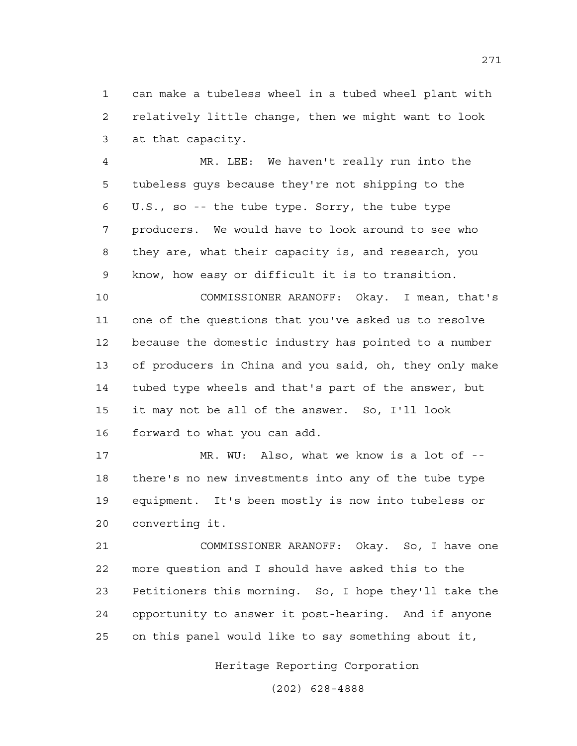1 can make a tubeless wheel in a tubed wheel plant with 2 relatively little change, then we might want to look 3 at that capacity.

4 MR. LEE: We haven't really run into the 5 tubeless guys because they're not shipping to the 6 U.S., so -- the tube type. Sorry, the tube type 7 producers. We would have to look around to see who 8 they are, what their capacity is, and research, you 9 know, how easy or difficult it is to transition.

10 COMMISSIONER ARANOFF: Okay. I mean, that's 11 one of the questions that you've asked us to resolve 12 because the domestic industry has pointed to a number 13 of producers in China and you said, oh, they only make 14 tubed type wheels and that's part of the answer, but 15 it may not be all of the answer. So, I'll look 16 forward to what you can add.

17 MR. WU: Also, what we know is a lot of -- 18 there's no new investments into any of the tube type 19 equipment. It's been mostly is now into tubeless or 20 converting it.

21 COMMISSIONER ARANOFF: Okay. So, I have one 22 more question and I should have asked this to the 23 Petitioners this morning. So, I hope they'll take the 24 opportunity to answer it post-hearing. And if anyone 25 on this panel would like to say something about it,

Heritage Reporting Corporation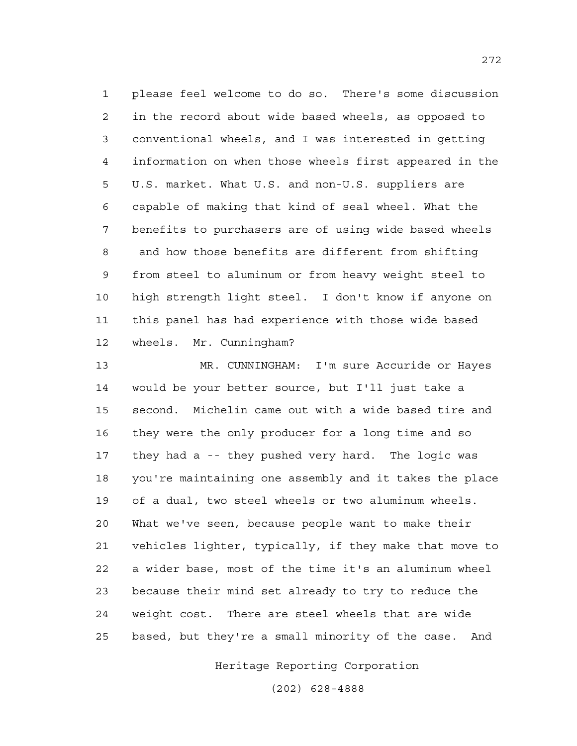1 please feel welcome to do so. There's some discussion 2 in the record about wide based wheels, as opposed to 3 conventional wheels, and I was interested in getting 4 information on when those wheels first appeared in the 5 U.S. market. What U.S. and non-U.S. suppliers are 6 capable of making that kind of seal wheel. What the 7 benefits to purchasers are of using wide based wheels 8 and how those benefits are different from shifting 9 from steel to aluminum or from heavy weight steel to 10 high strength light steel. I don't know if anyone on 11 this panel has had experience with those wide based 12 wheels. Mr. Cunningham?

13 MR. CUNNINGHAM: I'm sure Accuride or Hayes 14 would be your better source, but I'll just take a 15 second. Michelin came out with a wide based tire and 16 they were the only producer for a long time and so 17 they had a -- they pushed very hard. The logic was 18 you're maintaining one assembly and it takes the place 19 of a dual, two steel wheels or two aluminum wheels. 20 What we've seen, because people want to make their 21 vehicles lighter, typically, if they make that move to 22 a wider base, most of the time it's an aluminum wheel 23 because their mind set already to try to reduce the 24 weight cost. There are steel wheels that are wide 25 based, but they're a small minority of the case. And

Heritage Reporting Corporation

(202) 628-4888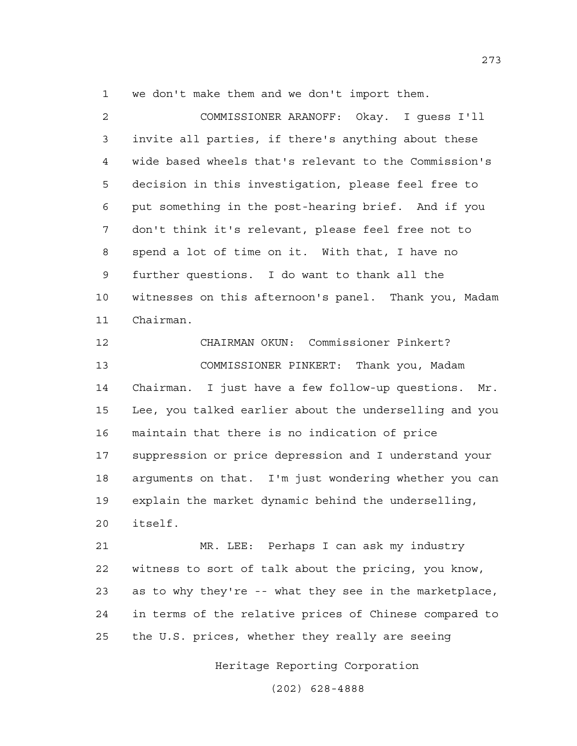1 we don't make them and we don't import them.

2 COMMISSIONER ARANOFF: Okay. I guess I'll 3 invite all parties, if there's anything about these 4 wide based wheels that's relevant to the Commission's 5 decision in this investigation, please feel free to 6 put something in the post-hearing brief. And if you 7 don't think it's relevant, please feel free not to 8 spend a lot of time on it. With that, I have no 9 further questions. I do want to thank all the 10 witnesses on this afternoon's panel. Thank you, Madam 11 Chairman.

12 CHAIRMAN OKUN: Commissioner Pinkert? 13 COMMISSIONER PINKERT: Thank you, Madam 14 Chairman. I just have a few follow-up questions. Mr. 15 Lee, you talked earlier about the underselling and you 16 maintain that there is no indication of price 17 suppression or price depression and I understand your 18 arguments on that. I'm just wondering whether you can 19 explain the market dynamic behind the underselling, 20 itself.

21 MR. LEE: Perhaps I can ask my industry 22 witness to sort of talk about the pricing, you know, 23 as to why they're -- what they see in the marketplace, 24 in terms of the relative prices of Chinese compared to 25 the U.S. prices, whether they really are seeing

Heritage Reporting Corporation

(202) 628-4888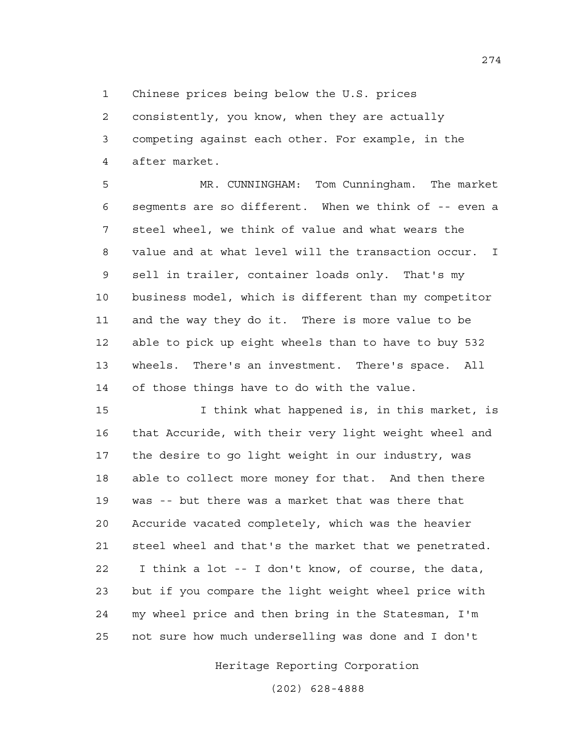1 Chinese prices being below the U.S. prices

2 consistently, you know, when they are actually 3 competing against each other. For example, in the 4 after market.

5 MR. CUNNINGHAM: Tom Cunningham. The market 6 segments are so different. When we think of -- even a 7 steel wheel, we think of value and what wears the 8 value and at what level will the transaction occur. I 9 sell in trailer, container loads only. That's my 10 business model, which is different than my competitor 11 and the way they do it. There is more value to be 12 able to pick up eight wheels than to have to buy 532 13 wheels. There's an investment. There's space. All 14 of those things have to do with the value.

15 I think what happened is, in this market, is 16 that Accuride, with their very light weight wheel and 17 the desire to go light weight in our industry, was 18 able to collect more money for that. And then there 19 was -- but there was a market that was there that 20 Accuride vacated completely, which was the heavier 21 steel wheel and that's the market that we penetrated. 22 I think a lot -- I don't know, of course, the data, 23 but if you compare the light weight wheel price with 24 my wheel price and then bring in the Statesman, I'm 25 not sure how much underselling was done and I don't

Heritage Reporting Corporation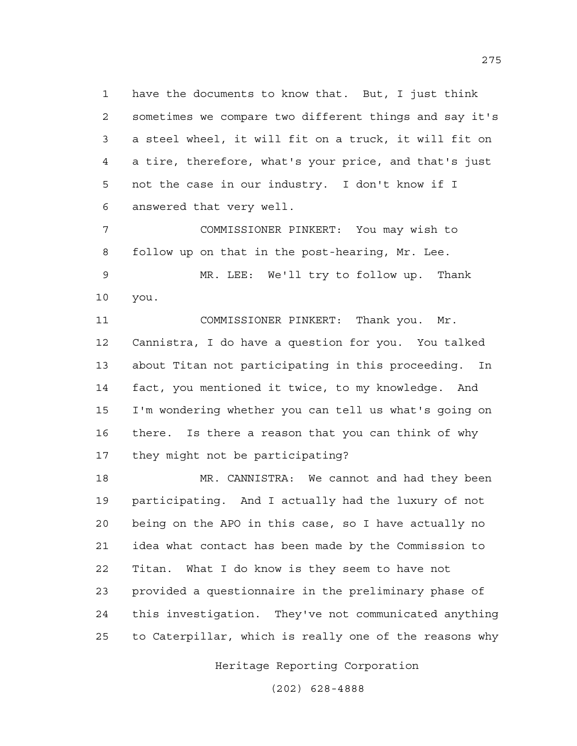1 have the documents to know that. But, I just think 2 sometimes we compare two different things and say it's 3 a steel wheel, it will fit on a truck, it will fit on 4 a tire, therefore, what's your price, and that's just 5 not the case in our industry. I don't know if I 6 answered that very well.

7 COMMISSIONER PINKERT: You may wish to 8 follow up on that in the post-hearing, Mr. Lee.

9 MR. LEE: We'll try to follow up. Thank 10 you.

11 COMMISSIONER PINKERT: Thank you. Mr. 12 Cannistra, I do have a question for you. You talked 13 about Titan not participating in this proceeding. In 14 fact, you mentioned it twice, to my knowledge. And 15 I'm wondering whether you can tell us what's going on 16 there. Is there a reason that you can think of why 17 they might not be participating?

18 MR. CANNISTRA: We cannot and had they been 19 participating. And I actually had the luxury of not 20 being on the APO in this case, so I have actually no 21 idea what contact has been made by the Commission to 22 Titan. What I do know is they seem to have not 23 provided a questionnaire in the preliminary phase of 24 this investigation. They've not communicated anything 25 to Caterpillar, which is really one of the reasons why

Heritage Reporting Corporation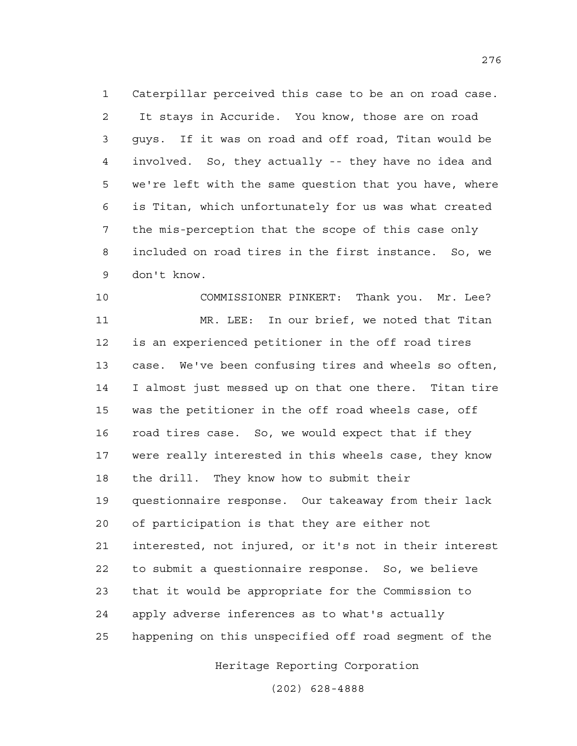1 Caterpillar perceived this case to be an on road case. 2 It stays in Accuride. You know, those are on road 3 guys. If it was on road and off road, Titan would be 4 involved. So, they actually -- they have no idea and 5 we're left with the same question that you have, where 6 is Titan, which unfortunately for us was what created 7 the mis-perception that the scope of this case only 8 included on road tires in the first instance. So, we 9 don't know.

10 COMMISSIONER PINKERT: Thank you. Mr. Lee? 11 MR. LEE: In our brief, we noted that Titan 12 is an experienced petitioner in the off road tires 13 case. We've been confusing tires and wheels so often, 14 I almost just messed up on that one there. Titan tire 15 was the petitioner in the off road wheels case, off 16 road tires case. So, we would expect that if they 17 were really interested in this wheels case, they know 18 the drill. They know how to submit their 19 questionnaire response. Our takeaway from their lack 20 of participation is that they are either not 21 interested, not injured, or it's not in their interest 22 to submit a questionnaire response. So, we believe 23 that it would be appropriate for the Commission to 24 apply adverse inferences as to what's actually 25 happening on this unspecified off road segment of the

Heritage Reporting Corporation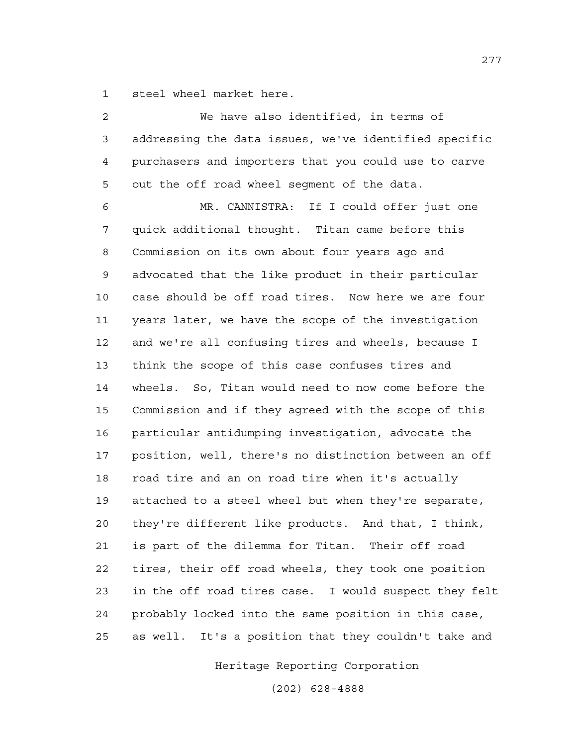1 steel wheel market here.

| $\overline{a}$ | We have also identified, in terms of                  |
|----------------|-------------------------------------------------------|
| 3              | addressing the data issues, we've identified specific |
| $\overline{4}$ | purchasers and importers that you could use to carve  |
| 5              | out the off road wheel segment of the data.           |
| 6              | MR. CANNISTRA: If I could offer just one              |
| 7              | quick additional thought. Titan came before this      |
| 8              | Commission on its own about four years ago and        |
| 9              | advocated that the like product in their particular   |
| 10             | case should be off road tires. Now here we are four   |
| 11             | years later, we have the scope of the investigation   |
| 12             | and we're all confusing tires and wheels, because I   |
| 13             | think the scope of this case confuses tires and       |
| 14             | wheels. So, Titan would need to now come before the   |
| 15             | Commission and if they agreed with the scope of this  |
| 16             | particular antidumping investigation, advocate the    |
| 17             | position, well, there's no distinction between an off |
| 18             | road tire and an on road tire when it's actually      |
| 19             | attached to a steel wheel but when they're separate,  |
| 20             | they're different like products. And that, I think,   |
| 21             | is part of the dilemma for Titan. Their off road      |
| 22             | tires, their off road wheels, they took one position  |
| 23             | in the off road tires case. I would suspect they felt |
| 24             | probably locked into the same position in this case,  |
| 25             | as well. It's a position that they couldn't take and  |

Heritage Reporting Corporation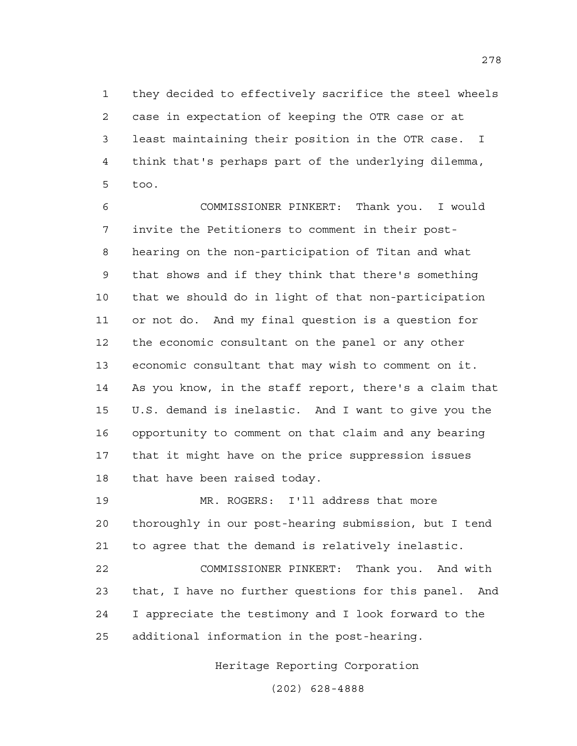1 they decided to effectively sacrifice the steel wheels 2 case in expectation of keeping the OTR case or at 3 least maintaining their position in the OTR case. I 4 think that's perhaps part of the underlying dilemma, 5 too.

6 COMMISSIONER PINKERT: Thank you. I would 7 invite the Petitioners to comment in their post-8 hearing on the non-participation of Titan and what 9 that shows and if they think that there's something 10 that we should do in light of that non-participation 11 or not do. And my final question is a question for 12 the economic consultant on the panel or any other 13 economic consultant that may wish to comment on it. 14 As you know, in the staff report, there's a claim that 15 U.S. demand is inelastic. And I want to give you the 16 opportunity to comment on that claim and any bearing 17 that it might have on the price suppression issues 18 that have been raised today.

19 MR. ROGERS: I'll address that more 20 thoroughly in our post-hearing submission, but I tend 21 to agree that the demand is relatively inelastic.

22 COMMISSIONER PINKERT: Thank you. And with 23 that, I have no further questions for this panel. And 24 I appreciate the testimony and I look forward to the 25 additional information in the post-hearing.

Heritage Reporting Corporation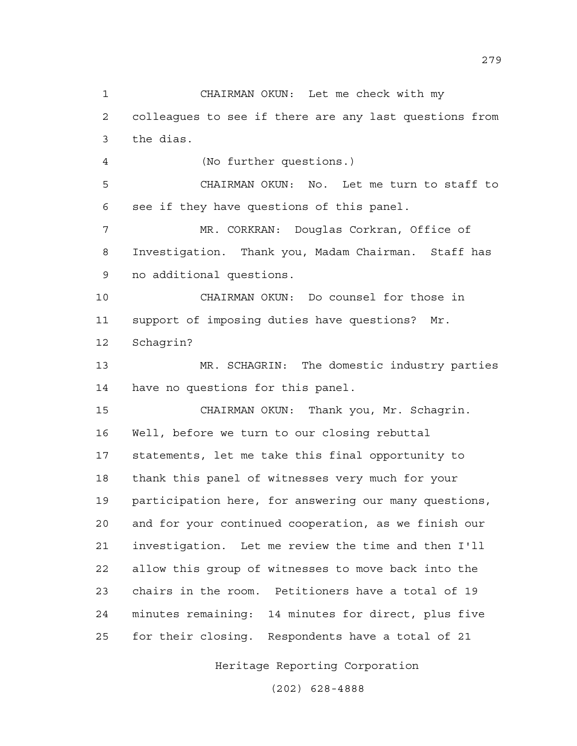1 CHAIRMAN OKUN: Let me check with my 2 colleagues to see if there are any last questions from 3 the dias. 4 (No further questions.) 5 CHAIRMAN OKUN: No. Let me turn to staff to 6 see if they have questions of this panel. 7 MR. CORKRAN: Douglas Corkran, Office of 8 Investigation. Thank you, Madam Chairman. Staff has 9 no additional questions. 10 CHAIRMAN OKUN: Do counsel for those in 11 support of imposing duties have questions? Mr. 12 Schagrin? 13 MR. SCHAGRIN: The domestic industry parties 14 have no questions for this panel. 15 CHAIRMAN OKUN: Thank you, Mr. Schagrin. 16 Well, before we turn to our closing rebuttal 17 statements, let me take this final opportunity to 18 thank this panel of witnesses very much for your 19 participation here, for answering our many questions, 20 and for your continued cooperation, as we finish our 21 investigation. Let me review the time and then I'll 22 allow this group of witnesses to move back into the 23 chairs in the room. Petitioners have a total of 19 24 minutes remaining: 14 minutes for direct, plus five 25 for their closing. Respondents have a total of 21

Heritage Reporting Corporation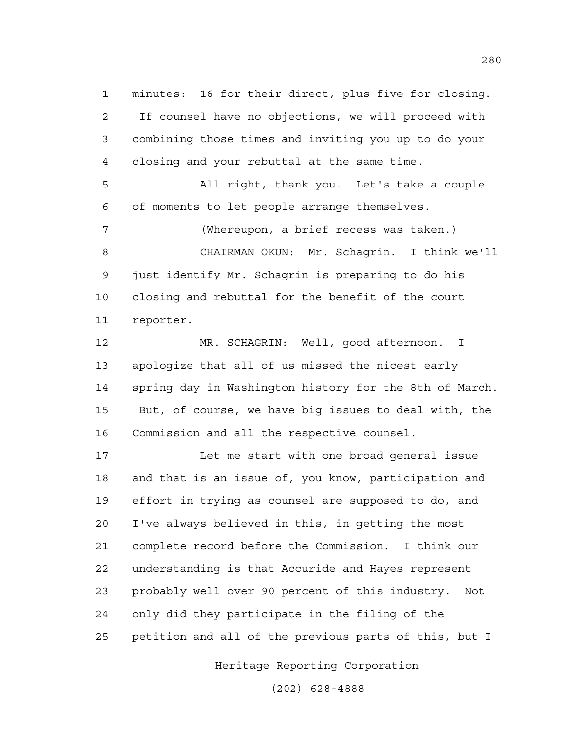1 minutes: 16 for their direct, plus five for closing. 2 If counsel have no objections, we will proceed with 3 combining those times and inviting you up to do your 4 closing and your rebuttal at the same time.

5 All right, thank you. Let's take a couple 6 of moments to let people arrange themselves.

7 (Whereupon, a brief recess was taken.) 8 CHAIRMAN OKUN: Mr. Schagrin. I think we'll 9 just identify Mr. Schagrin is preparing to do his 10 closing and rebuttal for the benefit of the court 11 reporter.

12 MR. SCHAGRIN: Well, good afternoon. I 13 apologize that all of us missed the nicest early 14 spring day in Washington history for the 8th of March. 15 But, of course, we have big issues to deal with, the 16 Commission and all the respective counsel.

17 Let me start with one broad general issue 18 and that is an issue of, you know, participation and 19 effort in trying as counsel are supposed to do, and 20 I've always believed in this, in getting the most 21 complete record before the Commission. I think our 22 understanding is that Accuride and Hayes represent 23 probably well over 90 percent of this industry. Not 24 only did they participate in the filing of the 25 petition and all of the previous parts of this, but I

Heritage Reporting Corporation

(202) 628-4888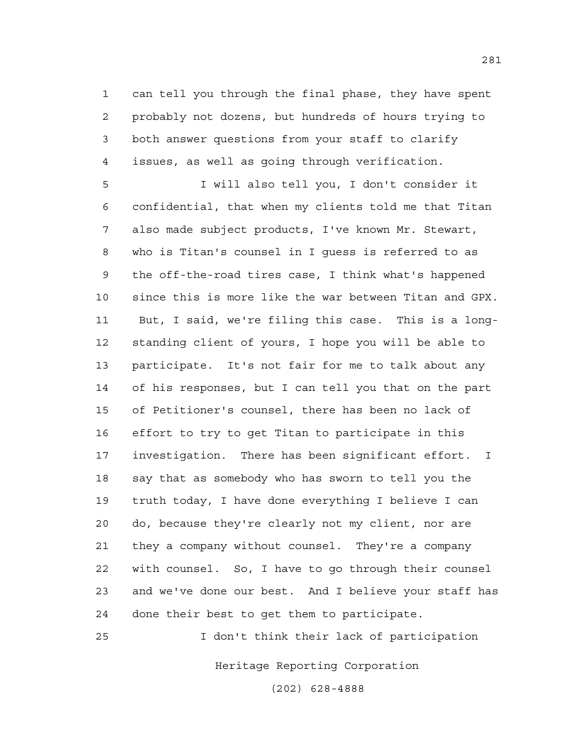1 can tell you through the final phase, they have spent 2 probably not dozens, but hundreds of hours trying to 3 both answer questions from your staff to clarify 4 issues, as well as going through verification.

5 I will also tell you, I don't consider it 6 confidential, that when my clients told me that Titan 7 also made subject products, I've known Mr. Stewart, 8 who is Titan's counsel in I guess is referred to as 9 the off-the-road tires case, I think what's happened 10 since this is more like the war between Titan and GPX. 11 But, I said, we're filing this case. This is a long-12 standing client of yours, I hope you will be able to 13 participate. It's not fair for me to talk about any 14 of his responses, but I can tell you that on the part 15 of Petitioner's counsel, there has been no lack of 16 effort to try to get Titan to participate in this 17 investigation. There has been significant effort. I 18 say that as somebody who has sworn to tell you the 19 truth today, I have done everything I believe I can 20 do, because they're clearly not my client, nor are 21 they a company without counsel. They're a company 22 with counsel. So, I have to go through their counsel 23 and we've done our best. And I believe your staff has 24 done their best to get them to participate.

25 I don't think their lack of participation

Heritage Reporting Corporation

(202) 628-4888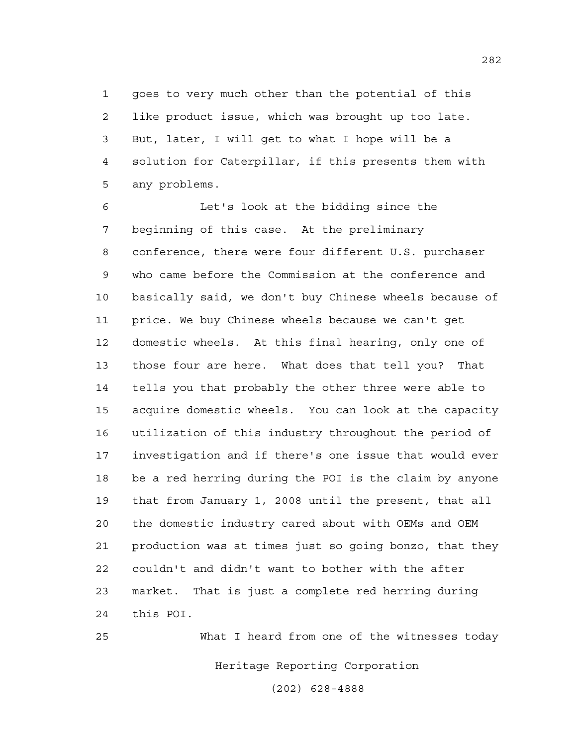1 goes to very much other than the potential of this 2 like product issue, which was brought up too late. 3 But, later, I will get to what I hope will be a 4 solution for Caterpillar, if this presents them with 5 any problems.

6 Let's look at the bidding since the 7 beginning of this case. At the preliminary 8 conference, there were four different U.S. purchaser 9 who came before the Commission at the conference and 10 basically said, we don't buy Chinese wheels because of 11 price. We buy Chinese wheels because we can't get 12 domestic wheels. At this final hearing, only one of 13 those four are here. What does that tell you? That 14 tells you that probably the other three were able to 15 acquire domestic wheels. You can look at the capacity 16 utilization of this industry throughout the period of 17 investigation and if there's one issue that would ever 18 be a red herring during the POI is the claim by anyone 19 that from January 1, 2008 until the present, that all 20 the domestic industry cared about with OEMs and OEM 21 production was at times just so going bonzo, that they 22 couldn't and didn't want to bother with the after 23 market. That is just a complete red herring during 24 this POI.

Heritage Reporting Corporation (202) 628-4888 25 What I heard from one of the witnesses today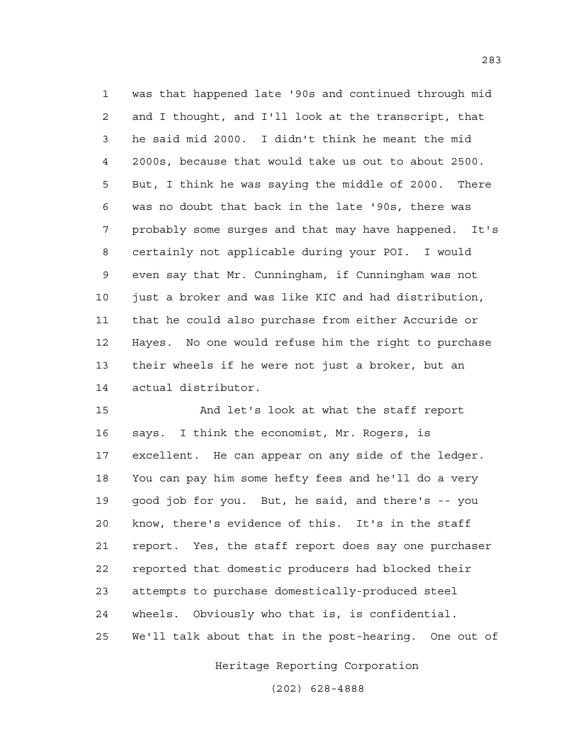1 was that happened late '90s and continued through mid 2 and I thought, and I'll look at the transcript, that 3 he said mid 2000. I didn't think he meant the mid 4 2000s, because that would take us out to about 2500. 5 But, I think he was saying the middle of 2000. There 6 was no doubt that back in the late '90s, there was 7 probably some surges and that may have happened. It's 8 certainly not applicable during your POI. I would 9 even say that Mr. Cunningham, if Cunningham was not 10 just a broker and was like KIC and had distribution, 11 that he could also purchase from either Accuride or 12 Hayes. No one would refuse him the right to purchase 13 their wheels if he were not just a broker, but an 14 actual distributor.

15 And let's look at what the staff report 16 says. I think the economist, Mr. Rogers, is 17 excellent. He can appear on any side of the ledger. 18 You can pay him some hefty fees and he'll do a very 19 good job for you. But, he said, and there's -- you 20 know, there's evidence of this. It's in the staff 21 report. Yes, the staff report does say one purchaser 22 reported that domestic producers had blocked their 23 attempts to purchase domestically-produced steel 24 wheels. Obviously who that is, is confidential. 25 We'll talk about that in the post-hearing. One out of

Heritage Reporting Corporation

(202) 628-4888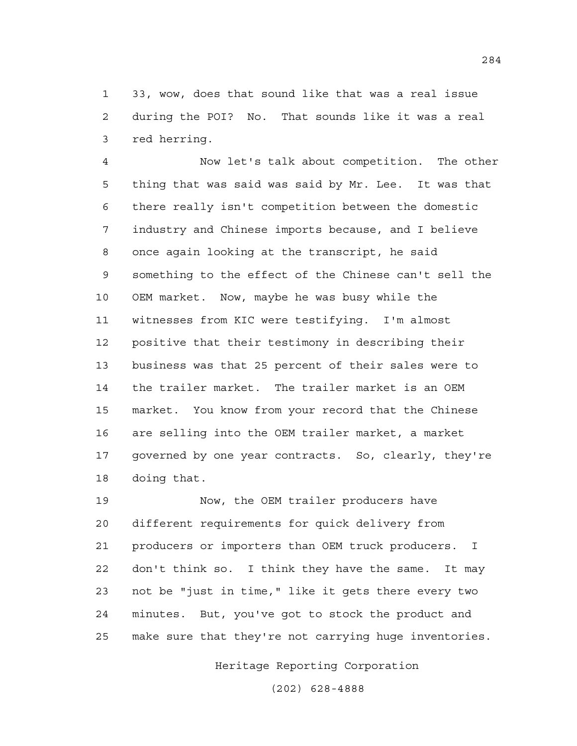1 33, wow, does that sound like that was a real issue 2 during the POI? No. That sounds like it was a real 3 red herring.

4 Now let's talk about competition. The other 5 thing that was said was said by Mr. Lee. It was that 6 there really isn't competition between the domestic 7 industry and Chinese imports because, and I believe 8 once again looking at the transcript, he said 9 something to the effect of the Chinese can't sell the 10 OEM market. Now, maybe he was busy while the 11 witnesses from KIC were testifying. I'm almost 12 positive that their testimony in describing their 13 business was that 25 percent of their sales were to 14 the trailer market. The trailer market is an OEM 15 market. You know from your record that the Chinese 16 are selling into the OEM trailer market, a market 17 governed by one year contracts. So, clearly, they're 18 doing that.

19 Now, the OEM trailer producers have 20 different requirements for quick delivery from 21 producers or importers than OEM truck producers. I 22 don't think so. I think they have the same. It may 23 not be "just in time," like it gets there every two 24 minutes. But, you've got to stock the product and 25 make sure that they're not carrying huge inventories.

Heritage Reporting Corporation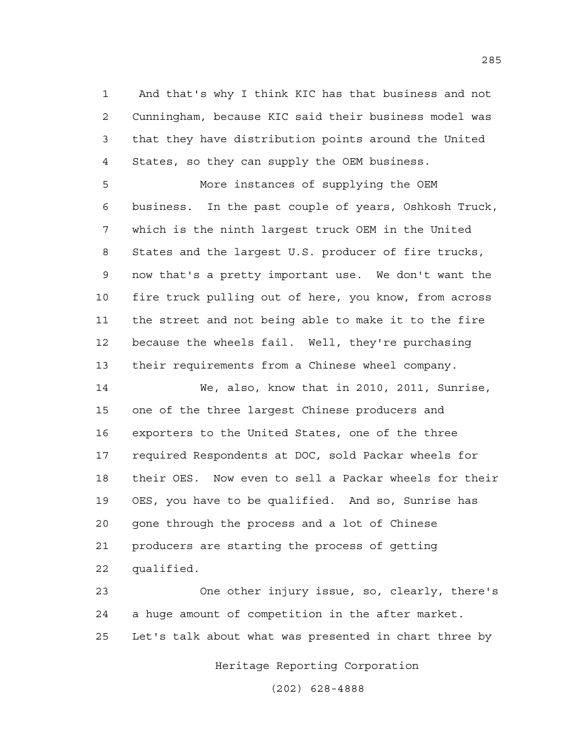1 And that's why I think KIC has that business and not 2 Cunningham, because KIC said their business model was 3 that they have distribution points around the United 4 States, so they can supply the OEM business.

5 More instances of supplying the OEM 6 business. In the past couple of years, Oshkosh Truck, 7 which is the ninth largest truck OEM in the United 8 States and the largest U.S. producer of fire trucks, 9 now that's a pretty important use. We don't want the 10 fire truck pulling out of here, you know, from across 11 the street and not being able to make it to the fire 12 because the wheels fail. Well, they're purchasing 13 their requirements from a Chinese wheel company.

14 We, also, know that in 2010, 2011, Sunrise, 15 one of the three largest Chinese producers and 16 exporters to the United States, one of the three 17 required Respondents at DOC, sold Packar wheels for 18 their OES. Now even to sell a Packar wheels for their 19 OES, you have to be qualified. And so, Sunrise has 20 gone through the process and a lot of Chinese 21 producers are starting the process of getting 22 qualified.

23 One other injury issue, so, clearly, there's 24 a huge amount of competition in the after market. 25 Let's talk about what was presented in chart three by

Heritage Reporting Corporation

(202) 628-4888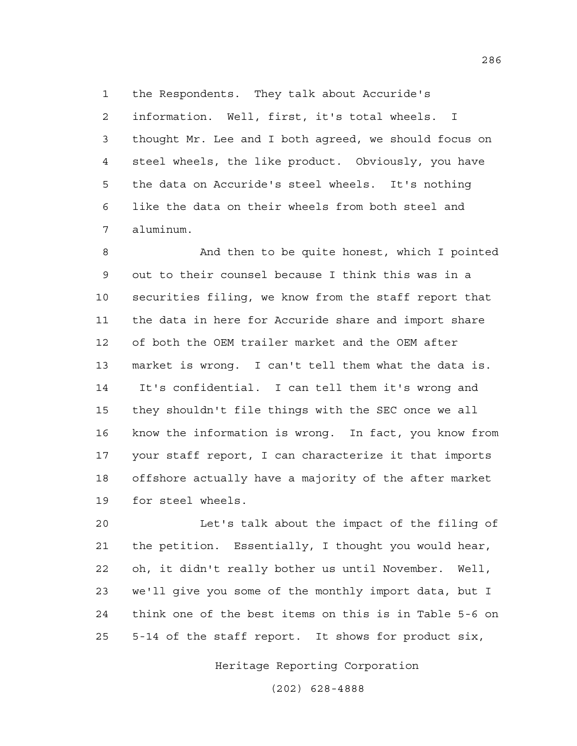1 the Respondents. They talk about Accuride's 2 information. Well, first, it's total wheels. I 3 thought Mr. Lee and I both agreed, we should focus on 4 steel wheels, the like product. Obviously, you have 5 the data on Accuride's steel wheels. It's nothing 6 like the data on their wheels from both steel and 7 aluminum.

8 And then to be quite honest, which I pointed 9 out to their counsel because I think this was in a 10 securities filing, we know from the staff report that 11 the data in here for Accuride share and import share 12 of both the OEM trailer market and the OEM after 13 market is wrong. I can't tell them what the data is. 14 It's confidential. I can tell them it's wrong and 15 they shouldn't file things with the SEC once we all 16 know the information is wrong. In fact, you know from 17 your staff report, I can characterize it that imports 18 offshore actually have a majority of the after market 19 for steel wheels.

20 Let's talk about the impact of the filing of 21 the petition. Essentially, I thought you would hear, 22 oh, it didn't really bother us until November. Well, 23 we'll give you some of the monthly import data, but I 24 think one of the best items on this is in Table 5-6 on 25 5-14 of the staff report. It shows for product six,

Heritage Reporting Corporation

(202) 628-4888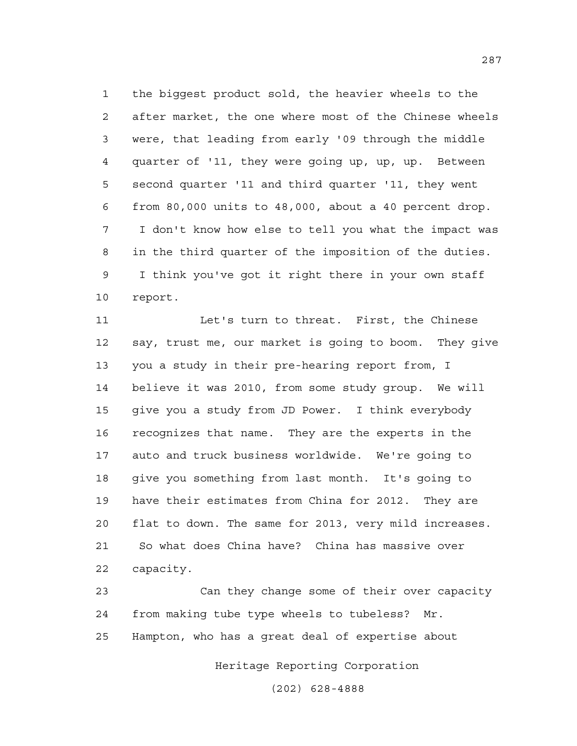1 the biggest product sold, the heavier wheels to the 2 after market, the one where most of the Chinese wheels 3 were, that leading from early '09 through the middle 4 quarter of '11, they were going up, up, up. Between 5 second quarter '11 and third quarter '11, they went 6 from 80,000 units to 48,000, about a 40 percent drop. 7 I don't know how else to tell you what the impact was 8 in the third quarter of the imposition of the duties. 9 I think you've got it right there in your own staff 10 report.

11 Let's turn to threat. First, the Chinese 12 say, trust me, our market is going to boom. They give 13 you a study in their pre-hearing report from, I 14 believe it was 2010, from some study group. We will 15 give you a study from JD Power. I think everybody 16 recognizes that name. They are the experts in the 17 auto and truck business worldwide. We're going to 18 give you something from last month. It's going to 19 have their estimates from China for 2012. They are 20 flat to down. The same for 2013, very mild increases. 21 So what does China have? China has massive over 22 capacity.

23 Can they change some of their over capacity 24 from making tube type wheels to tubeless? Mr. 25 Hampton, who has a great deal of expertise about

Heritage Reporting Corporation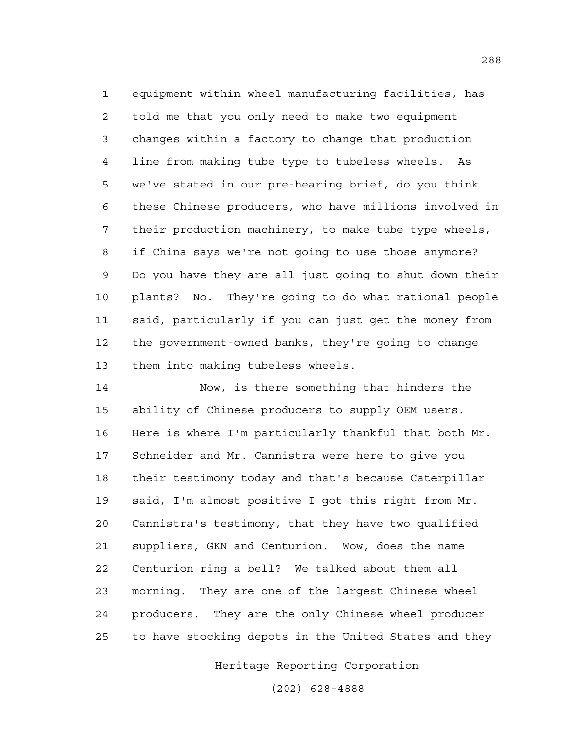1 equipment within wheel manufacturing facilities, has 2 told me that you only need to make two equipment 3 changes within a factory to change that production 4 line from making tube type to tubeless wheels. As 5 we've stated in our pre-hearing brief, do you think 6 these Chinese producers, who have millions involved in 7 their production machinery, to make tube type wheels, 8 if China says we're not going to use those anymore? 9 Do you have they are all just going to shut down their 10 plants? No. They're going to do what rational people 11 said, particularly if you can just get the money from 12 the government-owned banks, they're going to change 13 them into making tubeless wheels.

14 Now, is there something that hinders the 15 ability of Chinese producers to supply OEM users. 16 Here is where I'm particularly thankful that both Mr. 17 Schneider and Mr. Cannistra were here to give you 18 their testimony today and that's because Caterpillar 19 said, I'm almost positive I got this right from Mr. 20 Cannistra's testimony, that they have two qualified 21 suppliers, GKN and Centurion. Wow, does the name 22 Centurion ring a bell? We talked about them all 23 morning. They are one of the largest Chinese wheel 24 producers. They are the only Chinese wheel producer 25 to have stocking depots in the United States and they

Heritage Reporting Corporation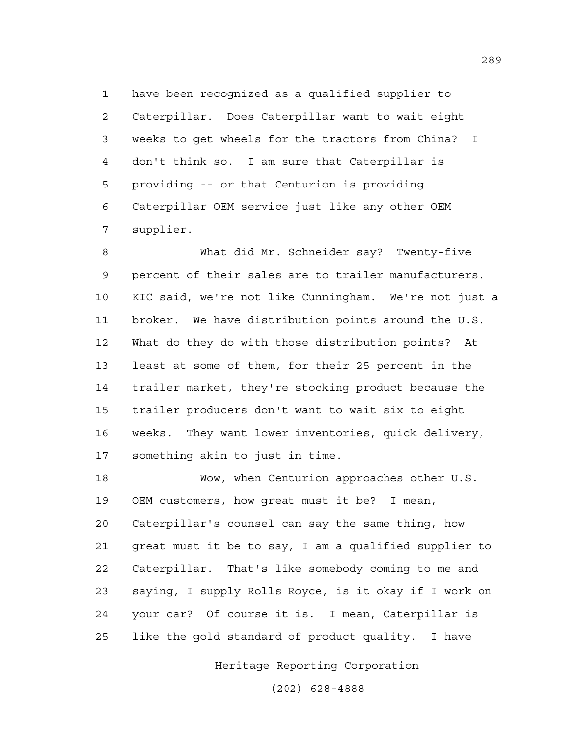1 have been recognized as a qualified supplier to 2 Caterpillar. Does Caterpillar want to wait eight 3 weeks to get wheels for the tractors from China? I 4 don't think so. I am sure that Caterpillar is 5 providing -- or that Centurion is providing 6 Caterpillar OEM service just like any other OEM 7 supplier.

8 What did Mr. Schneider say? Twenty-five 9 percent of their sales are to trailer manufacturers. 10 KIC said, we're not like Cunningham. We're not just a 11 broker. We have distribution points around the U.S. 12 What do they do with those distribution points? At 13 least at some of them, for their 25 percent in the 14 trailer market, they're stocking product because the 15 trailer producers don't want to wait six to eight 16 weeks. They want lower inventories, quick delivery, 17 something akin to just in time.

18 Wow, when Centurion approaches other U.S. 19 OEM customers, how great must it be? I mean, 20 Caterpillar's counsel can say the same thing, how 21 great must it be to say, I am a qualified supplier to 22 Caterpillar. That's like somebody coming to me and 23 saying, I supply Rolls Royce, is it okay if I work on 24 your car? Of course it is. I mean, Caterpillar is 25 like the gold standard of product quality. I have

Heritage Reporting Corporation

(202) 628-4888

289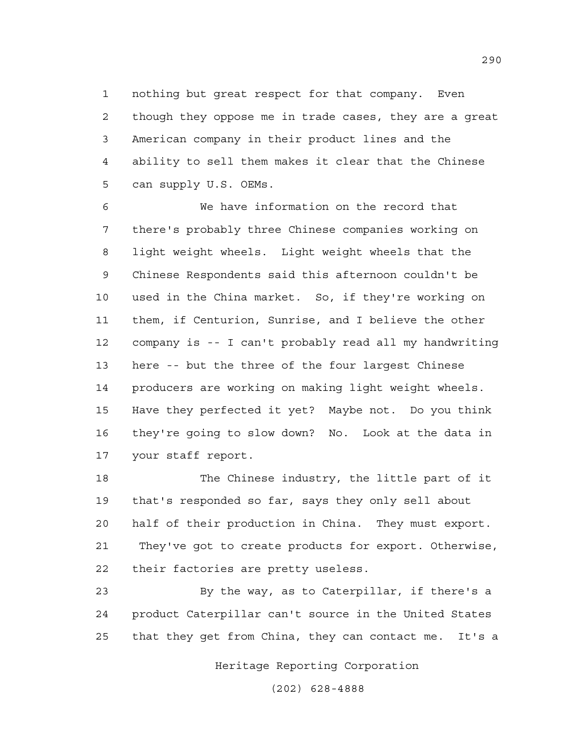1 nothing but great respect for that company. Even 2 though they oppose me in trade cases, they are a great 3 American company in their product lines and the 4 ability to sell them makes it clear that the Chinese 5 can supply U.S. OEMs.

6 We have information on the record that 7 there's probably three Chinese companies working on 8 light weight wheels. Light weight wheels that the 9 Chinese Respondents said this afternoon couldn't be 10 used in the China market. So, if they're working on 11 them, if Centurion, Sunrise, and I believe the other 12 company is -- I can't probably read all my handwriting 13 here -- but the three of the four largest Chinese 14 producers are working on making light weight wheels. 15 Have they perfected it yet? Maybe not. Do you think 16 they're going to slow down? No. Look at the data in 17 your staff report.

18 The Chinese industry, the little part of it 19 that's responded so far, says they only sell about 20 half of their production in China. They must export. 21 They've got to create products for export. Otherwise, 22 their factories are pretty useless.

23 By the way, as to Caterpillar, if there's a 24 product Caterpillar can't source in the United States 25 that they get from China, they can contact me. It's a

Heritage Reporting Corporation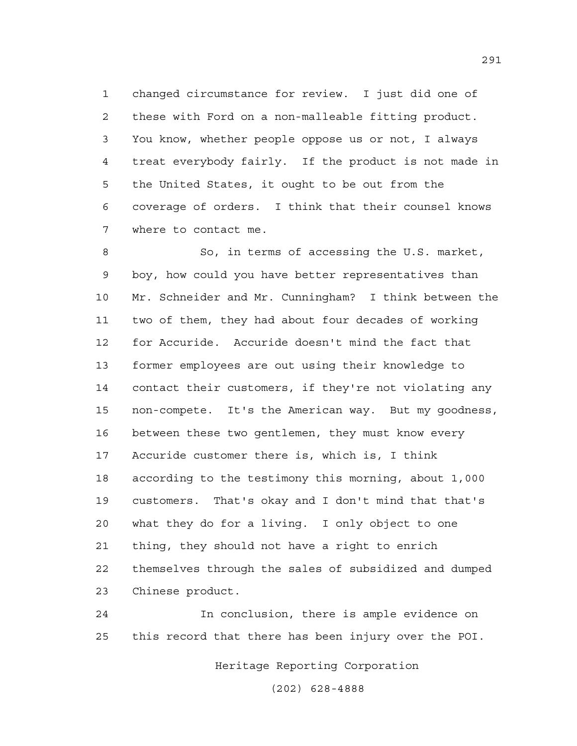1 changed circumstance for review. I just did one of 2 these with Ford on a non-malleable fitting product. 3 You know, whether people oppose us or not, I always 4 treat everybody fairly. If the product is not made in 5 the United States, it ought to be out from the 6 coverage of orders. I think that their counsel knows 7 where to contact me.

8 So, in terms of accessing the U.S. market, 9 boy, how could you have better representatives than 10 Mr. Schneider and Mr. Cunningham? I think between the 11 two of them, they had about four decades of working 12 for Accuride. Accuride doesn't mind the fact that 13 former employees are out using their knowledge to 14 contact their customers, if they're not violating any 15 non-compete. It's the American way. But my goodness, 16 between these two gentlemen, they must know every 17 Accuride customer there is, which is, I think 18 according to the testimony this morning, about 1,000 19 customers. That's okay and I don't mind that that's 20 what they do for a living. I only object to one 21 thing, they should not have a right to enrich 22 themselves through the sales of subsidized and dumped 23 Chinese product.

24 In conclusion, there is ample evidence on 25 this record that there has been injury over the POI.

Heritage Reporting Corporation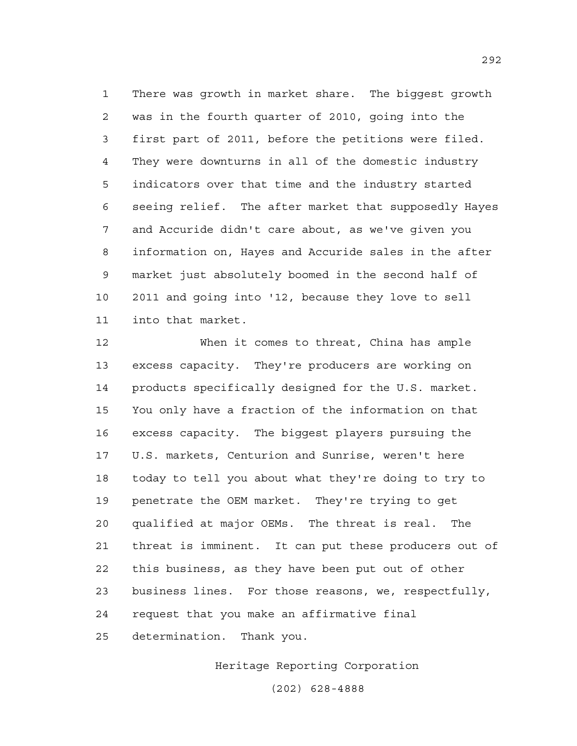1 There was growth in market share. The biggest growth 2 was in the fourth quarter of 2010, going into the 3 first part of 2011, before the petitions were filed. 4 They were downturns in all of the domestic industry 5 indicators over that time and the industry started 6 seeing relief. The after market that supposedly Hayes 7 and Accuride didn't care about, as we've given you 8 information on, Hayes and Accuride sales in the after 9 market just absolutely boomed in the second half of 10 2011 and going into '12, because they love to sell 11 into that market.

12 When it comes to threat, China has ample 13 excess capacity. They're producers are working on 14 products specifically designed for the U.S. market. 15 You only have a fraction of the information on that 16 excess capacity. The biggest players pursuing the 17 U.S. markets, Centurion and Sunrise, weren't here 18 today to tell you about what they're doing to try to 19 penetrate the OEM market. They're trying to get 20 qualified at major OEMs. The threat is real. The 21 threat is imminent. It can put these producers out of 22 this business, as they have been put out of other 23 business lines. For those reasons, we, respectfully, 24 request that you make an affirmative final 25 determination. Thank you.

Heritage Reporting Corporation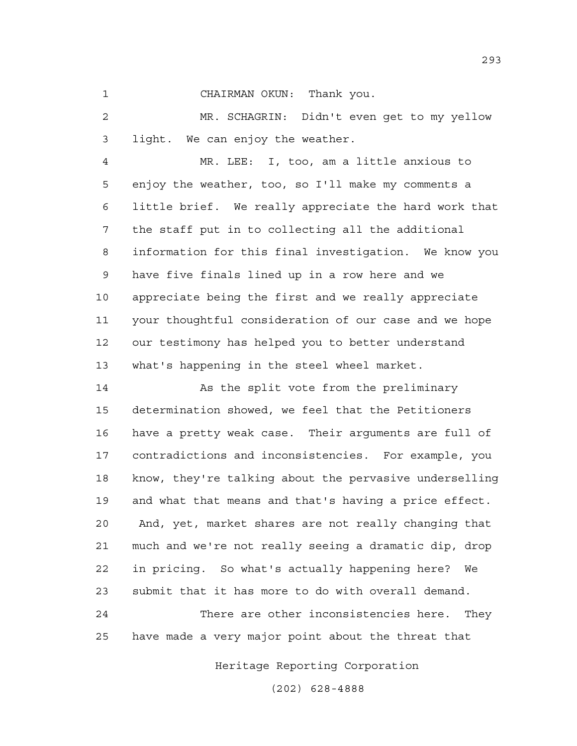1 CHAIRMAN OKUN: Thank you.

2 MR. SCHAGRIN: Didn't even get to my yellow 3 light. We can enjoy the weather.

4 MR. LEE: I, too, am a little anxious to 5 enjoy the weather, too, so I'll make my comments a 6 little brief. We really appreciate the hard work that 7 the staff put in to collecting all the additional 8 information for this final investigation. We know you 9 have five finals lined up in a row here and we 10 appreciate being the first and we really appreciate 11 your thoughtful consideration of our case and we hope 12 our testimony has helped you to better understand 13 what's happening in the steel wheel market.

14 As the split vote from the preliminary 15 determination showed, we feel that the Petitioners 16 have a pretty weak case. Their arguments are full of 17 contradictions and inconsistencies. For example, you 18 know, they're talking about the pervasive underselling 19 and what that means and that's having a price effect. 20 And, yet, market shares are not really changing that 21 much and we're not really seeing a dramatic dip, drop 22 in pricing. So what's actually happening here? We 23 submit that it has more to do with overall demand.

24 There are other inconsistencies here. They 25 have made a very major point about the threat that

Heritage Reporting Corporation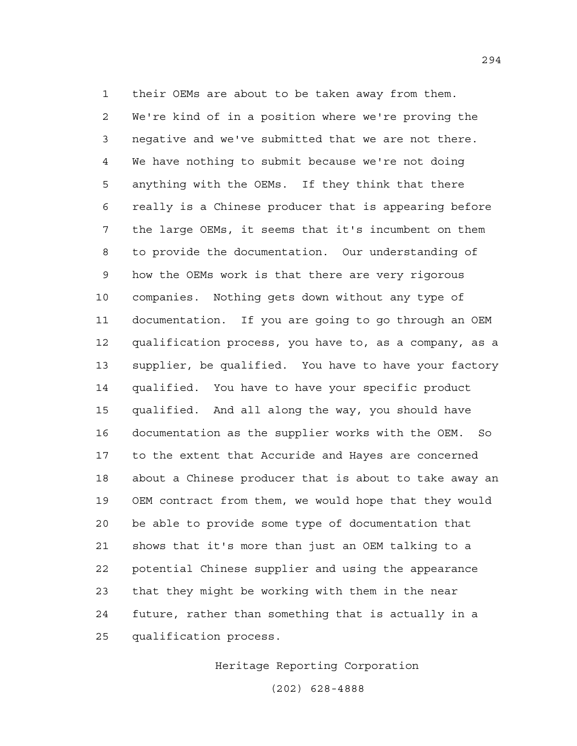1 their OEMs are about to be taken away from them. 2 We're kind of in a position where we're proving the 3 negative and we've submitted that we are not there. 4 We have nothing to submit because we're not doing 5 anything with the OEMs. If they think that there 6 really is a Chinese producer that is appearing before 7 the large OEMs, it seems that it's incumbent on them 8 to provide the documentation. Our understanding of 9 how the OEMs work is that there are very rigorous 10 companies. Nothing gets down without any type of 11 documentation. If you are going to go through an OEM 12 qualification process, you have to, as a company, as a 13 supplier, be qualified. You have to have your factory 14 qualified. You have to have your specific product 15 qualified. And all along the way, you should have 16 documentation as the supplier works with the OEM. So 17 to the extent that Accuride and Hayes are concerned 18 about a Chinese producer that is about to take away an 19 OEM contract from them, we would hope that they would 20 be able to provide some type of documentation that 21 shows that it's more than just an OEM talking to a 22 potential Chinese supplier and using the appearance 23 that they might be working with them in the near 24 future, rather than something that is actually in a 25 qualification process.

Heritage Reporting Corporation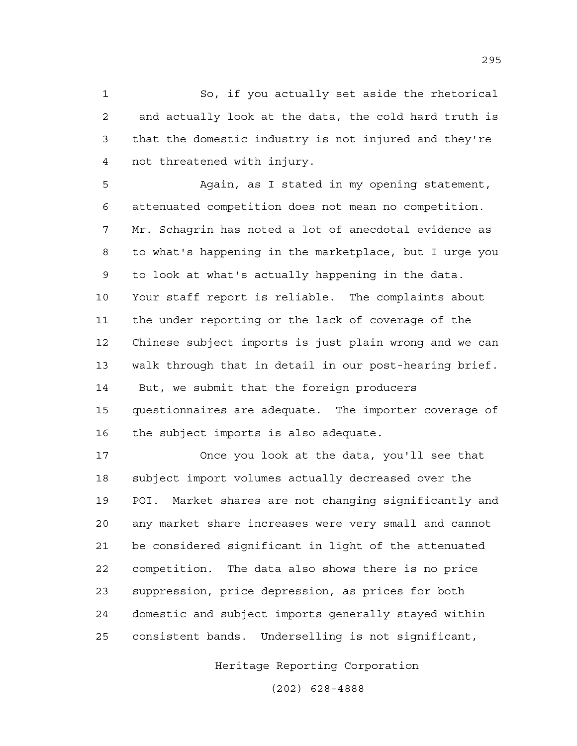1 So, if you actually set aside the rhetorical 2 and actually look at the data, the cold hard truth is 3 that the domestic industry is not injured and they're 4 not threatened with injury.

5 Again, as I stated in my opening statement, 6 attenuated competition does not mean no competition. 7 Mr. Schagrin has noted a lot of anecdotal evidence as 8 to what's happening in the marketplace, but I urge you 9 to look at what's actually happening in the data. 10 Your staff report is reliable. The complaints about 11 the under reporting or the lack of coverage of the 12 Chinese subject imports is just plain wrong and we can 13 walk through that in detail in our post-hearing brief. 14 But, we submit that the foreign producers 15 questionnaires are adequate. The importer coverage of 16 the subject imports is also adequate.

17 Once you look at the data, you'll see that 18 subject import volumes actually decreased over the 19 POI. Market shares are not changing significantly and 20 any market share increases were very small and cannot 21 be considered significant in light of the attenuated 22 competition. The data also shows there is no price 23 suppression, price depression, as prices for both 24 domestic and subject imports generally stayed within 25 consistent bands. Underselling is not significant,

Heritage Reporting Corporation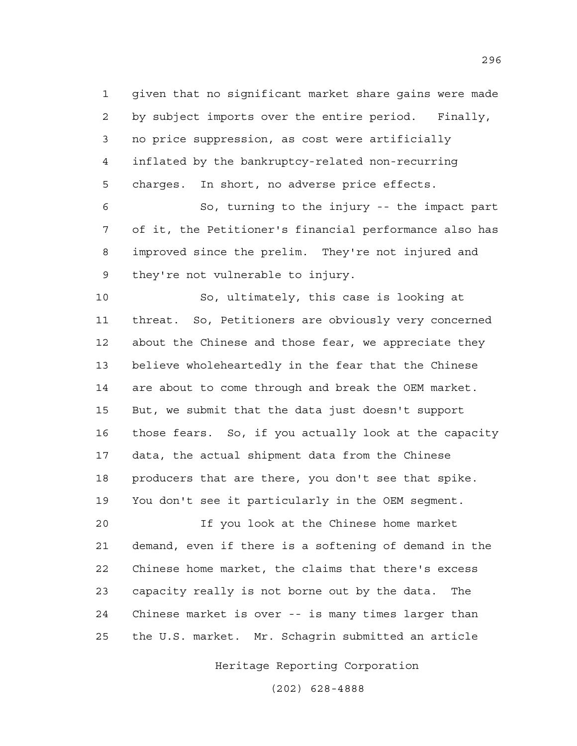1 given that no significant market share gains were made 2 by subject imports over the entire period. Finally, 3 no price suppression, as cost were artificially 4 inflated by the bankruptcy-related non-recurring 5 charges. In short, no adverse price effects.

6 So, turning to the injury -- the impact part 7 of it, the Petitioner's financial performance also has 8 improved since the prelim. They're not injured and 9 they're not vulnerable to injury.

10 So, ultimately, this case is looking at 11 threat. So, Petitioners are obviously very concerned 12 about the Chinese and those fear, we appreciate they 13 believe wholeheartedly in the fear that the Chinese 14 are about to come through and break the OEM market. 15 But, we submit that the data just doesn't support 16 those fears. So, if you actually look at the capacity 17 data, the actual shipment data from the Chinese 18 producers that are there, you don't see that spike. 19 You don't see it particularly in the OEM segment.

20 If you look at the Chinese home market 21 demand, even if there is a softening of demand in the 22 Chinese home market, the claims that there's excess 23 capacity really is not borne out by the data. The 24 Chinese market is over -- is many times larger than 25 the U.S. market. Mr. Schagrin submitted an article

Heritage Reporting Corporation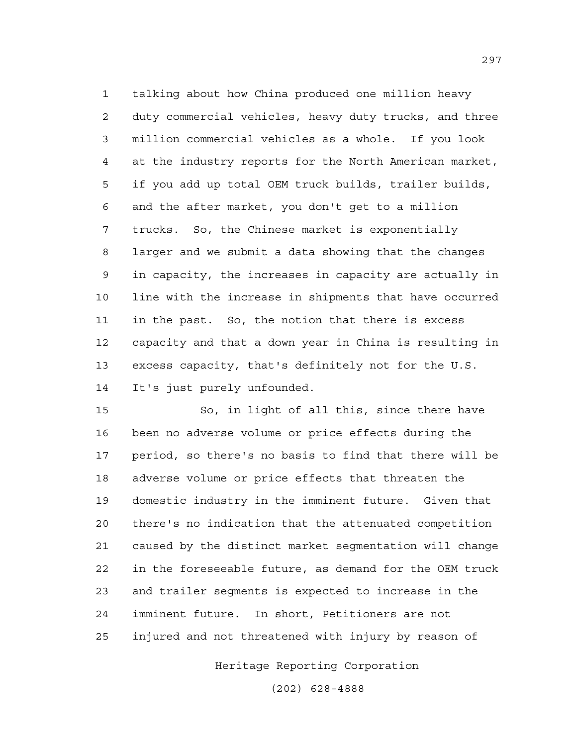1 talking about how China produced one million heavy 2 duty commercial vehicles, heavy duty trucks, and three 3 million commercial vehicles as a whole. If you look 4 at the industry reports for the North American market, 5 if you add up total OEM truck builds, trailer builds, 6 and the after market, you don't get to a million 7 trucks. So, the Chinese market is exponentially 8 larger and we submit a data showing that the changes 9 in capacity, the increases in capacity are actually in 10 line with the increase in shipments that have occurred 11 in the past. So, the notion that there is excess 12 capacity and that a down year in China is resulting in 13 excess capacity, that's definitely not for the U.S. 14 It's just purely unfounded.

15 So, in light of all this, since there have 16 been no adverse volume or price effects during the 17 period, so there's no basis to find that there will be 18 adverse volume or price effects that threaten the 19 domestic industry in the imminent future. Given that 20 there's no indication that the attenuated competition 21 caused by the distinct market segmentation will change 22 in the foreseeable future, as demand for the OEM truck 23 and trailer segments is expected to increase in the 24 imminent future. In short, Petitioners are not 25 injured and not threatened with injury by reason of

Heritage Reporting Corporation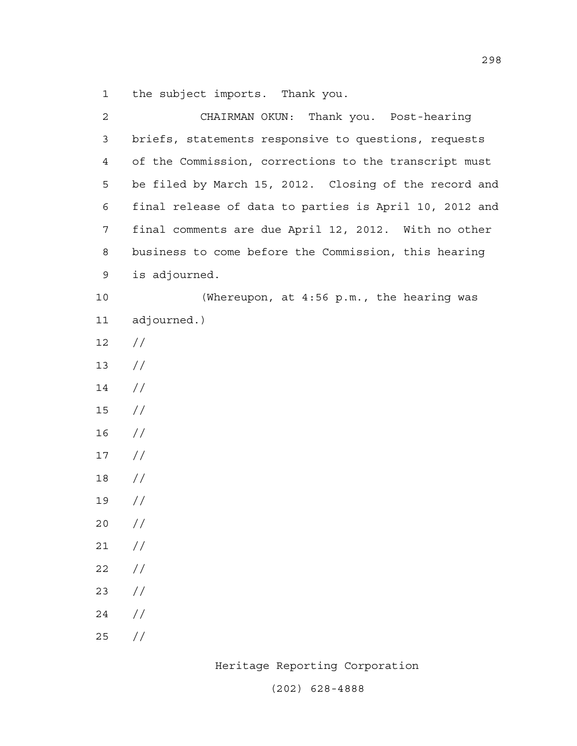1 the subject imports. Thank you.

| $\overline{2}$ | CHAIRMAN OKUN: Thank you. Post-hearing                 |
|----------------|--------------------------------------------------------|
| 3              | briefs, statements responsive to questions, requests   |
| $\overline{4}$ | of the Commission, corrections to the transcript must  |
| 5              | be filed by March 15, 2012. Closing of the record and  |
| 6              | final release of data to parties is April 10, 2012 and |
| 7              | final comments are due April 12, 2012. With no other   |
| 8              | business to come before the Commission, this hearing   |
| 9              | is adjourned.                                          |
| 10             | (Whereupon, at 4:56 p.m., the hearing was              |
| 11             | adjourned.)                                            |
| 12             | $\frac{1}{2}$                                          |
| 13             | $\frac{1}{2}$                                          |
| 14             | $\frac{1}{2}$                                          |
| 15             | $\frac{1}{2}$                                          |
| 16             | $\frac{1}{2}$                                          |
| 17             | $\frac{1}{2}$                                          |
| 18             | $\frac{1}{2}$                                          |
| 19             | $\frac{1}{2}$                                          |
| 20             | $\frac{1}{2}$                                          |
| 21             | $\frac{1}{2}$                                          |
| 22             | //                                                     |
| 23             | //                                                     |
| 24             | $\frac{1}{2}$                                          |
| 25             | $\frac{1}{2}$                                          |
|                |                                                        |

Heritage Reporting Corporation